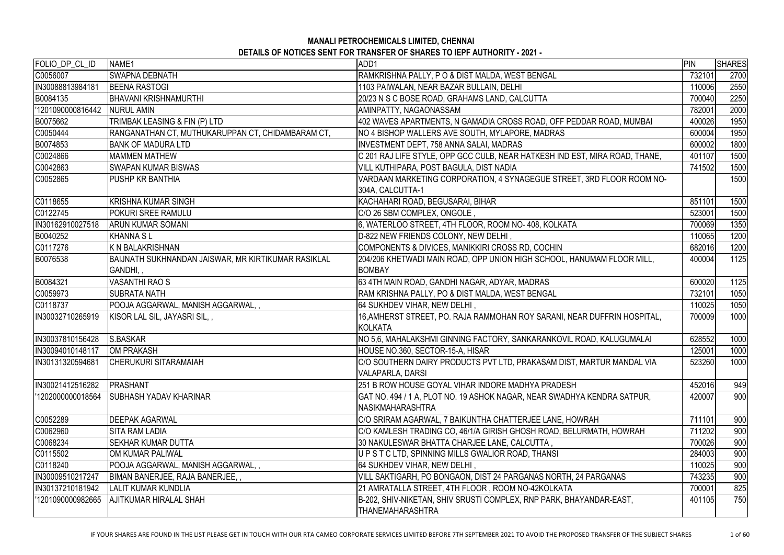| FOLIO DP CL ID    | NAME1                                               | ADD1                                                                        | PIN    | <b>SHARES</b> |
|-------------------|-----------------------------------------------------|-----------------------------------------------------------------------------|--------|---------------|
| C0056007          | <b>SWAPNA DEBNATH</b>                               | RAMKRISHNA PALLY, PO & DIST MALDA, WEST BENGAL                              | 732101 | 2700          |
| IN30088813984181  | <b>BEENA RASTOGI</b>                                | 1103 PAIWALAN, NEAR BAZAR BULLAIN, DELHI                                    | 110006 | 2550          |
| B0084135          | <b>BHAVANI KRISHNAMURTHI</b>                        | 20/23 N S C BOSE ROAD, GRAHAMS LAND, CALCUTTA                               | 700040 | 2250          |
| '1201090000816442 | <b>NURUL AMIN</b>                                   | AMINPATTY, NAGAONASSAM                                                      | 782001 | 2000          |
| B0075662          | TRIMBAK LEASING & FIN (P) LTD                       | 402 WAVES APARTMENTS, N GAMADIA CROSS ROAD, OFF PEDDAR ROAD, MUMBAI         | 400026 | 1950          |
| C0050444          | RANGANATHAN CT, MUTHUKARUPPAN CT, CHIDAMBARAM CT,   | NO 4 BISHOP WALLERS AVE SOUTH, MYLAPORE, MADRAS                             | 600004 | 1950          |
| B0074853          | <b>BANK OF MADURA LTD</b>                           | <b>INVESTMENT DEPT, 758 ANNA SALAI, MADRAS</b>                              | 600002 | 1800          |
| C0024866          | <b>IMAMMEN MATHEW</b>                               | C 201 RAJ LIFE STYLE, OPP GCC CULB, NEAR HATKESH IND EST, MIRA ROAD, THANE, | 401107 | 1500          |
| C0042863          | <b>SWAPAN KUMAR BISWAS</b>                          | VILL KUTHIPARA, POST BAGULA, DIST NADIA                                     | 741502 | 1500          |
| C0052865          | <b>PUSHP KR BANTHIA</b>                             | VARDAAN MARKETING CORPORATION, 4 SYNAGEGUE STREET, 3RD FLOOR ROOM NO-       |        | 1500          |
|                   |                                                     | 304A, CALCUTTA-1                                                            |        |               |
| C0118655          | <b>KRISHNA KUMAR SINGH</b>                          | KACHAHARI ROAD, BEGUSARAI, BIHAR                                            | 851101 | 1500          |
| C0122745          | <b>POKURI SREE RAMULU</b>                           | C/O 26 SBM COMPLEX, ONGOLE,                                                 | 523001 | 1500          |
| IN30162910027518  | <b>ARUN KUMAR SOMANI</b>                            | 6, WATERLOO STREET, 4TH FLOOR, ROOM NO- 408, KOLKATA                        | 700069 | 1350          |
| B0040252          | <b>KHANNA SL</b>                                    | D-822 NEW FRIENDS COLONY, NEW DELHI,                                        | 110065 | 1200          |
| C0117276          | K N BALAKRISHNAN                                    | COMPONENTS & DIVICES, MANIKKIRI CROSS RD, COCHIN                            | 682016 | 1200          |
| B0076538          | BAIJNATH SUKHNANDAN JAISWAR, MR KIRTIKUMAR RASIKLAL | 204/206 KHETWADI MAIN ROAD, OPP UNION HIGH SCHOOL, HANUMAM FLOOR MILL,      | 400004 | 1125          |
|                   | GANDHI,,                                            | <b>BOMBAY</b>                                                               |        |               |
| B0084321          | <b>VASANTHI RAO S</b>                               | 63 4TH MAIN ROAD, GANDHI NAGAR, ADYAR, MADRAS                               | 600020 | 1125          |
| C0059973          | <b>SUBRATA NATH</b>                                 | RAM KRISHNA PALLY, PO & DIST MALDA, WEST BENGAL                             | 732101 | 1050          |
| C0118737          | POOJA AGGARWAL, MANISH AGGARWAL,,                   | 64 SUKHDEV VIHAR, NEW DELHI,                                                | 110025 | 1050          |
| IN30032710265919  | KISOR LAL SIL, JAYASRI SIL,,                        | 16, AMHERST STREET, PO. RAJA RAMMOHAN ROY SARANI, NEAR DUFFRIN HOSPITAL,    | 700009 | 1000          |
|                   |                                                     | <b>KOLKATA</b>                                                              |        |               |
| IN30037810156428  | S.BASKAR                                            | NO 5,6, MAHALAKSHMI GINNING FACTORY, SANKARANKOVIL ROAD, KALUGUMALAI        | 628552 | 1000          |
| IN30094010148117  | OM PRAKASH                                          | HOUSE NO.360, SECTOR-15-A, HISAR                                            | 125001 | 1000          |
| IN30131320594681  | <b>CHERUKURI SITARAMAIAH</b>                        | C/O SOUTHERN DAIRY PRODUCTS PVT LTD, PRAKASAM DIST, MARTUR MANDAL VIA       | 523260 | 1000          |
|                   |                                                     | VALAPARLA, DARSI                                                            |        |               |
| IN30021412516282  | <b>IPRASHANT</b>                                    | 1251 B ROW HOUSE GOYAL VIHAR INDORE MADHYA PRADESH                          | 452016 | 949           |
| '1202000000018564 | <b>SUBHASH YADAV KHARINAR</b>                       | GAT NO. 494 / 1 A, PLOT NO. 19 ASHOK NAGAR, NEAR SWADHYA KENDRA SATPUR,     | 420007 | 900           |
|                   |                                                     | <b>NASIKMAHARASHTRA</b>                                                     |        |               |
| C0052289          | <b>DEEPAK AGARWAL</b>                               | C/O SRIRAM AGARWAL, 7 BAIKUNTHA CHATTERJEE LANE, HOWRAH                     | 711101 | 900           |
| C0062960          | <b>SITA RAM LADIA</b>                               | C/O KAMLESH TRADING CO, 46/1/A GIRISH GHOSH ROAD, BELURMATH, HOWRAH         | 711202 | 900           |
| C0068234          | <b>SEKHAR KUMAR DUTTA</b>                           | 30 NAKULESWAR BHATTA CHARJEE LANE, CALCUTTA ,                               | 700026 | 900           |
| C0115502          | OM KUMAR PALIWAL                                    | UPS TC LTD, SPINNING MILLS GWALIOR ROAD, THANSI                             | 284003 | 900           |
| C0118240          | POOJA AGGARWAL, MANISH AGGARWAL, ,                  | 64 SUKHDEV VIHAR, NEW DELHI,                                                | 110025 | 900           |
| IN30009510217247  | BIMAN BANERJEE, RAJA BANERJEE,,                     | VILL SAKTIGARH, PO BONGAON, DIST 24 PARGANAS NORTH, 24 PARGANAS             | 743235 | 900           |
| IN30137210181942  | <b>LALIT KUMAR KUNDLIA</b>                          | 21 AMRATALLA STREET, 4TH FLOOR , ROOM NO-42KOLKATA                          | 700001 | 825           |
| '1201090000982665 | <b>AJITKUMAR HIRALAL SHAH</b>                       | B-202, SHIV-NIKETAN, SHIV SRUSTI COMPLEX, RNP PARK, BHAYANDAR-EAST,         | 401105 | 750           |
|                   |                                                     | <b>THANEMAHARASHTRA</b>                                                     |        |               |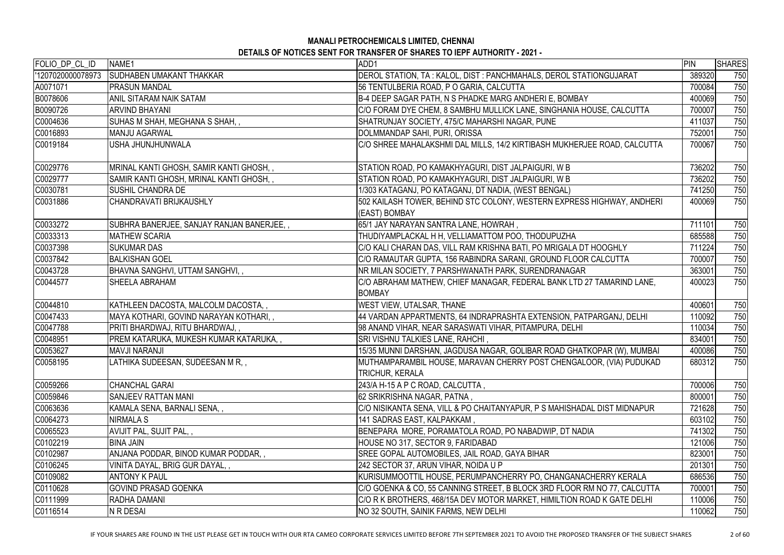| FOLIO_DP_CL_ID   | NAME1                                     | ADD1                                                                                    | <b>PIN</b> | <b>SHARES</b> |
|------------------|-------------------------------------------|-----------------------------------------------------------------------------------------|------------|---------------|
| 1207020000078973 | <b>SUDHABEN UMAKANT THAKKAR</b>           | DEROL STATION, TA : KALOL, DIST : PANCHMAHALS, DEROL STATIONGUJARAT                     | 389320     | 750           |
| A0071071         | <b>PRASUN MANDAL</b>                      | 56 TENTULBERIA ROAD, P O GARIA, CALCUTTA                                                | 700084     | 750           |
| B0078606         | <b>ANIL SITARAM NAIK SATAM</b>            | B-4 DEEP SAGAR PATH, N S PHADKE MARG ANDHERI E, BOMBAY                                  | 400069     | 750           |
| B0090726         | <b>ARVIND BHAYANI</b>                     | C/O FORAM DYE CHEM, 8 SAMBHU MULLICK LANE, SINGHANIA HOUSE, CALCUTTA                    | 700007     | 750           |
| C0004636         | SUHAS M SHAH, MEGHANA S SHAH, ,           | SHATRUNJAY SOCIETY, 475/C MAHARSHI NAGAR, PUNE                                          | 411037     | 750           |
| C0016893         | <b>MANJU AGARWAL</b>                      | DOLMMANDAP SAHI, PURI, ORISSA                                                           | 752001     | 750           |
| C0019184         | USHA JHUNJHUNWALA                         | C/O SHREE MAHALAKSHMI DAL MILLS, 14/2 KIRTIBASH MUKHERJEE ROAD, CALCUTTA                | 700067     | 750           |
| C0029776         | MRINAL KANTI GHOSH, SAMIR KANTI GHOSH,,   | STATION ROAD, PO KAMAKHYAGURI, DIST JALPAIGURI, W B                                     | 736202     | 750           |
| C0029777         | SAMIR KANTI GHOSH, MRINAL KANTI GHOSH,,   | STATION ROAD, PO KAMAKHYAGURI, DIST JALPAIGURI, W B                                     | 736202     | 750           |
| C0030781         | <b>SUSHIL CHANDRA DE</b>                  | 1/303 KATAGANJ, PO KATAGANJ, DT NADIA, (WEST BENGAL)                                    | 741250     | 750           |
| C0031886         | CHANDRAVATI BRIJKAUSHLY                   | 502 KAILASH TOWER, BEHIND STC COLONY, WESTERN EXPRESS HIGHWAY, ANDHERI<br>(EAST) BOMBAY | 400069     | 750           |
| C0033272         | SUBHRA BANERJEE, SANJAY RANJAN BANERJEE,, | 65/1 JAY NARAYAN SANTRA LANE, HOWRAH,                                                   | 711101     | 750           |
| C0033313         | <b>MATHEW SCARIA</b>                      | THUDIYAMPLACKAL H H, VELLIAMATTOM POO, THODUPUZHA                                       | 685588     | 750           |
| C0037398         | <b>SUKUMAR DAS</b>                        | C/O KALI CHARAN DAS, VILL RAM KRISHNA BATI, PO MRIGALA DT HOOGHLY                       | 711224     | 750           |
| C0037842         | <b>BALKISHAN GOEL</b>                     | C/O RAMAUTAR GUPTA, 156 RABINDRA SARANI, GROUND FLOOR CALCUTTA                          | 700007     | 750           |
| C0043728         | BHAVNA SANGHVI, UTTAM SANGHVI,,           | NR MILAN SOCIETY, 7 PARSHWANATH PARK, SURENDRANAGAR                                     | 363001     | 750           |
| C0044577         | SHEELA ABRAHAM                            | C/O ABRAHAM MATHEW, CHIEF MANAGAR, FEDERAL BANK LTD 27 TAMARIND LANE,<br><b>BOMBAY</b>  | 400023     | 750           |
| C0044810         | KATHLEEN DACOSTA, MALCOLM DACOSTA,,       | <b>WEST VIEW, UTALSAR, THANE</b>                                                        | 400601     | 750           |
| C0047433         | MAYA KOTHARI, GOVIND NARAYAN KOTHARI, ,   | 44 VARDAN APPARTMENTS, 64 INDRAPRASHTA EXTENSION, PATPARGANJ, DELHI                     | 110092     | 750           |
| C0047788         | PRITI BHARDWAJ, RITU BHARDWAJ, ,          | 98 ANAND VIHAR, NEAR SARASWATI VIHAR, PITAMPURA, DELHI                                  | 110034     | 750           |
| C0048951         | PREM KATARUKA, MUKESH KUMAR KATARUKA, ,   | SRI VISHNU TALKIES LANE, RAHCHI,                                                        | 834001     | 750           |
| C0053627         | <b>MAVJI NARANJI</b>                      | 15/35 MUNNI DARSHAN, JAGDUSA NAGAR, GOLIBAR ROAD GHATKOPAR (W), MUMBAI                  | 400086     | 750           |
| C0058195         | LATHIKA SUDEESAN, SUDEESAN M R,,          | MUTHAMPARAMBIL HOUSE, MARAVAN CHERRY POST CHENGALOOR, (VIA) PUDUKAD                     | 680312     | 750           |
|                  |                                           | <b>TRICHUR, KERALA</b>                                                                  |            |               |
| C0059266         | <b>CHANCHAL GARAI</b>                     | 243/A H-15 A P C ROAD, CALCUTTA,                                                        | 700006     | 750           |
| C0059846         | SANJEEV RATTAN MANI                       | 62 SRIKRISHNA NAGAR, PATNA,                                                             | 800001     | 750           |
| C0063636         | KAMALA SENA, BARNALI SENA,,               | C/O NISIKANTA SENA, VILL & PO CHAITANYAPUR, P S MAHISHADAL DIST MIDNAPUR                | 721628     | 750           |
| C0064273         | NIRMALA S                                 | 141 SADRAS EAST, KALPAKKAM,                                                             | 603102     | 750           |
| C0065523         | AVIJIT PAL, SUJIT PAL,,                   | BENEPARA MORE, PORAMATOLA ROAD, PO NABADWIP, DT NADIA                                   | 741302     | 750           |
| C0102219         | <b>BINA JAIN</b>                          | HOUSE NO 317, SECTOR 9, FARIDABAD                                                       | 121006     | 750           |
| C0102987         | ANJANA PODDAR, BINOD KUMAR PODDAR,,       | SREE GOPAL AUTOMOBILES, JAIL ROAD, GAYA BIHAR                                           | 823001     | 750           |
| C0106245         | VINITA DAYAL, BRIG GUR DAYAL,,            | 242 SECTOR 37, ARUN VIHAR, NOIDA U P                                                    | 201301     | 750           |
| C0109082         | <b>ANTONY K PAUL</b>                      | KURISUMMOOTTIL HOUSE, PERUMPANCHERRY PO, CHANGANACHERRY KERALA                          | 686536     | 750           |
| C0110628         | <b>GOVIND PRASAD GOENKA</b>               | C/O GOENKA & CO, 55 CANNING STREET, B BLOCK 3RD FLOOR RM NO 77, CALCUTTA                | 700001     | 750           |
| C0111999         | RADHA DAMANI                              | C/O R K BROTHERS, 468/15A DEV MOTOR MARKET, HIMILTION ROAD K GATE DELHI                 | 110006     | 750           |
| C0116514         | N R DESAI                                 | <b>NO 32 SOUTH, SAINIK FARMS, NEW DELHI</b>                                             | 110062     | 750           |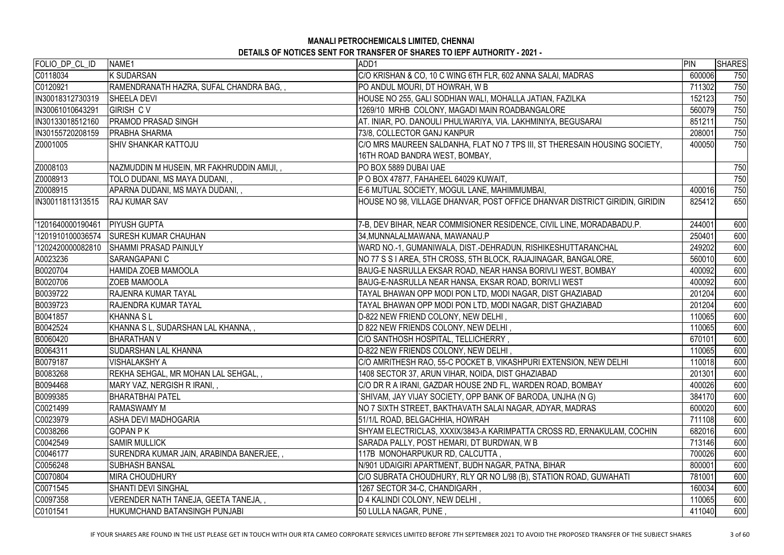| FOLIO_DP_CL_ID    | NAME1                                      | ADD1                                                                        | PIN    | <b>SHARES</b> |
|-------------------|--------------------------------------------|-----------------------------------------------------------------------------|--------|---------------|
| C0118034          | K SUDARSAN                                 | C/O KRISHAN & CO, 10 C WING 6TH FLR, 602 ANNA SALAI, MADRAS                 | 600006 | 750           |
| C0120921          | RAMENDRANATH HAZRA, SUFAL CHANDRA BAG,,    | PO ANDUL MOURI, DT HOWRAH, W B                                              | 711302 | 750           |
| IN30018312730319  | <b>SHEELA DEVI</b>                         | HOUSE NO 255, GALI SODHIAN WALI, MOHALLA JATIAN, FAZILKA                    | 152123 | 750           |
| IN30061010643291  | <b>GIRISH CV</b>                           | 1269/10 MRHB COLONY, MAGADI MAIN ROADBANGALORE                              | 560079 | 750           |
| IN30133018512160  | <b>PRAMOD PRASAD SINGH</b>                 | AT. INIAR, PO. DANOULI PHULWARIYA, VIA. LAKHMINIYA, BEGUSARAI               | 851211 | 750           |
| IN30155720208159  | <b>PRABHA SHARMA</b>                       | 73/8, COLLECTOR GANJ KANPUR                                                 | 208001 | 750           |
| Z0001005          | <b>SHIV SHANKAR KATTOJU</b>                | C/O MRS MAUREEN SALDANHA, FLAT NO 7 TPS III, ST THERESAIN HOUSING SOCIETY,  | 400050 | 750           |
|                   |                                            | 16TH ROAD BANDRA WEST, BOMBAY,                                              |        |               |
| Z0008103          | NAZMUDDIN M HUSEIN, MR FAKHRUDDIN AMIJI, , | PO BOX 5889 DUBAI UAE                                                       |        | 750           |
| Z0008913          | TOLO DUDANI, MS MAYA DUDANI,,              | P O BOX 47877, FAHAHEEL 64029 KUWAIT,                                       |        | 750           |
| Z0008915          | APARNA DUDANI, MS MAYA DUDANI, ,           | E-6 MUTUAL SOCIETY, MOGUL LANE, MAHIMMUMBAI,                                | 400016 | 750           |
| IN30011811313515  | <b>RAJ KUMAR SAV</b>                       | HOUSE NO 98, VILLAGE DHANVAR, POST OFFICE DHANVAR DISTRICT GIRIDIN, GIRIDIN | 825412 | 650           |
| 1201640000190461  | <b>PIYUSH GUPTA</b>                        | 7-B, DEV BIHAR, NEAR COMMISIONER RESIDENCE, CIVIL LINE, MORADABADU.P.       | 244001 | 600           |
| '1201910100036574 | <b>SURESH KUMAR CHAUHAN</b>                | 34,MUNNALALMAWANA, MAWANAU.P                                                | 250401 | 600           |
| 1202420000082810  | <b>SHAMMI PRASAD PAINULY</b>               | WARD NO.-1, GUMANIWALA, DIST.-DEHRADUN, RISHIKESHUTTARANCHAL                | 249202 | 600           |
| A0023236          | <b>SARANGAPANI C</b>                       | NO 77 S S I AREA, 5TH CROSS, 5TH BLOCK, RAJAJINAGAR, BANGALORE,             | 560010 | 600           |
| B0020704          | <b>HAMIDA ZOEB MAMOOLA</b>                 | BAUG-E NASRULLA EKSAR ROAD, NEAR HANSA BORIVLI WEST, BOMBAY                 | 400092 | 600           |
| B0020706          | <b>ZOEB MAMOOLA</b>                        | BAUG-E-NASRULLA NEAR HANSA, EKSAR ROAD, BORIVLI WEST                        | 400092 | 600           |
| B0039722          | <b>RAJENRA KUMAR TAYAL</b>                 | TAYAL BHAWAN OPP MODI PON LTD, MODI NAGAR, DIST GHAZIABAD                   | 201204 | 600           |
| B0039723          | <b>RAJENDRA KUMAR TAYAL</b>                | TAYAL BHAWAN OPP MODI PON LTD, MODI NAGAR, DIST GHAZIABAD                   | 201204 | 600           |
| B0041857          | KHANNA SL                                  | D-822 NEW FRIEND COLONY, NEW DELHI,                                         | 110065 | 600           |
| B0042524          | KHANNA S L, SUDARSHAN LAL KHANNA, ,        | D 822 NEW FRIENDS COLONY, NEW DELHI,                                        | 110065 | 600           |
| B0060420          | <b>BHARATHAN V</b>                         | C/O SANTHOSH HOSPITAL, TELLICHERRY,                                         | 670101 | 600           |
| B0064311          | <b>SUDARSHAN LAL KHANNA</b>                | D-822 NEW FRIENDS COLONY, NEW DELHI,                                        | 110065 | 600           |
| B0079187          | <b>VISHALAKSHY A</b>                       | C/O AMRITHESH RAO, 55-C POCKET B, VIKASHPURI EXTENSION, NEW DELHI           | 110018 | 600           |
| B0083268          | REKHA SEHGAL, MR MOHAN LAL SEHGAL, ,       | 1408 SECTOR 37, ARUN VIHAR, NOIDA, DIST GHAZIABAD                           | 201301 | 600           |
| B0094468          | MARY VAZ, NERGISH R IRANI, ,               | C/O DR R A IRANI, GAZDAR HOUSE 2ND FL, WARDEN ROAD, BOMBAY                  | 400026 | 600           |
| B0099385          | BHARATBHAI PATEL                           | 'SHIVAM, JAY VIJAY SOCIETY, OPP BANK OF BARODA, UNJHA (N G)                 | 384170 | 600           |
| C0021499          | <b>RAMASWAMY M</b>                         | NO 7 SIXTH STREET, BAKTHAVATH SALAI NAGAR, ADYAR, MADRAS                    | 600020 | 600           |
| C0023979          | <b>ASHA DEVI MADHOGARIA</b>                | 51/1/L ROAD, BELGACHHIA, HOWRAH                                             | 711108 | 600           |
| C0038266          | IGOPAN P K                                 | SHYAM ELECTRICLAS, XXXIX/3843-A KARIMPATTA CROSS RD, ERNAKULAM, COCHIN      | 682016 | 600           |
| C0042549          | <b>SAMIR MULLICK</b>                       | SARADA PALLY, POST HEMARI, DT BURDWAN, W B                                  | 713146 | 600           |
| C0046177          | SURENDRA KUMAR JAIN, ARABINDA BANERJEE, ,  | 117B MONOHARPUKUR RD, CALCUTTA,                                             | 700026 | 600           |
| C0056248          | ISUBHASH BANSAL                            | N/901 UDAIGIRI APARTMENT, BUDH NAGAR, PATNA, BIHAR                          | 800001 | 600           |
| C0070804          | IMIRA CHOUDHURY                            | C/O SUBRATA CHOUDHURY, RLY QR NO L/98 (B), STATION ROAD, GUWAHATI           | 781001 | 600           |
| C0071545          | SHANTI DEVI SINGHAL                        | 1267 SECTOR 34-C, CHANDIGARH,                                               | 160034 | 600           |
| C0097358          | VERENDER NATH TANEJA, GEETA TANEJA,,       | D 4 KALINDI COLONY, NEW DELHI,                                              | 110065 | 600           |
| C0101541          | HUKUMCHAND BATANSINGH PUNJABI              | 50 LULLA NAGAR, PUNE,                                                       | 411040 | 600           |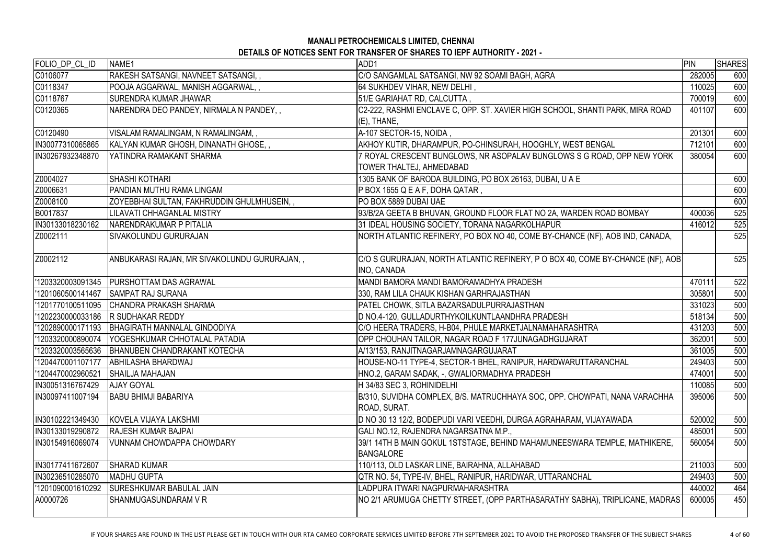# **MANALI PETROCHEMICALS LIMITED, CHENNAI**

| <b>DETAILS OF NOTICES SENT FOR TRANSFER OF SHARES TO IEPF AUTHORITY - 2021 -</b> |  |
|----------------------------------------------------------------------------------|--|
|----------------------------------------------------------------------------------|--|

| FOLIO_DP_CL_ID    | NAME1                                           | ADD1                                                                           | PIN    | <b>SHARES</b> |
|-------------------|-------------------------------------------------|--------------------------------------------------------------------------------|--------|---------------|
| C0106077          | RAKESH SATSANGI, NAVNEET SATSANGI,,             | C/O SANGAMLAL SATSANGI, NW 92 SOAMI BAGH, AGRA                                 | 282005 | 600           |
| C0118347          | POOJA AGGARWAL, MANISH AGGARWAL,,               | 64 SUKHDEV VIHAR, NEW DELHI,                                                   | 110025 | 600           |
| C0118767          | <b>SURENDRA KUMAR JHAWAR</b>                    | 51/E GARIAHAT RD, CALCUTTA,                                                    | 700019 | 600           |
| C0120365          | NARENDRA DEO PANDEY, NIRMALA N PANDEY,,         | C2-222, RASHMI ENCLAVE C, OPP. ST. XAVIER HIGH SCHOOL, SHANTI PARK, MIRA ROAD  | 401107 | 600           |
|                   |                                                 | $(E)$ , THANE,                                                                 |        |               |
| C0120490          | VISALAM RAMALINGAM, N RAMALINGAM, ,             | A-107 SECTOR-15, NOIDA,                                                        | 201301 | 600           |
| IN30077310065865  | KALYAN KUMAR GHOSH, DINANATH GHOSE,,            | AKHOY KUTIR, DHARAMPUR, PO-CHINSURAH, HOOGHLY, WEST BENGAL                     | 712101 | 600           |
| IN30267932348870  | YATINDRA RAMAKANT SHARMA                        | 7 ROYAL CRESCENT BUNGLOWS, NR ASOPALAV BUNGLOWS S G ROAD, OPP NEW YORK         | 380054 | 600           |
|                   |                                                 | TOWER THALTEJ, AHMEDABAD                                                       |        |               |
| Z0004027          | <b>SHASHI KOTHARI</b>                           | 1305 BANK OF BARODA BUILDING, PO BOX 26163, DUBAI, U A E                       |        | 600           |
| Z0006631          | PANDIAN MUTHU RAMA LINGAM                       | P BOX 1655 Q E A F, DOHA QATAR,                                                |        | 600           |
| Z0008100          | ZOYEBBHAI SULTAN, FAKHRUDDIN GHULMHUSEIN,,      | PO BOX 5889 DUBAI UAE                                                          |        | 600           |
| B0017837          | LILAVATI CHHAGANLAL MISTRY                      | 93/B/2A GEETA B BHUVAN, GROUND FLOOR FLAT NO 2A, WARDEN ROAD BOMBAY            | 400036 | 525           |
| IN30133018230162  | <b>NARENDRAKUMAR P PITALIA</b>                  | 31 IDEAL HOUSING SOCIETY, TORANA NAGARKOLHAPUR                                 | 416012 | 525           |
| Z0002111          | <b>SIVAKOLUNDU GURURAJAN</b>                    | NORTH ATLANTIC REFINERY, PO BOX NO 40, COME BY-CHANCE (NF), AOB IND, CANADA,   |        | 525           |
|                   |                                                 |                                                                                |        |               |
| Z0002112          | ANBUKARASI RAJAN, MR SIVAKOLUNDU GURURAJAN,,    | C/O S GURURAJAN, NORTH ATLANTIC REFINERY, P O BOX 40, COME BY-CHANCE (NF), AOB |        | 525           |
|                   |                                                 | INO, CANADA                                                                    |        |               |
| '1203320003091345 | <b>PURSHOTTAM DAS AGRAWAL</b>                   | MANDI BAMORA MANDI BAMORAMADHYA PRADESH                                        | 470111 | 522           |
| '1201060500141467 | <b>SAMPAT RAJ SURANA</b>                        | 330, RAM LILA CHAUK KISHAN GARHRAJASTHAN                                       | 305801 | 500           |
| '1201770100511095 | <b>CHANDRA PRAKASH SHARMA</b>                   | PATEL CHOWK, SITLA BAZARSADULPURRAJASTHAN                                      | 331023 | 500           |
| '1202230000033186 | <b>R SUDHAKAR REDDY</b>                         | D NO.4-120, GULLADURTHYKOILKUNTLAANDHRA PRADESH                                | 518134 | 500           |
| '1202890000171193 | BHAGIRATH MANNALAL GINDODIYA                    | C/O HEERA TRADERS, H-B04, PHULE MARKETJALNAMAHARASHTRA                         | 431203 | 500           |
| '1203320000890074 | YOGESHKUMAR CHHOTALAL PATADIA                   | OPP CHOUHAN TAILOR, NAGAR ROAD F 177JUNAGADHGUJARAT                            | 362001 | 500           |
|                   | 1203320003565636   BHANUBEN CHANDRAKANT KOTECHA | A/13/153, RANJITNAGARJAMNAGARGUJARAT                                           | 361005 | 500           |
| '1204470001107177 | <b>ABHILASHA BHARDWAJ</b>                       | HOUSE-NO-11 TYPE-4, SECTOR-1 BHEL, RANIPUR, HARDWARUTTARANCHAL                 | 249403 | 500           |
| '1204470002960521 | <b>SHAILJA MAHAJAN</b>                          | HNO.2, GARAM SADAK, -, GWALIORMADHYA PRADESH                                   | 474001 | 500           |
| IN30051316767429  | <b>AJAY GOYAL</b>                               | H 34/83 SEC 3, ROHINIDELHI                                                     | 110085 | 500           |
| IN30097411007194  | <b>BABU BHIMJI BABARIYA</b>                     | B/310, SUVIDHA COMPLEX, B/S. MATRUCHHAYA SOC, OPP. CHOWPATI, NANA VARACHHA     | 395006 | 500           |
|                   |                                                 | ROAD, SURAT.                                                                   |        |               |
| IN30102221349430  | <b>IKOVELA VIJAYA LAKSHMI</b>                   | D NO 30 13 12/2, BODEPUDI VARI VEEDHI, DURGA AGRAHARAM, VIJAYAWADA             | 520002 | 500           |
| IN30133019290872  | <b>RAJESH KUMAR BAJPAI</b>                      | GALI NO.12, RAJENDRA NAGARSATNA M.P.,                                          | 485001 | 500           |
| IN30154916069074  | VUNNAM CHOWDAPPA CHOWDARY                       | 39/1 14TH B MAIN GOKUL 1STSTAGE, BEHIND MAHAMUNEESWARA TEMPLE, MATHIKERE,      | 560054 | 500           |
|                   |                                                 | <b>BANGALORE</b>                                                               |        |               |
| IN30177411672607  | <b>ISHARAD KUMAR</b>                            | 110/113, OLD LASKAR LINE, BAIRAHNA, ALLAHABAD                                  | 211003 | 500           |
| IN30236510285070  | <b>MADHU GUPTA</b>                              | QTR NO. 54, TYPE-IV, BHEL, RANIPUR, HARIDWAR, UTTARANCHAL                      | 249403 | 500           |
| '1201090001610292 | <b>ISURESHKUMAR BABULAL JAIN</b>                | LADPURA ITWARI NAGPURMAHARASHTRA                                               | 440002 | 464           |
| A0000726          | SHANMUGASUNDARAM V R                            | NO 2/1 ARUMUGA CHETTY STREET, (OPP PARTHASARATHY SABHA), TRIPLICANE, MADRAS    | 600005 | 450           |
|                   |                                                 |                                                                                |        |               |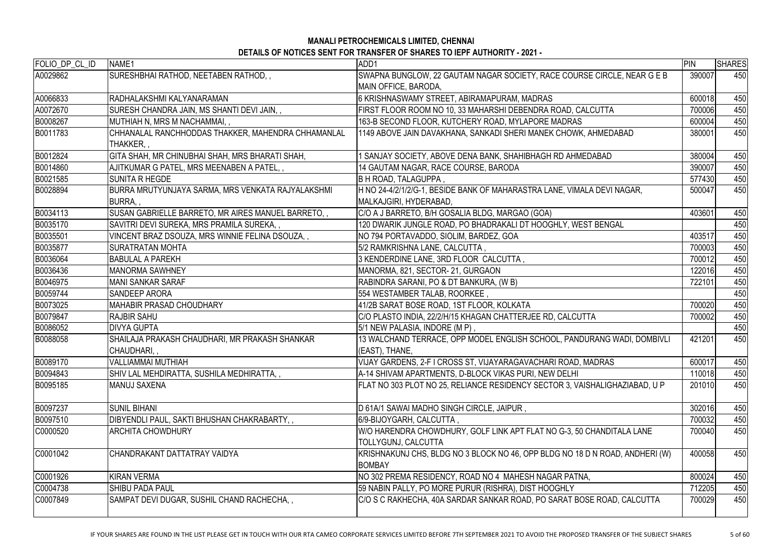| FOLIO_DP_CL_ID | NAME1                                                           | ADD1                                                                                                | PIN    | <b>SHARES</b> |
|----------------|-----------------------------------------------------------------|-----------------------------------------------------------------------------------------------------|--------|---------------|
| A0029862       | SURESHBHAI RATHOD, NEETABEN RATHOD,,                            | SWAPNA BUNGLOW, 22 GAUTAM NAGAR SOCIETY, RACE COURSE CIRCLE, NEAR G E B                             | 390007 | 450           |
|                |                                                                 | MAIN OFFICE, BARODA,                                                                                |        |               |
| A0066833       | RADHALAKSHMI KALYANARAMAN                                       | 6 KRISHNASWAMY STREET, ABIRAMAPURAM, MADRAS                                                         | 600018 | 450           |
| A0072670       | SURESH CHANDRA JAIN, MS SHANTI DEVI JAIN,,                      | FIRST FLOOR ROOM NO 10, 33 MAHARSHI DEBENDRA ROAD, CALCUTTA                                         | 700006 | 450           |
| B0008267       | MUTHIAH N, MRS M NACHAMMAI,,                                    | 163-B SECOND FLOOR, KUTCHERY ROAD, MYLAPORE MADRAS                                                  | 600004 | 450           |
| B0011783       | CHHANALAL RANCHHODDAS THAKKER, MAHENDRA CHHAMANLAL<br>THAKKER,, | 1149 ABOVE JAIN DAVAKHANA, SANKADI SHERI MANEK CHOWK, AHMEDABAD                                     | 380001 | 450           |
| B0012824       | GITA SHAH, MR CHINUBHAI SHAH, MRS BHARATI SHAH,                 | SANJAY SOCIETY, ABOVE DENA BANK, SHAHIBHAGH RD AHMEDABAD                                            | 380004 | 450           |
| B0014860       | AJITKUMAR G PATEL, MRS MEENABEN A PATEL,                        | 14 GAUTAM NAGAR, RACE COURSE, BARODA                                                                | 390007 | 450           |
| B0021585       | <b>SUNITA R HEGDE</b>                                           | <b>B H ROAD, TALAGUPPA,</b>                                                                         | 577430 | 450           |
| B0028894       | BURRA MRUTYUNJAYA SARMA, MRS VENKATA RAJYALAKSHMI<br>BURRA,     | H NO 24-4/2/1/2/G-1, BESIDE BANK OF MAHARASTRA LANE, VIMALA DEVI NAGAR,<br>MALKAJGIRI, HYDERABAD,   | 500047 | 450           |
| B0034113       | SUSAN GABRIELLE BARRETO, MR AIRES MANUEL BARRETO,,              | C/O A J BARRETO, B/H GOSALIA BLDG, MARGAO (GOA)                                                     | 403601 | 450           |
| B0035170       | SAVITRI DEVI SUREKA, MRS PRAMILA SUREKA,,                       | 120 DWARIK JUNGLE ROAD, PO BHADRAKALI DT HOOGHLY, WEST BENGAL                                       |        | 450           |
| B0035501       | VINCENT BRAZ DSOUZA, MRS WINNIE FELINA DSOUZA,,                 | NO 794 PORTAVADDO, SIOLIM, BARDEZ, GOA                                                              | 403517 | 450           |
| B0035877       | <b>SURATRATAN MOHTA</b>                                         | 5/2 RAMKRISHNA LANE, CALCUTTA,                                                                      | 700003 | 450           |
| B0036064       | <b>BABULAL A PAREKH</b>                                         | 3 KENDERDINE LANE, 3RD FLOOR CALCUTTA,                                                              | 700012 | 450           |
| B0036436       | <b>MANORMA SAWHNEY</b>                                          | MANORMA, 821, SECTOR-21, GURGAON                                                                    | 122016 | 450           |
| B0046975       | <b>MANI SANKAR SARAF</b>                                        | RABINDRA SARANI, PO & DT BANKURA, (W B)                                                             | 722101 | 450           |
| B0059744       | SANDEEP ARORA                                                   | 554 WESTAMBER TALAB, ROORKEE,                                                                       |        | 450           |
| B0073025       | <b>MAHABIR PRASAD CHOUDHARY</b>                                 | 41/2B SARAT BOSE ROAD, 1ST FLOOR, KOLKATA                                                           | 700020 | 450           |
| B0079847       | <b>RAJBIR SAHU</b>                                              | C/O PLASTO INDIA, 22/2/H/15 KHAGAN CHATTERJEE RD, CALCUTTA                                          | 700002 | 450           |
| B0086052       | <b>IDIVYA GUPTA</b>                                             | 5/1 NEW PALASIA, INDORE (M P),                                                                      |        | 450           |
| B0088058       | SHAILAJA PRAKASH CHAUDHARI, MR PRAKASH SHANKAR<br>CHAUDHARI,,   | 13 WALCHAND TERRACE, OPP MODEL ENGLISH SCHOOL, PANDURANG WADI, DOMBIVLI<br>(EAST), THANE,           | 421201 | 450           |
| B0089170       | <b>VALLIAMMAI MUTHIAH</b>                                       | VIJAY GARDENS, 2-F I CROSS ST, VIJAYARAGAVACHARI ROAD, MADRAS                                       | 600017 | 450           |
| B0094843       | SHIV LAL MEHDIRATTA, SUSHILA MEDHIRATTA,,                       | A-14 SHIVAM APARTMENTS, D-BLOCK VIKAS PURI, NEW DELHI                                               | 110018 | 450           |
| B0095185       | <b>MANUJ SAXENA</b>                                             | FLAT NO 303 PLOT NO 25, RELIANCE RESIDENCY SECTOR 3, VAISHALIGHAZIABAD, U P                         | 201010 | 450           |
| B0097237       | <b>SUNIL BIHANI</b>                                             | D 61A/1 SAWAI MADHO SINGH CIRCLE, JAIPUR,                                                           | 302016 | 450           |
| B0097510       | DIBYENDLI PAUL, SAKTI BHUSHAN CHAKRABARTY,                      | 6/9-BIJOYGARH, CALCUTTA,                                                                            | 700032 | 450           |
| C0000520       | <b>ARCHITA CHOWDHURY</b>                                        | W/O HARENDRA CHOWDHURY, GOLF LINK APT FLAT NO G-3, 50 CHANDITALA LANE<br><b>TOLLYGUNJ, CALCUTTA</b> | 700040 | 450           |
| C0001042       | CHANDRAKANT DATTATRAY VAIDYA                                    | KRISHNAKUNJ CHS, BLDG NO 3 BLOCK NO 46, OPP BLDG NO 18 D N ROAD, ANDHERI (W)<br><b>BOMBAY</b>       | 400058 | 450           |
| C0001926       | <b>KIRAN VERMA</b>                                              | NO 302 PREMA RESIDENCY, ROAD NO 4 MAHESH NAGAR PATNA,                                               | 800024 | 450           |
| C0004738       | <b>SHIBU PADA PAUL</b>                                          | 59 NABIN PALLY, PO MORE PURUR (RISHRA), DIST HOOGHLY                                                | 712205 | 450           |
| C0007849       | SAMPAT DEVI DUGAR, SUSHIL CHAND RACHECHA,,                      | C/O S C RAKHECHA, 40A SARDAR SANKAR ROAD, PO SARAT BOSE ROAD, CALCUTTA                              | 700029 | 450           |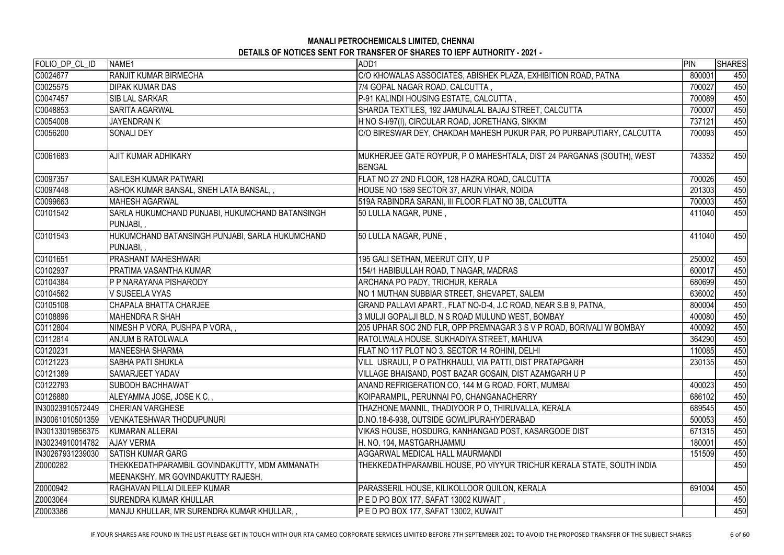| C/O KHOWALAS ASSOCIATES, ABISHEK PLAZA, EXHIBITION ROAD, PATNA<br><b>RANJIT KUMAR BIRMECHA</b><br>800001<br><b>DIPAK KUMAR DAS</b><br>7/4 GOPAL NAGAR ROAD, CALCUTTA,<br>700027<br>P-91 KALINDI HOUSING ESTATE, CALCUTTA,<br><b>SIB LAL SARKAR</b><br>700089<br>SHARDA TEXTILES, 192 JAMUNALAL BAJAJ STREET, CALCUTTA<br><b>SARITA AGARWAL</b><br>700007<br>H NO S-I/97(I), CIRCULAR ROAD, JORETHANG, SIKKIM<br><b>JAYENDRAN K</b><br>737121<br>C/O BIRESWAR DEY, CHAKDAH MAHESH PUKUR PAR, PO PURBAPUTIARY, CALCUTTA<br><b>SONALI DEY</b><br>700093<br><b>AJIT KUMAR ADHIKARY</b><br>MUKHERJEE GATE ROYPUR, P O MAHESHTALA, DIST 24 PARGANAS (SOUTH), WEST<br>743352<br><b>BENGAL</b><br>700026<br><b>SAILESH KUMAR PATWARI</b><br>FLAT NO 27 2ND FLOOR, 128 HAZRA ROAD, CALCUTTA<br>ASHOK KUMAR BANSAL, SNEH LATA BANSAL,,<br>HOUSE NO 1589 SECTOR 37, ARUN VIHAR, NOIDA<br>201303<br><b>MAHESH AGARWAL</b><br>519A RABINDRA SARANI, III FLOOR FLAT NO 3B, CALCUTTA<br>700003<br>SARLA HUKUMCHAND PUNJABI, HUKUMCHAND BATANSINGH<br>50 LULLA NAGAR, PUNE,<br>411040<br>PUNJABI,,<br>HUKUMCHAND BATANSINGH PUNJABI, SARLA HUKUMCHAND<br>50 LULLA NAGAR, PUNE,<br>411040<br>PUNJABI,,<br>C0101651<br>250002<br><b>PRASHANT MAHESHWARI</b><br>195 GALI SETHAN, MEERUT CITY, U P<br>154/1 HABIBULLAH ROAD, T NAGAR, MADRAS<br><b>PRATIMA VASANTHA KUMAR</b><br>600017<br>ARCHANA PO PADY, TRICHUR, KERALA<br><b>P P NARAYANA PISHARODY</b><br>680699<br>NO 1 MUTHAN SUBBIAR STREET, SHEVAPET, SALEM<br>V SUSEELA VYAS<br>636002<br>GRAND PALLAVI APART., FLAT NO-D-4, J.C ROAD, NEAR S.B 9, PATNA,<br><b>CHAPALA BHATTA CHARJEE</b><br>800004<br>C0108896<br>3 MULJI GOPALJI BLD, N S ROAD MULUND WEST, BOMBAY<br><b>MAHENDRA R SHAH</b><br>400080<br>NIMESH P VORA, PUSHPA P VORA,,<br>205 UPHAR SOC 2ND FLR, OPP PREMNAGAR 3 S V P ROAD, BORIVALI W BOMBAY<br>400092<br><b>ANJUM B RATOLWALA</b><br>RATOLWALA HOUSE, SUKHADIYA STREET, MAHUVA<br>364290<br>110085<br>MANEESHA SHARMA<br>FLAT NO 117 PLOT NO 3, SECTOR 14 ROHINI, DELHI<br>230135<br><b>SABHA PATI SHUKLA</b><br>VILL USRAULI, PO PATHKHAULI, VIA PATTI, DIST PRATAPGARH<br><b>SAMARJEET YADAV</b><br>VILLAGE BHAISAND, POST BAZAR GOSAIN, DIST AZAMGARH U P<br><b>SUBODH BACHHAWAT</b><br>ANAND REFRIGERATION CO, 144 M G ROAD, FORT, MUMBAI<br>400023<br>ALEYAMMA JOSE, JOSE K C,,<br>KOIPARAMPIL, PERUNNAI PO, CHANGANACHERRY<br>686102<br><b>CHERIAN VARGHESE</b><br>THAZHONE MANNIL, THADIYOOR P O, THIRUVALLA, KERALA<br>689545<br><b>VENKATESHWAR THODUPUNURI</b><br>D.NO.18-6-938, OUTSIDE GOWLIPURAHYDERABAD<br>500053<br>VIKAS HOUSE, HOSDURG, KANHANGAD POST, KASARGODE DIST<br>671315<br>KUMARAN ALLERAI<br><b>AJAY VERMA</b><br>H. NO. 104, MASTGARHJAMMU<br>180001<br><b>SATISH KUMAR GARG</b><br>AGGARWAL MEDICAL HALL MAURMANDI<br>151509<br>THEKKEDATHPARAMBIL GOVINDAKUTTY, MDM AMMANATH<br>THEKKEDATHPARAMBIL HOUSE, PO VIYYUR TRICHUR KERALA STATE, SOUTH INDIA<br>MEENAKSHY, MR GOVINDAKUTTY RAJESH,<br>691004<br>RAGHAVAN PILLAI DILEEP KUMAR<br>PARASSERIL HOUSE, KILIKOLLOOR QUILON, KERALA<br><b>SURENDRA KUMAR KHULLAR</b><br>P E D PO BOX 177, SAFAT 13002 KUWAIT,<br>MANJU KHULLAR, MR SURENDRA KUMAR KHULLAR,,<br><b>P E D PO BOX 177, SAFAT 13002, KUWAIT</b> | FOLIO_DP_CL_ID   | NAME1 | ADD1 | PIN | <b>SHARES</b> |
|------------------------------------------------------------------------------------------------------------------------------------------------------------------------------------------------------------------------------------------------------------------------------------------------------------------------------------------------------------------------------------------------------------------------------------------------------------------------------------------------------------------------------------------------------------------------------------------------------------------------------------------------------------------------------------------------------------------------------------------------------------------------------------------------------------------------------------------------------------------------------------------------------------------------------------------------------------------------------------------------------------------------------------------------------------------------------------------------------------------------------------------------------------------------------------------------------------------------------------------------------------------------------------------------------------------------------------------------------------------------------------------------------------------------------------------------------------------------------------------------------------------------------------------------------------------------------------------------------------------------------------------------------------------------------------------------------------------------------------------------------------------------------------------------------------------------------------------------------------------------------------------------------------------------------------------------------------------------------------------------------------------------------------------------------------------------------------------------------------------------------------------------------------------------------------------------------------------------------------------------------------------------------------------------------------------------------------------------------------------------------------------------------------------------------------------------------------------------------------------------------------------------------------------------------------------------------------------------------------------------------------------------------------------------------------------------------------------------------------------------------------------------------------------------------------------------------------------------------------------------------------------------------------------------------------------------------------------------------------------------------------------------------------------------------------------------------------------------------------------------------------------------------------------------------------------------------------------------------------------------------------|------------------|-------|------|-----|---------------|
|                                                                                                                                                                                                                                                                                                                                                                                                                                                                                                                                                                                                                                                                                                                                                                                                                                                                                                                                                                                                                                                                                                                                                                                                                                                                                                                                                                                                                                                                                                                                                                                                                                                                                                                                                                                                                                                                                                                                                                                                                                                                                                                                                                                                                                                                                                                                                                                                                                                                                                                                                                                                                                                                                                                                                                                                                                                                                                                                                                                                                                                                                                                                                                                                                                                            | C0024677         |       |      |     | 450           |
|                                                                                                                                                                                                                                                                                                                                                                                                                                                                                                                                                                                                                                                                                                                                                                                                                                                                                                                                                                                                                                                                                                                                                                                                                                                                                                                                                                                                                                                                                                                                                                                                                                                                                                                                                                                                                                                                                                                                                                                                                                                                                                                                                                                                                                                                                                                                                                                                                                                                                                                                                                                                                                                                                                                                                                                                                                                                                                                                                                                                                                                                                                                                                                                                                                                            | C0025575         |       |      |     | 450           |
|                                                                                                                                                                                                                                                                                                                                                                                                                                                                                                                                                                                                                                                                                                                                                                                                                                                                                                                                                                                                                                                                                                                                                                                                                                                                                                                                                                                                                                                                                                                                                                                                                                                                                                                                                                                                                                                                                                                                                                                                                                                                                                                                                                                                                                                                                                                                                                                                                                                                                                                                                                                                                                                                                                                                                                                                                                                                                                                                                                                                                                                                                                                                                                                                                                                            | C0047457         |       |      |     | 450           |
|                                                                                                                                                                                                                                                                                                                                                                                                                                                                                                                                                                                                                                                                                                                                                                                                                                                                                                                                                                                                                                                                                                                                                                                                                                                                                                                                                                                                                                                                                                                                                                                                                                                                                                                                                                                                                                                                                                                                                                                                                                                                                                                                                                                                                                                                                                                                                                                                                                                                                                                                                                                                                                                                                                                                                                                                                                                                                                                                                                                                                                                                                                                                                                                                                                                            | C0048853         |       |      |     | 450           |
|                                                                                                                                                                                                                                                                                                                                                                                                                                                                                                                                                                                                                                                                                                                                                                                                                                                                                                                                                                                                                                                                                                                                                                                                                                                                                                                                                                                                                                                                                                                                                                                                                                                                                                                                                                                                                                                                                                                                                                                                                                                                                                                                                                                                                                                                                                                                                                                                                                                                                                                                                                                                                                                                                                                                                                                                                                                                                                                                                                                                                                                                                                                                                                                                                                                            | C0054008         |       |      |     | 450           |
|                                                                                                                                                                                                                                                                                                                                                                                                                                                                                                                                                                                                                                                                                                                                                                                                                                                                                                                                                                                                                                                                                                                                                                                                                                                                                                                                                                                                                                                                                                                                                                                                                                                                                                                                                                                                                                                                                                                                                                                                                                                                                                                                                                                                                                                                                                                                                                                                                                                                                                                                                                                                                                                                                                                                                                                                                                                                                                                                                                                                                                                                                                                                                                                                                                                            | C0056200         |       |      |     | 450           |
|                                                                                                                                                                                                                                                                                                                                                                                                                                                                                                                                                                                                                                                                                                                                                                                                                                                                                                                                                                                                                                                                                                                                                                                                                                                                                                                                                                                                                                                                                                                                                                                                                                                                                                                                                                                                                                                                                                                                                                                                                                                                                                                                                                                                                                                                                                                                                                                                                                                                                                                                                                                                                                                                                                                                                                                                                                                                                                                                                                                                                                                                                                                                                                                                                                                            | C0061683         |       |      |     | 450           |
|                                                                                                                                                                                                                                                                                                                                                                                                                                                                                                                                                                                                                                                                                                                                                                                                                                                                                                                                                                                                                                                                                                                                                                                                                                                                                                                                                                                                                                                                                                                                                                                                                                                                                                                                                                                                                                                                                                                                                                                                                                                                                                                                                                                                                                                                                                                                                                                                                                                                                                                                                                                                                                                                                                                                                                                                                                                                                                                                                                                                                                                                                                                                                                                                                                                            | C0097357         |       |      |     | 450           |
|                                                                                                                                                                                                                                                                                                                                                                                                                                                                                                                                                                                                                                                                                                                                                                                                                                                                                                                                                                                                                                                                                                                                                                                                                                                                                                                                                                                                                                                                                                                                                                                                                                                                                                                                                                                                                                                                                                                                                                                                                                                                                                                                                                                                                                                                                                                                                                                                                                                                                                                                                                                                                                                                                                                                                                                                                                                                                                                                                                                                                                                                                                                                                                                                                                                            | C0097448         |       |      |     | 450           |
|                                                                                                                                                                                                                                                                                                                                                                                                                                                                                                                                                                                                                                                                                                                                                                                                                                                                                                                                                                                                                                                                                                                                                                                                                                                                                                                                                                                                                                                                                                                                                                                                                                                                                                                                                                                                                                                                                                                                                                                                                                                                                                                                                                                                                                                                                                                                                                                                                                                                                                                                                                                                                                                                                                                                                                                                                                                                                                                                                                                                                                                                                                                                                                                                                                                            | C0099663         |       |      |     | 450           |
|                                                                                                                                                                                                                                                                                                                                                                                                                                                                                                                                                                                                                                                                                                                                                                                                                                                                                                                                                                                                                                                                                                                                                                                                                                                                                                                                                                                                                                                                                                                                                                                                                                                                                                                                                                                                                                                                                                                                                                                                                                                                                                                                                                                                                                                                                                                                                                                                                                                                                                                                                                                                                                                                                                                                                                                                                                                                                                                                                                                                                                                                                                                                                                                                                                                            | C0101542         |       |      |     | 450           |
|                                                                                                                                                                                                                                                                                                                                                                                                                                                                                                                                                                                                                                                                                                                                                                                                                                                                                                                                                                                                                                                                                                                                                                                                                                                                                                                                                                                                                                                                                                                                                                                                                                                                                                                                                                                                                                                                                                                                                                                                                                                                                                                                                                                                                                                                                                                                                                                                                                                                                                                                                                                                                                                                                                                                                                                                                                                                                                                                                                                                                                                                                                                                                                                                                                                            | C0101543         |       |      |     | 450           |
|                                                                                                                                                                                                                                                                                                                                                                                                                                                                                                                                                                                                                                                                                                                                                                                                                                                                                                                                                                                                                                                                                                                                                                                                                                                                                                                                                                                                                                                                                                                                                                                                                                                                                                                                                                                                                                                                                                                                                                                                                                                                                                                                                                                                                                                                                                                                                                                                                                                                                                                                                                                                                                                                                                                                                                                                                                                                                                                                                                                                                                                                                                                                                                                                                                                            |                  |       |      |     | 450           |
|                                                                                                                                                                                                                                                                                                                                                                                                                                                                                                                                                                                                                                                                                                                                                                                                                                                                                                                                                                                                                                                                                                                                                                                                                                                                                                                                                                                                                                                                                                                                                                                                                                                                                                                                                                                                                                                                                                                                                                                                                                                                                                                                                                                                                                                                                                                                                                                                                                                                                                                                                                                                                                                                                                                                                                                                                                                                                                                                                                                                                                                                                                                                                                                                                                                            | C0102937         |       |      |     | 450           |
|                                                                                                                                                                                                                                                                                                                                                                                                                                                                                                                                                                                                                                                                                                                                                                                                                                                                                                                                                                                                                                                                                                                                                                                                                                                                                                                                                                                                                                                                                                                                                                                                                                                                                                                                                                                                                                                                                                                                                                                                                                                                                                                                                                                                                                                                                                                                                                                                                                                                                                                                                                                                                                                                                                                                                                                                                                                                                                                                                                                                                                                                                                                                                                                                                                                            | C0104384         |       |      |     | 450           |
|                                                                                                                                                                                                                                                                                                                                                                                                                                                                                                                                                                                                                                                                                                                                                                                                                                                                                                                                                                                                                                                                                                                                                                                                                                                                                                                                                                                                                                                                                                                                                                                                                                                                                                                                                                                                                                                                                                                                                                                                                                                                                                                                                                                                                                                                                                                                                                                                                                                                                                                                                                                                                                                                                                                                                                                                                                                                                                                                                                                                                                                                                                                                                                                                                                                            | C0104562         |       |      |     | 450           |
|                                                                                                                                                                                                                                                                                                                                                                                                                                                                                                                                                                                                                                                                                                                                                                                                                                                                                                                                                                                                                                                                                                                                                                                                                                                                                                                                                                                                                                                                                                                                                                                                                                                                                                                                                                                                                                                                                                                                                                                                                                                                                                                                                                                                                                                                                                                                                                                                                                                                                                                                                                                                                                                                                                                                                                                                                                                                                                                                                                                                                                                                                                                                                                                                                                                            | C0105108         |       |      |     | 450           |
|                                                                                                                                                                                                                                                                                                                                                                                                                                                                                                                                                                                                                                                                                                                                                                                                                                                                                                                                                                                                                                                                                                                                                                                                                                                                                                                                                                                                                                                                                                                                                                                                                                                                                                                                                                                                                                                                                                                                                                                                                                                                                                                                                                                                                                                                                                                                                                                                                                                                                                                                                                                                                                                                                                                                                                                                                                                                                                                                                                                                                                                                                                                                                                                                                                                            |                  |       |      |     | 450           |
|                                                                                                                                                                                                                                                                                                                                                                                                                                                                                                                                                                                                                                                                                                                                                                                                                                                                                                                                                                                                                                                                                                                                                                                                                                                                                                                                                                                                                                                                                                                                                                                                                                                                                                                                                                                                                                                                                                                                                                                                                                                                                                                                                                                                                                                                                                                                                                                                                                                                                                                                                                                                                                                                                                                                                                                                                                                                                                                                                                                                                                                                                                                                                                                                                                                            | C0112804         |       |      |     | 450           |
|                                                                                                                                                                                                                                                                                                                                                                                                                                                                                                                                                                                                                                                                                                                                                                                                                                                                                                                                                                                                                                                                                                                                                                                                                                                                                                                                                                                                                                                                                                                                                                                                                                                                                                                                                                                                                                                                                                                                                                                                                                                                                                                                                                                                                                                                                                                                                                                                                                                                                                                                                                                                                                                                                                                                                                                                                                                                                                                                                                                                                                                                                                                                                                                                                                                            | C0112814         |       |      |     | 450           |
|                                                                                                                                                                                                                                                                                                                                                                                                                                                                                                                                                                                                                                                                                                                                                                                                                                                                                                                                                                                                                                                                                                                                                                                                                                                                                                                                                                                                                                                                                                                                                                                                                                                                                                                                                                                                                                                                                                                                                                                                                                                                                                                                                                                                                                                                                                                                                                                                                                                                                                                                                                                                                                                                                                                                                                                                                                                                                                                                                                                                                                                                                                                                                                                                                                                            | C0120231         |       |      |     | 450           |
|                                                                                                                                                                                                                                                                                                                                                                                                                                                                                                                                                                                                                                                                                                                                                                                                                                                                                                                                                                                                                                                                                                                                                                                                                                                                                                                                                                                                                                                                                                                                                                                                                                                                                                                                                                                                                                                                                                                                                                                                                                                                                                                                                                                                                                                                                                                                                                                                                                                                                                                                                                                                                                                                                                                                                                                                                                                                                                                                                                                                                                                                                                                                                                                                                                                            | C0121223         |       |      |     | 450           |
|                                                                                                                                                                                                                                                                                                                                                                                                                                                                                                                                                                                                                                                                                                                                                                                                                                                                                                                                                                                                                                                                                                                                                                                                                                                                                                                                                                                                                                                                                                                                                                                                                                                                                                                                                                                                                                                                                                                                                                                                                                                                                                                                                                                                                                                                                                                                                                                                                                                                                                                                                                                                                                                                                                                                                                                                                                                                                                                                                                                                                                                                                                                                                                                                                                                            | C0121389         |       |      |     | 450           |
|                                                                                                                                                                                                                                                                                                                                                                                                                                                                                                                                                                                                                                                                                                                                                                                                                                                                                                                                                                                                                                                                                                                                                                                                                                                                                                                                                                                                                                                                                                                                                                                                                                                                                                                                                                                                                                                                                                                                                                                                                                                                                                                                                                                                                                                                                                                                                                                                                                                                                                                                                                                                                                                                                                                                                                                                                                                                                                                                                                                                                                                                                                                                                                                                                                                            | C0122793         |       |      |     | 450           |
|                                                                                                                                                                                                                                                                                                                                                                                                                                                                                                                                                                                                                                                                                                                                                                                                                                                                                                                                                                                                                                                                                                                                                                                                                                                                                                                                                                                                                                                                                                                                                                                                                                                                                                                                                                                                                                                                                                                                                                                                                                                                                                                                                                                                                                                                                                                                                                                                                                                                                                                                                                                                                                                                                                                                                                                                                                                                                                                                                                                                                                                                                                                                                                                                                                                            | C0126880         |       |      |     | 450           |
|                                                                                                                                                                                                                                                                                                                                                                                                                                                                                                                                                                                                                                                                                                                                                                                                                                                                                                                                                                                                                                                                                                                                                                                                                                                                                                                                                                                                                                                                                                                                                                                                                                                                                                                                                                                                                                                                                                                                                                                                                                                                                                                                                                                                                                                                                                                                                                                                                                                                                                                                                                                                                                                                                                                                                                                                                                                                                                                                                                                                                                                                                                                                                                                                                                                            | IN30023910572449 |       |      |     | 450           |
|                                                                                                                                                                                                                                                                                                                                                                                                                                                                                                                                                                                                                                                                                                                                                                                                                                                                                                                                                                                                                                                                                                                                                                                                                                                                                                                                                                                                                                                                                                                                                                                                                                                                                                                                                                                                                                                                                                                                                                                                                                                                                                                                                                                                                                                                                                                                                                                                                                                                                                                                                                                                                                                                                                                                                                                                                                                                                                                                                                                                                                                                                                                                                                                                                                                            | IN30061010501359 |       |      |     | 450           |
|                                                                                                                                                                                                                                                                                                                                                                                                                                                                                                                                                                                                                                                                                                                                                                                                                                                                                                                                                                                                                                                                                                                                                                                                                                                                                                                                                                                                                                                                                                                                                                                                                                                                                                                                                                                                                                                                                                                                                                                                                                                                                                                                                                                                                                                                                                                                                                                                                                                                                                                                                                                                                                                                                                                                                                                                                                                                                                                                                                                                                                                                                                                                                                                                                                                            | IN30133019856375 |       |      |     | 450           |
|                                                                                                                                                                                                                                                                                                                                                                                                                                                                                                                                                                                                                                                                                                                                                                                                                                                                                                                                                                                                                                                                                                                                                                                                                                                                                                                                                                                                                                                                                                                                                                                                                                                                                                                                                                                                                                                                                                                                                                                                                                                                                                                                                                                                                                                                                                                                                                                                                                                                                                                                                                                                                                                                                                                                                                                                                                                                                                                                                                                                                                                                                                                                                                                                                                                            | IN30234910014782 |       |      |     | 450           |
|                                                                                                                                                                                                                                                                                                                                                                                                                                                                                                                                                                                                                                                                                                                                                                                                                                                                                                                                                                                                                                                                                                                                                                                                                                                                                                                                                                                                                                                                                                                                                                                                                                                                                                                                                                                                                                                                                                                                                                                                                                                                                                                                                                                                                                                                                                                                                                                                                                                                                                                                                                                                                                                                                                                                                                                                                                                                                                                                                                                                                                                                                                                                                                                                                                                            | IN30267931239030 |       |      |     | 450           |
|                                                                                                                                                                                                                                                                                                                                                                                                                                                                                                                                                                                                                                                                                                                                                                                                                                                                                                                                                                                                                                                                                                                                                                                                                                                                                                                                                                                                                                                                                                                                                                                                                                                                                                                                                                                                                                                                                                                                                                                                                                                                                                                                                                                                                                                                                                                                                                                                                                                                                                                                                                                                                                                                                                                                                                                                                                                                                                                                                                                                                                                                                                                                                                                                                                                            | Z0000282         |       |      |     | 450           |
|                                                                                                                                                                                                                                                                                                                                                                                                                                                                                                                                                                                                                                                                                                                                                                                                                                                                                                                                                                                                                                                                                                                                                                                                                                                                                                                                                                                                                                                                                                                                                                                                                                                                                                                                                                                                                                                                                                                                                                                                                                                                                                                                                                                                                                                                                                                                                                                                                                                                                                                                                                                                                                                                                                                                                                                                                                                                                                                                                                                                                                                                                                                                                                                                                                                            | Z0000942         |       |      |     | 450           |
|                                                                                                                                                                                                                                                                                                                                                                                                                                                                                                                                                                                                                                                                                                                                                                                                                                                                                                                                                                                                                                                                                                                                                                                                                                                                                                                                                                                                                                                                                                                                                                                                                                                                                                                                                                                                                                                                                                                                                                                                                                                                                                                                                                                                                                                                                                                                                                                                                                                                                                                                                                                                                                                                                                                                                                                                                                                                                                                                                                                                                                                                                                                                                                                                                                                            | Z0003064         |       |      |     | 450           |
|                                                                                                                                                                                                                                                                                                                                                                                                                                                                                                                                                                                                                                                                                                                                                                                                                                                                                                                                                                                                                                                                                                                                                                                                                                                                                                                                                                                                                                                                                                                                                                                                                                                                                                                                                                                                                                                                                                                                                                                                                                                                                                                                                                                                                                                                                                                                                                                                                                                                                                                                                                                                                                                                                                                                                                                                                                                                                                                                                                                                                                                                                                                                                                                                                                                            | Z0003386         |       |      |     | 450           |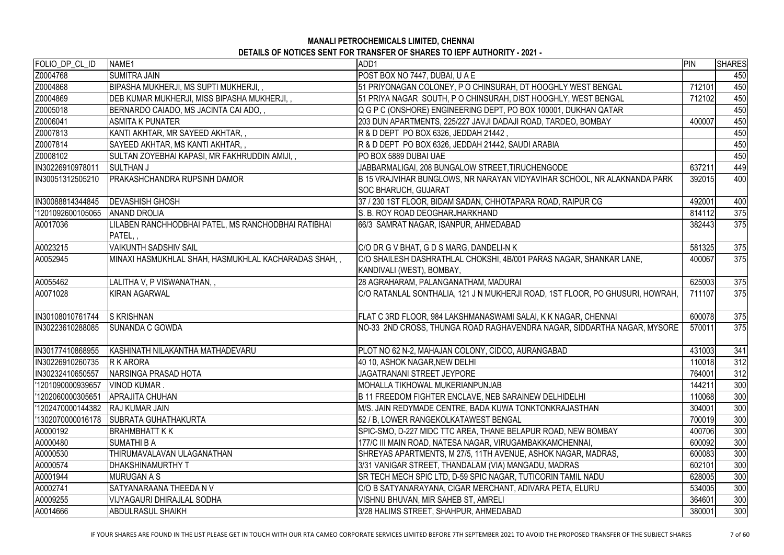| FOLIO DP CL ID<br>NAME1<br>ADD1                                                                                                         | PIN    | <b>SHARES</b> |
|-----------------------------------------------------------------------------------------------------------------------------------------|--------|---------------|
| Z0004768<br><b>SUMITRA JAIN</b><br>POST BOX NO 7447, DUBAI, U A E                                                                       |        | 450           |
| Z0004868<br>BIPASHA MUKHERJI, MS SUPTI MUKHERJI,,<br>51 PRIYONAGAN COLONEY, P O CHINSURAH, DT HOOGHLY WEST BENGAL                       | 712101 | 450           |
| Z0004869<br>DEB KUMAR MUKHERJI, MISS BIPASHA MUKHERJI,,<br>51 PRIYA NAGAR SOUTH, P O CHINSURAH, DIST HOOGHLY, WEST BENGAL               | 712102 | 450           |
| Z0005018<br>BERNARDO CAIADO, MS JACINTA CAI ADO,,<br>Q G P C (ONSHORE) ENGINEERING DEPT, PO BOX 100001, DUKHAN QATAR                    |        | 450           |
| Z0006041<br><b>ASMITA K PUNATER</b><br>203 DUN APARTMENTS, 225/227 JAVJI DADAJI ROAD, TARDEO, BOMBAY                                    | 400007 | 450           |
| Z0007813<br>KANTI AKHTAR, MR SAYEED AKHTAR,,<br>R & D DEPT PO BOX 6326, JEDDAH 21442,                                                   |        | 450           |
| Z0007814<br>SAYEED AKHTAR, MS KANTI AKHTAR,,<br>R & D DEPT PO BOX 6326, JEDDAH 21442, SAUDI ARABIA                                      |        | 450           |
| Z0008102<br>SULTAN ZOYEBHAI KAPASI, MR FAKHRUDDIN AMIJI,,<br>PO BOX 5889 DUBAI UAE                                                      |        | 450           |
| IN30226910978011<br>JABBARMALIGAI, 208 BUNGALOW STREET, TIRUCHENGODE<br>ISULTHAN J                                                      | 637211 | 449           |
| IN30051312505210<br><b>PRAKASHCHANDRA RUPSINH DAMOR</b><br>B 15 VRAJVIHAR BUNGLOWS, NR NARAYAN VIDYAVIHAR SCHOOL, NR ALAKNANDA PARK     | 392015 | 400           |
| SOC BHARUCH, GUJARAT                                                                                                                    |        |               |
| IN30088814344845<br><b>DEVASHISH GHOSH</b><br>37 / 230 1ST FLOOR, BIDAM SADAN, CHHOTAPARA ROAD, RAIPUR CG                               | 492001 | 400           |
| 1201092600105065<br>S. B. ROY ROAD DEOGHARJHARKHAND<br><b>ANAND DROLIA</b>                                                              | 814112 | 375           |
| LILABEN RANCHHODBHAI PATEL, MS RANCHODBHAI RATIBHAI<br>66/3 SAMRAT NAGAR, ISANPUR, AHMEDABAD<br>A0017036                                | 382443 | 375           |
| PATEL,,                                                                                                                                 |        |               |
| A0023215<br><b>VAIKUNTH SADSHIV SAIL</b><br>C/O DR G V BHAT, G D S MARG, DANDELI-N K                                                    | 581325 | 375           |
| A0052945<br>C/O SHAILESH DASHRATHLAL CHOKSHI, 4B/001 PARAS NAGAR, SHANKAR LANE,<br>MINAXI HASMUKHLAL SHAH, HASMUKHLAL KACHARADAS SHAH,, | 400067 | 375           |
| KANDIVALI (WEST), BOMBAY,                                                                                                               |        |               |
| A0055462<br>LALITHA V, P VISWANATHAN,,<br>28 AGRAHARAM, PALANGANATHAM, MADURAI                                                          | 625003 | 375           |
| A0071028<br>C/O RATANLAL SONTHALIA, 121 J N MUKHERJI ROAD, 1ST FLOOR, PO GHUSURI, HOWRAH,<br><b>KIRAN AGARWAL</b>                       | 711107 | 375           |
|                                                                                                                                         |        |               |
| IN30108010761744<br><b>S KRISHNAN</b><br>FLAT C 3RD FLOOR, 984 LAKSHMANASWAMI SALAI, K K NAGAR, CHENNAI                                 | 600078 | 375           |
| IN30223610288085<br><b>SUNANDA C GOWDA</b><br>NO-33 2ND CROSS, THUNGA ROAD RAGHAVENDRA NAGAR, SIDDARTHA NAGAR, MYSORE                   | 570011 | 375           |
|                                                                                                                                         |        |               |
| IN30177410868955 KASHINATH NILAKANTHA MATHADEVARU<br>PLOT NO 62 N-2, MAHAJAN COLONY, CIDCO, AURANGABAD                                  | 431003 | 341           |
| 40 10, ASHOK NAGAR, NEW DELHI<br>IN30226910260735<br><b>R K ARORA</b>                                                                   | 110018 | 312           |
| <b>NARSINGA PRASAD HOTA</b><br><b>JAGATRANANI STREET JEYPORE</b><br>IIN30232410650557                                                   | 764001 | 312           |
| '1201090000939657<br><b>VINOD KUMAR.</b><br>IMOHALLA TIKHOWAL MUKERIANPUNJAB                                                            | 144211 | 300           |
| '1202060000305651<br><b>APRAJITA CHUHAN</b><br>B 11 FREEDOM FIGHTER ENCLAVE, NEB SARAINEW DELHIDELHI                                    | 110068 | 300           |
| 1202470000144382<br><b>RAJ KUMAR JAIN</b><br>M/S. JAIN REDYMADE CENTRE, BADA KUWA TONKTONKRAJASTHAN                                     | 304001 | 300           |
| 1302070000016178<br><b>SUBRATA GUHATHAKURTA</b><br>52 / B, LOWER RANGEKOLKATAWEST BENGAL                                                | 700019 | 300           |
| A0000192<br>BRAHMBHATT K K<br>SPIC-SMO, D-227 MIDC TTC AREA, THANE BELAPUR ROAD, NEW BOMBAY                                             | 400706 | 300           |
| A0000480<br>177/C III MAIN ROAD, NATESA NAGAR, VIRUGAMBAKKAMCHENNAI,<br><b>SUMATHI B A</b>                                              | 600092 | 300           |
| A0000530<br>THIRUMAVALAVAN ULAGANATHAN<br>SHREYAS APARTMENTS, M 27/5, 11TH AVENUE, ASHOK NAGAR, MADRAS,                                 | 600083 | 300           |
| A0000574<br>DHAKSHINAMURTHY T<br>3/31 VANIGAR STREET, THANDALAM (VIA) MANGADU, MADRAS                                                   | 602101 | 300           |
| A0001944<br><b>MURUGAN A S</b><br>SR TECH MECH SPIC LTD, D-59 SPIC NAGAR, TUTICORIN TAMIL NADU                                          | 628005 | 300           |
| A0002741<br><b>SATYANARAANA THEEDA N V</b><br>C/O B SATYANARAYANA, CIGAR MERCHANT, ADIVARA PETA, ELURU                                  | 534005 | 300           |
| A0009255<br>VISHNU BHUVAN, MIR SAHEB ST, AMRELI<br>VIJYAGAURI DHIRAJLAL SODHA                                                           | 364601 | 300           |
| A0014666<br><b>ABDULRASUL SHAIKH</b><br>3/28 HALIMS STREET, SHAHPUR, AHMEDABAD                                                          | 380001 | 300           |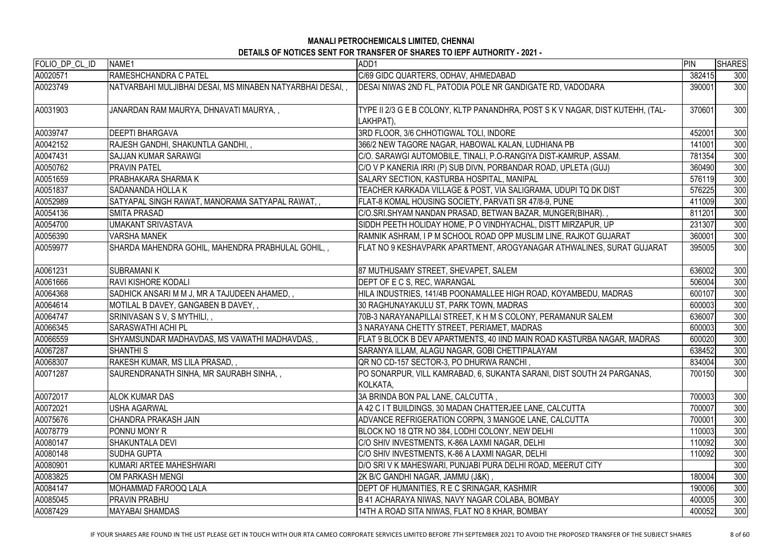| FOLIO_DP_CL_ID | NAME1                                                      | ADD1                                                                                        | PIN    | <b>SHARES</b> |
|----------------|------------------------------------------------------------|---------------------------------------------------------------------------------------------|--------|---------------|
| A0020571       | RAMESHCHANDRA C PATEL                                      | C/69 GIDC QUARTERS, ODHAV, AHMEDABAD                                                        | 382415 | 300           |
| A0023749       | NATVARBAHI MULJIBHAI DESAI, MS MINABEN NATYARBHAI DESAI, , | DESAI NIWAS 2ND FL, PATODIA POLE NR GANDIGATE RD, VADODARA                                  | 390001 | 300           |
| A0031903       | JANARDAN RAM MAURYA, DHNAVATI MAURYA,,                     | TYPE II 2/3 G E B COLONY, KLTP PANANDHRA, POST S K V NAGAR, DIST KUTEHH, (TAL-<br>LAKHPAT), | 370601 | 300           |
| A0039747       | <b>DEEPTI BHARGAVA</b>                                     | 3RD FLOOR, 3/6 CHHOTIGWAL TOLI, INDORE                                                      | 452001 | 300           |
| A0042152       | RAJESH GANDHI, SHAKUNTLA GANDHI,,                          | 366/2 NEW TAGORE NAGAR, HABOWAL KALAN, LUDHIANA PB                                          | 141001 | 300           |
| A0047431       | SAJJAN KUMAR SARAWGI                                       | C/O. SARAWGI AUTOMOBILE, TINALI, P.O-RANGIYA DIST-KAMRUP, ASSAM.                            | 781354 | 300           |
| A0050762       | <b>PRAVIN PATEL</b>                                        | C/O V P KANERIA IRRI (P) SUB DIVN, PORBANDAR ROAD, UPLETA (GUJ)                             | 360490 | 300           |
| A0051659       | <b>PRABHAKARA SHARMA K</b>                                 | SALARY SECTION, KASTURBA HOSPITAL, MANIPAL                                                  | 576119 | 300           |
| A0051837       | <b>SADANANDA HOLLA K</b>                                   | TEACHER KARKADA VILLAGE & POST, VIA SALIGRAMA, UDUPI TQ DK DIST                             | 576225 | 300           |
| A0052989       | SATYAPAL SINGH RAWAT, MANORAMA SATYAPAL RAWAT, ,           | FLAT-8 KOMAL HOUSING SOCIETY, PARVATI SR 47/8-9, PUNE                                       | 411009 | 300           |
| A0054136       | <b>SMITA PRASAD</b>                                        | C/O.SRI.SHYAM NANDAN PRASAD, BETWAN BAZAR, MUNGER(BIHAR).,                                  | 811201 | 300           |
| A0054700       | UMAKANT SRIVASTAVA                                         | SIDDH PEETH HOLIDAY HOME, P O VINDHYACHAL, DISTT MIRZAPUR, UP                               | 231307 | 300           |
| A0056390       | <b>VARSHA MANEK</b>                                        | RAMNIK ASHRAM, I P M SCHOOL ROAD OPP MUSLIM LINE, RAJKOT GUJARAT                            | 360001 | 300           |
| A0059977       | SHARDA MAHENDRA GOHIL, MAHENDRA PRABHULAL GOHIL, ,         | FLAT NO 9 KESHAVPARK APARTMENT, AROGYANAGAR ATHWALINES, SURAT GUJARAT                       | 395005 | 300           |
| A0061231       | <b>SUBRAMANIK</b>                                          | 87 MUTHUSAMY STREET, SHEVAPET, SALEM                                                        | 636002 | 300           |
| A0061666       | <b>RAVI KISHORE KODALI</b>                                 | DEPT OF E C S, REC, WARANGAL                                                                | 506004 | 300           |
| A0064368       | SADHICK ANSARI M M J, MR A TAJUDEEN AHAMED, ,              | HILA INDUSTRIES, 141/4B POONAMALLEE HIGH ROAD, KOYAMBEDU, MADRAS                            | 600107 | 300           |
| A0064614       | MOTILAL B DAVEY, GANGABEN B DAVEY,,                        | 30 RAGHUNAYAKULU ST, PARK TOWN, MADRAS                                                      | 600003 | 300           |
| A0064747       | SRINIVASAN S V, S MYTHILI, ,                               | 70B-3 NARAYANAPILLAI STREET, K H M S COLONY, PERAMANUR SALEM                                | 636007 | 300           |
| A0066345       | SARASWATHI ACHI PL                                         | 3 NARAYANA CHETTY STREET, PERIAMET, MADRAS                                                  | 600003 | 300           |
| A0066559       | SHYAMSUNDAR MADHAVDAS, MS VAWATHI MADHAVDAS, ,             | FLAT 9 BLOCK B DEV APARTMENTS, 40 IIND MAIN ROAD KASTURBA NAGAR, MADRAS                     | 600020 | 300           |
| A0067287       | <b>SHANTHI S</b>                                           | SARANYA ILLAM, ALAGU NAGAR, GOBI CHETTIPALAYAM                                              | 638452 | 300           |
| A0068307       | RAKESH KUMAR, MS LILA PRASAD,,                             | QR NO CD-157 SECTOR-3, PO DHURWA RANCHI,                                                    | 834004 | 300           |
| A0071287       | SAURENDRANATH SINHA, MR SAURABH SINHA, ,                   | PO SONARPUR, VILL KAMRABAD, 6, SUKANTA SARANI, DIST SOUTH 24 PARGANAS,<br>KOLKATA,          | 700150 | 300           |
| A0072017       | <b>ALOK KUMAR DAS</b>                                      | 3A BRINDA BON PAL LANE, CALCUTTA,                                                           | 700003 | 300           |
| A0072021       | <b>USHA AGARWAL</b>                                        | A 42 C I T BUILDINGS, 30 MADAN CHATTERJEE LANE, CALCUTTA                                    | 700007 | 300           |
| A0075676       | <b>CHANDRA PRAKASH JAIN</b>                                | ADVANCE REFRIGERATION CORPN, 3 MANGOE LANE, CALCUTTA                                        | 700001 | 300           |
| A0078779       | <b>PONNU MONY R</b>                                        | BLOCK NO 18 QTR NO 384, LODHI COLONY, NEW DELHI                                             | 110003 | 300           |
| A0080147       | <b>SHAKUNTALA DEVI</b>                                     | C/O SHIV INVESTMENTS, K-86A LAXMI NAGAR, DELHI                                              | 110092 | 300           |
| A0080148       | <b>SUDHA GUPTA</b>                                         | C/O SHIV INVESTMENTS, K-86 A LAXMI NAGAR, DELHI                                             | 110092 | 300           |
| A0080901       | KUMARI ARTEE MAHESHWARI                                    | D/O SRI V K MAHESWARI, PUNJABI PURA DELHI ROAD, MEERUT CITY                                 |        | 300           |
| A0083825       | OM PARKASH MENGI                                           | 2K B/C GANDHI NAGAR, JAMMU (J&K) ,                                                          | 180004 | 300           |
| A0084147       | IMOHAMMAD FAROOQ LALA                                      | DEPT OF HUMANITIES, R E C SRINAGAR, KASHMIR                                                 | 190006 | 300           |
| A0085045       | <b>PRAVIN PRABHU</b>                                       | B 41 ACHARAYA NIWAS, NAVY NAGAR COLABA, BOMBAY                                              | 400005 | 300           |
| A0087429       | <b>MAYABAI SHAMDAS</b>                                     | 14TH A ROAD SITA NIWAS, FLAT NO 8 KHAR, BOMBAY                                              | 400052 | 300           |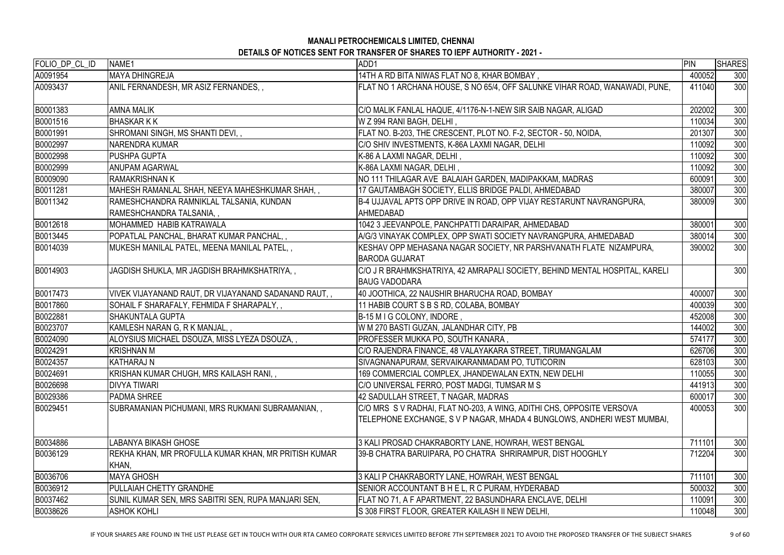| FOLIO_DP_CL_ID | NAME <sub>1</sub>                                                    | ADD1                                                                                                                                             | <b>PIN</b> | <b>SHARES</b> |
|----------------|----------------------------------------------------------------------|--------------------------------------------------------------------------------------------------------------------------------------------------|------------|---------------|
| A0091954       | MAYA DHINGREJA                                                       | 14TH A RD BITA NIWAS FLAT NO 8, KHAR BOMBAY,                                                                                                     | 400052     | 300           |
| A0093437       | ANIL FERNANDESH, MR ASIZ FERNANDES,,                                 | FLAT NO 1 ARCHANA HOUSE, S NO 65/4, OFF SALUNKE VIHAR ROAD, WANAWADI, PUNE,                                                                      | 411040     | 300           |
| B0001383       | <b>AMNA MALIK</b>                                                    | C/O MALIK FANLAL HAQUE, 4/1176-N-1-NEW SIR SAIB NAGAR, ALIGAD                                                                                    | 202002     | 300           |
| B0001516       | <b>BHASKARKK</b>                                                     | W Z 994 RANI BAGH, DELHI,                                                                                                                        | 110034     | 300           |
| B0001991       | SHROMANI SINGH, MS SHANTI DEVI,,                                     | FLAT NO. B-203, THE CRESCENT, PLOT NO. F-2, SECTOR - 50, NOIDA,                                                                                  | 201307     | 300           |
| B0002997       | <b>NARENDRA KUMAR</b>                                                | C/O SHIV INVESTMENTS, K-86A LAXMI NAGAR, DELHI                                                                                                   | 110092     | 300           |
| B0002998       | <b>PUSHPA GUPTA</b>                                                  | K-86 A LAXMI NAGAR, DELHI,                                                                                                                       | 110092     | 300           |
| B0002999       | <b>ANUPAM AGARWAL</b>                                                | K-86A LAXMI NAGAR, DELHI,                                                                                                                        | 110092     | 300           |
| B0009090       | <b>RAMAKRISHNAN K</b>                                                | NO 111 THILAGAR AVE BALAIAH GARDEN, MADIPAKKAM, MADRAS                                                                                           | 600091     | 300           |
| B0011281       | MAHESH RAMANLAL SHAH, NEEYA MAHESHKUMAR SHAH,,                       | 17 GAUTAMBAGH SOCIETY, ELLIS BRIDGE PALDI, AHMEDABAD                                                                                             | 380007     | 300           |
| B0011342       | RAMESHCHANDRA RAMNIKLAL TALSANIA, KUNDAN<br>RAMESHCHANDRA TALSANIA,, | B-4 UJJAVAL APTS OPP DRIVE IN ROAD, OPP VIJAY RESTARUNT NAVRANGPURA,<br>AHMEDABAD                                                                | 380009     | 300           |
| B0012618       | MOHAMMED HABIB KATRAWALA                                             | 1042 3 JEEVANPOLE, PANCHPATTI DARAIPAR, AHMEDABAD                                                                                                | 380001     | 300           |
| B0013445       | POPATLAL PANCHAL, BHARAT KUMAR PANCHAL,,                             | A/G/3 VINAYAK COMPLEX, OPP SWATI SOCIETY NAVRANGPURA, AHMEDABAD                                                                                  | 380014     | 300           |
| B0014039       | MUKESH MANILAL PATEL, MEENA MANILAL PATEL,,                          | KESHAV OPP MEHASANA NAGAR SOCIETY, NR PARSHVANATH FLATE NIZAMPURA,<br><b>BARODA GUJARAT</b>                                                      | 390002     | 300           |
| B0014903       | JAGDISH SHUKLA, MR JAGDISH BRAHMKSHATRIYA, ,                         | C/O J R BRAHMKSHATRIYA, 42 AMRAPALI SOCIETY, BEHIND MENTAL HOSPITAL, KARELI<br><b>BAUG VADODARA</b>                                              |            | 300           |
| B0017473       | VIVEK VIJAYANAND RAUT, DR VIJAYANAND SADANAND RAUT,,                 | 40 JOOTHICA, 22 NAUSHIR BHARUCHA ROAD, BOMBAY                                                                                                    | 400007     | 300           |
| B0017860       | SOHAIL F SHARAFALY, FEHMIDA F SHARAPALY,,                            | 11 HABIB COURT S B S RD, COLABA, BOMBAY                                                                                                          | 400039     | 300           |
| B0022881       | <b>SHAKUNTALA GUPTA</b>                                              | B-15 M I G COLONY, INDORE,                                                                                                                       | 452008     | 300           |
| B0023707       | KAMLESH NARAN G, R K MANJAL,,                                        | W M 270 BASTI GUZAN, JALANDHAR CITY, PB                                                                                                          | 144002     | 300           |
| B0024090       | ALOYSIUS MICHAEL DSOUZA, MISS LYEZA DSOUZA,,                         | PROFESSER MUKKA PO, SOUTH KANARA,                                                                                                                | 574177     | 300           |
| B0024291       | KRISHNAN M                                                           | C/O RAJENDRA FINANCE, 48 VALAYAKARA STREET, TIRUMANGALAM                                                                                         | 626706     | 300           |
| B0024357       | <b>KATHARAJ N</b>                                                    | SIVAGNANAPURAM, SERVAIKARANMADAM PO, TUTICORIN                                                                                                   | 628103     | 300           |
| B0024691       | KRISHAN KUMAR CHUGH, MRS KAILASH RANI,,                              | 169 COMMERCIAL COMPLEX, JHANDEWALAN EXTN, NEW DELHI                                                                                              | 110055     | 300           |
| B0026698       | <b>DIVYA TIWARI</b>                                                  | C/O UNIVERSAL FERRO, POST MADGI, TUMSAR M S                                                                                                      | 441913     | 300           |
| B0029386       | <b>PADMA SHREE</b>                                                   | 42 SADULLAH STREET, T NAGAR, MADRAS                                                                                                              | 600017     | 300           |
| B0029451       | SUBRAMANIAN PICHUMANI, MRS RUKMANI SUBRAMANIAN, ,                    | C/O MRS S V RADHAI, FLAT NO-203, A WING, ADITHI CHS, OPPOSITE VERSOVA<br>TELEPHONE EXCHANGE, S V P NAGAR, MHADA 4 BUNGLOWS, ANDHERI WEST MUMBAI, | 400053     | 300           |
| B0034886       | LABANYA BIKASH GHOSE                                                 | 3 KALI PROSAD CHAKRABORTY LANE, HOWRAH, WEST BENGAL                                                                                              | 711101     | 300           |
| B0036129       | REKHA KHAN, MR PROFULLA KUMAR KHAN, MR PRITISH KUMAR<br>KHAN,        | 39-B CHATRA BARUIPARA, PO CHATRA SHRIRAMPUR, DIST HOOGHLY                                                                                        | 712204     | 300           |
| B0036706       | <b>MAYA GHOSH</b>                                                    | 3 KALI P CHAKRABORTY LANE, HOWRAH, WEST BENGAL                                                                                                   | 711101     | 300           |
| B0036912       | <b>PULLAIAH CHETTY GRANDHE</b>                                       | SENIOR ACCOUNTANT B H E L, R C PURAM, HYDERABAD                                                                                                  | 500032     | 300           |
| B0037462       | SUNIL KUMAR SEN, MRS SABITRI SEN, RUPA MANJARI SEN,                  | FLAT NO 71, A F APARTMENT, 22 BASUNDHARA ENCLAVE, DELHI                                                                                          | 110091     | 300           |
| B0038626       | <b>ASHOK KOHLI</b>                                                   | S 308 FIRST FLOOR, GREATER KAILASH II NEW DELHI,                                                                                                 | 110048     | 300           |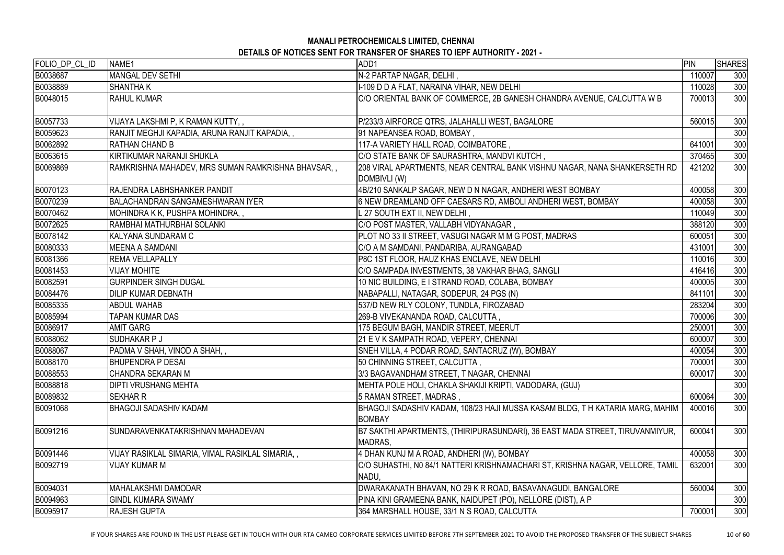| FOLIO_DP_CL_ID | NAME1                                               | ADD1                                                                                           | PIN    | <b>SHARES</b> |
|----------------|-----------------------------------------------------|------------------------------------------------------------------------------------------------|--------|---------------|
| B0038687       | MANGAL DEV SETHI                                    | N-2 PARTAP NAGAR, DELHI,                                                                       | 110007 | 300           |
| B0038889       | <b>SHANTHA K</b>                                    | I-109 D D A FLAT, NARAINA VIHAR, NEW DELHI                                                     | 110028 | 300           |
| B0048015       | <b>RAHUL KUMAR</b>                                  | C/O ORIENTAL BANK OF COMMERCE, 2B GANESH CHANDRA AVENUE, CALCUTTA W B                          | 700013 | 300           |
| B0057733       | VIJAYA LAKSHMI P, K RAMAN KUTTY, ,                  | P/233/3 AIRFORCE QTRS, JALAHALLI WEST, BAGALORE                                                | 560015 | 300           |
| B0059623       | RANJIT MEGHJI KAPADIA, ARUNA RANJIT KAPADIA, ,      | 91 NAPEANSEA ROAD, BOMBAY,                                                                     |        | 300           |
| B0062892       | <b>RATHAN CHAND B</b>                               | 117-A VARIETY HALL ROAD, COIMBATORE,                                                           | 641001 | 300           |
| B0063615       | KIRTIKUMAR NARANJI SHUKLA                           | C/O STATE BANK OF SAURASHTRA, MANDVI KUTCH,                                                    | 370465 | 300           |
| B0069869       | RAMKRISHNA MAHADEV, MRS SUMAN RAMKRISHNA BHAVSAR, , | 208 VIRAL APARTMENTS, NEAR CENTRAL BANK VISHNU NAGAR, NANA SHANKERSETH RD<br>DOMBIVLI (W)      | 421202 | 300           |
| B0070123       | <b>RAJENDRA LABHSHANKER PANDIT</b>                  | 4B/210 SANKALP SAGAR, NEW D N NAGAR, ANDHERI WEST BOMBAY                                       | 400058 | 300           |
| B0070239       | BALACHANDRAN SANGAMESHWARAN IYER                    | 6 NEW DREAMLAND OFF CAESARS RD, AMBOLI ANDHERI WEST, BOMBAY                                    | 400058 | 300           |
| B0070462       | MOHINDRA K K, PUSHPA MOHINDRA,                      | L 27 SOUTH EXT II, NEW DELHI,                                                                  | 110049 | 300           |
| B0072625       | RAMBHAI MATHURBHAI SOLANKI                          | C/O POST MASTER, VALLABH VIDYANAGAR,                                                           | 388120 | 300           |
| B0078142       | KALYANA SUNDARAM C                                  | PLOT NO 33 II STREET, VASUGI NAGAR M M G POST, MADRAS                                          | 600051 | 300           |
| B0080333       | MEENA A SAMDANI                                     | C/O A M SAMDANI, PANDARIBA, AURANGABAD                                                         | 431001 | 300           |
| B0081366       | <b>REMA VELLAPALLY</b>                              | P8C 1ST FLOOR, HAUZ KHAS ENCLAVE, NEW DELHI                                                    | 110016 | 300           |
| B0081453       | <b>VIJAY MOHITE</b>                                 | C/O SAMPADA INVESTMENTS, 38 VAKHAR BHAG, SANGLI                                                | 416416 | 300           |
| B0082591       | <b>GURPINDER SINGH DUGAL</b>                        | 10 NIC BUILDING, E I STRAND ROAD, COLABA, BOMBAY                                               | 400005 | 300           |
| B0084476       | <b>DILIP KUMAR DEBNATH</b>                          | NABAPALLI, NATAGAR, SODEPUR, 24 PGS (N)                                                        | 841101 | 300           |
| B0085335       | <b>ABDUL WAHAB</b>                                  | 537/D NEW RLY COLONY, TUNDLA, FIROZABAD                                                        | 283204 | 300           |
| B0085994       | <b>TAPAN KUMAR DAS</b>                              | 269-B VIVEKANANDA ROAD, CALCUTTA,                                                              | 700006 | 300           |
| B0086917       | <b>AMIT GARG</b>                                    | 175 BEGUM BAGH, MANDIR STREET, MEERUT                                                          | 250001 | 300           |
| B0088062       | <b>SUDHAKAR P J</b>                                 | 21 E V K SAMPATH ROAD, VEPERY, CHENNAI                                                         | 600007 | 300           |
| B0088067       | PADMA V SHAH, VINOD A SHAH,,                        | SNEH VILLA, 4 PODAR ROAD, SANTACRUZ (W), BOMBAY                                                | 400054 | 300           |
| B0088170       | <b>BHUPENDRA P DESAI</b>                            | 50 CHINNING STREET, CALCUTTA,                                                                  | 700001 | 300           |
| B0088553       | CHANDRA SEKARAN M                                   | 3/3 BAGAVANDHAM STREET, T NAGAR, CHENNAI                                                       | 600017 | 300           |
| B0088818       | <b>DIPTI VRUSHANG MEHTA</b>                         | MEHTA POLE HOLI, CHAKLA SHAKIJI KRIPTI, VADODARA, (GUJ)                                        |        | 300           |
| B0089832       | ISEKHAR R                                           | 5 RAMAN STREET, MADRAS,                                                                        | 600064 | 300           |
| B0091068       | IBHAGOJI SADASHIV KADAM                             | BHAGOJI SADASHIV KADAM, 108/23 HAJI MUSSA KASAM BLDG, T H KATARIA MARG, MAHIM<br><b>BOMBAY</b> | 400016 | 300           |
| B0091216       | ISUNDARAVENKATAKRISHNAN MAHADEVAN                   | B7 SAKTHI APARTMENTS, (THIRIPURASUNDARI), 36 EAST MADA STREET, TIRUVANMIYUR,<br>MADRAS,        | 600041 | 300           |
| B0091446       | VIJAY RASIKLAL SIMARIA, VIMAL RASIKLAL SIMARIA, ,   | 4 DHAN KUNJ M A ROAD, ANDHERI (W), BOMBAY                                                      | 400058 | 300           |
| B0092719       | <b>VIJAY KUMAR M</b>                                | C/O SUHASTHI, N0 84/1 NATTERI KRISHNAMACHARI ST, KRISHNA NAGAR, VELLORE, TAMIL<br>NADU,        | 632001 | 300           |
| B0094031       | IMAHALAKSHMI DAMODAR                                | DWARAKANATH BHAVAN, NO 29 K R ROAD, BASAVANAGUDI, BANGALORE                                    | 560004 | 300           |
| B0094963       | <b>GINDL KUMARA SWAMY</b>                           | PINA KINI GRAMEENA BANK, NAIDUPET (PO), NELLORE (DIST), A P                                    |        | 300           |
| B0095917       | <b>RAJESH GUPTA</b>                                 | 364 MARSHALL HOUSE, 33/1 N S ROAD, CALCUTTA                                                    | 700001 | 300           |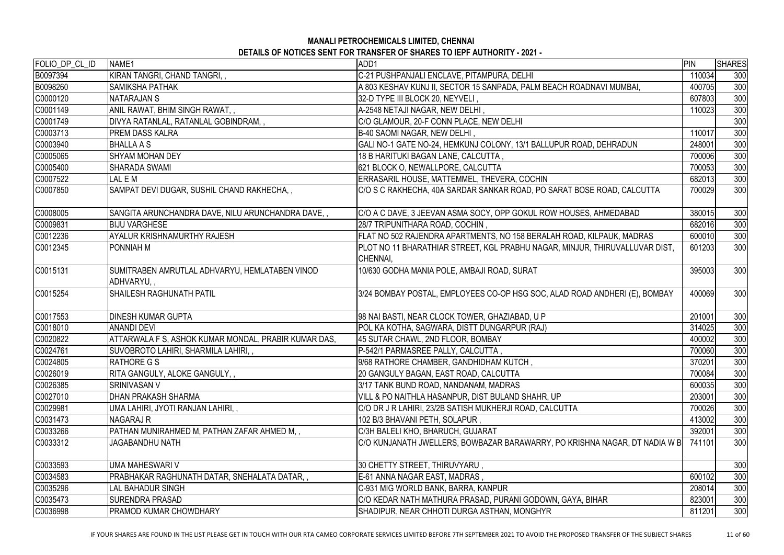| FOLIO_DP_CL_ID | NAME <sub>1</sub>                                            | ADD1                                                                                    | PIN    | <b>SHARES</b> |
|----------------|--------------------------------------------------------------|-----------------------------------------------------------------------------------------|--------|---------------|
| B0097394       | KIRAN TANGRI, CHAND TANGRI,,                                 | C-21 PUSHPANJALI ENCLAVE, PITAMPURA, DELHI                                              | 110034 | 300           |
| B0098260       | <b>SAMIKSHA PATHAK</b>                                       | A 803 KESHAV KUNJ II, SECTOR 15 SANPADA, PALM BEACH ROADNAVI MUMBAI,                    | 400705 | 300           |
| C0000120       | <b>NATARAJAN S</b>                                           | 32-D TYPE III BLOCK 20, NEYVELI,                                                        | 607803 | 300           |
| C0001149       | ANIL RAWAT, BHIM SINGH RAWAT, ,                              | A-2548 NETAJI NAGAR, NEW DELHI ,                                                        | 110023 | 300           |
| C0001749       | DIVYA RATANLAL, RATANLAL GOBINDRAM,,                         | C/O GLAMOUR, 20-F CONN PLACE, NEW DELHI                                                 |        | 300           |
| C0003713       | <b> PREM DASS KALRA</b>                                      | B-40 SAOMI NAGAR, NEW DELHI,                                                            | 110017 | 300           |
| C0003940       | <b>BHALLA A S</b>                                            | GALI NO-1 GATE NO-24, HEMKUNJ COLONY, 13/1 BALLUPUR ROAD, DEHRADUN                      | 248001 | 300           |
| C0005065       | <b>SHYAM MOHAN DEY</b>                                       | 18 B HARITUKI BAGAN LANE, CALCUTTA,                                                     | 700006 | 300           |
| C0005400       | <b>SHARADA SWAMI</b>                                         | 621 BLOCK O, NEWALLPORE, CALCUTTA                                                       | 700053 | 300           |
| C0007522       | LAL E M                                                      | ERRASARIL HOUSE, MATTEMMEL, THEVERA, COCHIN                                             | 682013 | 300           |
| C0007850       | SAMPAT DEVI DUGAR, SUSHIL CHAND RAKHECHA,,                   | C/O S C RAKHECHA, 40A SARDAR SANKAR ROAD, PO SARAT BOSE ROAD, CALCUTTA                  | 700029 | 300           |
| C0008005       | SANGITA ARUNCHANDRA DAVE, NILU ARUNCHANDRA DAVE, ,           | C/O A C DAVE, 3 JEEVAN ASMA SOCY, OPP GOKUL ROW HOUSES, AHMEDABAD                       | 380015 | 300           |
| C0009831       | <b>BIJU VARGHESE</b>                                         | 28/7 TRIPUNITHARA ROAD, COCHIN,                                                         | 682016 | 300           |
| C0012236       | <b>AYALUR KRISHNAMURTHY RAJESH</b>                           | FLAT NO 502 RAJENDRA APARTMENTS, NO 158 BERALAH ROAD, KILPAUK, MADRAS                   | 600010 | 300           |
| C0012345       | IPONNIAH M                                                   | PLOT NO 11 BHARATHIAR STREET, KGL PRABHU NAGAR, MINJUR, THIRUVALLUVAR DIST,<br>CHENNAI, | 601203 | 300           |
| C0015131       | SUMITRABEN AMRUTLAL ADHVARYU, HEMLATABEN VINOD<br>ADHVARYU,, | 10/630 GODHA MANIA POLE, AMBAJI ROAD, SURAT                                             | 395003 | 300           |
| C0015254       | <b>SHAILESH RAGHUNATH PATIL</b>                              | 3/24 BOMBAY POSTAL, EMPLOYEES CO-OP HSG SOC, ALAD ROAD ANDHERI (E), BOMBAY              | 400069 | 300           |
| C0017553       | <b>DINESH KUMAR GUPTA</b>                                    | 98 NAI BASTI, NEAR CLOCK TOWER, GHAZIABAD, U P                                          | 201001 | 300           |
| C0018010       | IANANDI DEVI                                                 | POL KA KOTHA, SAGWARA, DISTT DUNGARPUR (RAJ)                                            | 314025 | 300           |
| C0020822       | ATTARWALA F S, ASHOK KUMAR MONDAL, PRABIR KUMAR DAS,         | 45 SUTAR CHAWL, 2ND FLOOR, BOMBAY                                                       | 400002 | 300           |
| C0024761       | SUVOBROTO LAHIRI, SHARMILA LAHIRI,,                          | P-542/1 PARMASREE PALLY, CALCUTTA,                                                      | 700060 | 300           |
| C0024805       | <b>RATHORE G S</b>                                           | 9/68 RATHORE CHAMBER, GANDHIDHAM KUTCH,                                                 | 370201 | 300           |
| C0026019       | RITA GANGULY, ALOKE GANGULY,,                                | 20 GANGULY BAGAN, EAST ROAD, CALCUTTA                                                   | 700084 | 300           |
| C0026385       | <b>SRINIVASAN V</b>                                          | 3/17 TANK BUND ROAD, NANDANAM, MADRAS                                                   | 600035 | 300           |
| C0027010       | <b>DHAN PRAKASH SHARMA</b>                                   | VILL & PO NAITHLA HASANPUR, DIST BULAND SHAHR, UP                                       | 203001 | 300           |
| C0029981       | UMA LAHIRI, JYOTI RANJAN LAHIRI,,                            | C/O DR J R LAHIRI, 23/2B SATISH MUKHERJI ROAD, CALCUTTA                                 | 700026 | 300           |
| C0031473       | <b>NAGARAJ R</b>                                             | 102 B/3 BHAVANI PETH, SOLAPUR,                                                          | 413002 | 300           |
| C0033266       | PATHAN MUNIRAHMED M, PATHAN ZAFAR AHMED M, ,                 | C/3H BALELI KHO, BHARUCH, GUJARAT                                                       | 392001 | 300           |
| C0033312       | JAGABANDHU NATH                                              | C/O KUNJANATH JWELLERS, BOWBAZAR BARAWARRY, PO KRISHNA NAGAR, DT NADIA W B              | 741101 | 300           |
| C0033593       | <b>UMA MAHESWARI V</b>                                       | 30 CHETTY STREET, THIRUVYARU,                                                           |        | 300           |
| C0034583       | PRABHAKAR RAGHUNATH DATAR, SNEHALATA DATAR, ,                | E-61 ANNA NAGAR EAST, MADRAS,                                                           | 600102 | 300           |
| C0035296       | <b>LAL BAHADUR SINGH</b>                                     | C-931 MIG WORLD BANK, BARRA, KANPUR                                                     | 208014 | 300           |
| C0035473       | <b>ISURENDRA PRASAD</b>                                      | C/O KEDAR NATH MATHURA PRASAD, PURANI GODOWN, GAYA, BIHAR                               | 823001 | 300           |
| C0036998       | <b>PRAMOD KUMAR CHOWDHARY</b>                                | SHADIPUR, NEAR CHHOTI DURGA ASTHAN, MONGHYR                                             | 811201 | 300           |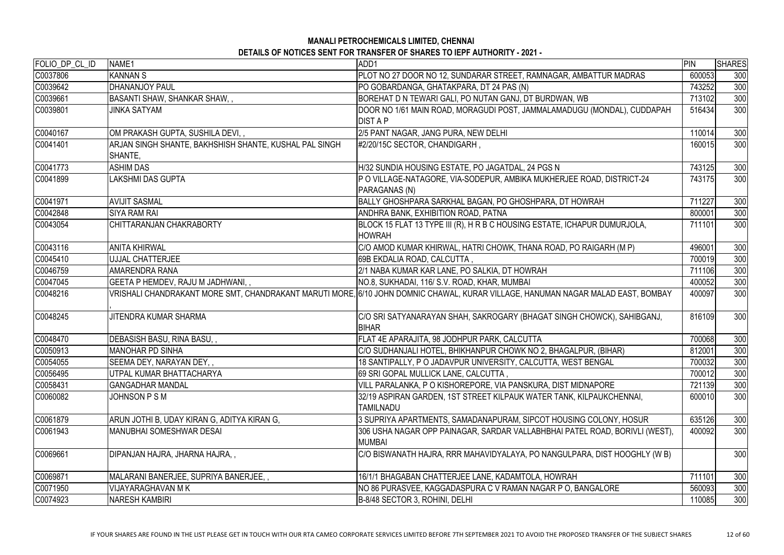| FOLIO_DP_CL_ID | NAME1                                                             | ADD1                                                                                                                             | PIN    | <b>SHARES</b> |
|----------------|-------------------------------------------------------------------|----------------------------------------------------------------------------------------------------------------------------------|--------|---------------|
| C0037806       | <b>KANNAN S</b>                                                   | PLOT NO 27 DOOR NO 12, SUNDARAR STREET, RAMNAGAR, AMBATTUR MADRAS                                                                | 600053 | 300           |
| C0039642       | <b>DHANANJOY PAUL</b>                                             | PO GOBARDANGA, GHATAKPARA, DT 24 PAS (N)                                                                                         | 743252 | 300           |
| C0039661       | <b>BASANTI SHAW, SHANKAR SHAW,,</b>                               | BOREHAT D N TEWARI GALI, PO NUTAN GANJ, DT BURDWAN, WB                                                                           | 713102 | 300           |
| C0039801       | <b>JINKA SATYAM</b>                                               | DOOR NO 1/61 MAIN ROAD, MORAGUDI POST, JAMMALAMADUGU (MONDAL), CUDDAPAH                                                          | 516434 | 300           |
|                |                                                                   | <b>DIST A P</b>                                                                                                                  |        |               |
| C0040167       | OM PRAKASH GUPTA, SUSHILA DEVI,,                                  | 2/5 PANT NAGAR, JANG PURA, NEW DELHI                                                                                             | 110014 | 300           |
| C0041401       | ARJAN SINGH SHANTE, BAKHSHISH SHANTE, KUSHAL PAL SINGH<br>SHANTE, | #2/20/15C SECTOR, CHANDIGARH,                                                                                                    | 160015 | 300           |
| C0041773       | <b>ASHIM DAS</b>                                                  | H/32 SUNDIA HOUSING ESTATE, PO JAGATDAL, 24 PGS N                                                                                | 743125 | 300           |
| C0041899       | LAKSHMI DAS GUPTA                                                 | P O VILLAGE-NATAGORE, VIA-SODEPUR, AMBIKA MUKHERJEE ROAD, DISTRICT-24<br>PARAGANAS (N)                                           | 743175 | 300           |
| C0041971       | <b>AVIJIT SASMAL</b>                                              | BALLY GHOSHPARA SARKHAL BAGAN, PO GHOSHPARA, DT HOWRAH                                                                           | 711227 | 300           |
| C0042848       | <b>SIYA RAM RAI</b>                                               | ANDHRA BANK, EXHIBITION ROAD, PATNA                                                                                              | 800001 | 300           |
| C0043054       | CHITTARANJAN CHAKRABORTY                                          | BLOCK 15 FLAT 13 TYPE III (R), H R B C HOUSING ESTATE, ICHAPUR DUMURJOLA,<br><b>HOWRAH</b>                                       | 711101 | 300           |
| C0043116       | <b>ANITA KHIRWAL</b>                                              | C/O AMOD KUMAR KHIRWAL, HATRI CHOWK, THANA ROAD, PO RAIGARH (M P)                                                                | 496001 | 300           |
| C0045410       | <b>UJJAL CHATTERJEE</b>                                           | 69B EKDALIA ROAD, CALCUTTA,                                                                                                      | 700019 | 300           |
| C0046759       | <b>AMARENDRA RANA</b>                                             | 2/1 NABA KUMAR KAR LANE, PO SALKIA, DT HOWRAH                                                                                    | 711106 | 300           |
| C0047045       | GEETA P HEMDEV, RAJU M JADHWANI,,                                 | NO.8, SUKHADAI, 116/ S.V. ROAD, KHAR, MUMBAI                                                                                     | 400052 | 300           |
| C0048216       |                                                                   | VRISHALI CHANDRAKANT MORE SMT, CHANDRAKANT MARUTI MORE, 6/10 JOHN DOMNIC CHAWAL, KURAR VILLAGE, HANUMAN NAGAR MALAD EAST, BOMBAY | 400097 | 300           |
| C0048245       | JITENDRA KUMAR SHARMA                                             | C/O SRI SATYANARAYAN SHAH, SAKROGARY (BHAGAT SINGH CHOWCK), SAHIBGANJ,<br><b>BIHAR</b>                                           | 816109 | 300           |
| C0048470       | DEBASISH BASU, RINA BASU, ,                                       | FLAT 4E APARAJITA, 98 JODHPUR PARK, CALCUTTA                                                                                     | 700068 | 300           |
| C0050913       | MANOHAR PD SINHA                                                  | C/O SUDHANJALI HOTEL, BHIKHANPUR CHOWK NO 2, BHAGALPUR, (BIHAR)                                                                  | 812001 | 300           |
| C0054055       | SEEMA DEY, NARAYAN DEY, ,                                         | 18 SANTIPALLY, P O JADAVPUR UNIVERSITY, CALCUTTA, WEST BENGAL                                                                    | 700032 | 300           |
| C0056495       | UTPAL KUMAR BHATTACHARYA                                          | 69 SRI GOPAL MULLICK LANE, CALCUTTA,                                                                                             | 700012 | 300           |
| C0058431       | <b>GANGADHAR MANDAL</b>                                           | VILL PARALANKA, P O KISHOREPORE, VIA PANSKURA, DIST MIDNAPORE                                                                    | 721139 | 300           |
| C0060082       | JOHNSON P S M                                                     | 32/19 ASPIRAN GARDEN, 1ST STREET KILPAUK WATER TANK, KILPAUKCHENNAI,<br><b>TAMILNADU</b>                                         | 600010 | 300           |
| C0061879       | ARUN JOTHI B, UDAY KIRAN G, ADITYA KIRAN G,                       | 3 SUPRIYA APARTMENTS, SAMADANAPURAM, SIPCOT HOUSING COLONY, HOSUR                                                                | 635126 | 300           |
| C0061943       | <b>MANUBHAI SOMESHWAR DESAI</b>                                   | 306 USHA NAGAR OPP PAINAGAR, SARDAR VALLABHBHAI PATEL ROAD, BORIVLI (WEST),<br><b>MUMBAI</b>                                     | 400092 | 300           |
| C0069661       | DIPANJAN HAJRA, JHARNA HAJRA,,                                    | C/O BISWANATH HAJRA, RRR MAHAVIDYALAYA, PO NANGULPARA, DIST HOOGHLY (W B)                                                        |        | 300           |
| C0069871       | MALARANI BANERJEE, SUPRIYA BANERJEE,,                             | 16/1/1 BHAGABAN CHATTERJEE LANE, KADAMTOLA, HOWRAH                                                                               | 711101 | 300           |
| C0071950       | <b>VIJAYARAGHAVAN M K</b>                                         | NO 86 PURASVEE, KAGGADASPURA C V RAMAN NAGAR P O, BANGALORE                                                                      | 560093 | 300           |
| C0074923       | <b>NARESH KAMBIRI</b>                                             | B-8/48 SECTOR 3, ROHINI, DELHI                                                                                                   | 110085 | 300           |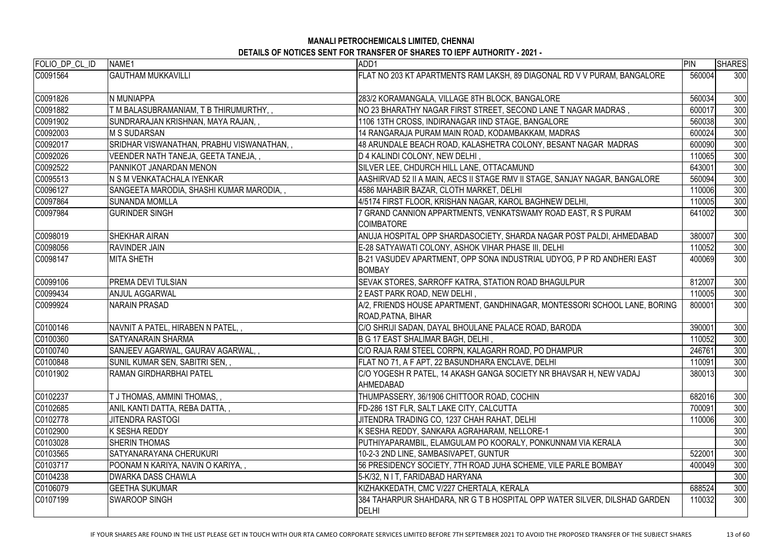| FOLIO_DP_CL_ID | NAME1                                     | ADD1                                                                                            | PIN    | <b>SHARES</b> |
|----------------|-------------------------------------------|-------------------------------------------------------------------------------------------------|--------|---------------|
| C0091564       | <b>GAUTHAM MUKKAVILLI</b>                 | FLAT NO 203 KT APARTMENTS RAM LAKSH, 89 DIAGONAL RD V V PURAM, BANGALORE                        | 560004 | 300           |
| C0091826       | N MUNIAPPA                                | 283/2 KORAMANGALA, VILLAGE 8TH BLOCK, BANGALORE                                                 | 560034 | 300           |
| C0091882       | T M BALASUBRAMANIAM, T B THIRUMURTHY,,    | NO 23 BHARATHY NAGAR FIRST STREET, SECOND LANE T NAGAR MADRAS,                                  | 600017 | 300           |
| C0091902       | SUNDRARAJAN KRISHNAN, MAYA RAJAN,,        | 1106 13TH CROSS, INDIRANAGAR IIND STAGE, BANGALORE                                              | 560038 | 300           |
| C0092003       | <b>M S SUDARSAN</b>                       | 14 RANGARAJA PURAM MAIN ROAD, KODAMBAKKAM, MADRAS                                               | 600024 | 300           |
| C0092017       | SRIDHAR VISWANATHAN, PRABHU VISWANATHAN,, | 48 ARUNDALE BEACH ROAD, KALASHETRA COLONY, BESANT NAGAR MADRAS                                  | 600090 | 300           |
| C0092026       | VEENDER NATH TANEJA, GEETA TANEJA,,       | D 4 KALINDI COLONY, NEW DELHI,                                                                  | 110065 | 300           |
| C0092522       | PANNIKOT JANARDAN MENON                   | SILVER LEE, CHDURCH HILL LANE, OTTACAMUND                                                       | 643001 | 300           |
| C0095513       | N S M VENKATACHALA IYENKAR                | AASHIRVAD 52 II A MAIN, AECS II STAGE RMV II STAGE, SANJAY NAGAR, BANGALORE                     | 560094 | 300           |
| C0096127       | SANGEETA MARODIA, SHASHI KUMAR MARODIA,,  | 4586 MAHABIR BAZAR, CLOTH MARKET, DELHI                                                         | 110006 | 300           |
| C0097864       | <b>SUNANDA MOMLLA</b>                     | 4/5174 FIRST FLOOR, KRISHAN NAGAR, KAROL BAGHNEW DELHI,                                         | 110005 | 300           |
| C0097984       | <b>GURINDER SINGH</b>                     | 7 GRAND CANNION APPARTMENTS, VENKATSWAMY ROAD EAST, R S PURAM<br><b>COIMBATORE</b>              | 641002 | 300           |
| C0098019       | <b>SHEKHAR AIRAN</b>                      | ANUJA HOSPITAL OPP SHARDASOCIETY, SHARDA NAGAR POST PALDI, AHMEDABAD                            | 380007 | 300           |
| C0098056       | <b>RAVINDER JAIN</b>                      | E-28 SATYAWATI COLONY, ASHOK VIHAR PHASE III, DELHI                                             | 110052 | 300           |
| C0098147       | <b>MITA SHETH</b>                         | B-21 VASUDEV APARTMENT, OPP SONA INDUSTRIAL UDYOG, P P RD ANDHERI EAST<br><b>BOMBAY</b>         | 400069 | 300           |
| C0099106       | PREMA DEVI TULSIAN                        | SEVAK STORES, SARROFF KATRA, STATION ROAD BHAGULPUR                                             | 812007 | 300           |
| C0099434       | <b>ANJUL AGGARWAL</b>                     | 2 EAST PARK ROAD, NEW DELHI,                                                                    | 110005 | 300           |
| C0099924       | <b>NARAIN PRASAD</b>                      | A/2, FRIENDS HOUSE APARTMENT, GANDHINAGAR, MONTESSORI SCHOOL LANE, BORING<br>ROAD, PATNA, BIHAR | 800001 | 300           |
| C0100146       | NAVNIT A PATEL, HIRABEN N PATEL,,         | C/O SHRIJI SADAN, DAYAL BHOULANE PALACE ROAD, BARODA                                            | 390001 | 300           |
| C0100360       | <b>SATYANARAIN SHARMA</b>                 | B G 17 EAST SHALIMAR BAGH, DELHI,                                                               | 110052 | 300           |
| C0100740       | SANJEEV AGARWAL, GAURAV AGARWAL,,         | C/O RAJA RAM STEEL CORPN, KALAGARH ROAD, PO DHAMPUR                                             | 246761 | 300           |
| C0100848       | SUNIL KUMAR SEN, SABITRI SEN,,            | FLAT NO 71, A F APT, 22 BASUNDHARA ENCLAVE, DELHI                                               | 110091 | 300           |
| C0101902       | RAMAN GIRDHARBHAI PATEL                   | C/O YOGESH R PATEL, 14 AKASH GANGA SOCIETY NR BHAVSAR H, NEW VADAJ<br><b>AHMEDABAD</b>          | 380013 | 300           |
| C0102237       | <b>I J THOMAS, AMMINI THOMAS, ,</b>       | THUMPASSERY, 36/1906 CHITTOOR ROAD, COCHIN                                                      | 682016 | 300           |
| C0102685       | ANIL KANTI DATTA, REBA DATTA,,            | FD-286 1ST FLR, SALT LAKE CITY, CALCUTTA                                                        | 700091 | 300           |
| C0102778       | <b>JITENDRA RASTOGI</b>                   | JITENDRA TRADING CO, 1237 CHAH RAHAT, DELHI                                                     | 110006 | 300           |
| C0102900       | <b>K SESHA REDDY</b>                      | K SESHA REDDY, SANKARA AGRAHARAM, NELLORE-1                                                     |        | 300           |
| C0103028       | <b>SHERIN THOMAS</b>                      | PUTHIYAPARAMBIL, ELAMGULAM PO KOORALY, PONKUNNAM VIA KERALA                                     |        | 300           |
| C0103565       | SATYANARAYANA CHERUKURI                   | 10-2-3 2ND LINE, SAMBASIVAPET, GUNTUR                                                           | 522001 | 300           |
| C0103717       | POONAM N KARIYA, NAVIN O KARIYA,,         | 56 PRESIDENCY SOCIETY, 7TH ROAD JUHA SCHEME, VILE PARLE BOMBAY                                  | 400049 | 300           |
| C0104238       | <b>DWARKA DASS CHAWLA</b>                 | 5-K/32, N I T, FARIDABAD HARYANA                                                                |        | 300           |
| C0106079       | <b>GEETHA SUKUMAR</b>                     | KIZHAKKEDATH, CMC V/227 CHERTALA, KERALA                                                        | 688524 | 300           |
| C0107199       | <b>SWAROOP SINGH</b>                      | 384 TAHARPUR SHAHDARA, NR G T B HOSPITAL OPP WATER SILVER, DILSHAD GARDEN<br>DELHI              | 110032 | 300           |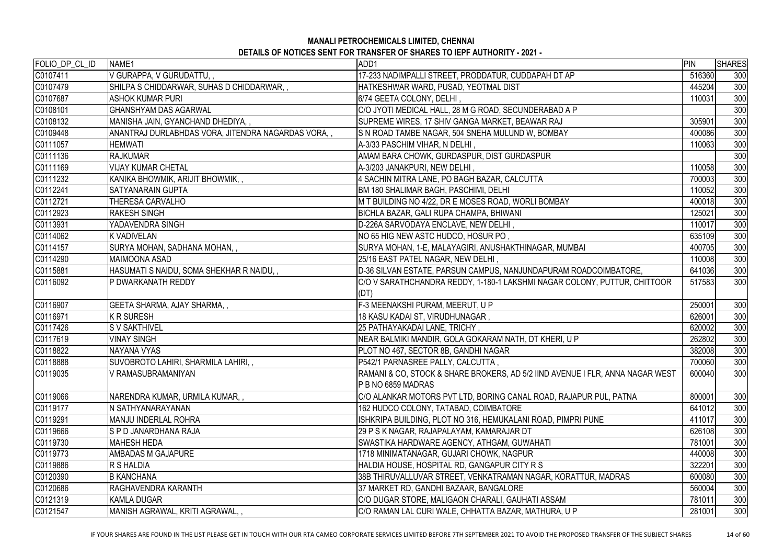# **MANALI PETROCHEMICALS LIMITED, CHENNAI**

| DETAILS OF NOTICES SENT FOR TRANSFER OF SHARES TO IEPF AUTHORITY - 2021 - |  |
|---------------------------------------------------------------------------|--|
|---------------------------------------------------------------------------|--|

| FOLIO_DP_CL_ID | NAME1                                               | ADD1                                                                          | PIN    | <b>SHARES</b> |
|----------------|-----------------------------------------------------|-------------------------------------------------------------------------------|--------|---------------|
| C0107411       | V GURAPPA, V GURUDATTU, ,                           | 17-233 NADIMPALLI STREET, PRODDATUR, CUDDAPAH DT AP                           | 516360 | 300           |
| C0107479       | SHILPA S CHIDDARWAR, SUHAS D CHIDDARWAR, ,          | HATKESHWAR WARD, PUSAD, YEOTMAL DIST                                          | 445204 | 300           |
| C0107687       | <b>ASHOK KUMAR PURI</b>                             | 6/74 GEETA COLONY, DELHI,                                                     | 110031 | 300           |
| C0108101       | GHANSHYAM DAS AGARWAL                               | C/O JYOTI MEDICAL HALL, 28 M G ROAD, SECUNDERABAD A P                         |        | 300           |
| C0108132       | MANISHA JAIN, GYANCHAND DHEDIYA,,                   | SUPREME WIRES, 17 SHIV GANGA MARKET, BEAWAR RAJ                               | 305901 | 300           |
| C0109448       | ANANTRAJ DURLABHDAS VORA, JITENDRA NAGARDAS VORA, , | S N ROAD TAMBE NAGAR, 504 SNEHA MULUND W, BOMBAY                              | 400086 | 300           |
| C0111057       | <b>HEMWATI</b>                                      | A-3/33 PASCHIM VIHAR, N DELHI,                                                | 110063 | 300           |
| C0111136       | <b>RAJKUMAR</b>                                     | AMAM BARA CHOWK, GURDASPUR, DIST GURDASPUR                                    |        | 300           |
| C0111169       | <b>VIJAY KUMAR CHETAL</b>                           | A-3/203 JANAKPURI, NEW DELHI,                                                 | 110058 | 300           |
| C0111232       | KANIKA BHOWMIK, ARIJIT BHOWMIK, ,                   | 4 SACHIN MITRA LANE, PO BAGH BAZAR, CALCUTTA                                  | 700003 | 300           |
| C0112241       | <b>SATYANARAIN GUPTA</b>                            | BM 180 SHALIMAR BAGH, PASCHIMI, DELHI                                         | 110052 | 300           |
| C0112721       | THERESA CARVALHO                                    | M T BUILDING NO 4/22, DR E MOSES ROAD, WORLI BOMBAY                           | 400018 | 300           |
| C0112923       | <b>RAKESH SINGH</b>                                 | BICHLA BAZAR, GALI RUPA CHAMPA, BHIWANI                                       | 125021 | 300           |
| C0113931       | YADAVENDRA SINGH                                    | D-226A SARVODAYA ENCLAVE, NEW DELHI,                                          | 110017 | 300           |
| C0114062       | <b>K VADIVELAN</b>                                  | NO 65 HIG NEW ASTC HUDCO, HOSUR PO,                                           | 635109 | 300           |
| C0114157       | SURYA MOHAN, SADHANA MOHAN, ,                       | SURYA MOHAN, 1-E, MALAYAGIRI, ANUSHAKTHINAGAR, MUMBAI                         | 400705 | 300           |
| C0114290       | MAIMOONA ASAD                                       | 25/16 EAST PATEL NAGAR, NEW DELHI,                                            | 110008 | 300           |
| C0115881       | HASUMATI S NAIDU, SOMA SHEKHAR R NAIDU, ,           | D-36 SILVAN ESTATE, PARSUN CAMPUS, NANJUNDAPURAM ROADCOIMBATORE,              | 641036 | 300           |
| C0116092       | P DWARKANATH REDDY                                  | C/O V SARATHCHANDRA REDDY, 1-180-1 LAKSHMI NAGAR COLONY, PUTTUR, CHITTOOR     | 517583 | 300           |
|                |                                                     | (DT)                                                                          |        |               |
| C0116907       | <b>GEETA SHARMA, AJAY SHARMA,,</b>                  | F-3 MEENAKSHI PURAM, MEERUT, U P                                              | 250001 | 300           |
| C0116971       | K R SURESH                                          | 18 KASU KADAI ST, VIRUDHUNAGAR,                                               | 626001 | 300           |
| C0117426       | <b>S V SAKTHIVEL</b>                                | 25 PATHAYAKADAI LANE, TRICHY,                                                 | 620002 | 300           |
| C0117619       | <b>VINAY SINGH</b>                                  | NEAR BALMIKI MANDIR, GOLA GOKARAM NATH, DT KHERI, U P                         | 262802 | 300           |
| C0118822       | NAYANA VYAS                                         | PLOT NO 467, SECTOR 8B, GANDHI NAGAR                                          | 382008 | 300           |
| C0118888       | SUVOBROTO LAHIRI, SHARMILA LAHIRI, ,                | P542/1 PARNASREE PALLY, CALCUTTA,                                             | 700060 | 300           |
| C0119035       | V RAMASUBRAMANIYAN                                  | RAMANI & CO, STOCK & SHARE BROKERS, AD 5/2 IIND AVENUE I FLR, ANNA NAGAR WEST | 600040 | 300           |
|                |                                                     | P B NO 6859 MADRAS                                                            |        |               |
| C0119066       | NARENDRA KUMAR, URMILA KUMAR, ,                     | C/O ALANKAR MOTORS PVT LTD, BORING CANAL ROAD, RAJAPUR PUL, PATNA             | 800001 | 300           |
| C0119177       | N SATHYANARAYANAN                                   | 162 HUDCO COLONY, TATABAD, COIMBATORE                                         | 641012 | 300           |
| C0119291       | <b>MANJU INDERLAL ROHRA</b>                         | ISHKRIPA BUILDING, PLOT NO 316, HEMUKALANI ROAD, PIMPRI PUNE                  | 411017 | 300           |
| C0119666       | IS P D JANARDHANA RAJA                              | 29 P S K NAGAR, RAJAPALAYAM, KAMARAJAR DT                                     | 626108 | 300           |
| C0119730       | <b>IMAHESH HEDA</b>                                 | SWASTIKA HARDWARE AGENCY, ATHGAM, GUWAHATI                                    | 781001 | 300           |
| C0119773       | <b>AMBADAS M GAJAPURE</b>                           | 1718 MINIMATANAGAR, GUJARI CHOWK, NAGPUR                                      | 440008 | 300           |
| C0119886       | R S HALDIA                                          | HALDIA HOUSE, HOSPITAL RD, GANGAPUR CITY R S                                  | 322201 | 300           |
| C0120390       | <b>B KANCHANA</b>                                   | 38B THIRUVALLUVAR STREET, VENKATRAMAN NAGAR, KORATTUR, MADRAS                 | 600080 | 300           |
| C0120686       | <b>IRAGHAVENDRA KARANTH</b>                         | 37 MARKET RD, GANDHI BAZAAR, BANGALORE                                        | 560004 | 300           |
| C0121319       | KAMLA DUGAR                                         | C/O DUGAR STORE, MALIGAON CHARALI, GAUHATI ASSAM                              | 781011 | 300           |
| C0121547       | MANISH AGRAWAL, KRITI AGRAWAL, ,                    | C/O RAMAN LAL CURI WALE, CHHATTA BAZAR, MATHURA, U P                          | 281001 | 300           |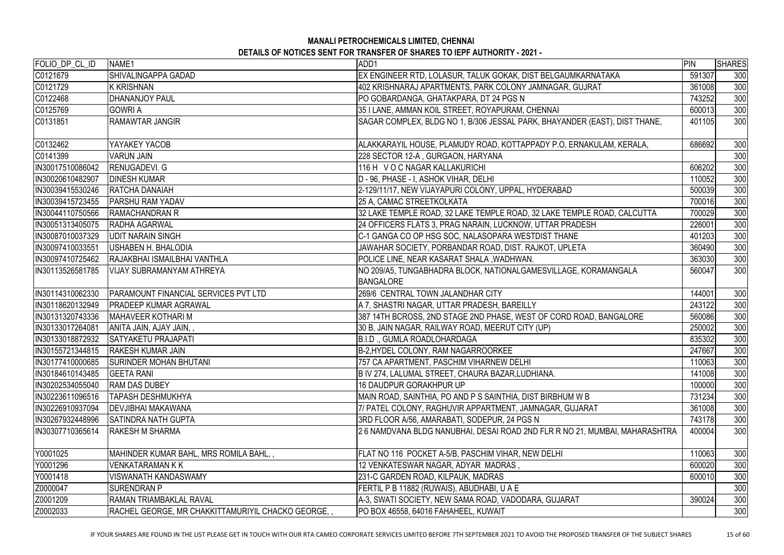| SHIVALINGAPPA GADAD<br>EX ENGINEER RTD, LOLASUR, TALUK GOKAK, DIST BELGAUMKARNATAKA<br>591307<br><b>K KRISHNAN</b><br>402 KRISHNARAJ APARTMENTS, PARK COLONY JAMNAGAR, GUJRAT<br>361008<br><b>DHANANJOY PAUL</b><br>PO GOBARDANGA, GHATAKPARA, DT 24 PGS N<br>743252<br>35 I LANE, AMMAN KOIL STREET, ROYAPURAM, CHENNAI<br>300<br><b>GOWRI A</b><br>600013<br><b>RAMAWTAR JANGIR</b><br>SAGAR COMPLEX, BLDG NO 1, B/306 JESSAL PARK, BHAYANDER (EAST), DIST THANE,<br>401105<br>YAYAKEY YACOB<br>ALAKKARAYIL HOUSE, PLAMUDY ROAD, KOTTAPPADY P.O, ERNAKULAM, KERALA,<br>686692<br><b>VARUN JAIN</b><br>228 SECTOR 12-A, GURGAON, HARYANA<br><b>RENUGADEVI. G</b><br>116 H V O C NAGAR KALLAKURICHI<br>606202<br>D - 96, PHASE - I, ASHOK VIHAR, DELHI<br><b>DINESH KUMAR</b><br>110052<br><b>RATCHA DANAIAH</b><br>2-129/11/17, NEW VIJAYAPURI COLONY, UPPAL, HYDERABAD<br>500039<br><b>PARSHU RAM YADAV</b><br>25 A, CAMAC STREETKOLKATA<br>700016<br>32 LAKE TEMPLE ROAD, 32 LAKE TEMPLE ROAD, 32 LAKE TEMPLE ROAD, CALCUTTA<br><b>RAMACHANDRAN R</b><br>700029<br>24 OFFICERS FLATS 3, PRAG NARAIN, LUCKNOW, UTTAR PRADESH<br><b>RADHA AGARWAL</b><br>226001<br><b>UDIT NARAIN SINGH</b><br>C-1 GANGA CO OP HSG SOC, NALASOPARA WESTDIST THANE<br>401203<br>USHABEN H. BHALODIA<br>JAWAHAR SOCIETY, PORBANDAR ROAD, DIST. RAJKOT, UPLETA<br>360490<br>363030<br>RAJAKBHAI ISMAILBHAI VANTHLA<br>POLICE LINE, NEAR KASARAT SHALA, WADHWAN.<br>NO 209/A5, TUNGABHADRA BLOCK, NATIONALGAMESVILLAGE, KORAMANGALA<br>300<br><b>VIJAY SUBRAMANYAM ATHREYA</b><br>560047<br><b>BANGALORE</b><br><b>PARAMOUNT FINANCIAL SERVICES PVT LTD</b><br>269/6 CENTRAL TOWN JALANDHAR CITY<br>144001<br>300<br><b>PRADEEP KUMAR AGRAWAL</b><br>A 7, SHASTRI NAGAR, UTTAR PRADESH, BAREILLY<br>243122<br>387 14TH BCROSS, 2ND STAGE 2ND PHASE, WEST OF CORD ROAD, BANGALORE<br>MAHAVEER KOTHARI M<br>560086<br>30 B, JAIN NAGAR, RAILWAY ROAD, MEERUT CITY (UP)<br>ANITA JAIN, AJAY JAIN, ,<br>250002<br><b>SATYAKETU PRAJAPATI</b><br>B.I.D., GUMLA ROADLOHARDAGA<br>835302<br>300<br>247667<br><b>RAKESH KUMAR JAIN</b><br>B-2,HYDEL COLONY, RAM NAGARROORKEE<br>110063<br><b>ISURINDER MOHAN BHUTANI</b><br>757 CA APARTMENT, PASCHIM VIHARNEW DELHI<br>141008<br><b>GEETA RANI</b><br>B IV 274, LALUMAL STREET, CHAURA BAZAR, LUDHIANA.<br>300<br><b>RAM DAS DUBEY</b><br><b>16 DAUDPUR GORAKHPUR UP</b><br>100000<br>731234<br><b>TAPASH DESHMUKHYA</b><br>MAIN ROAD, SAINTHIA, PO AND P S SAINTHIA, DIST BIRBHUM W B<br><b>DEVJIBHAI MAKAWANA</b><br>7/ PATEL COLONY, RAGHUVIR APPARTMENT, JAMNAGAR, GUJARAT<br>361008<br><b>SATINDRA NATH GUPTA</b><br>3RD FLOOR A/56, AMARABATI, SODEPUR, 24 PGS N<br>743178<br>26 NAMDVANA BLDG NANUBHAI, DESAI ROAD 2ND FLR R NO 21, MUMBAI, MAHARASHTRA<br><b>RAKESH M SHARMA</b><br>400004<br>Y0001025<br>MAHINDER KUMAR BAHL, MRS ROMILA BAHL, ,<br>110063<br>300<br>FLAT NO 116 POCKET A-5/B, PASCHIM VIHAR, NEW DELHI<br>300<br>VENKATARAMAN K K<br>12 VENKATESWAR NAGAR, ADYAR MADRAS,<br>600020<br>Y0001418<br>VISWANATH KANDASWAMY<br>231-C GARDEN ROAD, KILPAUK, MADRAS<br>600010<br><b>SURENDRAN P</b><br>FERTIL P B 11882 (RUWAIS), ABUDHABI, U A E<br>RAMAN TRIAMBAKLAL RAVAL<br>A-3, SWATI SOCIETY, NEW SAMA ROAD, VADODARA, GUJARAT<br>390024<br>Z0002033<br>RACHEL GEORGE, MR CHAKKITTAMURIYIL CHACKO GEORGE,<br>PO BOX 46558, 64016 FAHAHEEL, KUWAIT | FOLIO_DP_CL_ID    | NAME1 | ADD1 | PIN | <b>SHARES</b> |
|--------------------------------------------------------------------------------------------------------------------------------------------------------------------------------------------------------------------------------------------------------------------------------------------------------------------------------------------------------------------------------------------------------------------------------------------------------------------------------------------------------------------------------------------------------------------------------------------------------------------------------------------------------------------------------------------------------------------------------------------------------------------------------------------------------------------------------------------------------------------------------------------------------------------------------------------------------------------------------------------------------------------------------------------------------------------------------------------------------------------------------------------------------------------------------------------------------------------------------------------------------------------------------------------------------------------------------------------------------------------------------------------------------------------------------------------------------------------------------------------------------------------------------------------------------------------------------------------------------------------------------------------------------------------------------------------------------------------------------------------------------------------------------------------------------------------------------------------------------------------------------------------------------------------------------------------------------------------------------------------------------------------------------------------------------------------------------------------------------------------------------------------------------------------------------------------------------------------------------------------------------------------------------------------------------------------------------------------------------------------------------------------------------------------------------------------------------------------------------------------------------------------------------------------------------------------------------------------------------------------------------------------------------------------------------------------------------------------------------------------------------------------------------------------------------------------------------------------------------------------------------------------------------------------------------------------------------------------------------------------------------------------------------------------------------------------------------------------------------------------------------------------------------------------------------------------------------------------------------------------------------------------------------------------------------------------------------------------------------------------------------------------------|-------------------|-------|------|-----|---------------|
|                                                                                                                                                                                                                                                                                                                                                                                                                                                                                                                                                                                                                                                                                                                                                                                                                                                                                                                                                                                                                                                                                                                                                                                                                                                                                                                                                                                                                                                                                                                                                                                                                                                                                                                                                                                                                                                                                                                                                                                                                                                                                                                                                                                                                                                                                                                                                                                                                                                                                                                                                                                                                                                                                                                                                                                                                                                                                                                                                                                                                                                                                                                                                                                                                                                                                                                                                                                                  | C0121679          |       |      |     | 300           |
|                                                                                                                                                                                                                                                                                                                                                                                                                                                                                                                                                                                                                                                                                                                                                                                                                                                                                                                                                                                                                                                                                                                                                                                                                                                                                                                                                                                                                                                                                                                                                                                                                                                                                                                                                                                                                                                                                                                                                                                                                                                                                                                                                                                                                                                                                                                                                                                                                                                                                                                                                                                                                                                                                                                                                                                                                                                                                                                                                                                                                                                                                                                                                                                                                                                                                                                                                                                                  | C0121729          |       |      |     | 300           |
|                                                                                                                                                                                                                                                                                                                                                                                                                                                                                                                                                                                                                                                                                                                                                                                                                                                                                                                                                                                                                                                                                                                                                                                                                                                                                                                                                                                                                                                                                                                                                                                                                                                                                                                                                                                                                                                                                                                                                                                                                                                                                                                                                                                                                                                                                                                                                                                                                                                                                                                                                                                                                                                                                                                                                                                                                                                                                                                                                                                                                                                                                                                                                                                                                                                                                                                                                                                                  | C0122468          |       |      |     | 300           |
|                                                                                                                                                                                                                                                                                                                                                                                                                                                                                                                                                                                                                                                                                                                                                                                                                                                                                                                                                                                                                                                                                                                                                                                                                                                                                                                                                                                                                                                                                                                                                                                                                                                                                                                                                                                                                                                                                                                                                                                                                                                                                                                                                                                                                                                                                                                                                                                                                                                                                                                                                                                                                                                                                                                                                                                                                                                                                                                                                                                                                                                                                                                                                                                                                                                                                                                                                                                                  | C0125769          |       |      |     |               |
|                                                                                                                                                                                                                                                                                                                                                                                                                                                                                                                                                                                                                                                                                                                                                                                                                                                                                                                                                                                                                                                                                                                                                                                                                                                                                                                                                                                                                                                                                                                                                                                                                                                                                                                                                                                                                                                                                                                                                                                                                                                                                                                                                                                                                                                                                                                                                                                                                                                                                                                                                                                                                                                                                                                                                                                                                                                                                                                                                                                                                                                                                                                                                                                                                                                                                                                                                                                                  | C0131851          |       |      |     | 300           |
|                                                                                                                                                                                                                                                                                                                                                                                                                                                                                                                                                                                                                                                                                                                                                                                                                                                                                                                                                                                                                                                                                                                                                                                                                                                                                                                                                                                                                                                                                                                                                                                                                                                                                                                                                                                                                                                                                                                                                                                                                                                                                                                                                                                                                                                                                                                                                                                                                                                                                                                                                                                                                                                                                                                                                                                                                                                                                                                                                                                                                                                                                                                                                                                                                                                                                                                                                                                                  | C0132462          |       |      |     | 300           |
|                                                                                                                                                                                                                                                                                                                                                                                                                                                                                                                                                                                                                                                                                                                                                                                                                                                                                                                                                                                                                                                                                                                                                                                                                                                                                                                                                                                                                                                                                                                                                                                                                                                                                                                                                                                                                                                                                                                                                                                                                                                                                                                                                                                                                                                                                                                                                                                                                                                                                                                                                                                                                                                                                                                                                                                                                                                                                                                                                                                                                                                                                                                                                                                                                                                                                                                                                                                                  | C0141399          |       |      |     | 300           |
|                                                                                                                                                                                                                                                                                                                                                                                                                                                                                                                                                                                                                                                                                                                                                                                                                                                                                                                                                                                                                                                                                                                                                                                                                                                                                                                                                                                                                                                                                                                                                                                                                                                                                                                                                                                                                                                                                                                                                                                                                                                                                                                                                                                                                                                                                                                                                                                                                                                                                                                                                                                                                                                                                                                                                                                                                                                                                                                                                                                                                                                                                                                                                                                                                                                                                                                                                                                                  | IN30017510086042  |       |      |     | 300           |
|                                                                                                                                                                                                                                                                                                                                                                                                                                                                                                                                                                                                                                                                                                                                                                                                                                                                                                                                                                                                                                                                                                                                                                                                                                                                                                                                                                                                                                                                                                                                                                                                                                                                                                                                                                                                                                                                                                                                                                                                                                                                                                                                                                                                                                                                                                                                                                                                                                                                                                                                                                                                                                                                                                                                                                                                                                                                                                                                                                                                                                                                                                                                                                                                                                                                                                                                                                                                  | IN30020610482907  |       |      |     | 300           |
|                                                                                                                                                                                                                                                                                                                                                                                                                                                                                                                                                                                                                                                                                                                                                                                                                                                                                                                                                                                                                                                                                                                                                                                                                                                                                                                                                                                                                                                                                                                                                                                                                                                                                                                                                                                                                                                                                                                                                                                                                                                                                                                                                                                                                                                                                                                                                                                                                                                                                                                                                                                                                                                                                                                                                                                                                                                                                                                                                                                                                                                                                                                                                                                                                                                                                                                                                                                                  | IN30039415530246  |       |      |     | 300           |
|                                                                                                                                                                                                                                                                                                                                                                                                                                                                                                                                                                                                                                                                                                                                                                                                                                                                                                                                                                                                                                                                                                                                                                                                                                                                                                                                                                                                                                                                                                                                                                                                                                                                                                                                                                                                                                                                                                                                                                                                                                                                                                                                                                                                                                                                                                                                                                                                                                                                                                                                                                                                                                                                                                                                                                                                                                                                                                                                                                                                                                                                                                                                                                                                                                                                                                                                                                                                  | IN30039415723455  |       |      |     | 300           |
|                                                                                                                                                                                                                                                                                                                                                                                                                                                                                                                                                                                                                                                                                                                                                                                                                                                                                                                                                                                                                                                                                                                                                                                                                                                                                                                                                                                                                                                                                                                                                                                                                                                                                                                                                                                                                                                                                                                                                                                                                                                                                                                                                                                                                                                                                                                                                                                                                                                                                                                                                                                                                                                                                                                                                                                                                                                                                                                                                                                                                                                                                                                                                                                                                                                                                                                                                                                                  | IN30044110750566  |       |      |     | 300           |
|                                                                                                                                                                                                                                                                                                                                                                                                                                                                                                                                                                                                                                                                                                                                                                                                                                                                                                                                                                                                                                                                                                                                                                                                                                                                                                                                                                                                                                                                                                                                                                                                                                                                                                                                                                                                                                                                                                                                                                                                                                                                                                                                                                                                                                                                                                                                                                                                                                                                                                                                                                                                                                                                                                                                                                                                                                                                                                                                                                                                                                                                                                                                                                                                                                                                                                                                                                                                  | IN30051313405075  |       |      |     | 300           |
|                                                                                                                                                                                                                                                                                                                                                                                                                                                                                                                                                                                                                                                                                                                                                                                                                                                                                                                                                                                                                                                                                                                                                                                                                                                                                                                                                                                                                                                                                                                                                                                                                                                                                                                                                                                                                                                                                                                                                                                                                                                                                                                                                                                                                                                                                                                                                                                                                                                                                                                                                                                                                                                                                                                                                                                                                                                                                                                                                                                                                                                                                                                                                                                                                                                                                                                                                                                                  | IN30087010037329  |       |      |     | 300           |
|                                                                                                                                                                                                                                                                                                                                                                                                                                                                                                                                                                                                                                                                                                                                                                                                                                                                                                                                                                                                                                                                                                                                                                                                                                                                                                                                                                                                                                                                                                                                                                                                                                                                                                                                                                                                                                                                                                                                                                                                                                                                                                                                                                                                                                                                                                                                                                                                                                                                                                                                                                                                                                                                                                                                                                                                                                                                                                                                                                                                                                                                                                                                                                                                                                                                                                                                                                                                  | IN30097410033551  |       |      |     | 300           |
|                                                                                                                                                                                                                                                                                                                                                                                                                                                                                                                                                                                                                                                                                                                                                                                                                                                                                                                                                                                                                                                                                                                                                                                                                                                                                                                                                                                                                                                                                                                                                                                                                                                                                                                                                                                                                                                                                                                                                                                                                                                                                                                                                                                                                                                                                                                                                                                                                                                                                                                                                                                                                                                                                                                                                                                                                                                                                                                                                                                                                                                                                                                                                                                                                                                                                                                                                                                                  | IN30097410725462  |       |      |     | 300           |
|                                                                                                                                                                                                                                                                                                                                                                                                                                                                                                                                                                                                                                                                                                                                                                                                                                                                                                                                                                                                                                                                                                                                                                                                                                                                                                                                                                                                                                                                                                                                                                                                                                                                                                                                                                                                                                                                                                                                                                                                                                                                                                                                                                                                                                                                                                                                                                                                                                                                                                                                                                                                                                                                                                                                                                                                                                                                                                                                                                                                                                                                                                                                                                                                                                                                                                                                                                                                  | IN30113526581785  |       |      |     |               |
|                                                                                                                                                                                                                                                                                                                                                                                                                                                                                                                                                                                                                                                                                                                                                                                                                                                                                                                                                                                                                                                                                                                                                                                                                                                                                                                                                                                                                                                                                                                                                                                                                                                                                                                                                                                                                                                                                                                                                                                                                                                                                                                                                                                                                                                                                                                                                                                                                                                                                                                                                                                                                                                                                                                                                                                                                                                                                                                                                                                                                                                                                                                                                                                                                                                                                                                                                                                                  | IN30114310062330  |       |      |     |               |
|                                                                                                                                                                                                                                                                                                                                                                                                                                                                                                                                                                                                                                                                                                                                                                                                                                                                                                                                                                                                                                                                                                                                                                                                                                                                                                                                                                                                                                                                                                                                                                                                                                                                                                                                                                                                                                                                                                                                                                                                                                                                                                                                                                                                                                                                                                                                                                                                                                                                                                                                                                                                                                                                                                                                                                                                                                                                                                                                                                                                                                                                                                                                                                                                                                                                                                                                                                                                  | IN30118620132949  |       |      |     | 300           |
|                                                                                                                                                                                                                                                                                                                                                                                                                                                                                                                                                                                                                                                                                                                                                                                                                                                                                                                                                                                                                                                                                                                                                                                                                                                                                                                                                                                                                                                                                                                                                                                                                                                                                                                                                                                                                                                                                                                                                                                                                                                                                                                                                                                                                                                                                                                                                                                                                                                                                                                                                                                                                                                                                                                                                                                                                                                                                                                                                                                                                                                                                                                                                                                                                                                                                                                                                                                                  | IN30131320743336  |       |      |     | 300           |
|                                                                                                                                                                                                                                                                                                                                                                                                                                                                                                                                                                                                                                                                                                                                                                                                                                                                                                                                                                                                                                                                                                                                                                                                                                                                                                                                                                                                                                                                                                                                                                                                                                                                                                                                                                                                                                                                                                                                                                                                                                                                                                                                                                                                                                                                                                                                                                                                                                                                                                                                                                                                                                                                                                                                                                                                                                                                                                                                                                                                                                                                                                                                                                                                                                                                                                                                                                                                  | IN30133017264081  |       |      |     | 300           |
|                                                                                                                                                                                                                                                                                                                                                                                                                                                                                                                                                                                                                                                                                                                                                                                                                                                                                                                                                                                                                                                                                                                                                                                                                                                                                                                                                                                                                                                                                                                                                                                                                                                                                                                                                                                                                                                                                                                                                                                                                                                                                                                                                                                                                                                                                                                                                                                                                                                                                                                                                                                                                                                                                                                                                                                                                                                                                                                                                                                                                                                                                                                                                                                                                                                                                                                                                                                                  | IIN30133018872932 |       |      |     |               |
|                                                                                                                                                                                                                                                                                                                                                                                                                                                                                                                                                                                                                                                                                                                                                                                                                                                                                                                                                                                                                                                                                                                                                                                                                                                                                                                                                                                                                                                                                                                                                                                                                                                                                                                                                                                                                                                                                                                                                                                                                                                                                                                                                                                                                                                                                                                                                                                                                                                                                                                                                                                                                                                                                                                                                                                                                                                                                                                                                                                                                                                                                                                                                                                                                                                                                                                                                                                                  | IN30155721344815  |       |      |     | 300           |
|                                                                                                                                                                                                                                                                                                                                                                                                                                                                                                                                                                                                                                                                                                                                                                                                                                                                                                                                                                                                                                                                                                                                                                                                                                                                                                                                                                                                                                                                                                                                                                                                                                                                                                                                                                                                                                                                                                                                                                                                                                                                                                                                                                                                                                                                                                                                                                                                                                                                                                                                                                                                                                                                                                                                                                                                                                                                                                                                                                                                                                                                                                                                                                                                                                                                                                                                                                                                  | IN30177410000685  |       |      |     | 300           |
|                                                                                                                                                                                                                                                                                                                                                                                                                                                                                                                                                                                                                                                                                                                                                                                                                                                                                                                                                                                                                                                                                                                                                                                                                                                                                                                                                                                                                                                                                                                                                                                                                                                                                                                                                                                                                                                                                                                                                                                                                                                                                                                                                                                                                                                                                                                                                                                                                                                                                                                                                                                                                                                                                                                                                                                                                                                                                                                                                                                                                                                                                                                                                                                                                                                                                                                                                                                                  | IN30184610143485  |       |      |     |               |
|                                                                                                                                                                                                                                                                                                                                                                                                                                                                                                                                                                                                                                                                                                                                                                                                                                                                                                                                                                                                                                                                                                                                                                                                                                                                                                                                                                                                                                                                                                                                                                                                                                                                                                                                                                                                                                                                                                                                                                                                                                                                                                                                                                                                                                                                                                                                                                                                                                                                                                                                                                                                                                                                                                                                                                                                                                                                                                                                                                                                                                                                                                                                                                                                                                                                                                                                                                                                  | IN30202534055040  |       |      |     | 300           |
|                                                                                                                                                                                                                                                                                                                                                                                                                                                                                                                                                                                                                                                                                                                                                                                                                                                                                                                                                                                                                                                                                                                                                                                                                                                                                                                                                                                                                                                                                                                                                                                                                                                                                                                                                                                                                                                                                                                                                                                                                                                                                                                                                                                                                                                                                                                                                                                                                                                                                                                                                                                                                                                                                                                                                                                                                                                                                                                                                                                                                                                                                                                                                                                                                                                                                                                                                                                                  | IN30223611096516  |       |      |     | 300           |
|                                                                                                                                                                                                                                                                                                                                                                                                                                                                                                                                                                                                                                                                                                                                                                                                                                                                                                                                                                                                                                                                                                                                                                                                                                                                                                                                                                                                                                                                                                                                                                                                                                                                                                                                                                                                                                                                                                                                                                                                                                                                                                                                                                                                                                                                                                                                                                                                                                                                                                                                                                                                                                                                                                                                                                                                                                                                                                                                                                                                                                                                                                                                                                                                                                                                                                                                                                                                  | IN30226910937094  |       |      |     | 300           |
|                                                                                                                                                                                                                                                                                                                                                                                                                                                                                                                                                                                                                                                                                                                                                                                                                                                                                                                                                                                                                                                                                                                                                                                                                                                                                                                                                                                                                                                                                                                                                                                                                                                                                                                                                                                                                                                                                                                                                                                                                                                                                                                                                                                                                                                                                                                                                                                                                                                                                                                                                                                                                                                                                                                                                                                                                                                                                                                                                                                                                                                                                                                                                                                                                                                                                                                                                                                                  | IN30267932448996  |       |      |     | 300           |
|                                                                                                                                                                                                                                                                                                                                                                                                                                                                                                                                                                                                                                                                                                                                                                                                                                                                                                                                                                                                                                                                                                                                                                                                                                                                                                                                                                                                                                                                                                                                                                                                                                                                                                                                                                                                                                                                                                                                                                                                                                                                                                                                                                                                                                                                                                                                                                                                                                                                                                                                                                                                                                                                                                                                                                                                                                                                                                                                                                                                                                                                                                                                                                                                                                                                                                                                                                                                  | IN30307710365614  |       |      |     | 300           |
|                                                                                                                                                                                                                                                                                                                                                                                                                                                                                                                                                                                                                                                                                                                                                                                                                                                                                                                                                                                                                                                                                                                                                                                                                                                                                                                                                                                                                                                                                                                                                                                                                                                                                                                                                                                                                                                                                                                                                                                                                                                                                                                                                                                                                                                                                                                                                                                                                                                                                                                                                                                                                                                                                                                                                                                                                                                                                                                                                                                                                                                                                                                                                                                                                                                                                                                                                                                                  |                   |       |      |     |               |
|                                                                                                                                                                                                                                                                                                                                                                                                                                                                                                                                                                                                                                                                                                                                                                                                                                                                                                                                                                                                                                                                                                                                                                                                                                                                                                                                                                                                                                                                                                                                                                                                                                                                                                                                                                                                                                                                                                                                                                                                                                                                                                                                                                                                                                                                                                                                                                                                                                                                                                                                                                                                                                                                                                                                                                                                                                                                                                                                                                                                                                                                                                                                                                                                                                                                                                                                                                                                  | Y0001296          |       |      |     |               |
|                                                                                                                                                                                                                                                                                                                                                                                                                                                                                                                                                                                                                                                                                                                                                                                                                                                                                                                                                                                                                                                                                                                                                                                                                                                                                                                                                                                                                                                                                                                                                                                                                                                                                                                                                                                                                                                                                                                                                                                                                                                                                                                                                                                                                                                                                                                                                                                                                                                                                                                                                                                                                                                                                                                                                                                                                                                                                                                                                                                                                                                                                                                                                                                                                                                                                                                                                                                                  |                   |       |      |     | 300           |
|                                                                                                                                                                                                                                                                                                                                                                                                                                                                                                                                                                                                                                                                                                                                                                                                                                                                                                                                                                                                                                                                                                                                                                                                                                                                                                                                                                                                                                                                                                                                                                                                                                                                                                                                                                                                                                                                                                                                                                                                                                                                                                                                                                                                                                                                                                                                                                                                                                                                                                                                                                                                                                                                                                                                                                                                                                                                                                                                                                                                                                                                                                                                                                                                                                                                                                                                                                                                  | Z0000047          |       |      |     | 300           |
|                                                                                                                                                                                                                                                                                                                                                                                                                                                                                                                                                                                                                                                                                                                                                                                                                                                                                                                                                                                                                                                                                                                                                                                                                                                                                                                                                                                                                                                                                                                                                                                                                                                                                                                                                                                                                                                                                                                                                                                                                                                                                                                                                                                                                                                                                                                                                                                                                                                                                                                                                                                                                                                                                                                                                                                                                                                                                                                                                                                                                                                                                                                                                                                                                                                                                                                                                                                                  | Z0001209          |       |      |     | 300           |
|                                                                                                                                                                                                                                                                                                                                                                                                                                                                                                                                                                                                                                                                                                                                                                                                                                                                                                                                                                                                                                                                                                                                                                                                                                                                                                                                                                                                                                                                                                                                                                                                                                                                                                                                                                                                                                                                                                                                                                                                                                                                                                                                                                                                                                                                                                                                                                                                                                                                                                                                                                                                                                                                                                                                                                                                                                                                                                                                                                                                                                                                                                                                                                                                                                                                                                                                                                                                  |                   |       |      |     | 300           |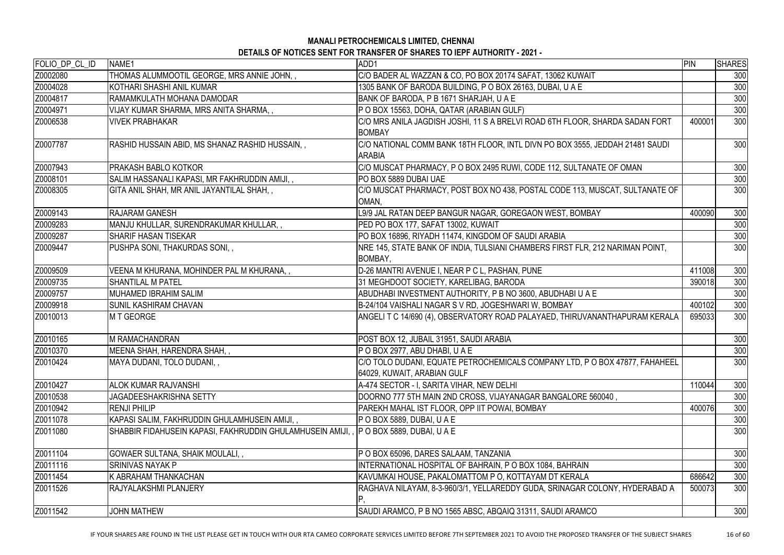# **MANALI PETROCHEMICALS LIMITED, CHENNAI**

| DETAILS OF NOTICES SENT FOR TRANSFER OF SHARES TO IEPF AUTHORITY - 2021 - |  |
|---------------------------------------------------------------------------|--|
|---------------------------------------------------------------------------|--|

| FOLIO_DP_CL_ID | NAME1                                                     | ADD1                                                                                                        | PIN    | <b>SHARES</b> |
|----------------|-----------------------------------------------------------|-------------------------------------------------------------------------------------------------------------|--------|---------------|
| Z0002080       | THOMAS ALUMMOOTIL GEORGE, MRS ANNIE JOHN,,                | C/O BADER AL WAZZAN & CO, PO BOX 20174 SAFAT, 13062 KUWAIT                                                  |        | 300           |
| Z0004028       | KOTHARI SHASHI ANIL KUMAR                                 | 1305 BANK OF BARODA BUILDING, P O BOX 26163, DUBAI, U A E                                                   |        | 300           |
| Z0004817       | RAMAMKULATH MOHANA DAMODAR                                | BANK OF BARODA, P B 1671 SHARJAH, U A E                                                                     |        | 300           |
| Z0004971       | VIJAY KUMAR SHARMA, MRS ANITA SHARMA, ,                   | P O BOX 15563, DOHA, QATAR (ARABIAN GULF)                                                                   |        | 300           |
| Z0006538       | IVIVEK PRABHAKAR                                          | C/O MRS ANILA JAGDISH JOSHI, 11 S A BRELVI ROAD 6TH FLOOR, SHARDA SADAN FORT<br><b>BOMBAY</b>               | 400001 | 300           |
| Z0007787       | RASHID HUSSAIN ABID, MS SHANAZ RASHID HUSSAIN, ,          | C/O NATIONAL COMM BANK 18TH FLOOR, INTL DIVN PO BOX 3555, JEDDAH 21481 SAUDI<br><b>ARABIA</b>               |        | 300           |
| Z0007943       | <b>PRAKASH BABLO KOTKOR</b>                               | C/O MUSCAT PHARMACY, P O BOX 2495 RUWI, CODE 112, SULTANATE OF OMAN                                         |        | 300           |
| Z0008101       | SALIM HASSANALI KAPASI, MR FAKHRUDDIN AMIJI, ,            | PO BOX 5889 DUBAI UAE                                                                                       |        | 300           |
| Z0008305       | GITA ANIL SHAH, MR ANIL JAYANTILAL SHAH, ,                | C/O MUSCAT PHARMACY, POST BOX NO 438, POSTAL CODE 113, MUSCAT, SULTANATE OF<br>OMAN,                        |        | 300           |
| Z0009143       | <b>RAJARAM GANESH</b>                                     | L9/9 JAL RATAN DEEP BANGUR NAGAR, GOREGAON WEST, BOMBAY                                                     | 400090 | 300           |
| Z0009283       | MANJU KHULLAR, SURENDRAKUMAR KHULLAR, ,                   | PED PO BOX 177, SAFAT 13002, KUWAIT                                                                         |        | 300           |
| Z0009287       | <b>SHARIF HASAN TISEKAR</b>                               | PO BOX 16896, RIYADH 11474, KINGDOM OF SAUDI ARABIA                                                         |        | 300           |
| Z0009447       | PUSHPA SONI, THAKURDAS SONI, ,                            | NRE 145, STATE BANK OF INDIA, TULSIANI CHAMBERS FIRST FLR, 212 NARIMAN POINT,<br><b>BOMBAY,</b>             |        | 300           |
| Z0009509       | VEENA M KHURANA, MOHINDER PAL M KHURANA,,                 | D-26 MANTRI AVENUE I, NEAR P C L, PASHAN, PUNE                                                              | 411008 | 300           |
| Z0009735       | <b>SHANTILAL M PATEL</b>                                  | 31 MEGHDOOT SOCIETY, KARELIBAG, BARODA                                                                      | 390018 | 300           |
| Z0009757       | MUHAMED IBRAHIM SALIM                                     | ABUDHABI INVESTMENT AUTHORITY, P B NO 3600, ABUDHABI U A E                                                  |        | 300           |
| Z0009918       | <b>SUNIL KASHIRAM CHAVAN</b>                              | B-24/104 VAISHALI NAGAR S V RD, JOGESHWARI W, BOMBAY                                                        | 400102 | 300           |
| Z0010013       | M T GEORGE                                                | ANGELIT C 14/690 (4), OBSERVATORY ROAD PALAYAED, THIRUVANANTHAPURAM KERALA                                  | 695033 | 300           |
| Z0010165       | <b>M RAMACHANDRAN</b>                                     | POST BOX 12, JUBAIL 31951, SAUDI ARABIA                                                                     |        | 300           |
| Z0010370       | MEENA SHAH, HARENDRA SHAH, ,                              | P O BOX 2977, ABU DHABI, U A E                                                                              |        | 300           |
| Z0010424       | MAYA DUDANI, TOLO DUDANI, ,                               | C/O TOLO DUDANI, EQUATE PETROCHEMICALS COMPANY LTD, P O BOX 47877, FAHAHEEL<br> 64029, KUWAIT, ARABIAN GULF |        | 300           |
| Z0010427       | <b>ALOK KUMAR RAJVANSHI</b>                               | A-474 SECTOR - I, SARITA VIHAR, NEW DELHI                                                                   | 110044 | 300           |
| Z0010538       | <b>JAGADEESHAKRISHNA SETTY</b>                            | DOORNO 777 5TH MAIN 2ND CROSS, VIJAYANAGAR BANGALORE 560040,                                                |        | 300           |
| Z0010942       | <b>RENJI PHILIP</b>                                       | PAREKH MAHAL IST FLOOR, OPP IIT POWAI, BOMBAY                                                               | 400076 | 300           |
| Z0011078       | KAPASI SALIM, FAKHRUDDIN GHULAMHUSEIN AMIJI, ,            | P O BOX 5889, DUBAI, U A E                                                                                  |        | 300           |
| Z0011080       | SHABBIR FIDAHUSEIN KAPASI, FAKHRUDDIN GHULAMHUSEIN AMIJI, | <b>IP O BOX 5889, DUBAI, U A E</b>                                                                          |        | 300           |
| Z0011104       | GOWAER SULTANA, SHAIK MOULALI, ,                          | P O BOX 65096, DARES SALAAM, TANZANIA                                                                       |        | 300           |
| Z0011116       | <b>SRINIVAS NAYAK P</b>                                   | INTERNATIONAL HOSPITAL OF BAHRAIN, P O BOX 1084, BAHRAIN                                                    |        | 300           |
| Z0011454       | K ABRAHAM THANKACHAN                                      | KAVUMKAI HOUSE, PAKALOMATTOM P O, KOTTAYAM DT KERALA                                                        | 686642 | 300           |
| Z0011526       | <b>RAJYALAKSHMI PLANJERY</b>                              | RAGHAVA NILAYAM, 8-3-960/3/1, YELLAREDDY GUDA, SRINAGAR COLONY, HYDERABAD A                                 | 500073 | 300           |
| Z0011542       | <b>JOHN MATHEW</b>                                        | SAUDI ARAMCO, P B NO 1565 ABSC, ABQAIQ 31311, SAUDI ARAMCO                                                  |        | 300           |
|                |                                                           |                                                                                                             |        |               |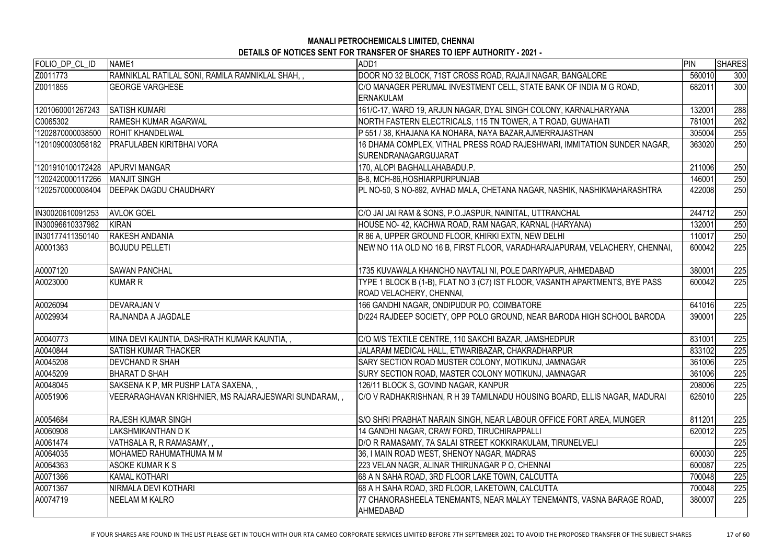| FOLIO_DP_CL_ID    | NAME1                                                 | ADD1                                                                                                     | <b>PIN</b> | <b>SHARES</b> |
|-------------------|-------------------------------------------------------|----------------------------------------------------------------------------------------------------------|------------|---------------|
| Z0011773          | RAMNIKLAL RATILAL SONI, RAMILA RAMNIKLAL SHAH,,       | DOOR NO 32 BLOCK, 71ST CROSS ROAD, RAJAJI NAGAR, BANGALORE                                               | 560010     | 300           |
| Z0011855          | <b>GEORGE VARGHESE</b>                                | C/O MANAGER PERUMAL INVESTMENT CELL, STATE BANK OF INDIA M G ROAD,<br><b>ERNAKULAM</b>                   | 682011     | 300           |
| 1201060001267243  | <b>SATISH KUMARI</b>                                  | 161/C-17, WARD 19, ARJUN NAGAR, DYAL SINGH COLONY, KARNALHARYANA                                         | 132001     | 288           |
| C0065302          | <b>RAMESH KUMAR AGARWAL</b>                           | NORTH FASTERN ELECTRICALS, 115 TN TOWER, A T ROAD, GUWAHATI                                              | 781001     | 262           |
| '1202870000038500 | <b>ROHIT KHANDELWAL</b>                               | P 551 / 38, KHAJANA KA NOHARA, NAYA BAZAR,AJMERRAJASTHAN                                                 | 305004     | 255           |
| '1201090003058182 | <b>PRAFULABEN KIRITBHAI VORA</b>                      | 16 DHAMA COMPLEX, VITHAL PRESS ROAD RAJESHWARI, IMMITATION SUNDER NAGAR,<br>SURENDRANAGARGUJARAT         | 363020     | 250           |
| '1201910100172428 | <b>APURVI MANGAR</b>                                  | 170, ALOPI BAGHALLAHABADU.P.                                                                             | 211006     | 250           |
| '1202420000117266 | <b>MANJIT SINGH</b>                                   | B-8, MCH-86, HOSHIARPURPUNJAB                                                                            | 146001     | 250           |
| '1202570000008404 | <b>IDEEPAK DAGDU CHAUDHARY</b>                        | PL NO-50, S NO-892, AVHAD MALA, CHETANA NAGAR, NASHIK, NASHIKMAHARASHTRA                                 | 422008     | 250           |
| IN30020610091253  | <b>AVLOK GOEL</b>                                     | C/O JAI JAI RAM & SONS, P.O.JASPUR, NAINITAL, UTTRANCHAL                                                 | 244712     | 250           |
| IN30096610337982  | KIRAN                                                 | HOUSE NO- 42, KACHWA ROAD, RAM NAGAR, KARNAL (HARYANA)                                                   | 132001     | 250           |
| IN30177411350140  | <b>RAKESH ANDANIA</b>                                 | R 86 A, UPPER GROUND FLOOR, KHIRKI EXTN, NEW DELHI                                                       | 110017     | 250           |
| A0001363          | <b>BOJUDU PELLETI</b>                                 | NEW NO 11A OLD NO 16 B, FIRST FLOOR, VARADHARAJAPURAM, VELACHERY, CHENNAI,                               | 600042     | 225           |
| A0007120          | <b>ISAWAN PANCHAL</b>                                 | 1735 KUVAWALA KHANCHO NAVTALI NI, POLE DARIYAPUR, AHMEDABAD                                              | 380001     | 225           |
| A0023000          | <b>KUMAR R</b>                                        | TYPE 1 BLOCK B (1-B), FLAT NO 3 (C7) IST FLOOR, VASANTH APARTMENTS, BYE PASS<br>ROAD VELACHERY, CHENNAI, | 600042     | 225           |
| A0026094          | <b>IDEVARAJAN V</b>                                   | 166 GANDHI NAGAR, ONDIPUDUR PO, COIMBATORE                                                               | 641016     | 225           |
| A0029934          | RAJNANDA A JAGDALE                                    | D/224 RAJDEEP SOCIETY, OPP POLO GROUND, NEAR BARODA HIGH SCHOOL BARODA                                   | 390001     | 225           |
| A0040773          | MINA DEVI KAUNTIA, DASHRATH KUMAR KAUNTIA, ,          | C/O M/S TEXTILE CENTRE, 110 SAKCHI BAZAR, JAMSHEDPUR                                                     | 831001     | 225           |
| A0040844          | <b>SATISH KUMAR THACKER</b>                           | JALARAM MEDICAL HALL, ETWARIBAZAR, CHAKRADHARPUR                                                         | 833102     | 225           |
| A0045208          | <b>DEVCHAND R SHAH</b>                                | SARY SECTION ROAD MUSTER COLONY, MOTIKUNJ, JAMNAGAR                                                      | 361006     | 225           |
| A0045209          | <b>BHARAT D SHAH</b>                                  | SURY SECTION ROAD, MASTER COLONY MOTIKUNJ, JAMNAGAR                                                      | 361006     | 225           |
| A0048045          | SAKSENA K P, MR PUSHP LATA SAXENA, ,                  | 126/11 BLOCK S, GOVIND NAGAR, KANPUR                                                                     | 208006     | 225           |
| A0051906          | VEERARAGHAVAN KRISHNIER, MS RAJARAJESWARI SUNDARAM, , | C/O V RADHAKRISHNAN, R H 39 TAMILNADU HOUSING BOARD, ELLIS NAGAR, MADURAI                                | 625010     | 225           |
| A0054684          | <b>RAJESH KUMAR SINGH</b>                             | S/O SHRI PRABHAT NARAIN SINGH, NEAR LABOUR OFFICE FORT AREA, MUNGER                                      | 811201     | 225           |
| A0060908          | LAKSHMIKANTHAN D K                                    | 14 GANDHI NAGAR, CRAW FORD, TIRUCHIRAPPALLI                                                              | 620012     | 225           |
| A0061474          | VATHSALA R, R RAMASAMY,,                              | D/O R RAMASAMY, 7A SALAI STREET KOKKIRAKULAM, TIRUNELVELI                                                |            | 225           |
| A0064035          | MOHAMED RAHUMATHUMA M M                               | 36, I MAIN ROAD WEST, SHENOY NAGAR, MADRAS                                                               | 600030     | 225           |
| A0064363          | ASOKE KUMAR K S                                       | 223 VELAN NAGR, ALINAR THIRUNAGAR P O, CHENNAI                                                           | 600087     | 225           |
| A0071366          | <b>KAMAL KOTHARI</b>                                  | 68 A N SAHA ROAD, 3RD FLOOR LAKE TOWN, CALCUTTA                                                          | 700048     | 225           |
| A0071367          | INIRMALA DEVI KOTHARI                                 | 68 A H SAHA ROAD, 3RD FLOOR, LAKETOWN, CALCUTTA                                                          | 700048     | 225           |
| A0074719          | NEELAM M KALRO                                        | 77 CHANORASHEELA TENEMANTS, NEAR MALAY TENEMANTS, VASNA BARAGE ROAD,<br><b>AHMEDABAD</b>                 | 380007     | 225           |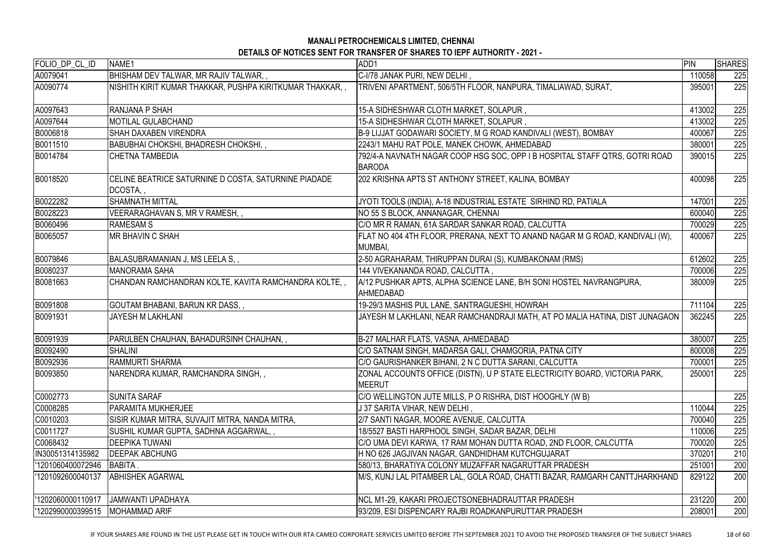| FOLIO_DP_CL_ID    | NAME1                                                            | ADD1                                                                                         | PIN    | <b>SHARES</b> |
|-------------------|------------------------------------------------------------------|----------------------------------------------------------------------------------------------|--------|---------------|
| A0079041          | BHISHAM DEV TALWAR, MR RAJIV TALWAR,,                            | C-I/78 JANAK PURI, NEW DELHI,                                                                | 110058 | 225           |
| A0090774          | NISHITH KIRIT KUMAR THAKKAR, PUSHPA KIRITKUMAR THAKKAR, ,        | TRIVENI APARTMENT, 506/5TH FLOOR, NANPURA, TIMALIAWAD, SURAT,                                | 395001 | 225           |
| A0097643          | RANJANA P SHAH                                                   | 15-A SIDHESHWAR CLOTH MARKET, SOLAPUR,                                                       | 413002 | 225           |
| A0097644          | MOTILAL GULABCHAND                                               | 15-A SIDHESHWAR CLOTH MARKET, SOLAPUR,                                                       | 413002 | 225           |
| B0006818          | SHAH DAXABEN VIRENDRA                                            | B-9 LIJJAT GODAWARI SOCIETY, M G ROAD KANDIVALI (WEST), BOMBAY                               | 400067 | 225           |
| B0011510          | BABUBHAI CHOKSHI, BHADRESH CHOKSHI,,                             | 2243/1 MAHU RAT POLE, MANEK CHOWK, AHMEDABAD                                                 | 380001 | 225           |
| B0014784          | <b>CHETNA TAMBEDIA</b>                                           | 792/4-A NAVNATH NAGAR COOP HSG SOC, OPP I B HOSPITAL STAFF QTRS, GOTRI ROAD<br><b>BARODA</b> | 390015 | 225           |
| B0018520          | CELINE BEATRICE SATURNINE D COSTA, SATURNINE PIADADE<br>DCOSTA,, | 202 KRISHNA APTS ST ANTHONY STREET, KALINA, BOMBAY                                           | 400098 | 225           |
| B0022282          | <b>SHAMNATH MITTAL</b>                                           | JYOTI TOOLS (INDIA), A-18 INDUSTRIAL ESTATE SIRHIND RD, PATIALA                              | 147001 | 225           |
| B0028223          | VEERARAGHAVAN S, MR V RAMESH, ,                                  | NO 55 S BLOCK, ANNANAGAR, CHENNAI                                                            | 600040 | 225           |
| B0060496          | <b>RAMESAM S</b>                                                 | C/O MR R RAMAN, 61A SARDAR SANKAR ROAD, CALCUTTA                                             | 700029 | 225           |
| B0065057          | <b>MR BHAVIN C SHAH</b>                                          | FLAT NO 404 4TH FLOOR, PRERANA, NEXT TO ANAND NAGAR M G ROAD, KANDIVALI (W),<br>MUMBAI,      | 400067 | 225           |
| B0079846          | BALASUBRAMANIAN J, MS LEELA S,,                                  | 2-50 AGRAHARAM, THIRUPPAN DURAI (S), KUMBAKONAM (RMS)                                        | 612602 | 225           |
| B0080237          | <b>MANORAMA SAHA</b>                                             | 144 VIVEKANANDA ROAD, CALCUTTA,                                                              | 700006 | 225           |
| B0081663          | CHANDAN RAMCHANDRAN KOLTE, KAVITA RAMCHANDRA KOLTE,,             | A/12 PUSHKAR APTS, ALPHA SCIENCE LANE, B/H SONI HOSTEL NAVRANGPURA,<br><b>AHMEDABAD</b>      | 380009 | 225           |
| B0091808          | GOUTAM BHABANI, BARUN KR DASS,,                                  | 19-29/3 MASHIS PUL LANE, SANTRAGUESHI, HOWRAH                                                | 711104 | 225           |
| B0091931          | <b>JAYESH M LAKHLANI</b>                                         | JAYESH M LAKHLANI, NEAR RAMCHANDRAJI MATH, AT PO MALIA HATINA, DIST JUNAGAON                 | 362245 | 225           |
| B0091939          | PARULBEN CHAUHAN, BAHADURSINH CHAUHAN,                           | B-27 MALHAR FLATS, VASNA, AHMEDABAD                                                          | 380007 | 225           |
| B0092490          | <b>SHALINI</b>                                                   | C/O SATNAM SINGH, MADARSA GALI, CHAMGORIA, PATNA CITY                                        | 800008 | 225           |
| B0092936          | <b>RAMMURTI SHARMA</b>                                           | C/O GAURISHANKER BIHANI, 2 N C DUTTA SARANI, CALCUTTA                                        | 700001 | 225           |
| B0093850          | NARENDRA KUMAR, RAMCHANDRA SINGH,,                               | ZONAL ACCOUNTS OFFICE (DISTN), U P STATE ELECTRICITY BOARD, VICTORIA PARK,<br><b>MEERUT</b>  | 250001 | 225           |
| C0002773          | <b>SUNITA SARAF</b>                                              | C/O WELLINGTON JUTE MILLS, P O RISHRA, DIST HOOGHLY (W B)                                    |        | 225           |
| C0008285          | PARAMITA MUKHERJEE                                               | J 37 SARITA VIHAR, NEW DELHI,                                                                | 110044 | 225           |
| C0010203          | SISIR KUMAR MITRA, SUVAJIT MITRA, NANDA MITRA,                   | 2/7 SANTI NAGAR, MOORE AVENUE, CALCUTTA                                                      | 700040 | 225           |
| C0011727          | SUSHIL KUMAR GUPTA, SADHNA AGGARWAL,,                            | 18/5527 BASTI HARPHOOL SINGH, SADAR BAZAR, DELHI                                             | 110006 | 225           |
| C0068432          | <b>DEEPIKA TUWANI</b>                                            | C/O UMA DEVI KARWA, 17 RAM MOHAN DUTTA ROAD, 2ND FLOOR, CALCUTTA                             | 700020 | 225           |
| IN30051314135982  | <b>DEEPAK ABCHUNG</b>                                            | H NO 626 JAGJIVAN NAGAR, GANDHIDHAM KUTCHGUJARAT                                             | 370201 | 210           |
| '1201060400072946 | <b>BABITA.</b>                                                   | 580/13, BHARATIYA COLONY MUZAFFAR NAGARUTTAR PRADESH                                         | 251001 | 200           |
| '1201092600040137 | <b>ABHISHEK AGARWAL</b>                                          | M/S, KUNJ LAL PITAMBER LAL, GOLA ROAD, CHATTI BAZAR, RAMGARH CANTTJHARKHAND                  | 829122 | 200           |
| '1202060000110917 | <b>JAMWANTI UPADHAYA</b>                                         | NCL M1-29, KAKARI PROJECTSONEBHADRAUTTAR PRADESH                                             | 231220 | 200           |
| '1202990000399515 | MOHAMMAD ARIF                                                    | 93/209, ESI DISPENCARY RAJBI ROADKANPURUTTAR PRADESH                                         | 208001 | 200           |
|                   |                                                                  |                                                                                              |        |               |

IF YOUR SHARES ARE FOUND IN THE LIST PLEASE GET IN TOUCH WITH OUR RTA CAMEO CORPORATE SERVICES LIMITED BEFORE 7TH SEPTEMBER 2021 TO AVOID THE PROPOSED TRANSFER OF THE SUBJECT SHARES 18 of 60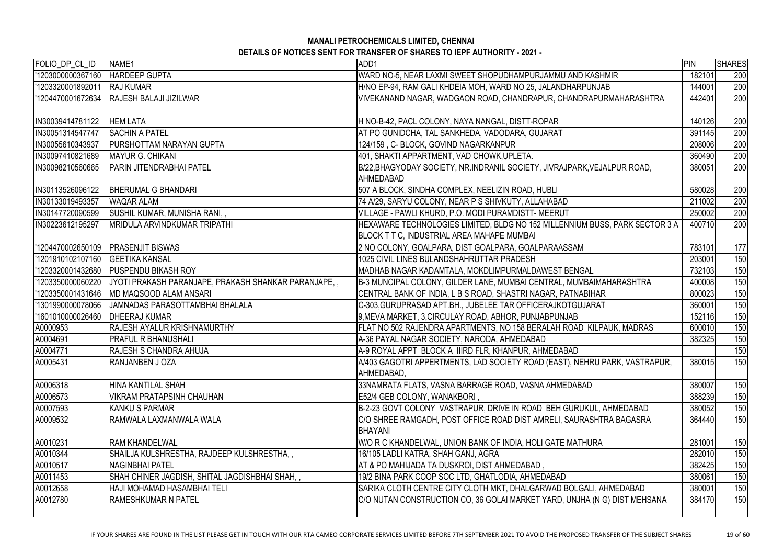| FOLIO_DP_CL_ID    | NAME1                                                | ADD1                                                                                                                      | PIN    | <b>SHARES</b> |
|-------------------|------------------------------------------------------|---------------------------------------------------------------------------------------------------------------------------|--------|---------------|
| '1203000000367160 | <b>HARDEEP GUPTA</b>                                 | WARD NO-5, NEAR LAXMI SWEET SHOPUDHAMPURJAMMU AND KASHMIR                                                                 | 182101 | 200           |
| '1203320001892011 | <b>RAJ KUMAR</b>                                     | H/NO EP-94, RAM GALI KHDEIA MOH, WARD NO 25, JALANDHARPUNJAB                                                              | 144001 | 200           |
| '1204470001672634 | <b>RAJESH BALAJI JIZILWAR</b>                        | VIVEKANAND NAGAR, WADGAON ROAD, CHANDRAPUR, CHANDRAPURMAHARASHTRA                                                         | 442401 | 200           |
| IN30039414781122  | <b>HEM LATA</b>                                      | H NO-B-42, PACL COLONY, NAYA NANGAL, DISTT-ROPAR                                                                          | 140126 | 200           |
| IN30051314547747  | <b>SACHIN A PATEL</b>                                | AT PO GUNIDCHA, TAL SANKHEDA, VADODARA, GUJARAT                                                                           | 391145 | 200           |
| IN30055610343937  | PURSHOTTAM NARAYAN GUPTA                             | 124/159, C- BLOCK, GOVIND NAGARKANPUR                                                                                     | 208006 | 200           |
| IN30097410821689  | MAYUR G. CHIKANI                                     | 401, SHAKTI APPARTMENT, VAD CHOWK,UPLETA.                                                                                 | 360490 | 200           |
| IN30098210560665  | PARIN JITENDRABHAI PATEL                             | B/22, BHAGYODAY SOCIETY, NR.INDRANIL SOCIETY, JIVRAJPARK, VEJALPUR ROAD.<br>AHMEDABAD                                     | 380051 | 200           |
| IN30113526096122  | <b>BHERUMAL G BHANDARI</b>                           | 507 A BLOCK, SINDHA COMPLEX, NEELIZIN ROAD, HUBLI                                                                         | 580028 | 200           |
| IN30133019493357  | <b>WAQAR ALAM</b>                                    | 74 A/29, SARYU COLONY, NEAR P S SHIVKUTY, ALLAHABAD                                                                       | 211002 | 200           |
| IN30147720090599  | SUSHIL KUMAR, MUNISHA RANI,,                         | VILLAGE - PAWLI KHURD, P.O. MODI PURAMDISTT- MEERUT                                                                       | 250002 | 200           |
| IN30223612195297  | <b>MRIDULA ARVINDKUMAR TRIPATHI</b>                  | HEXAWARE TECHNOLOGIES LIMITED, BLDG NO 152 MILLENNIUM BUSS, PARK SECTOR 3 A<br>BLOCK T T C, INDUSTRIAL AREA MAHAPE MUMBAI | 400710 | 200           |
| 1204470002650109  | <b>PRASENJIT BISWAS</b>                              | 2 NO COLONY, GOALPARA, DIST GOALPARA, GOALPARAASSAM                                                                       | 783101 | 177           |
| 1201910102107160  | <b>GEETIKA KANSAL</b>                                | 1025 CIVIL LINES BULANDSHAHRUTTAR PRADESH                                                                                 | 203001 | 150           |
| 1203320001432680  | <b>PUSPENDU BIKASH ROY</b>                           | MADHAB NAGAR KADAMTALA, MOKDLIMPURMALDAWEST BENGAL                                                                        | 732103 | 150           |
| '1203350000060220 | JYOTI PRAKASH PARANJAPE, PRAKASH SHANKAR PARANJAPE,, | B-3 MUNCIPAL COLONY, GILDER LANE, MUMBAI CENTRAL, MUMBAIMAHARASHTRA                                                       | 400008 | 150           |
| 1203350001431646  | <b>MD MAQSOOD ALAM ANSARI</b>                        | CENTRAL BANK OF INDIA, L B S ROAD, SHASTRI NAGAR, PATNABIHAR                                                              | 800023 | 150           |
| '1301990000078066 | JAMNADAS PARASOTTAMBHAI BHALALA                      | C-303, GURUPRASAD APT.BH., JUBELEE TAR OFFICERAJKOTGUJARAT                                                                | 360001 | 150           |
| '1601010000026460 | <b>DHEERAJ KUMAR</b>                                 | 9,MEVA MARKET, 3,CIRCULAY ROAD, ABHOR, PUNJABPUNJAB                                                                       | 152116 | 150           |
| A0000953          | <b>RAJESH AYALUR KRISHNAMURTHY</b>                   | FLAT NO 502 RAJENDRA APARTMENTS, NO 158 BERALAH ROAD KILPAUK, MADRAS                                                      | 600010 | 150           |
| A0004691          | <b>PRAFUL R BHANUSHALI</b>                           | A-36 PAYAL NAGAR SOCIETY, NARODA, AHMEDABAD                                                                               | 382325 | 150           |
| A0004771          | RAJESH S CHANDRA AHUJA                               | A-9 ROYAL APPT BLOCK A IIIRD FLR, KHANPUR, AHMEDABAD                                                                      |        | 150           |
| A0005431          | RANJANBEN J OZA                                      | A/403 GAGOTRI APPERTMENTS, LAD SOCIETY ROAD (EAST), NEHRU PARK, VASTRAPUR,<br>AHMEDABAD,                                  | 380015 | 150           |
| A0006318          | HINA KANTILAL SHAH                                   | 33NAMRATA FLATS, VASNA BARRAGE ROAD, VASNA AHMEDABAD                                                                      | 380007 | 150           |
| A0006573          | VIKRAM PRATAPSINH CHAUHAN                            | E52/4 GEB COLONY, WANAKBORI,                                                                                              | 388239 | 150           |
| A0007593          | <b>KANKU S PARMAR</b>                                | B-2-23 GOVT COLONY VASTRAPUR, DRIVE IN ROAD BEH GURUKUL, AHMEDABAD                                                        | 380052 | 150           |
| A0009532          | RAMWALA LAXMANWALA WALA                              | C/O SHREE RAMGADH, POST OFFICE ROAD DIST AMRELI, SAURASHTRA BAGASRA<br><b>BHAYANI</b>                                     | 364440 | 150           |
| A0010231          | <b>RAM KHANDELWAL</b>                                | W/O R C KHANDELWAL, UNION BANK OF INDIA, HOLI GATE MATHURA                                                                | 281001 | 150           |
| A0010344          | SHAILJA KULSHRESTHA, RAJDEEP KULSHRESTHA,,           | 16/105 LADLI KATRA, SHAH GANJ, AGRA                                                                                       | 282010 | 150           |
| A0010517          | NAGINBHAI PATEL                                      | AT & PO MAHIJADA TA DUSKROI, DIST AHMEDABAD ,                                                                             | 382425 | 150           |
| A0011453          | SHAH CHINER JAGDISH, SHITAL JAGDISHBHAI SHAH,,       | 19/2 BINA PARK COOP SOC LTD, GHATLODIA, AHMEDABAD                                                                         | 380061 | 150           |
| A0012658          | HAJI MOHAMAD HASAMBHAI TELI                          | SARIKA CLOTH CENTRE CITY CLOTH MKT, DHALGARWAD BOLGALI, AHMEDABAD                                                         | 380001 | 150           |
| A0012780          | RAMESHKUMAR N PATEL                                  | C/O NUTAN CONSTRUCTION CO, 36 GOLAI MARKET YARD, UNJHA (N G) DIST MEHSANA                                                 | 384170 | 150           |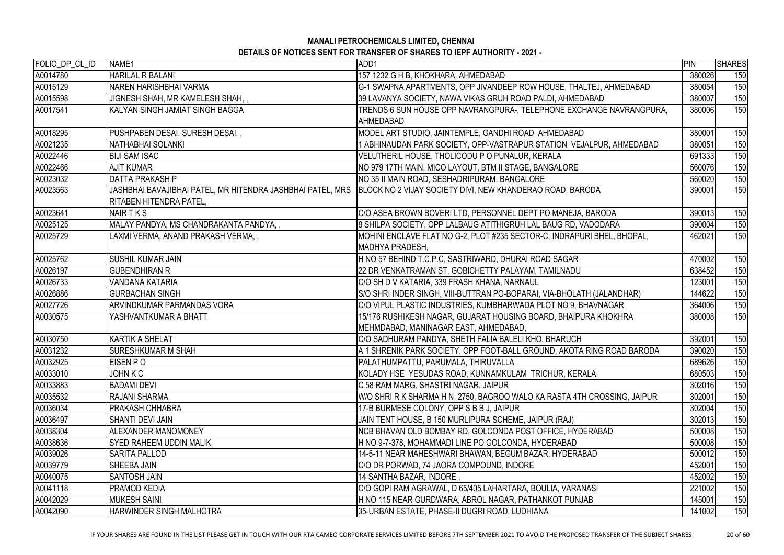| FOLIO_DP_CL_ID | NAME1                                  | ADD1                                                                                                                   | PIN    | <b>SHARES</b> |
|----------------|----------------------------------------|------------------------------------------------------------------------------------------------------------------------|--------|---------------|
| A0014780       | <b>HARILAL R BALANI</b>                | 157 1232 G H B, KHOKHARA, AHMEDABAD                                                                                    | 380026 | 150           |
| A0015129       | NAREN HARISHBHAI VARMA                 | G-1 SWAPNA APARTMENTS, OPP JIVANDEEP ROW HOUSE, THALTEJ, AHMEDABAD                                                     | 380054 | 150           |
| A0015598       | JIGNESH SHAH, MR KAMELESH SHAH,,       | 39 LAVANYA SOCIETY, NAWA VIKAS GRUH ROAD PALDI, AHMEDABAD                                                              | 380007 | 150           |
| A0017541       | KALYAN SINGH JAMIAT SINGH BAGGA        | TRENDS 6 SUN HOUSE OPP NAVRANGPURA-, TELEPHONE EXCHANGE NAVRANGPURA,                                                   | 380006 | 150           |
|                |                                        | <b>AHMEDABAD</b>                                                                                                       |        |               |
| A0018295       | PUSHPABEN DESAI, SURESH DESAI,,        | MODEL ART STUDIO, JAINTEMPLE, GANDHI ROAD AHMEDABAD                                                                    | 380001 | 150           |
| A0021235       | NATHABHAI SOLANKI                      | I ABHINAUDAN PARK SOCIETY, OPP-VASTRAPUR STATION  VEJALPUR, AHMEDABAD                                                  | 380051 | 150           |
| A0022446       | <b>BIJI SAM ISAC</b>                   | VELUTHERIL HOUSE, THOLICODU P O PUNALUR, KERALA                                                                        | 691333 | 150           |
| A0022466       | <b>AJIT KUMAR</b>                      | NO 979 17TH MAIN, MICO LAYOUT, BTM II STAGE, BANGALORE                                                                 | 560076 | 150           |
| A0023032       | DATTA PRAKASH P                        | NO 35 II MAIN ROAD, SESHADRIPURAM, BANGALORE                                                                           | 560020 | 150           |
| A0023563       |                                        | JASHBHAI BAVAJIBHAI PATEL, MR HITENDRA JASHBHAI PATEL, MRS   BLOCK NO 2 VIJAY SOCIETY DIVI, NEW KHANDERAO ROAD, BARODA | 390001 | 150           |
|                | <b>RITABEN HITENDRA PATEL,</b>         |                                                                                                                        |        |               |
| A0023641       | <b>NAIRTKS</b>                         | C/O ASEA BROWN BOVERI LTD, PERSONNEL DEPT PO MANEJA, BARODA                                                            | 390013 | 150           |
| A0025125       | MALAY PANDYA, MS CHANDRAKANTA PANDYA,, | 8 SHILPA SOCIETY, OPP LALBAUG ATITHIGRUH LAL BAUG RD, VADODARA                                                         | 390004 | 150           |
| A0025729       | LAXMI VERMA, ANAND PRAKASH VERMA, ,    | MOHINI ENCLAVE FLAT NO G-2, PLOT #235 SECTOR-C, INDRAPURI BHEL, BHOPAL,                                                | 462021 | 150           |
|                |                                        | <b>MADHYA PRADESH,</b>                                                                                                 |        |               |
| A0025762       | SUSHIL KUMAR JAIN                      | H NO 57 BEHIND T.C.P.C, SASTRIWARD, DHURAI ROAD SAGAR                                                                  | 470002 | 150           |
| A0026197       | <b>GUBENDHIRAN R</b>                   | 22 DR VENKATRAMAN ST, GOBICHETTY PALAYAM, TAMILNADU                                                                    | 638452 | 150           |
| A0026733       | <b>VANDANA KATARIA</b>                 | C/O SH D V KATARIA, 339 FRASH KHANA, NARNAUL                                                                           | 123001 | 150           |
| A0026886       | <b>GURBACHAN SINGH</b>                 | S/O SHRI INDER SINGH, VIII-BUTTRAN PO-BOPARAI, VIA-BHOLATH (JALANDHAR)                                                 | 144622 | 150           |
| A0027726       | ARVINDKUMAR PARMANDAS VORA             | C/O VIPUL PLASTIC INDUSTRIES, KUMBHARWADA PLOT NO 9, BHAVNAGAR                                                         | 364006 | 150           |
| A0030575       | YASHVANTKUMAR A BHATT                  | 15/176 RUSHIKESH NAGAR, GUJARAT HOUSING BOARD, BHAIPURA KHOKHRA                                                        | 380008 | 150           |
|                |                                        | MEHMDABAD, MANINAGAR EAST, AHMEDABAD,                                                                                  |        |               |
| A0030750       | <b>KARTIK A SHELAT</b>                 | C/O SADHURAM PANDYA, SHETH FALIA BALELI KHO, BHARUCH                                                                   | 392001 | 150           |
| A0031232       | <b>SURESHKUMAR M SHAH</b>              | A 1 SHRENIK PARK SOCIETY, OPP FOOT-BALL GROUND, AKOTA RING ROAD BARODA                                                 | 390020 | 150           |
| A0032925       | EISEN PO                               | PALATHUMPATTU, PARUMALA, THIRUVALLA                                                                                    | 689626 | 150           |
| A0033010       | JOHN K C                               | KOLADY HSE YESUDAS ROAD, KUNNAMKULAM TRICHUR, KERALA                                                                   | 680503 | 150           |
| A0033883       | <b>BADAMI DEVI</b>                     | C 58 RAM MARG, SHASTRI NAGAR, JAIPUR                                                                                   | 302016 | 150           |
| A0035532       | RAJANI SHARMA                          | W/O SHRI R K SHARMA H N 2750, BAGROO WALO KA RASTA 4TH CROSSING, JAIPUR                                                | 302001 | 150           |
| A0036034       | PRAKASH CHHABRA                        | 17-B BURMESE COLONY, OPP S B B J, JAIPUR                                                                               | 302004 | 150           |
| A0036497       | <b>SHANTI DEVI JAIN</b>                | JAIN TENT HOUSE, B 150 MURLIPURA SCHEME, JAIPUR (RAJ)                                                                  | 302013 | 150           |
| A0038304       | ALEXANDER MANOMONEY                    | NCB BHAVAN OLD BOMBAY RD, GOLCONDA POST OFFICE, HYDERABAD                                                              | 500008 | 150           |
| A0038636       | <b>SYED RAHEEM UDDIN MALIK</b>         | H NO 9-7-378, MOHAMMADI LINE PO GOLCONDA, HYDERABAD                                                                    | 500008 | 150           |
| A0039026       | SARITA PALLOD                          | 14-5-11 NEAR MAHESHWARI BHAWAN, BEGUM BAZAR, HYDERABAD                                                                 | 500012 | 150           |
| A0039779       | SHEEBA JAIN                            | C/O DR PORWAD, 74 JAORA COMPOUND, INDORE                                                                               | 452001 | 150           |
| A0040075       | <b>SANTOSH JAIN</b>                    | 14 SANTHA BAZAR, INDORE,                                                                                               | 452002 | 150           |
| A0041118       | <b>PRAMOD KEDIA</b>                    | C/O GOPI RAM AGRAWAL, D 65/405 LAHARTARA, BOULIA, VARANASI                                                             | 221002 | 150           |
| A0042029       | <b>MUKESH SAINI</b>                    | H NO 115 NEAR GURDWARA, ABROL NAGAR, PATHANKOT PUNJAB                                                                  | 145001 | 150           |
| A0042090       | HARWINDER SINGH MALHOTRA               | 35-URBAN ESTATE, PHASE-II DUGRI ROAD, LUDHIANA                                                                         | 141002 | 150           |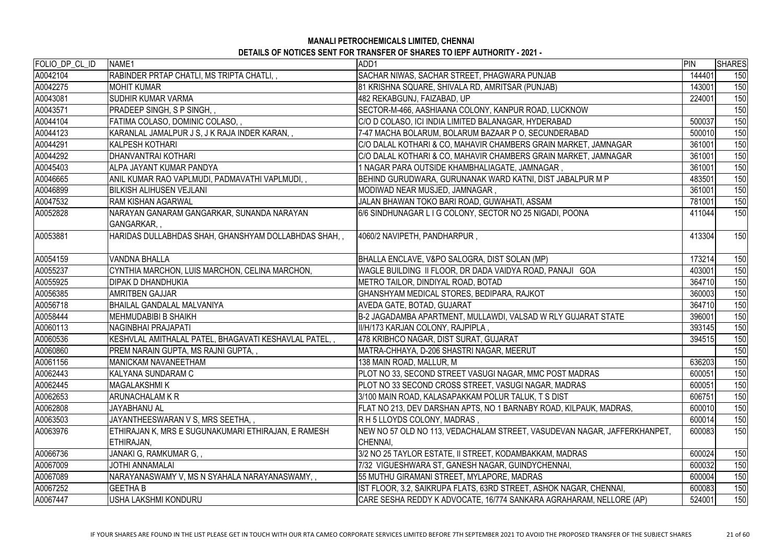| FOLIO_DP_CL_ID | NAME <sub>1</sub>                                     | ADD1                                                                     | PIN    | <b>SHARES</b> |
|----------------|-------------------------------------------------------|--------------------------------------------------------------------------|--------|---------------|
| A0042104       | RABINDER PRTAP CHATLI, MS TRIPTA CHATLI,,             | SACHAR NIWAS, SACHAR STREET, PHAGWARA PUNJAB                             | 144401 | 150           |
| A0042275       | <b>MOHIT KUMAR</b>                                    | 81 KRISHNA SQUARE, SHIVALA RD, AMRITSAR (PUNJAB)                         | 143001 | 150           |
| A0043081       | <b>SUDHIR KUMAR VARMA</b>                             | 482 REKABGUNJ, FAIZABAD, UP                                              | 224001 | 150           |
| A0043571       | PRADEEP SINGH, S P SINGH, ,                           | SECTOR-M-466, AASHIAANA COLONY, KANPUR ROAD, LUCKNOW                     |        | 150           |
| A0044104       | FATIMA COLASO, DOMINIC COLASO,,                       | C/O D COLASO, ICI INDIA LIMITED BALANAGAR, HYDERABAD                     | 500037 | 150           |
| A0044123       | KARANLAL JAMALPUR J S, J K RAJA INDER KARAN,,         | 7-47 MACHA BOLARUM, BOLARUM BAZAAR P O, SECUNDERABAD                     | 500010 | 150           |
| A0044291       | <b>KALPESH KOTHARI</b>                                | C/O DALAL KOTHARI & CO, MAHAVIR CHAMBERS GRAIN MARKET, JAMNAGAR          | 361001 | 150           |
| A0044292       | DHANVANTRAI KOTHARI                                   | C/O DALAL KOTHARI & CO, MAHAVIR CHAMBERS GRAIN MARKET, JAMNAGAR          | 361001 | 150           |
| A0045403       | <b>ALPA JAYANT KUMAR PANDYA</b>                       | 1 NAGAR PARA OUTSIDE KHAMBHALIAGATE, JAMNAGAR,                           | 361001 | 150           |
| A0046665       | ANIL KUMAR RAO VAPLMUDI, PADMAVATHI VAPLMUDI,,        | BEHIND GURUDWARA, GURUNANAK WARD KATNI, DIST JABALPUR M P                | 483501 | 150           |
| A0046899       | <b>BILKISH ALIHUSEN VEJLANI</b>                       | MODIWAD NEAR MUSJED, JAMNAGAR,                                           | 361001 | 150           |
| A0047532       | <b>RAM KISHAN AGARWAL</b>                             | JALAN BHAWAN TOKO BARI ROAD, GUWAHATI, ASSAM                             | 781001 | 150           |
| A0052828       | NARAYAN GANARAM GANGARKAR, SUNANDA NARAYAN            | 6/6 SINDHUNAGAR L I G COLONY, SECTOR NO 25 NIGADI, POONA                 | 411044 | 150           |
|                | GANGARKAR,,                                           |                                                                          |        |               |
| A0053881       | HARIDAS DULLABHDAS SHAH, GHANSHYAM DOLLABHDAS SHAH,,  | 4060/2 NAVIPETH, PANDHARPUR,                                             | 413304 | 150           |
| A0054159       | <b>VANDNA BHALLA</b>                                  | BHALLA ENCLAVE, V&PO SALOGRA, DIST SOLAN (MP)                            | 173214 | 150           |
| A0055237       | CYNTHIA MARCHON, LUIS MARCHON, CELINA MARCHON,        | WAGLE BUILDING II FLOOR, DR DADA VAIDYA ROAD, PANAJI GOA                 | 403001 | 150           |
| A0055925       | <b>DIPAK D DHANDHUKIA</b>                             | METRO TAILOR, DINDIYAL ROAD, BOTAD                                       | 364710 | 150           |
| A0056385       | <b>AMRITBEN GAJJAR</b>                                | GHANSHYAM MEDICAL STORES, BEDIPARA, RAJKOT                               | 360003 | 150           |
| A0056718       | <b>BHAILAL GANDALAL MALVANIYA</b>                     | AVEDA GATE, BOTAD, GUJARAT                                               | 364710 | 150           |
| A0058444       | <b>MEHMUDABIBI B SHAIKH</b>                           | B-2 JAGADAMBA APARTMENT, MULLAWDI, VALSAD W RLY GUJARAT STATE            | 396001 | 150           |
| A0060113       | NAGINBHAI PRAJAPATI                                   | II/H/173 KARJAN COLONY, RAJPIPLA,                                        | 393145 | 150           |
| A0060536       | KESHVLAL AMITHALAL PATEL, BHAGAVATI KESHAVLAL PATEL,, | 478 KRIBHCO NAGAR, DIST SURAT, GUJARAT                                   | 394515 | 150           |
| A0060860       | PREM NARAIN GUPTA, MS RAJNI GUPTA, ,                  | MATRA-CHHAYA, D-206 SHASTRI NAGAR, MEERUT                                |        | 150           |
| A0061156       | <b>MANICKAM NAVANEETHAM</b>                           | 138 MAIN ROAD, MALLUR, M                                                 | 636203 | 150           |
| A0062443       | <b>KALYANA SUNDARAM C</b>                             | PLOT NO 33, SECOND STREET VASUGI NAGAR, MMC POST MADRAS                  | 600051 | 150           |
| A0062445       | <b>MAGALAKSHMIK</b>                                   | PLOT NO 33 SECOND CROSS STREET, VASUGI NAGAR, MADRAS                     | 600051 | 150           |
| A0062653       | <b>ARUNACHALAM K R</b>                                | 3/100 MAIN ROAD, KALASAPAKKAM POLUR TALUK, T S DIST                      | 606751 | 150           |
| A0062808       | JAYABHANU AL                                          | FLAT NO 213, DEV DARSHAN APTS, NO 1 BARNABY ROAD, KILPAUK, MADRAS,       | 600010 | 150           |
| A0063503       | JAYANTHEESWARAN V S, MRS SEETHA,,                     | R H 5 LLOYDS COLONY, MADRAS ,                                            | 600014 | 150           |
| A0063976       | ETHIRAJAN K, MRS E SUGUNAKUMARI ETHIRAJAN, E RAMESH   | NEW NO 57 OLD NO 113, VEDACHALAM STREET, VASUDEVAN NAGAR, JAFFERKHANPET, | 600083 | 150           |
|                | ETHIRAJAN,                                            | CHENNAI,                                                                 |        |               |
| A0066736       | JANAKI G, RAMKUMAR G, ,                               | 3/2 NO 25 TAYLOR ESTATE, II STREET, KODAMBAKKAM, MADRAS                  | 600024 | 150           |
| A0067009       | JOTHI ANNAMALAI                                       | 7/32 VIGUESHWARA ST, GANESH NAGAR, GUINDYCHENNAI,                        | 600032 | 150           |
| A0067089       | NARAYANASWAMY V, MS N SYAHALA NARAYANASWAMY, ,        | 55 MUTHU GIRAMANI STREET, MYLAPORE, MADRAS                               | 600004 | 150           |
| A0067252       |                                                       |                                                                          |        |               |
|                | <b>GEETHA B</b>                                       | IST FLOOR, 3.2, SAIKRUPA FLATS, 63RD STREET, ASHOK NAGAR, CHENNAI,       | 600083 | 150           |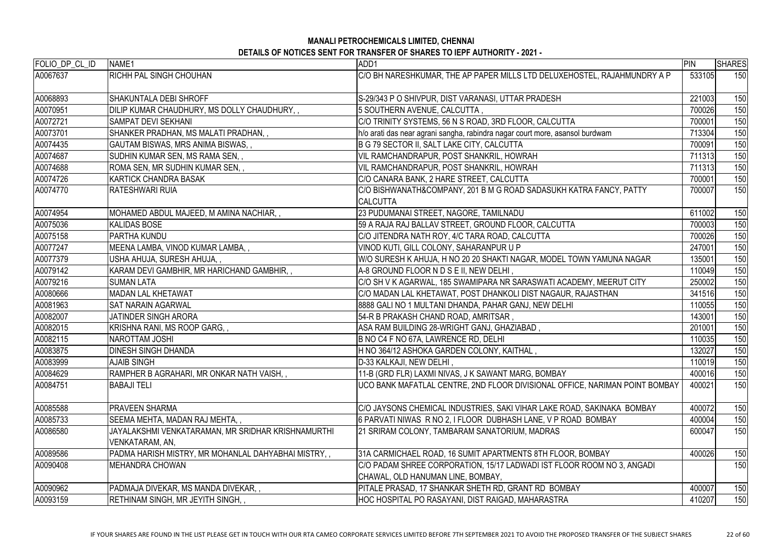| FOLIO_DP_CL_ID | NAME1                                                                 | ADD1                                                                                                        | PIN    | <b>SHARES</b> |
|----------------|-----------------------------------------------------------------------|-------------------------------------------------------------------------------------------------------------|--------|---------------|
| A0067637       | <b>RICHH PAL SINGH CHOUHAN</b>                                        | C/O BH NARESHKUMAR, THE AP PAPER MILLS LTD DELUXEHOSTEL, RAJAHMUNDRY A P                                    | 533105 | 150           |
| A0068893       | SHAKUNTALA DEBI SHROFF                                                | S-29/343 P O SHIVPUR, DIST VARANASI, UTTAR PRADESH                                                          | 221003 | 150           |
| A0070951       | DILIP KUMAR CHAUDHURY, MS DOLLY CHAUDHURY,,                           | 5 SOUTHERN AVENUE, CALCUTTA,                                                                                | 700026 | 150           |
| A0072721       | ISAMPAT DEVI SEKHANI                                                  | C/O TRINITY SYSTEMS, 56 N S ROAD, 3RD FLOOR, CALCUTTA                                                       | 700001 | 150           |
| A0073701       | SHANKER PRADHAN, MS MALATI PRADHAN, ,                                 | h/o arati das near agrani sangha, rabindra nagar court more, asansol burdwam                                | 713304 | 150           |
| A0074435       | GAUTAM BISWAS, MRS ANIMA BISWAS, ,                                    | B G 79 SECTOR II, SALT LAKE CITY, CALCUTTA                                                                  | 700091 | 150           |
| A0074687       | SUDHIN KUMAR SEN, MS RAMA SEN, ,                                      | VIL RAMCHANDRAPUR, POST SHANKRIL, HOWRAH                                                                    | 711313 | 150           |
| A0074688       | ROMA SEN, MR SUDHIN KUMAR SEN, ,                                      | VIL RAMCHANDRAPUR, POST SHANKRIL, HOWRAH                                                                    | 711313 | 150           |
| A0074726       | <b>KARTICK CHANDRA BASAK</b>                                          | C/O CANARA BANK, 2 HARE STREET, CALCUTTA                                                                    | 700001 | 150           |
| A0074770       | <b>RATESHWARI RUIA</b>                                                | C/O BISHWANATH&COMPANY, 201 B M G ROAD SADASUKH KATRA FANCY, PATTY<br><b>CALCUTTA</b>                       | 700007 | 150           |
| A0074954       | MOHAMED ABDUL MAJEED, M AMINA NACHIAR, ,                              | 23 PUDUMANAI STREET, NAGORE, TAMILNADU                                                                      | 611002 | 150           |
| A0075036       | KALIDAS BOSE                                                          | 59 A RAJA RAJ BALLAV STREET, GROUND FLOOR, CALCUTTA                                                         | 700003 | 150           |
| A0075158       | <b>PARTHA KUNDU</b>                                                   | C/O JITENDRA NATH ROY, 4/C TARA ROAD, CALCUTTA                                                              | 700026 | 150           |
| A0077247       | MEENA LAMBA, VINOD KUMAR LAMBA,,                                      | VINOD KUTI, GILL COLONY, SAHARANPUR U P                                                                     | 247001 | 150           |
| A0077379       | USHA AHUJA, SURESH AHUJA,,                                            | W/O SURESH K AHUJA, H NO 20 20 SHAKTI NAGAR, MODEL TOWN YAMUNA NAGAR                                        | 135001 | 150           |
| A0079142       | KARAM DEVI GAMBHIR, MR HARICHAND GAMBHIR, ,                           | A-8 GROUND FLOOR N D S E II, NEW DELHI,                                                                     | 110049 | 150           |
| A0079216       | <b>SUMAN LATA</b>                                                     | C/O SH V K AGARWAL, 185 SWAMIPARA NR SARASWATI ACADEMY, MEERUT CITY                                         | 250002 | 150           |
| A0080666       | MADAN LAL KHETAWAT                                                    | C/O MADAN LAL KHETAWAT, POST DHANKOLI DIST NAGAUR, RAJASTHAN                                                | 341516 | 150           |
| A0081963       | <b>SAT NARAIN AGARWAL</b>                                             | 8888 GALI NO 1 MULTANI DHANDA, PAHAR GANJ, NEW DELHI                                                        | 110055 | 150           |
| A0082007       | <b>JATINDER SINGH ARORA</b>                                           | 54-R B PRAKASH CHAND ROAD, AMRITSAR,                                                                        | 143001 | 150           |
| A0082015       | KRISHNA RANI, MS ROOP GARG, ,                                         | ASA RAM BUILDING 28-WRIGHT GANJ, GHAZIABAD,                                                                 | 201001 | 150           |
| A0082115       | NAROTTAM JOSHI                                                        | B NO C4 F NO 67A, LAWRENCE RD, DELHI                                                                        | 110035 | 150           |
| A0083875       | <b>DINESH SINGH DHANDA</b>                                            | H NO 364/12 ASHOKA GARDEN COLONY, KAITHAL                                                                   | 132027 | 150           |
| A0083999       | <b>AJAIB SINGH</b>                                                    | D-33 KALKAJI, NEW DELHI ,                                                                                   | 110019 | 150           |
| A0084629       | RAMPHER B AGRAHARI, MR ONKAR NATH VAISH, ,                            | 11-B (GRD FLR) LAXMI NIVAS, J K SAWANT MARG, BOMBAY                                                         | 400016 | 150           |
| A0084751       | <b>BABAJI TELI</b>                                                    | UCO BANK MAFATLAL CENTRE, 2ND FLOOR DIVISIONAL OFFICE, NARIMAN POINT BOMBAY                                 | 400021 | 150           |
| A0085588       | <b>PRAVEEN SHARMA</b>                                                 | C/O JAYSONS CHEMICAL INDUSTRIES, SAKI VIHAR LAKE ROAD, SAKINAKA BOMBAY                                      | 400072 | 150           |
| A0085733       | SEEMA MEHTA, MADAN RAJ MEHTA,,                                        | 6 PARVATI NIWAS R NO 2, I FLOOR DUBHASH LANE, V P ROAD BOMBAY                                               | 400004 | 150           |
| A0086580       | JAYALAKSHMI VENKATARAMAN, MR SRIDHAR KRISHNAMURTHI<br>VENKATARAM, AN, | 21 SRIRAM COLONY, TAMBARAM SANATORIUM, MADRAS                                                               | 600047 | 150           |
| A0089586       | PADMA HARISH MISTRY, MR MOHANLAL DAHYABHAI MISTRY, ,                  | 31A CARMICHAEL ROAD, 16 SUMIT APARTMENTS 8TH FLOOR, BOMBAY                                                  | 400026 | 150           |
| A0090408       | IMEHANDRA CHOWAN                                                      | C/O PADAM SHREE CORPORATION, 15/17 LADWADI IST FLOOR ROOM NO 3, ANGADI<br>CHAWAL, OLD HANUMAN LINE, BOMBAY, |        | 150           |
| A0090962       | PADMAJA DIVEKAR, MS MANDA DIVEKAR, ,                                  | PITALE PRASAD, 17 SHANKAR SHETH RD, GRANT RD BOMBAY                                                         | 400007 | 150           |
| A0093159       | RETHINAM SINGH, MR JEYITH SINGH, ,                                    | HOC HOSPITAL PO RASAYANI, DIST RAIGAD, MAHARASTRA                                                           | 410207 | 150           |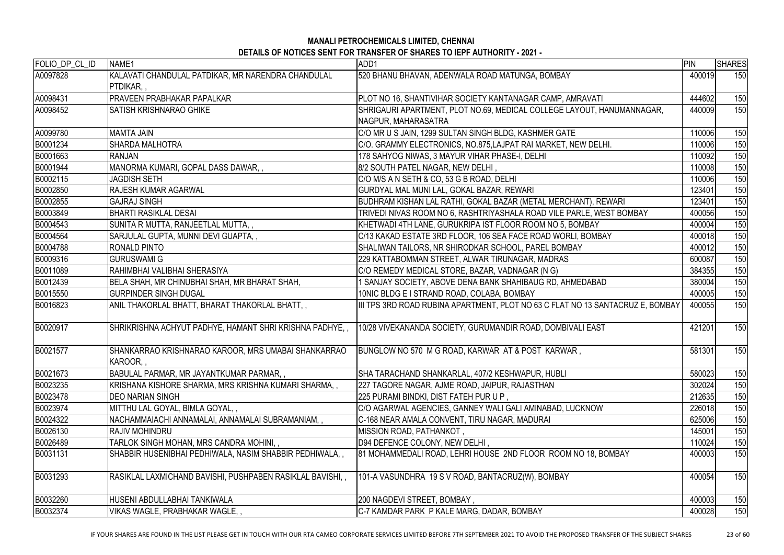| FOLIO_DP_CL_ID | NAME1                                                      | ADD1                                                                           | PIN    | <b>SHARES</b> |
|----------------|------------------------------------------------------------|--------------------------------------------------------------------------------|--------|---------------|
| A0097828       | KALAVATI CHANDULAL PATDIKAR, MR NARENDRA CHANDULAL         | 520 BHANU BHAVAN, ADENWALA ROAD MATUNGA, BOMBAY                                | 400019 | 150           |
|                | PTDIKAR,                                                   |                                                                                |        |               |
| A0098431       | <b>PRAVEEN PRABHAKAR PAPALKAR</b>                          | PLOT NO 16, SHANTIVIHAR SOCIETY KANTANAGAR CAMP, AMRAVATI                      | 444602 | 150           |
| A0098452       | <b>SATISH KRISHNARAO GHIKE</b>                             | SHRIGAURI APARTMENT, PLOT NO.69, MEDICAL COLLEGE LAYOUT, HANUMANNAGAR,         | 440009 | 150           |
|                |                                                            | NAGPUR, MAHARASATRA                                                            |        |               |
| A0099780       | <b>MAMTA JAIN</b>                                          | C/O MR U S JAIN, 1299 SULTAN SINGH BLDG, KASHMER GATE                          | 110006 | 150           |
| B0001234       | <b>SHARDA MALHOTRA</b>                                     | C/O. GRAMMY ELECTRONICS, NO.875,LAJPAT RAI MARKET, NEW DELHI.                  | 110006 | 150           |
| B0001663       | <b>RANJAN</b>                                              | 178 SAHYOG NIWAS, 3 MAYUR VIHAR PHASE-I, DELHI                                 | 110092 | 150           |
| B0001944       | MANORMA KUMARI, GOPAL DASS DAWAR,,                         | 8/2 SOUTH PATEL NAGAR, NEW DELHI,                                              | 110008 | 150           |
| B0002115       | <b>JAGDISH SETH</b>                                        | C/O M/S A N SETH & CO, 53 G B ROAD, DELHI                                      | 110006 | 150           |
| B0002850       | <b>RAJESH KUMAR AGARWAL</b>                                | GURDYAL MAL MUNI LAL, GOKAL BAZAR, REWARI                                      | 123401 | 150           |
| B0002855       | <b>GAJRAJ SINGH</b>                                        | BUDHRAM KISHAN LAL RATHI, GOKAL BAZAR (METAL MERCHANT), REWARI                 | 123401 | 150           |
| B0003849       | BHARTI RASIKLAL DESAI                                      | TRIVEDI NIVAS ROOM NO 6, RASHTRIYASHALA ROAD VILE PARLE, WEST BOMBAY           | 400056 | 150           |
| B0004543       | SUNITA R MUTTA, RANJEETLAL MUTTA,,                         | KHETWADI 4TH LANE, GURUKRIPA IST FLOOR ROOM NO 5, BOMBAY                       | 400004 | 150           |
| B0004564       | SARJULAL GUPTA, MUNNI DEVI GUAPTA, ,                       | C/13 KAKAD ESTATE 3RD FLOOR, 106 SEA FACE ROAD WORLI, BOMBAY                   | 400018 | 150           |
| B0004788       | <b>RONALD PINTO</b>                                        | SHALIWAN TAILORS, NR SHIRODKAR SCHOOL, PAREL BOMBAY                            | 400012 | 150           |
| B0009316       | <b>IGURUSWAMI G</b>                                        | 229 KATTABOMMAN STREET, ALWAR TIRUNAGAR, MADRAS                                | 600087 | 150           |
| B0011089       | RAHIMBHAI VALIBHAI SHERASIYA                               | C/O REMEDY MEDICAL STORE, BAZAR, VADNAGAR (N G)                                | 384355 | 150           |
| B0012439       | BELA SHAH, MR CHINUBHAI SHAH, MR BHARAT SHAH,              | SANJAY SOCIETY, ABOVE DENA BANK SHAHIBAUG RD, AHMEDABAD                        | 380004 | 150           |
| B0015550       | <b>GURPINDER SINGH DUGAL</b>                               | 10NIC BLDG E I STRAND ROAD, COLABA, BOMBAY                                     | 400005 | 150           |
| B0016823       | ANIL THAKORLAL BHATT, BHARAT THAKORLAL BHATT, ,            | III TPS 3RD ROAD RUBINA APARTMENT, PLOT NO 63 C FLAT NO 13 SANTACRUZ E, BOMBAY | 400055 | 150           |
|                |                                                            |                                                                                |        |               |
| B0020917       | SHRIKRISHNA ACHYUT PADHYE, HAMANT SHRI KRISHNA PADHYE, ,   | 10/28 VIVEKANANDA SOCIETY, GURUMANDIR ROAD, DOMBIVALI EAST                     | 421201 | 150           |
|                |                                                            |                                                                                |        |               |
| B0021577       | SHANKARRAO KRISHNARAO KAROOR, MRS UMABAI SHANKARRAO        | BUNGLOW NO 570 M G ROAD, KARWAR AT & POST KARWAR                               | 581301 | 150           |
|                | KAROOR,,                                                   |                                                                                |        |               |
| B0021673       | BABULAL PARMAR, MR JAYANTKUMAR PARMAR, ,                   | SHA TARACHAND SHANKARLAL, 407/2 KESHWAPUR, HUBLI                               | 580023 | 150           |
| B0023235       | KRISHANA KISHORE SHARMA, MRS KRISHNA KUMARI SHARMA, ,      | 227 TAGORE NAGAR, AJME ROAD, JAIPUR, RAJASTHAN                                 | 302024 | 150           |
| B0023478       | <b>DEO NARIAN SINGH</b>                                    | 225 PURAMI BINDKI, DIST FATEH PUR U P,                                         | 212635 | 150           |
| B0023974       | MITTHU LAL GOYAL, BIMLA GOYAL,,                            | C/O AGARWAL AGENCIES, GANNEY WALI GALI AMINABAD, LUCKNOW                       | 226018 | 150           |
| B0024322       | NACHAMMAIACHI ANNAMALAI, ANNAMALAI SUBRAMANIAM,,           | C-168 NEAR AMALA CONVENT, TIRU NAGAR, MADURAI                                  | 625006 | 150           |
| B0026130       | IRAJIV MOHINDRU                                            | MISSION ROAD, PATHANKOT,                                                       | 145001 | 150           |
| B0026489       | TARLOK SINGH MOHAN, MRS CANDRA MOHINI, ,                   | D94 DEFENCE COLONY, NEW DELHI,                                                 | 110024 | 150           |
| B0031131       | SHABBIR HUSENIBHAI PEDHIWALA, NASIM SHABBIR PEDHIWALA,,    | 81 MOHAMMEDALI ROAD, LEHRI HOUSE 2ND FLOOR ROOM NO 18, BOMBAY                  | 400003 | 150           |
|                |                                                            |                                                                                |        |               |
| B0031293       | RASIKLAL LAXMICHAND BAVISHI, PUSHPABEN RASIKLAL BAVISHI, , | 101-A VASUNDHRA 19 S V ROAD, BANTACRUZ(W), BOMBAY                              | 400054 | 150           |
|                |                                                            |                                                                                |        |               |
| B0032260       | HUSENI ABDULLABHAI TANKIWALA                               | 200 NAGDEVI STREET, BOMBAY,                                                    | 400003 | 150           |
| B0032374       | VIKAS WAGLE, PRABHAKAR WAGLE,,                             | C-7 KAMDAR PARK P KALE MARG, DADAR, BOMBAY                                     | 400028 | 150           |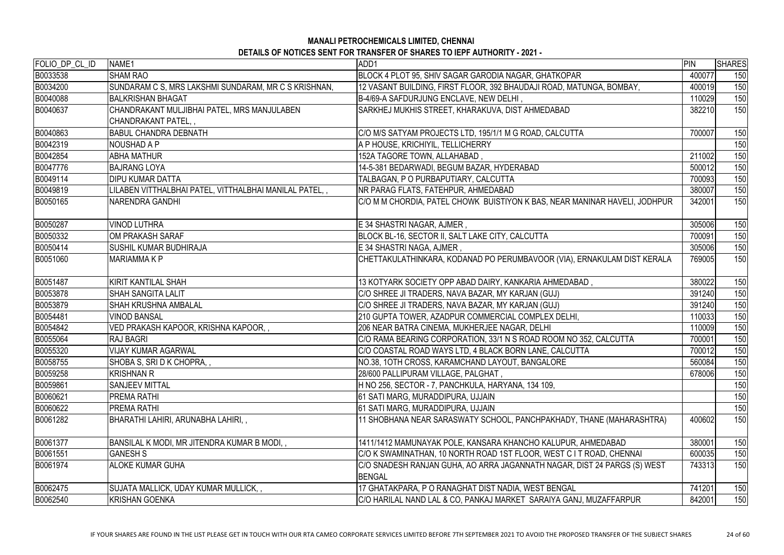# **MANALI PETROCHEMICALS LIMITED, CHENNAI**

**DETAILS OF NOTICES SENT FOR TRANSFER OF SHARES TO IEPF AUTHORITY - 2021 -** 

| <b>SHAM RAO</b><br>BLOCK 4 PLOT 95, SHIV SAGAR GARODIA NAGAR, GHATKOPAR<br>400077<br>150<br>SUNDARAM C S, MRS LAKSHMI SUNDARAM, MR C S KRISHNAN,<br>12 VASANT BUILDING, FIRST FLOOR, 392 BHAUDAJI ROAD, MATUNGA, BOMBAY,<br>150<br>400019<br><b>BALKRISHAN BHAGAT</b><br>B-4/69-A SAFDURJUNG ENCLAVE, NEW DELHI,<br>110029<br>150<br>SARKHEJ MUKHIS STREET, KHARAKUVA, DIST AHMEDABAD<br>CHANDRAKANT MULJIBHAI PATEL, MRS MANJULABEN<br>382210<br>150<br>CHANDRAKANT PATEL,,<br><b>BABUL CHANDRA DEBNATH</b><br>C/O M/S SATYAM PROJECTS LTD, 195/1/1 M G ROAD, CALCUTTA<br>700007<br>150<br>A P HOUSE, KRICHIYIL, TELLICHERRY<br>NOUSHAD A P<br>150<br>211002<br>152A TAGORE TOWN, ALLAHABAD,<br>150<br><b>ABHA MATHUR</b><br>14-5-381 BEDARWADI, BEGUM BAZAR, HYDERABAD<br>150<br><b>BAJRANG LOYA</b><br>500012<br><b>DIPU KUMAR DATTA</b><br>TALBAGAN, P O PURBAPUTIARY, CALCUTTA<br>150<br>700093<br>LILABEN VITTHALBHAI PATEL, VITTHALBHAI MANILAL PATEL,,<br>NR PARAG FLATS, FATEHPUR, AHMEDABAD<br>380007<br>150<br><b>NARENDRA GANDHI</b><br>C/O M M CHORDIA, PATEL CHOWK BUISTIYON K BAS, NEAR MANINAR HAVELI, JODHPUR<br>342001<br>150<br><b>VINOD LUTHRA</b><br>E 34 SHASTRI NAGAR, AJMER,<br>305006<br>150<br>BLOCK BL-16, SECTOR II, SALT LAKE CITY, CALCUTTA<br>OM PRAKASH SARAF<br>700091<br>150<br><b>SUSHIL KUMAR BUDHIRAJA</b><br>E 34 SHASTRI NAGA, AJMER,<br>150<br>305006<br>CHETTAKULATHINKARA, KODANAD PO PERUMBAVOOR (VIA), ERNAKULAM DIST KERALA<br>150<br><b>MARIAMMAKP</b><br>769005<br>KIRIT KANTILAL SHAH<br>380022<br>13 KOTYARK SOCIETY OPP ABAD DAIRY, KANKARIA AHMEDABAD,<br>150<br><b>SHAH SANGITA LALIT</b><br>C/O SHREE JI TRADERS, NAVA BAZAR, MY KARJAN (GUJ)<br>391240<br>150<br><b>SHAH KRUSHNA AMBALAL</b><br>C/O SHREE JI TRADERS, NAVA BAZAR, MY KARJAN (GUJ)<br>391240<br>150<br><b>VINOD BANSAL</b><br>210 GUPTA TOWER, AZADPUR COMMERCIAL COMPLEX DELHI,<br>110033<br>150<br>206 NEAR BATRA CINEMA, MUKHERJEE NAGAR, DELHI<br>150<br>VED PRAKASH KAPOOR, KRISHNA KAPOOR,,<br>110009<br><b>RAJ BAGRI</b><br>C/O RAMA BEARING CORPORATION, 33/1 N S ROAD ROOM NO 352, CALCUTTA<br>150<br>700001<br>700012<br>C/O COASTAL ROAD WAYS LTD, 4 BLACK BORN LANE, CALCUTTA<br>150<br><b>VIJAY KUMAR AGARWAL</b><br>SHOBA S, SRID K CHOPRA,,<br>NO.38, 10TH CROSS, KARAMCHAND LAYOUT, BANGALORE<br>560084<br>150<br><b>KRISHNAN R</b><br>28/600 PALLIPURAM VILLAGE, PALGHAT,<br>678006<br>150<br>H NO 256, SECTOR - 7, PANCHKULA, HARYANA, 134 109,<br><b>SANJEEV MITTAL</b><br>150<br>61 SATI MARG, MURADDIPURA, UJJAIN<br><b>PREMA RATHI</b><br>150<br><b>PREMA RATHI</b><br>61 SATI MARG, MURADDIPURA, UJJAIN<br>150<br>BHARATHI LAHIRI, ARUNABHA LAHIRI,,<br>11 SHOBHANA NEAR SARASWATY SCHOOL, PANCHPAKHADY, THANE (MAHARASHTRA)<br>400602<br>150<br>380001<br>BANSILAL K MODI, MR JITENDRA KUMAR B MODI,,<br>1411/1412 MAMUNAYAK POLE, KANSARA KHANCHO KALUPUR, AHMEDABAD<br>150<br>B0061551<br><b>GANESH S</b><br>C/O K SWAMINATHAN, 10 NORTH ROAD 1ST FLOOR, WEST C I T ROAD, CHENNAI<br>600035<br>150<br>C/O SNADESH RANJAN GUHA, AO ARRA JAGANNATH NAGAR, DIST 24 PARGS (S) WEST<br><b>ALOKE KUMAR GUHA</b><br>150<br>743313<br><b>BENGAL</b><br>741201<br>SUJATA MALLICK, UDAY KUMAR MULLICK,,<br>17 GHATAKPARA, P O RANAGHAT DIST NADIA, WEST BENGAL<br>150<br><b>KRISHAN GOENKA</b><br>C/O HARILAL NAND LAL & CO, PANKAJ MARKET SARAIYA GANJ, MUZAFFARPUR<br>842001<br>150 | FOLIO_DP_CL_ID | NAME <sub>1</sub> | ADD1 | <b>PIN</b> | <b>SHARES</b> |
|----------------------------------------------------------------------------------------------------------------------------------------------------------------------------------------------------------------------------------------------------------------------------------------------------------------------------------------------------------------------------------------------------------------------------------------------------------------------------------------------------------------------------------------------------------------------------------------------------------------------------------------------------------------------------------------------------------------------------------------------------------------------------------------------------------------------------------------------------------------------------------------------------------------------------------------------------------------------------------------------------------------------------------------------------------------------------------------------------------------------------------------------------------------------------------------------------------------------------------------------------------------------------------------------------------------------------------------------------------------------------------------------------------------------------------------------------------------------------------------------------------------------------------------------------------------------------------------------------------------------------------------------------------------------------------------------------------------------------------------------------------------------------------------------------------------------------------------------------------------------------------------------------------------------------------------------------------------------------------------------------------------------------------------------------------------------------------------------------------------------------------------------------------------------------------------------------------------------------------------------------------------------------------------------------------------------------------------------------------------------------------------------------------------------------------------------------------------------------------------------------------------------------------------------------------------------------------------------------------------------------------------------------------------------------------------------------------------------------------------------------------------------------------------------------------------------------------------------------------------------------------------------------------------------------------------------------------------------------------------------------------------------------------------------------------------------------------------------------------------------------------------------------------------------------------------------------------------------------------------------------------------------------------------------------------------------------------------------------------------------------------------------------------------------------|----------------|-------------------|------|------------|---------------|
|                                                                                                                                                                                                                                                                                                                                                                                                                                                                                                                                                                                                                                                                                                                                                                                                                                                                                                                                                                                                                                                                                                                                                                                                                                                                                                                                                                                                                                                                                                                                                                                                                                                                                                                                                                                                                                                                                                                                                                                                                                                                                                                                                                                                                                                                                                                                                                                                                                                                                                                                                                                                                                                                                                                                                                                                                                                                                                                                                                                                                                                                                                                                                                                                                                                                                                                                                                                                                            | B0033538       |                   |      |            |               |
|                                                                                                                                                                                                                                                                                                                                                                                                                                                                                                                                                                                                                                                                                                                                                                                                                                                                                                                                                                                                                                                                                                                                                                                                                                                                                                                                                                                                                                                                                                                                                                                                                                                                                                                                                                                                                                                                                                                                                                                                                                                                                                                                                                                                                                                                                                                                                                                                                                                                                                                                                                                                                                                                                                                                                                                                                                                                                                                                                                                                                                                                                                                                                                                                                                                                                                                                                                                                                            | B0034200       |                   |      |            |               |
|                                                                                                                                                                                                                                                                                                                                                                                                                                                                                                                                                                                                                                                                                                                                                                                                                                                                                                                                                                                                                                                                                                                                                                                                                                                                                                                                                                                                                                                                                                                                                                                                                                                                                                                                                                                                                                                                                                                                                                                                                                                                                                                                                                                                                                                                                                                                                                                                                                                                                                                                                                                                                                                                                                                                                                                                                                                                                                                                                                                                                                                                                                                                                                                                                                                                                                                                                                                                                            | B0040088       |                   |      |            |               |
|                                                                                                                                                                                                                                                                                                                                                                                                                                                                                                                                                                                                                                                                                                                                                                                                                                                                                                                                                                                                                                                                                                                                                                                                                                                                                                                                                                                                                                                                                                                                                                                                                                                                                                                                                                                                                                                                                                                                                                                                                                                                                                                                                                                                                                                                                                                                                                                                                                                                                                                                                                                                                                                                                                                                                                                                                                                                                                                                                                                                                                                                                                                                                                                                                                                                                                                                                                                                                            | B0040637       |                   |      |            |               |
|                                                                                                                                                                                                                                                                                                                                                                                                                                                                                                                                                                                                                                                                                                                                                                                                                                                                                                                                                                                                                                                                                                                                                                                                                                                                                                                                                                                                                                                                                                                                                                                                                                                                                                                                                                                                                                                                                                                                                                                                                                                                                                                                                                                                                                                                                                                                                                                                                                                                                                                                                                                                                                                                                                                                                                                                                                                                                                                                                                                                                                                                                                                                                                                                                                                                                                                                                                                                                            |                |                   |      |            |               |
|                                                                                                                                                                                                                                                                                                                                                                                                                                                                                                                                                                                                                                                                                                                                                                                                                                                                                                                                                                                                                                                                                                                                                                                                                                                                                                                                                                                                                                                                                                                                                                                                                                                                                                                                                                                                                                                                                                                                                                                                                                                                                                                                                                                                                                                                                                                                                                                                                                                                                                                                                                                                                                                                                                                                                                                                                                                                                                                                                                                                                                                                                                                                                                                                                                                                                                                                                                                                                            | B0040863       |                   |      |            |               |
|                                                                                                                                                                                                                                                                                                                                                                                                                                                                                                                                                                                                                                                                                                                                                                                                                                                                                                                                                                                                                                                                                                                                                                                                                                                                                                                                                                                                                                                                                                                                                                                                                                                                                                                                                                                                                                                                                                                                                                                                                                                                                                                                                                                                                                                                                                                                                                                                                                                                                                                                                                                                                                                                                                                                                                                                                                                                                                                                                                                                                                                                                                                                                                                                                                                                                                                                                                                                                            | B0042319       |                   |      |            |               |
|                                                                                                                                                                                                                                                                                                                                                                                                                                                                                                                                                                                                                                                                                                                                                                                                                                                                                                                                                                                                                                                                                                                                                                                                                                                                                                                                                                                                                                                                                                                                                                                                                                                                                                                                                                                                                                                                                                                                                                                                                                                                                                                                                                                                                                                                                                                                                                                                                                                                                                                                                                                                                                                                                                                                                                                                                                                                                                                                                                                                                                                                                                                                                                                                                                                                                                                                                                                                                            | B0042854       |                   |      |            |               |
|                                                                                                                                                                                                                                                                                                                                                                                                                                                                                                                                                                                                                                                                                                                                                                                                                                                                                                                                                                                                                                                                                                                                                                                                                                                                                                                                                                                                                                                                                                                                                                                                                                                                                                                                                                                                                                                                                                                                                                                                                                                                                                                                                                                                                                                                                                                                                                                                                                                                                                                                                                                                                                                                                                                                                                                                                                                                                                                                                                                                                                                                                                                                                                                                                                                                                                                                                                                                                            | B0047776       |                   |      |            |               |
|                                                                                                                                                                                                                                                                                                                                                                                                                                                                                                                                                                                                                                                                                                                                                                                                                                                                                                                                                                                                                                                                                                                                                                                                                                                                                                                                                                                                                                                                                                                                                                                                                                                                                                                                                                                                                                                                                                                                                                                                                                                                                                                                                                                                                                                                                                                                                                                                                                                                                                                                                                                                                                                                                                                                                                                                                                                                                                                                                                                                                                                                                                                                                                                                                                                                                                                                                                                                                            | B0049114       |                   |      |            |               |
|                                                                                                                                                                                                                                                                                                                                                                                                                                                                                                                                                                                                                                                                                                                                                                                                                                                                                                                                                                                                                                                                                                                                                                                                                                                                                                                                                                                                                                                                                                                                                                                                                                                                                                                                                                                                                                                                                                                                                                                                                                                                                                                                                                                                                                                                                                                                                                                                                                                                                                                                                                                                                                                                                                                                                                                                                                                                                                                                                                                                                                                                                                                                                                                                                                                                                                                                                                                                                            | B0049819       |                   |      |            |               |
|                                                                                                                                                                                                                                                                                                                                                                                                                                                                                                                                                                                                                                                                                                                                                                                                                                                                                                                                                                                                                                                                                                                                                                                                                                                                                                                                                                                                                                                                                                                                                                                                                                                                                                                                                                                                                                                                                                                                                                                                                                                                                                                                                                                                                                                                                                                                                                                                                                                                                                                                                                                                                                                                                                                                                                                                                                                                                                                                                                                                                                                                                                                                                                                                                                                                                                                                                                                                                            | B0050165       |                   |      |            |               |
|                                                                                                                                                                                                                                                                                                                                                                                                                                                                                                                                                                                                                                                                                                                                                                                                                                                                                                                                                                                                                                                                                                                                                                                                                                                                                                                                                                                                                                                                                                                                                                                                                                                                                                                                                                                                                                                                                                                                                                                                                                                                                                                                                                                                                                                                                                                                                                                                                                                                                                                                                                                                                                                                                                                                                                                                                                                                                                                                                                                                                                                                                                                                                                                                                                                                                                                                                                                                                            |                |                   |      |            |               |
|                                                                                                                                                                                                                                                                                                                                                                                                                                                                                                                                                                                                                                                                                                                                                                                                                                                                                                                                                                                                                                                                                                                                                                                                                                                                                                                                                                                                                                                                                                                                                                                                                                                                                                                                                                                                                                                                                                                                                                                                                                                                                                                                                                                                                                                                                                                                                                                                                                                                                                                                                                                                                                                                                                                                                                                                                                                                                                                                                                                                                                                                                                                                                                                                                                                                                                                                                                                                                            | B0050287       |                   |      |            |               |
|                                                                                                                                                                                                                                                                                                                                                                                                                                                                                                                                                                                                                                                                                                                                                                                                                                                                                                                                                                                                                                                                                                                                                                                                                                                                                                                                                                                                                                                                                                                                                                                                                                                                                                                                                                                                                                                                                                                                                                                                                                                                                                                                                                                                                                                                                                                                                                                                                                                                                                                                                                                                                                                                                                                                                                                                                                                                                                                                                                                                                                                                                                                                                                                                                                                                                                                                                                                                                            | B0050332       |                   |      |            |               |
|                                                                                                                                                                                                                                                                                                                                                                                                                                                                                                                                                                                                                                                                                                                                                                                                                                                                                                                                                                                                                                                                                                                                                                                                                                                                                                                                                                                                                                                                                                                                                                                                                                                                                                                                                                                                                                                                                                                                                                                                                                                                                                                                                                                                                                                                                                                                                                                                                                                                                                                                                                                                                                                                                                                                                                                                                                                                                                                                                                                                                                                                                                                                                                                                                                                                                                                                                                                                                            | B0050414       |                   |      |            |               |
|                                                                                                                                                                                                                                                                                                                                                                                                                                                                                                                                                                                                                                                                                                                                                                                                                                                                                                                                                                                                                                                                                                                                                                                                                                                                                                                                                                                                                                                                                                                                                                                                                                                                                                                                                                                                                                                                                                                                                                                                                                                                                                                                                                                                                                                                                                                                                                                                                                                                                                                                                                                                                                                                                                                                                                                                                                                                                                                                                                                                                                                                                                                                                                                                                                                                                                                                                                                                                            | B0051060       |                   |      |            |               |
|                                                                                                                                                                                                                                                                                                                                                                                                                                                                                                                                                                                                                                                                                                                                                                                                                                                                                                                                                                                                                                                                                                                                                                                                                                                                                                                                                                                                                                                                                                                                                                                                                                                                                                                                                                                                                                                                                                                                                                                                                                                                                                                                                                                                                                                                                                                                                                                                                                                                                                                                                                                                                                                                                                                                                                                                                                                                                                                                                                                                                                                                                                                                                                                                                                                                                                                                                                                                                            |                |                   |      |            |               |
|                                                                                                                                                                                                                                                                                                                                                                                                                                                                                                                                                                                                                                                                                                                                                                                                                                                                                                                                                                                                                                                                                                                                                                                                                                                                                                                                                                                                                                                                                                                                                                                                                                                                                                                                                                                                                                                                                                                                                                                                                                                                                                                                                                                                                                                                                                                                                                                                                                                                                                                                                                                                                                                                                                                                                                                                                                                                                                                                                                                                                                                                                                                                                                                                                                                                                                                                                                                                                            | B0051487       |                   |      |            |               |
|                                                                                                                                                                                                                                                                                                                                                                                                                                                                                                                                                                                                                                                                                                                                                                                                                                                                                                                                                                                                                                                                                                                                                                                                                                                                                                                                                                                                                                                                                                                                                                                                                                                                                                                                                                                                                                                                                                                                                                                                                                                                                                                                                                                                                                                                                                                                                                                                                                                                                                                                                                                                                                                                                                                                                                                                                                                                                                                                                                                                                                                                                                                                                                                                                                                                                                                                                                                                                            | B0053878       |                   |      |            |               |
|                                                                                                                                                                                                                                                                                                                                                                                                                                                                                                                                                                                                                                                                                                                                                                                                                                                                                                                                                                                                                                                                                                                                                                                                                                                                                                                                                                                                                                                                                                                                                                                                                                                                                                                                                                                                                                                                                                                                                                                                                                                                                                                                                                                                                                                                                                                                                                                                                                                                                                                                                                                                                                                                                                                                                                                                                                                                                                                                                                                                                                                                                                                                                                                                                                                                                                                                                                                                                            | B0053879       |                   |      |            |               |
|                                                                                                                                                                                                                                                                                                                                                                                                                                                                                                                                                                                                                                                                                                                                                                                                                                                                                                                                                                                                                                                                                                                                                                                                                                                                                                                                                                                                                                                                                                                                                                                                                                                                                                                                                                                                                                                                                                                                                                                                                                                                                                                                                                                                                                                                                                                                                                                                                                                                                                                                                                                                                                                                                                                                                                                                                                                                                                                                                                                                                                                                                                                                                                                                                                                                                                                                                                                                                            | B0054481       |                   |      |            |               |
|                                                                                                                                                                                                                                                                                                                                                                                                                                                                                                                                                                                                                                                                                                                                                                                                                                                                                                                                                                                                                                                                                                                                                                                                                                                                                                                                                                                                                                                                                                                                                                                                                                                                                                                                                                                                                                                                                                                                                                                                                                                                                                                                                                                                                                                                                                                                                                                                                                                                                                                                                                                                                                                                                                                                                                                                                                                                                                                                                                                                                                                                                                                                                                                                                                                                                                                                                                                                                            | B0054842       |                   |      |            |               |
|                                                                                                                                                                                                                                                                                                                                                                                                                                                                                                                                                                                                                                                                                                                                                                                                                                                                                                                                                                                                                                                                                                                                                                                                                                                                                                                                                                                                                                                                                                                                                                                                                                                                                                                                                                                                                                                                                                                                                                                                                                                                                                                                                                                                                                                                                                                                                                                                                                                                                                                                                                                                                                                                                                                                                                                                                                                                                                                                                                                                                                                                                                                                                                                                                                                                                                                                                                                                                            | B0055064       |                   |      |            |               |
|                                                                                                                                                                                                                                                                                                                                                                                                                                                                                                                                                                                                                                                                                                                                                                                                                                                                                                                                                                                                                                                                                                                                                                                                                                                                                                                                                                                                                                                                                                                                                                                                                                                                                                                                                                                                                                                                                                                                                                                                                                                                                                                                                                                                                                                                                                                                                                                                                                                                                                                                                                                                                                                                                                                                                                                                                                                                                                                                                                                                                                                                                                                                                                                                                                                                                                                                                                                                                            | B0055320       |                   |      |            |               |
|                                                                                                                                                                                                                                                                                                                                                                                                                                                                                                                                                                                                                                                                                                                                                                                                                                                                                                                                                                                                                                                                                                                                                                                                                                                                                                                                                                                                                                                                                                                                                                                                                                                                                                                                                                                                                                                                                                                                                                                                                                                                                                                                                                                                                                                                                                                                                                                                                                                                                                                                                                                                                                                                                                                                                                                                                                                                                                                                                                                                                                                                                                                                                                                                                                                                                                                                                                                                                            | B0058755       |                   |      |            |               |
|                                                                                                                                                                                                                                                                                                                                                                                                                                                                                                                                                                                                                                                                                                                                                                                                                                                                                                                                                                                                                                                                                                                                                                                                                                                                                                                                                                                                                                                                                                                                                                                                                                                                                                                                                                                                                                                                                                                                                                                                                                                                                                                                                                                                                                                                                                                                                                                                                                                                                                                                                                                                                                                                                                                                                                                                                                                                                                                                                                                                                                                                                                                                                                                                                                                                                                                                                                                                                            | B0059258       |                   |      |            |               |
|                                                                                                                                                                                                                                                                                                                                                                                                                                                                                                                                                                                                                                                                                                                                                                                                                                                                                                                                                                                                                                                                                                                                                                                                                                                                                                                                                                                                                                                                                                                                                                                                                                                                                                                                                                                                                                                                                                                                                                                                                                                                                                                                                                                                                                                                                                                                                                                                                                                                                                                                                                                                                                                                                                                                                                                                                                                                                                                                                                                                                                                                                                                                                                                                                                                                                                                                                                                                                            | B0059861       |                   |      |            |               |
|                                                                                                                                                                                                                                                                                                                                                                                                                                                                                                                                                                                                                                                                                                                                                                                                                                                                                                                                                                                                                                                                                                                                                                                                                                                                                                                                                                                                                                                                                                                                                                                                                                                                                                                                                                                                                                                                                                                                                                                                                                                                                                                                                                                                                                                                                                                                                                                                                                                                                                                                                                                                                                                                                                                                                                                                                                                                                                                                                                                                                                                                                                                                                                                                                                                                                                                                                                                                                            | B0060621       |                   |      |            |               |
|                                                                                                                                                                                                                                                                                                                                                                                                                                                                                                                                                                                                                                                                                                                                                                                                                                                                                                                                                                                                                                                                                                                                                                                                                                                                                                                                                                                                                                                                                                                                                                                                                                                                                                                                                                                                                                                                                                                                                                                                                                                                                                                                                                                                                                                                                                                                                                                                                                                                                                                                                                                                                                                                                                                                                                                                                                                                                                                                                                                                                                                                                                                                                                                                                                                                                                                                                                                                                            | B0060622       |                   |      |            |               |
|                                                                                                                                                                                                                                                                                                                                                                                                                                                                                                                                                                                                                                                                                                                                                                                                                                                                                                                                                                                                                                                                                                                                                                                                                                                                                                                                                                                                                                                                                                                                                                                                                                                                                                                                                                                                                                                                                                                                                                                                                                                                                                                                                                                                                                                                                                                                                                                                                                                                                                                                                                                                                                                                                                                                                                                                                                                                                                                                                                                                                                                                                                                                                                                                                                                                                                                                                                                                                            | B0061282       |                   |      |            |               |
|                                                                                                                                                                                                                                                                                                                                                                                                                                                                                                                                                                                                                                                                                                                                                                                                                                                                                                                                                                                                                                                                                                                                                                                                                                                                                                                                                                                                                                                                                                                                                                                                                                                                                                                                                                                                                                                                                                                                                                                                                                                                                                                                                                                                                                                                                                                                                                                                                                                                                                                                                                                                                                                                                                                                                                                                                                                                                                                                                                                                                                                                                                                                                                                                                                                                                                                                                                                                                            |                |                   |      |            |               |
|                                                                                                                                                                                                                                                                                                                                                                                                                                                                                                                                                                                                                                                                                                                                                                                                                                                                                                                                                                                                                                                                                                                                                                                                                                                                                                                                                                                                                                                                                                                                                                                                                                                                                                                                                                                                                                                                                                                                                                                                                                                                                                                                                                                                                                                                                                                                                                                                                                                                                                                                                                                                                                                                                                                                                                                                                                                                                                                                                                                                                                                                                                                                                                                                                                                                                                                                                                                                                            | B0061377       |                   |      |            |               |
|                                                                                                                                                                                                                                                                                                                                                                                                                                                                                                                                                                                                                                                                                                                                                                                                                                                                                                                                                                                                                                                                                                                                                                                                                                                                                                                                                                                                                                                                                                                                                                                                                                                                                                                                                                                                                                                                                                                                                                                                                                                                                                                                                                                                                                                                                                                                                                                                                                                                                                                                                                                                                                                                                                                                                                                                                                                                                                                                                                                                                                                                                                                                                                                                                                                                                                                                                                                                                            |                |                   |      |            |               |
|                                                                                                                                                                                                                                                                                                                                                                                                                                                                                                                                                                                                                                                                                                                                                                                                                                                                                                                                                                                                                                                                                                                                                                                                                                                                                                                                                                                                                                                                                                                                                                                                                                                                                                                                                                                                                                                                                                                                                                                                                                                                                                                                                                                                                                                                                                                                                                                                                                                                                                                                                                                                                                                                                                                                                                                                                                                                                                                                                                                                                                                                                                                                                                                                                                                                                                                                                                                                                            | B0061974       |                   |      |            |               |
|                                                                                                                                                                                                                                                                                                                                                                                                                                                                                                                                                                                                                                                                                                                                                                                                                                                                                                                                                                                                                                                                                                                                                                                                                                                                                                                                                                                                                                                                                                                                                                                                                                                                                                                                                                                                                                                                                                                                                                                                                                                                                                                                                                                                                                                                                                                                                                                                                                                                                                                                                                                                                                                                                                                                                                                                                                                                                                                                                                                                                                                                                                                                                                                                                                                                                                                                                                                                                            |                |                   |      |            |               |
|                                                                                                                                                                                                                                                                                                                                                                                                                                                                                                                                                                                                                                                                                                                                                                                                                                                                                                                                                                                                                                                                                                                                                                                                                                                                                                                                                                                                                                                                                                                                                                                                                                                                                                                                                                                                                                                                                                                                                                                                                                                                                                                                                                                                                                                                                                                                                                                                                                                                                                                                                                                                                                                                                                                                                                                                                                                                                                                                                                                                                                                                                                                                                                                                                                                                                                                                                                                                                            | B0062475       |                   |      |            |               |
|                                                                                                                                                                                                                                                                                                                                                                                                                                                                                                                                                                                                                                                                                                                                                                                                                                                                                                                                                                                                                                                                                                                                                                                                                                                                                                                                                                                                                                                                                                                                                                                                                                                                                                                                                                                                                                                                                                                                                                                                                                                                                                                                                                                                                                                                                                                                                                                                                                                                                                                                                                                                                                                                                                                                                                                                                                                                                                                                                                                                                                                                                                                                                                                                                                                                                                                                                                                                                            | B0062540       |                   |      |            |               |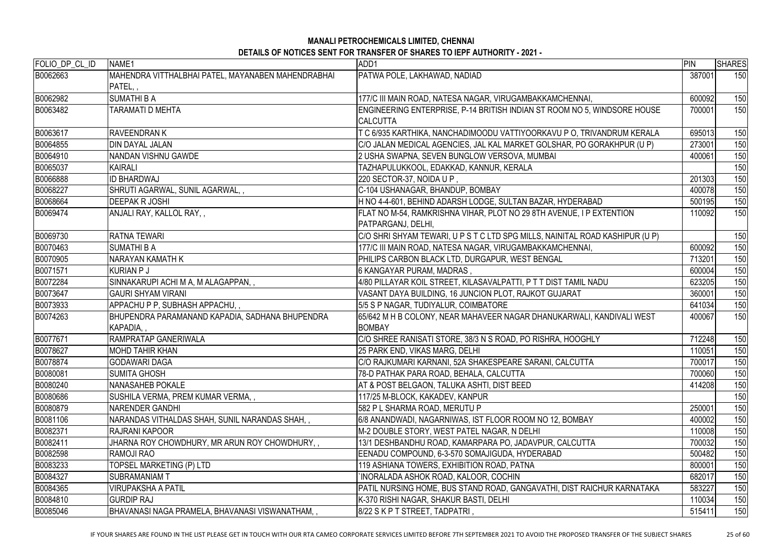| FOLIO DP CL ID | NAME1                                              | ADD1                                                                         | PIN    | <b>SHARES</b> |
|----------------|----------------------------------------------------|------------------------------------------------------------------------------|--------|---------------|
| B0062663       | MAHENDRA VITTHALBHAI PATEL, MAYANABEN MAHENDRABHAI | PATWA POLE, LAKHAWAD, NADIAD                                                 | 387001 | 150           |
|                | PATEL,                                             |                                                                              |        |               |
| B0062982       | <b>SUMATHI B A</b>                                 | 177/C III MAIN ROAD, NATESA NAGAR, VIRUGAMBAKKAMCHENNAI,                     | 600092 | 150           |
| B0063482       | TARAMATI D MEHTA                                   | ENGINEERING ENTERPRISE, P-14 BRITISH INDIAN ST ROOM NO 5, WINDSORE HOUSE     | 700001 | 150           |
|                |                                                    | <b>ICALCUTTA</b>                                                             |        |               |
| B0063617       | <b>RAVEENDRAN K</b>                                | T C 6/935 KARTHIKA, NANCHADIMOODU VATTIYOORKAVU P O, TRIVANDRUM KERALA       | 695013 | 150           |
| B0064855       | <b>DIN DAYAL JALAN</b>                             | C/O JALAN MEDICAL AGENCIES, JAL KAL MARKET GOLSHAR, PO GORAKHPUR (U P)       | 273001 | 150           |
| B0064910       | NANDAN VISHNU GAWDE                                | 2 USHA SWAPNA, SEVEN BUNGLOW VERSOVA, MUMBAI                                 | 400061 | 150           |
| B0065037       | KAIRALI                                            | TAZHAPULUKKOOL, EDAKKAD, KANNUR, KERALA                                      |        | 150           |
| B0066888       | <b>ID BHARDWAJ</b>                                 | 220 SECTOR-37, NOIDA U P,                                                    | 201303 | 150           |
| B0068227       | SHRUTI AGARWAL, SUNIL AGARWAL,                     | C-104 USHANAGAR, BHANDUP, BOMBAY                                             | 400078 | 150           |
| B0068664       | <b>DEEPAK R JOSHI</b>                              | H NO 4-4-601, BEHIND ADARSH LODGE, SULTAN BAZAR, HYDERABAD                   | 500195 | 150           |
| B0069474       | ANJALI RAY, KALLOL RAY,,                           | FLAT NO M-54, RAMKRISHNA VIHAR, PLOT NO 29 8TH AVENUE, I P EXTENTION         | 110092 | 150           |
|                |                                                    | PATPARGANJ, DELHI,                                                           |        |               |
| B0069730       | <b>RATNA TEWARI</b>                                | C/O SHRI SHYAM TEWARI, U P S T C LTD SPG MILLS, NAINITAL ROAD KASHIPUR (U P) |        | 150           |
| B0070463       | <b>SUMATHI B A</b>                                 | 177/C III MAIN ROAD, NATESA NAGAR, VIRUGAMBAKKAMCHENNAI,                     | 600092 | 150           |
| B0070905       | NARAYAN KAMATH K                                   | PHILIPS CARBON BLACK LTD, DURGAPUR, WEST BENGAL                              | 713201 | 150           |
| B0071571       | KURIAN P J                                         | 6 KANGAYAR PURAM, MADRAS ,                                                   | 600004 | 150           |
| B0072284       | SINNAKARUPI ACHI M A, M ALAGAPPAN,,                | 4/80 PILLAYAR KOIL STREET, KILASAVALPATTI, P T T DIST TAMIL NADU             | 623205 | 150           |
| B0073647       | <b>GAURI SHYAM VIRANI</b>                          | VASANT DAYA BUILDING, 16 JUNCION PLOT, RAJKOT GUJARAT                        | 360001 | 150           |
| B0073933       | APPACHU P P, SUBHASH APPACHU,,                     | 5/5 S P NAGAR, TUDIYALUR, COIMBATORE                                         | 641034 | 150           |
| B0074263       | BHUPENDRA PARAMANAND KAPADIA, SADHANA BHUPENDRA    | 65/642 M H B COLONY, NEAR MAHAVEER NAGAR DHANUKARWALI, KANDIVALI WEST        | 400067 | 150           |
|                | KAPADIA,,                                          | <b>BOMBAY</b>                                                                |        |               |
| B0077671       | <b>RAMPRATAP GANERIWALA</b>                        | C/O SHREE RANISATI STORE, 38/3 N S ROAD, PO RISHRA, HOOGHLY                  | 712248 | 150           |
| B0078627       | <b>MOHD TAHIR KHAN</b>                             | 25 PARK END, VIKAS MARG, DELHI                                               | 110051 | 150           |
| B0078874       | <b>GODAWARI DAGA</b>                               | C/O RAJKUMARI KARNANI, 52A SHAKESPEARE SARANI, CALCUTTA                      | 700017 | 150           |
| B0080081       | <b>ISUMITA GHOSH</b>                               | 78-D PATHAK PARA ROAD, BEHALA, CALCUTTA                                      | 700060 | 150           |
| B0080240       | <b>INANASAHEB POKALE</b>                           | AT & POST BELGAON, TALUKA ASHTI, DIST BEED                                   | 414208 | 150           |
| B0080686       | SUSHILA VERMA, PREM KUMAR VERMA, ,                 | 117/25 M-BLOCK, KAKADEV, KANPUR                                              |        | 150           |
| B0080879       | <b>NARENDER GANDHI</b>                             | 582 P L SHARMA ROAD, MERUTU P                                                | 250001 | 150           |
| B0081106       | NARANDAS VITHALDAS SHAH, SUNIL NARANDAS SHAH, ,    | 6/8 ANANDWADI, NAGARNIWAS, IST FLOOR ROOM NO 12, BOMBAY                      | 400002 | 150           |
| B0082371       | IRAJRANI KAPOOR                                    | M-2 DOUBLE STORY, WEST PATEL NAGAR, N DELHI                                  | 110008 | 150           |
| B0082411       | JHARNA ROY CHOWDHURY, MR ARUN ROY CHOWDHURY, ,     | 13/1 DESHBANDHU ROAD, KAMARPARA PO, JADAVPUR, CALCUTTA                       | 700032 | 150           |
| B0082598       | <b>RAMOJI RAO</b>                                  | EENADU COMPOUND, 6-3-570 SOMAJIGUDA, HYDERABAD                               | 500482 | 150           |
| B0083233       | TOPSEL MARKETING (P) LTD                           | 119 ASHIANA TOWERS, EXHIBITION ROAD, PATNA                                   | 800001 | 150           |
| B0084327       | <b>ISUBRAMANIAM T</b>                              | `INORALADA ASHOK ROAD, KALOOR, COCHIN                                        | 682017 | 150           |
| B0084365       | <b>VIRUPAKSHA A PATIL</b>                          | PATIL NURSING HOME, BUS STAND ROAD, GANGAVATHI, DIST RAICHUR KARNATAKA       | 583227 | 150           |
| B0084810       | <b>GURDIP RAJ</b>                                  | K-370 RISHI NAGAR, SHAKUR BASTI, DELHI                                       | 110034 | 150           |
| B0085046       | BHAVANASI NAGA PRAMELA, BHAVANASI VISWANATHAM, ,   | 8/22 S K P T STREET, TADPATRI ,                                              | 515411 | 150           |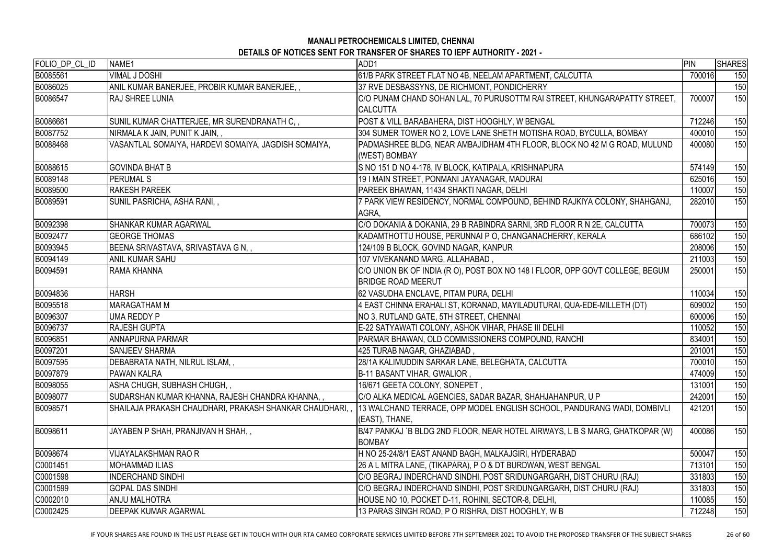# **MANALI PETROCHEMICALS LIMITED, CHENNAI**

| <b>DETAILS OF NOTICES SENT FOR TRANSFER OF SHARES TO IEPF AUTHORITY - 2021 -</b> |  |
|----------------------------------------------------------------------------------|--|
|----------------------------------------------------------------------------------|--|

| FOLIO_DP_CL_ID | NAME1                                                  | ADD1                                                                                                       | PIN    | <b>SHARES</b> |
|----------------|--------------------------------------------------------|------------------------------------------------------------------------------------------------------------|--------|---------------|
| B0085561       | <b>VIMAL J DOSHI</b>                                   | 61/B PARK STREET FLAT NO 4B, NEELAM APARTMENT, CALCUTTA                                                    | 700016 | 150           |
| B0086025       | ANIL KUMAR BANERJEE, PROBIR KUMAR BANERJEE,            | 37 RVE DESBASSYNS, DE RICHMONT, PONDICHERRY                                                                |        | 150           |
| B0086547       | <b>RAJ SHREE LUNIA</b>                                 | C/O PUNAM CHAND SOHAN LAL, 70 PURUSOTTM RAI STREET, KHUNGARAPATTY STREET,                                  | 700007 | 150           |
|                |                                                        | <b>CALCUTTA</b>                                                                                            |        |               |
| B0086661       | SUNIL KUMAR CHATTERJEE, MR SURENDRANATH C,,            | POST & VILL BARABAHERA, DIST HOOGHLY, W BENGAL                                                             | 712246 | 150           |
| B0087752       | NIRMALA K JAIN, PUNIT K JAIN, ,                        | 304 SUMER TOWER NO 2, LOVE LANE SHETH MOTISHA ROAD, BYCULLA, BOMBAY                                        | 400010 | 150           |
| B0088468       | VASANTLAL SOMAIYA, HARDEVI SOMAIYA, JAGDISH SOMAIYA,   | PADMASHREE BLDG, NEAR AMBAJIDHAM 4TH FLOOR, BLOCK NO 42 M G ROAD, MULUND<br>(WEST) BOMBAY                  | 400080 | 150           |
| B0088615       | <b>GOVINDA BHAT B</b>                                  | S NO 151 D NO 4-178, IV BLOCK, KATIPALA, KRISHNAPURA                                                       | 574149 | 150           |
| B0089148       | <b>PERUMAL S</b>                                       | 19 I MAIN STREET, PONMANI JAYANAGAR, MADURAI                                                               | 625016 | 150           |
| B0089500       | <b>RAKESH PAREEK</b>                                   | PAREEK BHAWAN, 11434 SHAKTI NAGAR, DELHI                                                                   | 110007 | 150           |
| B0089591       | SUNIL PASRICHA, ASHA RANI,,                            | 7 PARK VIEW RESIDENCY, NORMAL COMPOUND, BEHIND RAJKIYA COLONY, SHAHGANJ,<br>AGRA,                          | 282010 | 150           |
| B0092398       | <b>SHANKAR KUMAR AGARWAL</b>                           | C/O DOKANIA & DOKANIA, 29 B RABINDRA SARNI, 3RD FLOOR R N 2E, CALCUTTA                                     | 700073 | 150           |
| B0092477       | <b>GEORGE THOMAS</b>                                   | KADAMTHOTTU HOUSE, PERUNNAI P O, CHANGANACHERRY, KERALA                                                    | 686102 | 150           |
| B0093945       | BEENA SRIVASTAVA, SRIVASTAVA G N,,                     | 124/109 B BLOCK, GOVIND NAGAR, KANPUR                                                                      | 208006 | 150           |
| B0094149       | <b>ANIL KUMAR SAHU</b>                                 | 107 VIVEKANAND MARG, ALLAHABAD,                                                                            | 211003 | 150           |
| B0094591       | <b>RAMA KHANNA</b>                                     | C/O UNION BK OF INDIA (R O), POST BOX NO 148 I FLOOR, OPP GOVT COLLEGE, BEGUM<br><b>BRIDGE ROAD MEERUT</b> | 250001 | 150           |
| B0094836       | <b>HARSH</b>                                           | 62 VASUDHA ENCLAVE, PITAM PURA, DELHI                                                                      | 110034 | 150           |
| B0095518       | <b>MARAGATHAM M</b>                                    | 4 EAST CHINNA ERAHALI ST, KORANAD, MAYILADUTURAI, QUA-EDE-MILLETH (DT)                                     | 609002 | 150           |
| B0096307       | UMA REDDY P                                            | NO 3, RUTLAND GATE, 5TH STREET, CHENNAI                                                                    | 600006 | 150           |
| B0096737       | <b>RAJESH GUPTA</b>                                    | E-22 SATYAWATI COLONY, ASHOK VIHAR, PHASE III DELHI                                                        | 110052 | 150           |
| B0096851       | <b>ANNAPURNA PARMAR</b>                                | PARMAR BHAWAN, OLD COMMISSIONERS COMPOUND, RANCHI                                                          | 834001 | 150           |
| B0097201       | <b>SANJEEV SHARMA</b>                                  | 425 TURAB NAGAR, GHAZIABAD,                                                                                | 201001 | 150           |
| B0097595       | DEBABRATA NATH, NILRUL ISLAM,,                         | 28/1A KALIMUDDIN SARKAR LANE, BELEGHATA, CALCUTTA                                                          | 700010 | 150           |
| B0097879       | <b>PAWAN KALRA</b>                                     | B-11 BASANT VIHAR, GWALIOR,                                                                                | 474009 | 150           |
| B0098055       | ASHA CHUGH, SUBHASH CHUGH,,                            | 16/671 GEETA COLONY, SONEPET,                                                                              | 131001 | 150           |
| B0098077       | SUDARSHAN KUMAR KHANNA, RAJESH CHANDRA KHANNA,,        | C/O ALKA MEDICAL AGENCIES, SADAR BAZAR, SHAHJAHANPUR, U P                                                  | 242001 | 150           |
| B0098571       | SHAILAJA PRAKASH CHAUDHARI, PRAKASH SHANKAR CHAUDHARI, | 13 WALCHAND TERRACE, OPP MODEL ENGLISH SCHOOL, PANDURANG WADI, DOMBIVLI<br>(EAST), THANE,                  | 421201 | 150           |
| B0098611       | JAYABEN P SHAH, PRANJIVAN H SHAH, ,                    | B/47 PANKAJ `B BLDG 2ND FLOOR, NEAR HOTEL AIRWAYS, L B S MARG, GHATKOPAR (W)<br><b>BOMBAY</b>              | 400086 | 150           |
| B0098674       | <b>VIJAYALAKSHMAN RAO R</b>                            | H NO 25-24/8/1 EAST ANAND BAGH, MALKAJGIRI, HYDERABAD                                                      | 500047 | 150           |
| C0001451       | <b>MOHAMMAD ILIAS</b>                                  | 26 A L MITRA LANE, (TIKAPARA), P O & DT BURDWAN, WEST BENGAL                                               | 713101 | 150           |
| C0001598       | <b>INDERCHAND SINDHI</b>                               | C/O BEGRAJ INDERCHAND SINDHI, POST SRIDUNGARGARH, DIST CHURU (RAJ)                                         | 331803 | 150           |
| C0001599       | <b>GOPAL DAS SINDHI</b>                                | C/O BEGRAJ INDERCHAND SINDHI, POST SRIDUNGARGARH, DIST CHURU (RAJ)                                         | 331803 | 150           |
| C0002010       | <b>ANJU MALHOTRA</b>                                   | HOUSE NO 10, POCKET D-11, ROHINI, SECTOR-8, DELHI,                                                         | 110085 | 150           |
| C0002425       | <b>DEEPAK KUMAR AGARWAL</b>                            | 13 PARAS SINGH ROAD, P O RISHRA, DIST HOOGHLY, W B                                                         | 712248 | 150           |

IF YOUR SHARES ARE FOUND IN THE LIST PLEASE GET IN TOUCH WITH OUR RTA CAMEO CORPORATE SERVICES LIMITED BEFORE 7TH SEPTEMBER 2021 TO AVOID THE PROPOSED TRANSFER OF THE SUBJECT SHARES 26 of 60 to 26 to 26 to 26 to 20 to 20 t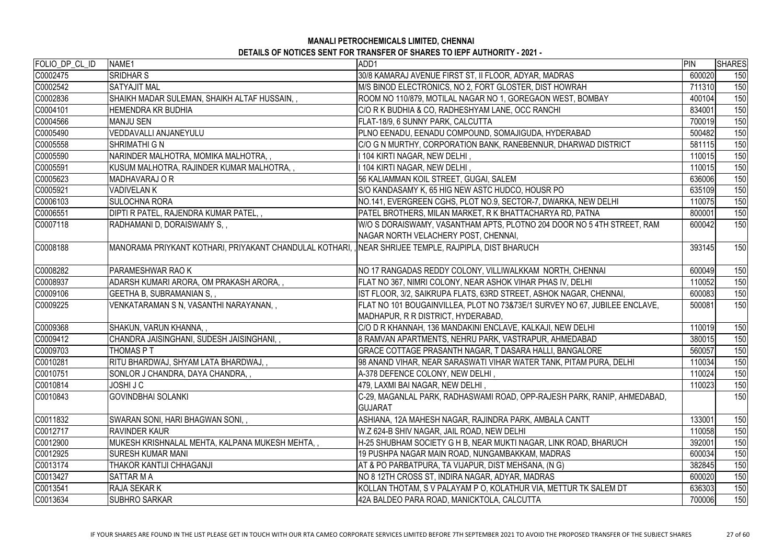| FOLIO_DP_CL_ID | NAME1                                                                                                  | ADD1                                                                                                             | PIN    | <b>SHARES</b> |
|----------------|--------------------------------------------------------------------------------------------------------|------------------------------------------------------------------------------------------------------------------|--------|---------------|
| C0002475       | <b>SRIDHAR S</b>                                                                                       | 30/8 KAMARAJ AVENUE FIRST ST, II FLOOR, ADYAR, MADRAS                                                            | 600020 | 150           |
| C0002542       | <b>SATYAJIT MAL</b>                                                                                    | M/S BINOD ELECTRONICS, NO 2, FORT GLOSTER, DIST HOWRAH                                                           | 711310 | 150           |
| C0002836       | SHAIKH MADAR SULEMAN, SHAIKH ALTAF HUSSAIN,,                                                           | ROOM NO 110/879, MOTILAL NAGAR NO 1, GOREGAON WEST, BOMBAY                                                       | 400104 | 150           |
| C0004101       | <b>HEMENDRA KR BUDHIA</b>                                                                              | C/O R K BUDHIA & CO, RADHESHYAM LANE, OCC RANCHI                                                                 | 834001 | 150           |
| C0004566       | <b>MANJU SEN</b>                                                                                       | FLAT-18/9, 6 SUNNY PARK, CALCUTTA                                                                                | 700019 | 150           |
| C0005490       | VEDDAVALLI ANJANEYULU                                                                                  | PLNO EENADU, EENADU COMPOUND, SOMAJIGUDA, HYDERABAD                                                              | 500482 | 150           |
| C0005558       | <b>SHRIMATHI G N</b>                                                                                   | C/O G N MURTHY, CORPORATION BANK, RANEBENNUR, DHARWAD DISTRICT                                                   | 581115 | 150           |
| C0005590       | NARINDER MALHOTRA, MOMIKA MALHOTRA,,                                                                   | I 104 KIRTI NAGAR, NEW DELHI ,                                                                                   | 110015 | 150           |
| C0005591       | KUSUM MALHOTRA, RAJINDER KUMAR MALHOTRA,,                                                              | 104 KIRTI NAGAR, NEW DELHI,                                                                                      | 110015 | 150           |
| C0005623       | MADHAVARAJ O R                                                                                         | 56 KALIAMMAN KOIL STREET, GUGAI, SALEM                                                                           | 636006 | 150           |
| C0005921       | <b>VADIVELANK</b>                                                                                      | S/O KANDASAMY K, 65 HIG NEW ASTC HUDCO, HOUSR PO                                                                 | 635109 | 150           |
| C0006103       | <b>SULOCHNA RORA</b>                                                                                   | NO.141, EVERGREEN CGHS, PLOT NO.9, SECTOR-7, DWARKA, NEW DELHI                                                   | 110075 | 150           |
| C0006551       | DIPTI R PATEL, RAJENDRA KUMAR PATEL,,                                                                  | PATEL BROTHERS, MILAN MARKET, R K BHATTACHARYA RD, PATNA                                                         | 800001 | 150           |
| C0007118       | RADHAMANI D, DORAISWAMY S,,                                                                            | W/O S DORAISWAMY, VASANTHAM APTS, PLOTNO 204 DOOR NO 5 4TH STREET, RAM                                           | 600042 | 150           |
|                |                                                                                                        | NAGAR NORTH VELACHERY POST, CHENNAI,                                                                             |        |               |
| C0008188       | MANORAMA PRIYKANT KOTHARI, PRIYAKANT CHANDULAL KOTHARI, , INEAR SHRIJEE TEMPLE, RAJPIPLA, DIST BHARUCH |                                                                                                                  | 393145 | 150           |
| C0008282       | <b>PARAMESHWAR RAO K</b>                                                                               | NO 17 RANGADAS REDDY COLONY, VILLIWALKKAM NORTH, CHENNAI                                                         | 600049 | 150           |
| C0008937       | ADARSH KUMARI ARORA, OM PRAKASH ARORA,,                                                                | FLAT NO 367, NIMRI COLONY, NEAR ASHOK VIHAR PHAS IV, DELHI                                                       | 110052 | 150           |
| C0009106       | <b>GEETHA B, SUBRAMANIAN S,,</b>                                                                       | IST FLOOR, 3/2, SAIKRUPA FLATS, 63RD STREET, ASHOK NAGAR, CHENNAI,                                               | 600083 | 150           |
| C0009225       | VENKATARAMAN S N, VASANTHI NARAYANAN, ,                                                                | FLAT NO 101 BOUGAINVILLEA, PLOT NO 73&73E/1 SURVEY NO 67, JUBILEE ENCLAVE,<br>MADHAPUR, R R DISTRICT, HYDERABAD, | 500081 | 150           |
| C0009368       | SHAKUN, VARUN KHANNA,,                                                                                 | C/O D R KHANNAH, 136 MANDAKINI ENCLAVE, KALKAJI, NEW DELHI                                                       | 110019 | 150           |
| C0009412       | CHANDRA JAISINGHANI, SUDESH JAISINGHANI,,                                                              | 8 RAMVAN APARTMENTS, NEHRU PARK, VASTRAPUR, AHMEDABAD                                                            | 380015 | 150           |
| C0009703       | <b>THOMAS PT</b>                                                                                       | GRACE COTTAGE PRASANTH NAGAR, T DASARA HALLI, BANGALORE                                                          | 560057 | 150           |
| C0010281       | RITU BHARDWAJ, SHYAM LATA BHARDWAJ, ,                                                                  | 98 ANAND VIHAR, NEAR SARASWATI VIHAR WATER TANK, PITAM PURA, DELHI                                               | 110034 | 150           |
| C0010751       | SONLOR J CHANDRA, DAYA CHANDRA,,                                                                       | A-378 DEFENCE COLONY, NEW DELHI,                                                                                 | 110024 | 150           |
| C0010814       | JOSHI J C                                                                                              | 479, LAXMI BAI NAGAR, NEW DELHI,                                                                                 | 110023 | 150           |
| C0010843       | <b>GOVINDBHAI SOLANKI</b>                                                                              | C-29, MAGANLAL PARK, RADHASWAMI ROAD, OPP-RAJESH PARK, RANIP, AHMEDABAD,                                         |        | 150           |
|                |                                                                                                        | <b>GUJARAT</b>                                                                                                   |        |               |
| C0011832       | SWARAN SONI, HARI BHAGWAN SONI,,                                                                       | ASHIANA, 12A MAHESH NAGAR, RAJINDRA PARK, AMBALA CANTT                                                           | 133001 | 150           |
| C0012717       | <b>RAVINDER KAUR</b>                                                                                   | W.Z 624-B SHIV NAGAR, JAIL ROAD, NEW DELHI                                                                       | 110058 | 150           |
| C0012900       | MUKESH KRISHNALAL MEHTA, KALPANA MUKESH MEHTA,,                                                        | H-25 SHUBHAM SOCIETY G H B, NEAR MUKTI NAGAR, LINK ROAD, BHARUCH                                                 | 392001 | 150           |
| C0012925       | <b>SURESH KUMAR MANI</b>                                                                               | 19 PUSHPA NAGAR MAIN ROAD, NUNGAMBAKKAM, MADRAS                                                                  | 600034 | 150           |
| C0013174       | THAKOR KANTIJI CHHAGANJI                                                                               | AT & PO PARBATPURA, TA VIJAPUR, DIST MEHSANA, (N G)                                                              | 382845 | 150           |
| C0013427       | <b>SATTAR M A</b>                                                                                      | NO 8 12TH CROSS ST, INDIRA NAGAR, ADYAR, MADRAS                                                                  | 600020 | 150           |
| C0013541       | <b>RAJA SEKAR K</b>                                                                                    | KOLLAN THOTAM, S V PALAYAM P O, KOLATHUR VIA, METTUR TK SALEM DT                                                 | 636303 | 150           |
| C0013634       | <b>SUBHRO SARKAR</b>                                                                                   | 42A BALDEO PARA ROAD, MANICKTOLA, CALCUTTA                                                                       | 700006 | 150           |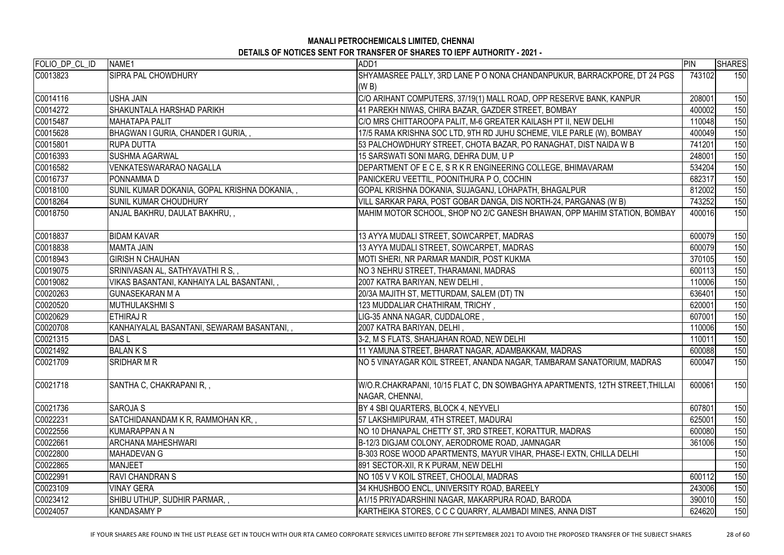| FOLIO_DP_CL_ID | NAME1                                         | ADD1                                                                                             | PIN    | <b>SHARES</b> |
|----------------|-----------------------------------------------|--------------------------------------------------------------------------------------------------|--------|---------------|
| C0013823       | <b>SIPRA PAL CHOWDHURY</b>                    | SHYAMASREE PALLY, 3RD LANE P O NONA CHANDANPUKUR, BARRACKPORE, DT 24 PGS                         | 743102 | 150           |
|                |                                               | (W B)                                                                                            |        |               |
| C0014116       | <b>USHA JAIN</b>                              | C/O ARIHANT COMPUTERS, 37/19(1) MALL ROAD, OPP RESERVE BANK, KANPUR                              | 208001 | 150           |
| C0014272       | SHAKUNTALA HARSHAD PARIKH                     | 41 PAREKH NIWAS, CHIRA BAZAR, GAZDER STREET, BOMBAY                                              | 400002 | 150           |
| C0015487       | MAHATAPA PALIT                                | C/O MRS CHITTAROOPA PALIT, M-6 GREATER KAILASH PT II, NEW DELHI                                  | 110048 | 150           |
| C0015628       | BHAGWAN I GURIA, CHANDER I GURIA,,            | 17/5 RAMA KRISHNA SOC LTD, 9TH RD JUHU SCHEME, VILE PARLE (W), BOMBAY                            | 400049 | 150           |
| C0015801       | <b>IRUPA DUTTA</b>                            | 53 PALCHOWDHURY STREET, CHOTA BAZAR, PO RANAGHAT, DIST NAIDA W B                                 | 741201 | 150           |
| C0016393       | <b>SUSHMA AGARWAL</b>                         | 15 SARSWATI SONI MARG, DEHRA DUM, U P                                                            | 248001 | 150           |
| C0016582       | <b>VENKATESWARARAO NAGALLA</b>                | DEPARTMENT OF E C E, S R K R ENGINEERING COLLEGE, BHIMAVARAM                                     | 534204 | 150           |
| C0016737       | <b>PONNAMMAD</b>                              | PANICKERU VEETTIL, POONITHURA P O, COCHIN                                                        | 682317 | 150           |
| C0018100       | SUNIL KUMAR DOKANIA, GOPAL KRISHNA DOKANIA, , | GOPAL KRISHNA DOKANIA, SUJAGANJ, LOHAPATH, BHAGALPUR                                             | 812002 | 150           |
| C0018264       | <b>SUNIL KUMAR CHOUDHURY</b>                  | VILL SARKAR PARA, POST GOBAR DANGA, DIS NORTH-24, PARGANAS (W B)                                 | 743252 | 150           |
| C0018750       | ANJAL BAKHRU, DAULAT BAKHRU, ,                | MAHIM MOTOR SCHOOL, SHOP NO 2/C GANESH BHAWAN, OPP MAHIM STATION, BOMBAY                         | 400016 | 150           |
| C0018837       | <b>BIDAM KAVAR</b>                            | 13 AYYA MUDALI STREET, SOWCARPET, MADRAS                                                         | 600079 | 150           |
| C0018838       | MAMTA JAIN                                    | 13 AYYA MUDALI STREET, SOWCARPET, MADRAS                                                         | 600079 | 150           |
| C0018943       | <b>GIRISH N CHAUHAN</b>                       | MOTI SHERI, NR PARMAR MANDIR, POST KUKMA                                                         | 370105 | 150           |
| C0019075       | SRINIVASAN AL, SATHYAVATHI R S, ,             | NO 3 NEHRU STREET, THARAMANI, MADRAS                                                             | 600113 | 150           |
| C0019082       | VIKAS BASANTANI, KANHAIYA LAL BASANTANI,,     | 2007 KATRA BARIYAN, NEW DELHI,                                                                   | 110006 | 150           |
| C0020263       | <b>GUNASEKARAN M A</b>                        | 20/3A MAJITH ST, METTURDAM, SALEM (DT) TN                                                        | 636401 | 150           |
| C0020520       | MUTHULAKSHMI S                                | 123 MUDDALIAR CHATHIRAM, TRICHY,                                                                 | 620001 | 150           |
| C0020629       | <b>ETHIRAJ R</b>                              | LIG-35 ANNA NAGAR, CUDDALORE,                                                                    | 607001 | 150           |
| C0020708       | KANHAIYALAL BASANTANI, SEWARAM BASANTANI, ,   | 2007 KATRA BARIYAN, DELHI,                                                                       | 110006 | 150           |
| C0021315       | DAS <sub>L</sub>                              | 3-2, M S FLATS, SHAHJAHAN ROAD, NEW DELHI                                                        | 110011 | 150           |
| C0021492       | <b>BALANKS</b>                                | 11 YAMUNA STREET, BHARAT NAGAR, ADAMBAKKAM, MADRAS                                               | 600088 | 150           |
| C0021709       | <b>SRIDHAR M R</b>                            | NO 5 VINAYAGAR KOIL STREET, ANANDA NAGAR, TAMBARAM SANATORIUM, MADRAS                            | 600047 | 150           |
| C0021718       | SANTHA C, CHAKRAPANI R, ,                     | W/O.R.CHAKRAPANI, 10/15 FLAT C, DN SOWBAGHYA APARTMENTS, 12TH STREET, THILLAI<br>NAGAR, CHENNAI, | 600061 | 150           |
| C0021736       | <b>SAROJA S</b>                               | BY 4 SBI QUARTERS, BLOCK 4, NEYVELI                                                              | 607801 | 150           |
| C0022231       | SATCHIDANANDAM K R, RAMMOHAN KR,,             | 57 LAKSHMIPURAM, 4TH STREET, MADURAI                                                             | 625001 | 150           |
| C0022556       | KUMARAPPAN A N                                | NO 10 DHANAPAL CHETTY ST, 3RD STREET, KORATTUR, MADRAS                                           | 600080 | 150           |
| C0022661       | <b>ARCHANA MAHESHWARI</b>                     | B-12/3 DIGJAM COLONY, AERODROME ROAD, JAMNAGAR                                                   | 361006 | 150           |
| C0022800       | MAHADEVAN G                                   | B-303 ROSE WOOD APARTMENTS, MAYUR VIHAR, PHASE-I EXTN, CHILLA DELHI                              |        | 150           |
| C0022865       | <b>MANJEET</b>                                | 891 SECTOR-XII, R K PURAM, NEW DELHI                                                             |        | 150           |
| C0022991       | <b>RAVI CHANDRAN S</b>                        | NO 105 V V KOIL STREET, CHOOLAI, MADRAS                                                          | 600112 | 150           |
| C0023109       | <b>VINAY GERA</b>                             | 34 KHUSHBOO ENCL, UNIVERSITY ROAD, BAREELY                                                       | 243006 | 150           |
| C0023412       | SHIBU UTHUP, SUDHIR PARMAR,,                  | A1/15 PRIYADARSHINI NAGAR, MAKARPURA ROAD, BARODA                                                | 390010 | 150           |
| C0024057       | <b>KANDASAMY P</b>                            | KARTHEIKA STORES, C C C QUARRY, ALAMBADI MINES, ANNA DIST                                        | 624620 | 150           |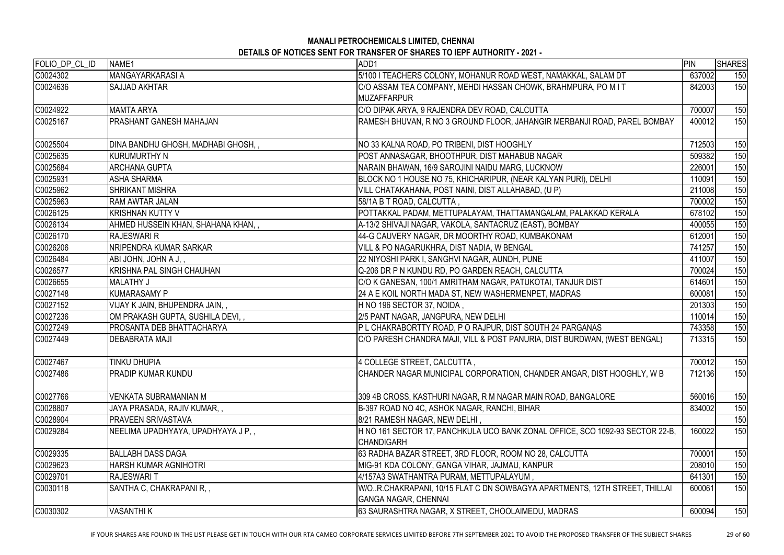| FOLIO DP CL ID | NAME1                               | ADD1                                                                                               | PIN    | <b>SHARES</b> |
|----------------|-------------------------------------|----------------------------------------------------------------------------------------------------|--------|---------------|
| C0024302       | <b>MANGAYARKARASI A</b>             | 5/100 I TEACHERS COLONY, MOHANUR ROAD WEST, NAMAKKAL, SALAM DT                                     | 637002 | 150           |
| C0024636       | <b>SAJJAD AKHTAR</b>                | C/O ASSAM TEA COMPANY, MEHDI HASSAN CHOWK, BRAHMPURA, PO M IT<br>IMUZAFFARPUR                      | 842003 | 150           |
| C0024922       | <b>MAMTA ARYA</b>                   | C/O DIPAK ARYA, 9 RAJENDRA DEV ROAD, CALCUTTA                                                      | 700007 | 150           |
| C0025167       | <b>PRASHANT GANESH MAHAJAN</b>      | RAMESH BHUVAN, R NO 3 GROUND FLOOR, JAHANGIR MERBANJI ROAD, PAREL BOMBAY                           | 400012 | 150           |
| C0025504       | DINA BANDHU GHOSH, MADHABI GHOSH, , | NO 33 KALNA ROAD, PO TRIBENI, DIST HOOGHLY                                                         | 712503 | 150           |
| C0025635       | IKURUMURTHY N                       | POST ANNASAGAR, BHOOTHPUR, DIST MAHABUB NAGAR                                                      | 509382 | 150           |
| C0025684       | <b>ARCHANA GUPTA</b>                | NARAIN BHAWAN, 16/9 SAROJINI NAIDU MARG, LUCKNOW                                                   | 226001 | 150           |
| C0025931       | <b>ASHA SHARMA</b>                  | BLOCK NO 1 HOUSE NO 75, KHICHARIPUR, (NEAR KALYAN PURI), DELHI                                     | 110091 | 150           |
| C0025962       | <b>SHRIKANT MISHRA</b>              | VILL CHATAKAHANA, POST NAINI, DIST ALLAHABAD, (U P)                                                | 211008 | 150           |
| C0025963       | <b>RAM AWTAR JALAN</b>              | 58/1A B T ROAD, CALCUTTA,                                                                          | 700002 | 150           |
| C0026125       | KRISHNAN KUTTY V                    | POTTAKKAL PADAM, METTUPALAYAM, THATTAMANGALAM, PALAKKAD KERALA                                     | 678102 | 150           |
| C0026134       | AHMED HUSSEIN KHAN, SHAHANA KHAN, , | A-13/2 SHIVAJI NAGAR, VAKOLA, SANTACRUZ (EAST), BOMBAY                                             | 400055 | 150           |
| C0026170       | <b>RAJESWARI R</b>                  | 44-G CAUVERY NAGAR, DR MOORTHY ROAD, KUMBAKONAM                                                    | 612001 | 150           |
| C0026206       | <b>INRIPENDRA KUMAR SARKAR</b>      | VILL & PO NAGARUKHRA, DIST NADIA, W BENGAL                                                         | 741257 | 150           |
| C0026484       | ABI JOHN, JOHN A J,,                | 22 NIYOSHI PARK I, SANGHVI NAGAR, AUNDH, PUNE                                                      | 411007 | 150           |
| C0026577       | KRISHNA PAL SINGH CHAUHAN           | Q-206 DR P N KUNDU RD, PO GARDEN REACH, CALCUTTA                                                   | 700024 | 150           |
| C0026655       | <b>MALATHY J</b>                    | C/O K GANESAN, 100/1 AMRITHAM NAGAR, PATUKOTAI, TANJUR DIST                                        | 614601 | 150           |
| C0027148       | KUMARASAMY P                        | 24 A E KOIL NORTH MADA ST, NEW WASHERMENPET, MADRAS                                                | 600081 | 150           |
| C0027152       | VIJAY K JAIN, BHUPENDRA JAIN, ,     | H NO 196 SECTOR 37, NOIDA,                                                                         | 201303 | 150           |
| C0027236       | OM PRAKASH GUPTA, SUSHILA DEVI, ,   | 2/5 PANT NAGAR, JANGPURA, NEW DELHI                                                                | 110014 | 150           |
| C0027249       | <b>PROSANTA DEB BHATTACHARYA</b>    | P L CHAKRABORTTY ROAD, P O RAJPUR, DIST SOUTH 24 PARGANAS                                          | 743358 | 150           |
| C0027449       | <b>IDEBABRATA MAJI</b>              | C/O PARESH CHANDRA MAJI, VILL & POST PANURIA, DIST BURDWAN, (WEST BENGAL)                          | 713315 | 150           |
| C0027467       | <b>TINKU DHUPIA</b>                 | 4 COLLEGE STREET, CALCUTTA,                                                                        | 700012 | 150           |
| C0027486       | PRADIP KUMAR KUNDU                  | CHANDER NAGAR MUNICIPAL CORPORATION, CHANDER ANGAR, DIST HOOGHLY, W B                              | 712136 | 150           |
| C0027766       | VENKATA SUBRAMANIAN M               | 309 4B CROSS, KASTHURI NAGAR, R M NAGAR MAIN ROAD, BANGALORE                                       | 560016 | 150           |
| C0028807       | JAYA PRASADA, RAJIV KUMAR, ,        | B-397 ROAD NO 4C, ASHOK NAGAR, RANCHI, BIHAR                                                       | 834002 | 150           |
| C0028904       | <b>PRAVEEN SRIVASTAVA</b>           | 8/21 RAMESH NAGAR, NEW DELHI,                                                                      |        | 150           |
| C0029284       | NEELIMA UPADHYAYA, UPADHYAYA J P,,  | H NO 161 SECTOR 17, PANCHKULA UCO BANK ZONAL OFFICE, SCO 1092-93 SECTOR 22-B,<br><b>CHANDIGARH</b> | 160022 | 150           |
| C0029335       | <b>BALLABH DASS DAGA</b>            | 63 RADHA BAZAR STREET, 3RD FLOOR, ROOM NO 28, CALCUTTA                                             | 700001 | 150           |
| C0029623       | HARSH KUMAR AGNIHOTRI               | MIG-91 KDA COLONY, GANGA VIHAR, JAJMAU, KANPUR                                                     | 208010 | 150           |
| C0029701       | <b>RAJESWARI T</b>                  | 4/157A3 SWATHANTRA PURAM, METTUPALAYUM,                                                            | 641301 | 150           |
| C0030118       | SANTHA C, CHAKRAPANI R,,            | W/OR.CHAKRAPANI, 10/15 FLAT C DN SOWBAGYA APARTMENTS, 12TH STREET, THILLAI                         | 600061 | 150           |
|                |                                     | <b>GANGA NAGAR, CHENNAI</b>                                                                        |        |               |
| C0030302       | <b>VASANTHIK</b>                    | 63 SAURASHTRA NAGAR, X STREET, CHOOLAIMEDU, MADRAS                                                 | 600094 | 150           |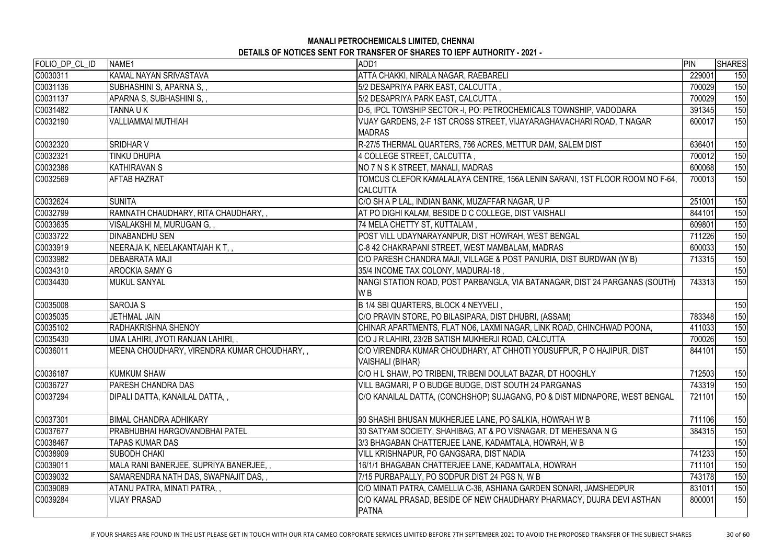| FOLIO_DP_CL_ID | NAME1                                       | ADD1                                                                                  | PIN    | <b>SHARES</b> |
|----------------|---------------------------------------------|---------------------------------------------------------------------------------------|--------|---------------|
| C0030311       | KAMAL NAYAN SRIVASTAVA                      | ATTA CHAKKI, NIRALA NAGAR, RAEBARELI                                                  | 229001 | 150           |
| C0031136       | SUBHASHINI S, APARNA S, ,                   | 5/2 DESAPRIYA PARK EAST, CALCUTTA,                                                    | 700029 | 150           |
| C0031137       | APARNA S, SUBHASHINI S, ,                   | 5/2 DESAPRIYA PARK EAST, CALCUTTA,                                                    | 700029 | 150           |
| C0031482       | TANNA U K                                   | D-5, IPCL TOWSHIP SECTOR -I, PO: PETROCHEMICALS TOWNSHIP, VADODARA                    | 391345 | 150           |
| C0032190       | <b>VALLIAMMAI MUTHIAH</b>                   | VIJAY GARDENS, 2-F 1ST CROSS STREET, VIJAYARAGHAVACHARI ROAD, T NAGAR                 | 600017 | 150           |
|                |                                             | <b>MADRAS</b>                                                                         |        |               |
| C0032320       | <b>SRIDHAR V</b>                            | R-27/5 THERMAL QUARTERS, 756 ACRES, METTUR DAM, SALEM DIST                            | 636401 | 150           |
| C0032321       | TINKU DHUPIA                                | 4 COLLEGE STREET, CALCUTTA,                                                           | 700012 | 150           |
| C0032386       | <b>KATHIRAVAN S</b>                         | NO 7 N S K STREET, MANALI, MADRAS                                                     | 600068 | 150           |
| C0032569       | <b>AFTAB HAZRAT</b>                         | TOMCUS CLEFOR KAMALALAYA CENTRE, 156A LENIN SARANI, 1ST FLOOR ROOM NO F-64,           | 700013 | 150           |
|                |                                             | <b>CALCUTTA</b>                                                                       |        |               |
| C0032624       | <b>SUNITA</b>                               | C/O SH A P LAL, INDIAN BANK, MUZAFFAR NAGAR, U P                                      | 251001 | 150           |
| C0032799       | RAMNATH CHAUDHARY, RITA CHAUDHARY,,         | AT PO DIGHI KALAM, BESIDE D C COLLEGE, DIST VAISHALI                                  | 844101 | 150           |
| C0033635       | VISALAKSHI M, MURUGAN G, ,                  | 74 MELA CHETTY ST, KUTTALAM,                                                          | 609801 | 150           |
| C0033722       | <b>DINABANDHU SEN</b>                       | POST VILL UDAYNARAYANPUR, DIST HOWRAH, WEST BENGAL                                    | 711226 | 150           |
| C0033919       | NEERAJA K, NEELAKANTAIAH K T, ,             | C-8 42 CHAKRAPANI STREET, WEST MAMBALAM, MADRAS                                       | 600033 | 150           |
| C0033982       | <b>DEBABRATA MAJI</b>                       | C/O PARESH CHANDRA MAJI, VILLAGE & POST PANURIA, DIST BURDWAN (W B)                   | 713315 | 150           |
| C0034310       | <b>AROCKIA SAMY G</b>                       | 35/4 INCOME TAX COLONY, MADURAI-18,                                                   |        | 150           |
| C0034430       | <b>MUKUL SANYAL</b>                         | NANGI STATION ROAD, POST PARBANGLA, VIA BATANAGAR, DIST 24 PARGANAS (SOUTH)           | 743313 | 150           |
|                |                                             | W <sub>B</sub>                                                                        |        |               |
| C0035008       | <b>SAROJA S</b>                             | B 1/4 SBI QUARTERS, BLOCK 4 NEYVELI,                                                  |        | 150           |
| C0035035       | <b>JETHMAL JAIN</b>                         | C/O PRAVIN STORE, PO BILASIPARA, DIST DHUBRI, (ASSAM)                                 | 783348 | 150           |
| C0035102       | <b>RADHAKRISHNA SHENOY</b>                  | CHINAR APARTMENTS, FLAT NO6, LAXMI NAGAR, LINK ROAD, CHINCHWAD POONA,                 | 411033 | 150           |
| C0035430       | UMA LAHIRI, JYOTI RANJAN LAHIRI, ,          | C/O J R LAHIRI, 23/2B SATISH MUKHERJI ROAD, CALCUTTA                                  | 700026 | 150           |
| C0036011       | MEENA CHOUDHARY, VIRENDRA KUMAR CHOUDHARY,, | C/O VIRENDRA KUMAR CHOUDHARY, AT CHHOTI YOUSUFPUR, P O HAJIPUR, DIST                  | 844101 | 150           |
|                |                                             | VAISHALI (BIHAR)                                                                      |        |               |
| C0036187       | <b>KUMKUM SHAW</b>                          | C/O H L SHAW, PO TRIBENI, TRIBENI DOULAT BAZAR, DT HOOGHLY                            | 712503 | 150           |
| C0036727       | <b>PARESH CHANDRA DAS</b>                   | VILL BAGMARI, P O BUDGE BUDGE, DIST SOUTH 24 PARGANAS                                 | 743319 | 150           |
| C0037294       | DIPALI DATTA, KANAILAL DATTA,,              | C/O KANAILAL DATTA, (CONCHSHOP) SUJAGANG, PO & DIST MIDNAPORE, WEST BENGAL            | 721101 | 150           |
| C0037301       | BIMAL CHANDRA ADHIKARY                      | 90 SHASHI BHUSAN MUKHERJEE LANE, PO SALKIA, HOWRAH W B                                | 711106 | 150           |
| C0037677       | PRABHUBHAI HARGOVANDBHAI PATEL              | 30 SATYAM SOCIETY, SHAHIBAG, AT & PO VISNAGAR, DT MEHESANA N G                        | 384315 | 150           |
| C0038467       | TAPAS KUMAR DAS                             | 3/3 BHAGABAN CHATTERJEE LANE, KADAMTALA, HOWRAH, W B                                  |        | 150           |
| C0038909       | <b>SUBODH CHAKI</b>                         | VILL KRISHNAPUR, PO GANGSARA, DIST NADIA                                              | 741233 | 150           |
| C0039011       | MALA RANI BANERJEE, SUPRIYA BANERJEE, ,     | 16/1/1 BHAGABAN CHATTERJEE LANE, KADAMTALA, HOWRAH                                    | 711101 | 150           |
| C0039032       | SAMARENDRA NATH DAS, SWAPNAJIT DAS,,        | 7/15 PURBAPALLY, PO SODPUR DIST 24 PGS N, W B                                         | 743178 | 150           |
| C0039089       | ATANU PATRA, MINATI PATRA, ,                | C/O MINATI PATRA, CAMELLIA C-36, ASHIANA GARDEN SONARI, JAMSHEDPUR                    | 831011 | 150           |
| C0039284       | <b>VIJAY PRASAD</b>                         | C/O KAMAL PRASAD, BESIDE OF NEW CHAUDHARY PHARMACY, DUJRA DEVI ASTHAN<br><b>PATNA</b> | 800001 | 150           |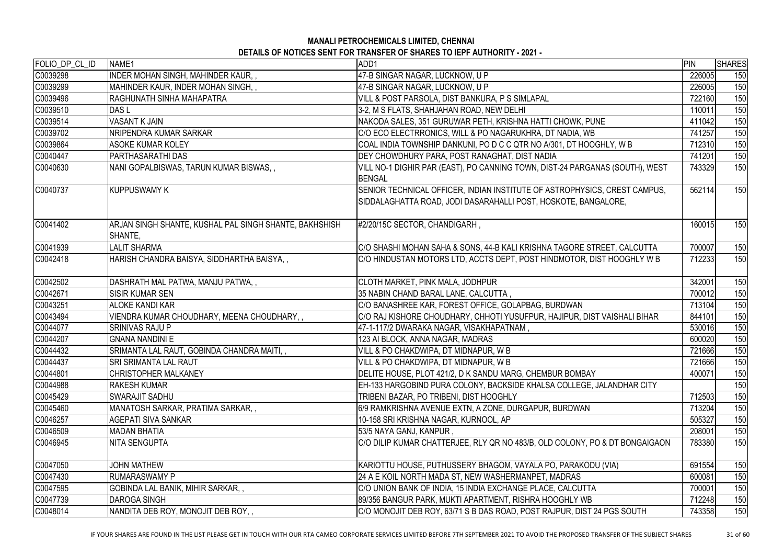| FOLIO_DP_CL_ID | NAME <sub>1</sub>                                                 | ADD1                                                                                                                                        | PIN    | <b>SHARES</b> |
|----------------|-------------------------------------------------------------------|---------------------------------------------------------------------------------------------------------------------------------------------|--------|---------------|
| C0039298       | <b>INDER MOHAN SINGH, MAHINDER KAUR,,</b>                         | 47-B SINGAR NAGAR, LUCKNOW, U P                                                                                                             | 226005 | 150           |
| C0039299       | MAHINDER KAUR, INDER MOHAN SINGH,,                                | 47-B SINGAR NAGAR, LUCKNOW, U P                                                                                                             | 226005 | 150           |
| C0039496       | RAGHUNATH SINHA MAHAPATRA                                         | VILL & POST PARSOLA, DIST BANKURA, P S SIMLAPAL                                                                                             | 722160 | 150           |
| C0039510       | <b>DASL</b>                                                       | 3-2, M S FLATS, SHAHJAHAN ROAD, NEW DELHI                                                                                                   | 110011 | 150           |
| C0039514       | <b>VASANT K JAIN</b>                                              | NAKODA SALES, 351 GURUWAR PETH, KRISHNA HATTI CHOWK, PUNE                                                                                   | 411042 | 150           |
| C0039702       | NRIPENDRA KUMAR SARKAR                                            | C/O ECO ELECTRRONICS, WILL & PO NAGARUKHRA, DT NADIA, WB                                                                                    | 741257 | 150           |
| C0039864       | <b>ASOKE KUMAR KOLEY</b>                                          | COAL INDIA TOWNSHIP DANKUNI, PO D C C QTR NO A/301, DT HOOGHLY, W B                                                                         | 712310 | 150           |
| C0040447       | <b>PARTHASARATHI DAS</b>                                          | DEY CHOWDHURY PARA, POST RANAGHAT, DIST NADIA                                                                                               | 741201 | 150           |
| C0040630       | NANI GOPALBISWAS, TARUN KUMAR BISWAS,,                            | VILL NO-1 DIGHIR PAR (EAST), PO CANNING TOWN, DIST-24 PARGANAS (SOUTH), WEST<br><b>BENGAL</b>                                               | 743329 | 150           |
| C0040737       | <b>KUPPUSWAMY K</b>                                               | SENIOR TECHNICAL OFFICER, INDIAN INSTITUTE OF ASTROPHYSICS, CREST CAMPUS,<br>SIDDALAGHATTA ROAD, JODI DASARAHALLI POST, HOSKOTE, BANGALORE, | 562114 | 150           |
| C0041402       | ARJAN SINGH SHANTE, KUSHAL PAL SINGH SHANTE, BAKHSHISH<br>SHANTE, | #2/20/15C SECTOR, CHANDIGARH,                                                                                                               | 160015 | 150           |
| C0041939       | <b>LALIT SHARMA</b>                                               | C/O SHASHI MOHAN SAHA & SONS, 44-B KALI KRISHNA TAGORE STREET, CALCUTTA                                                                     | 700007 | 150           |
| C0042418       | HARISH CHANDRA BAISYA, SIDDHARTHA BAISYA,,                        | C/O HINDUSTAN MOTORS LTD, ACCTS DEPT, POST HINDMOTOR, DIST HOOGHLY W B                                                                      | 712233 | 150           |
| C0042502       | DASHRATH MAL PATWA, MANJU PATWA,,                                 | CLOTH MARKET, PINK MALA, JODHPUR                                                                                                            | 342001 | 150           |
| C0042671       | <b>SISIR KUMAR SEN</b>                                            | 35 NABIN CHAND BARAL LANE, CALCUTTA,                                                                                                        | 700012 | 150           |
| C0043251       | <b>ALOKE KANDI KAR</b>                                            | C/O BANASHREE KAR, FOREST OFFICE, GOLAPBAG, BURDWAN                                                                                         | 713104 | 150           |
| C0043494       | VIENDRA KUMAR CHOUDHARY, MEENA CHOUDHARY,,                        | C/O RAJ KISHORE CHOUDHARY, CHHOTI YUSUFPUR, HAJIPUR, DIST VAISHALI BIHAR                                                                    | 844101 | 150           |
| C0044077       | <b>SRINIVAS RAJU P</b>                                            | 47-1-117/2 DWARAKA NAGAR, VISAKHAPATNAM,                                                                                                    | 530016 | 150           |
| C0044207       | <b>GNANA NANDINI E</b>                                            | 123 AI BLOCK, ANNA NAGAR, MADRAS                                                                                                            | 600020 | 150           |
| C0044432       | SRIMANTA LAL RAUT, GOBINDA CHANDRA MAITI,,                        | VILL & PO CHAKDWIPA, DT MIDNAPUR, W B                                                                                                       | 721666 | 150           |
| C0044437       | <b>SRI SRIMANTA LAL RAUT</b>                                      | VILL & PO CHAKDWIPA, DT MIDNAPUR, W B                                                                                                       | 721666 | 150           |
| C0044801       | <b>CHRISTOPHER MALKANEY</b>                                       | DELITE HOUSE, PLOT 421/2, D K SANDU MARG, CHEMBUR BOMBAY                                                                                    | 400071 | 150           |
| C0044988       | <b>RAKESH KUMAR</b>                                               | EH-133 HARGOBIND PURA COLONY, BACKSIDE KHALSA COLLEGE, JALANDHAR CITY                                                                       |        | 150           |
| C0045429       | <b>SWARAJIT SADHU</b>                                             | TRIBENI BAZAR, PO TRIBENI, DIST HOOGHLY                                                                                                     | 712503 | 150           |
| C0045460       | MANATOSH SARKAR, PRATIMA SARKAR,,                                 | 6/9 RAMKRISHNA AVENUE EXTN, A ZONE, DURGAPUR, BURDWAN                                                                                       | 713204 | 150           |
| C0046257       | <b>AGEPATI SIVA SANKAR</b>                                        | 10-158 SRI KRISHNA NAGAR, KURNOOL, AP                                                                                                       | 505327 | 150           |
| C0046509       | <b>MADAN BHATIA</b>                                               | 53/5 NAYA GANJ, KANPUR,                                                                                                                     | 208001 | 150           |
| C0046945       | NITA SENGUPTA                                                     | C/O DILIP KUMAR CHATTERJEE, RLY QR NO 483/B, OLD COLONY, PO & DT BONGAIGAON                                                                 | 783380 | 150           |
| C0047050       | <b>JOHN MATHEW</b>                                                | KARIOTTU HOUSE, PUTHUSSERY BHAGOM, VAYALA PO, PARAKODU (VIA)                                                                                | 691554 | 150           |
| C0047430       | <b>RUMARASWAMY P</b>                                              | 24 A E KOIL NORTH MADA ST, NEW WASHERMANPET, MADRAS                                                                                         | 600081 | 150           |
| C0047595       | GOBINDA LAL BANIK, MIHIR SARKAR,,                                 | C/O UNION BANK OF INDIA, 15 INDIA EXCHANGE PLACE, CALCUTTA                                                                                  | 700001 | 150           |
| C0047739       | <b>DAROGA SINGH</b>                                               | 89/356 BANGUR PARK, MUKTI APARTMENT, RISHRA HOOGHLY WB                                                                                      | 712248 | 150           |
| C0048014       | NANDITA DEB ROY, MONOJIT DEB ROY,,                                | C/O MONOJIT DEB ROY, 63/71 S B DAS ROAD, POST RAJPUR, DIST 24 PGS SOUTH                                                                     | 743358 | 150           |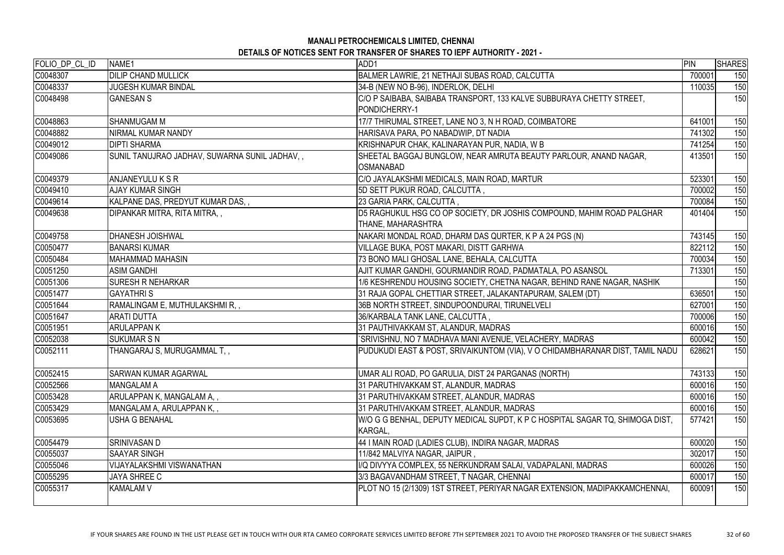| FOLIO_DP_CL_ID | NAME1                                         | ADD1                                                                                    | PIN    | <b>SHARES</b> |
|----------------|-----------------------------------------------|-----------------------------------------------------------------------------------------|--------|---------------|
| C0048307       | <b>DILIP CHAND MULLICK</b>                    | BALMER LAWRIE, 21 NETHAJI SUBAS ROAD, CALCUTTA                                          | 700001 | 150           |
| C0048337       | <b>JUGESH KUMAR BINDAL</b>                    | 34-B (NEW NO B-96), INDERLOK, DELHI                                                     | 110035 | 150           |
| C0048498       | <b>GANESAN S</b>                              | C/O P SAIBABA, SAIBABA TRANSPORT, 133 KALVE SUBBURAYA CHETTY STREET,                    |        | 150           |
|                |                                               | PONDICHERRY-1                                                                           |        |               |
| C0048863       | <b>SHANMUGAM M</b>                            | 17/7 THIRUMAL STREET, LANE NO 3, N H ROAD, COIMBATORE                                   | 641001 | 150           |
| C0048882       | NIRMAL KUMAR NANDY                            | HARISAVA PARA, PO NABADWIP, DT NADIA                                                    | 741302 | 150           |
| C0049012       | <b>DIPTI SHARMA</b>                           | KRISHNAPUR CHAK, KALINARAYAN PUR, NADIA, W B                                            | 741254 | 150           |
| C0049086       | SUNIL TANUJRAO JADHAV, SUWARNA SUNIL JADHAV,, | SHEETAL BAGGAJ BUNGLOW, NEAR AMRUTA BEAUTY PARLOUR, ANAND NAGAR,                        | 413501 | 150           |
|                |                                               | <b>OSMANABAD</b>                                                                        |        |               |
| C0049379       | ANJANEYULU K S R                              | C/O JAYALAKSHMI MEDICALS, MAIN ROAD, MARTUR                                             | 523301 | 150           |
| C0049410       | <b>AJAY KUMAR SINGH</b>                       | 5D SETT PUKUR ROAD, CALCUTTA,                                                           | 700002 | 150           |
| C0049614       | KALPANE DAS, PREDYUT KUMAR DAS,,              | 23 GARIA PARK, CALCUTTA,                                                                | 700084 | 150           |
| C0049638       | DIPANKAR MITRA, RITA MITRA,,                  | D5 RAGHUKUL HSG CO OP SOCIETY, DR JOSHIS COMPOUND, MAHIM ROAD PALGHAR                   | 401404 | 150           |
|                |                                               | THANE, MAHARASHTRA                                                                      |        |               |
| C0049758       | <b>DHANESH JOISHWAL</b>                       | NAKARI MONDAL ROAD, DHARM DAS QURTER, K P A 24 PGS (N)                                  | 743145 | 150           |
| C0050477       | <b>BANARSI KUMAR</b>                          | VILLAGE BUKA, POST MAKARI, DISTT GARHWA                                                 | 822112 | 150           |
| C0050484       | <b>MAHAMMAD MAHASIN</b>                       | 73 BONO MALI GHOSAL LANE, BEHALA, CALCUTTA                                              | 700034 | 150           |
| C0051250       | <b>ASIM GANDHI</b>                            | AJIT KUMAR GANDHI, GOURMANDIR ROAD, PADMATALA, PO ASANSOL                               | 713301 | 150           |
| C0051306       | <b>SURESH R NEHARKAR</b>                      | 1/6 KESHRENDU HOUSING SOCIETY, CHETNA NAGAR, BEHIND RANE NAGAR, NASHIK                  |        | 150           |
| C0051477       | <b>GAYATHRIS</b>                              | 31 RAJA GOPAL CHETTIAR STREET, JALAKANTAPURAM, SALEM (DT)                               | 636501 | 150           |
| C0051644       | RAMALINGAM E, MUTHULAKSHMI R, ,               | 36B NORTH STREET, SINDUPOONDURAI, TIRUNELVELI                                           | 627001 | 150           |
| C0051647       | <b>ARATI DUTTA</b>                            | 36/KARBALA TANK LANE, CALCUTTA,                                                         | 700006 | 150           |
| C0051951       | <b>ARULAPPANK</b>                             | 31 PAUTHIVAKKAM ST, ALANDUR, MADRAS                                                     | 600016 | 150           |
| C0052038       | <b>SUKUMAR S N</b>                            | SRIVISHNU, NO 7 MADHAVA MANI AVENUE, VELACHERY, MADRAS                                  | 600042 | 150           |
| C0052111       | THANGARAJ S, MURUGAMMAL T, ,                  | PUDUKUDI EAST & POST, SRIVAIKUNTOM (VIA), V O CHIDAMBHARANAR DIST, TAMIL NADU           | 628621 | 150           |
| C0052415       | SARWAN KUMAR AGARWAL                          | UMAR ALI ROAD, PO GARULIA, DIST 24 PARGANAS (NORTH)                                     | 743133 | 150           |
| C0052566       | <b>MANGALAM A</b>                             | 31 PARUTHIVAKKAM ST, ALANDUR, MADRAS                                                    | 600016 | 150           |
| C0053428       | ARULAPPAN K, MANGALAM A, ,                    | 31 PARUTHIVAKKAM STREET, ALANDUR, MADRAS                                                | 600016 | 150           |
| C0053429       | MANGALAM A, ARULAPPAN K, ,                    | 31 PARUTHIVAKKAM STREET, ALANDUR, MADRAS                                                | 600016 | 150           |
| C0053695       | <b>USHA G BENAHAL</b>                         | W/O G G BENHAL, DEPUTY MEDICAL SUPDT, K P C HOSPITAL SAGAR TQ, SHIMOGA DIST,<br>KARGAL, | 577421 | 150           |
| C0054479       | SRINIVASAN D                                  | 44 I MAIN ROAD (LADIES CLUB), INDIRA NAGAR, MADRAS                                      | 600020 | 150           |
| C0055037       | <b>SAAYAR SINGH</b>                           | 11/842 MALVIYA NAGAR, JAIPUR,                                                           | 302017 | 150           |
| C0055046       | <b>VIJAYALAKSHMI VISWANATHAN</b>              | I/Q DIVYYA COMPLEX, 55 NERKUNDRAM SALAI, VADAPALANI, MADRAS                             | 600026 | 150           |
| C0055295       | <b>JAYA SHREE C</b>                           | 3/3 BAGAVANDHAM STREET, T NAGAR, CHENNAI                                                | 600017 | 150           |
| C0055317       | <b>KAMALAM V</b>                              | PLOT NO 15 (2/1309) 1ST STREET, PERIYAR NAGAR EXTENSION, MADIPAKKAMCHENNAI,             | 600091 | 150           |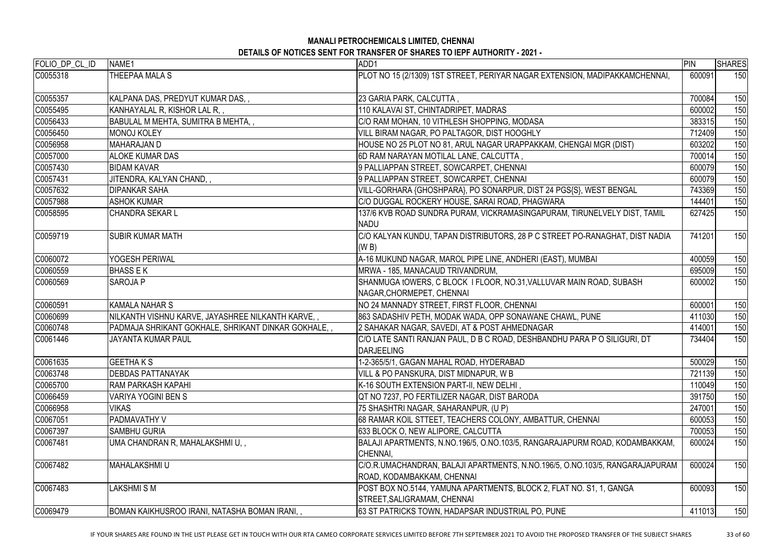| FOLIO_DP_CL_ID | NAME1                                               | ADD1                                                                                                        | PIN    | <b>SHARES</b> |
|----------------|-----------------------------------------------------|-------------------------------------------------------------------------------------------------------------|--------|---------------|
| C0055318       | THEEPAA MALA S                                      | PLOT NO 15 (2/1309) 1ST STREET, PERIYAR NAGAR EXTENSION, MADIPAKKAMCHENNAI,                                 | 600091 | 150           |
| C0055357       | KALPANA DAS, PREDYUT KUMAR DAS,,                    | 23 GARIA PARK, CALCUTTA,                                                                                    | 700084 | 150           |
| C0055495       | KANHAYALAL R, KISHOR LAL R,,                        | 110 KALAVAI ST, CHINTADRIPET, MADRAS                                                                        | 600002 | 150           |
| C0056433       | BABULAL M MEHTA, SUMITRA B MEHTA,,                  | C/O RAM MOHAN, 10 VITHLESH SHOPPING, MODASA                                                                 | 383315 | 150           |
| C0056450       | <b>MONOJ KOLEY</b>                                  | VILL BIRAM NAGAR, PO PALTAGOR, DIST HOOGHLY                                                                 | 712409 | 150           |
| C0056958       | <b>MAHARAJAN D</b>                                  | HOUSE NO 25 PLOT NO 81, ARUL NAGAR URAPPAKKAM, CHENGAI MGR (DIST)                                           | 603202 | 150           |
| C0057000       | <b>ALOKE KUMAR DAS</b>                              | 6D RAM NARAYAN MOTILAL LANE, CALCUTTA,                                                                      | 700014 | 150           |
| C0057430       | <b>BIDAM KAVAR</b>                                  | 9 PALLIAPPAN STREET, SOWCARPET, CHENNAI                                                                     | 600079 | 150           |
| C0057431       | JITENDRA, KALYAN CHAND,,                            | 9 PALLIAPPAN STREET, SOWCARPET, CHENNAI                                                                     | 600079 | 150           |
| C0057632       | <b>DIPANKAR SAHA</b>                                | VILL-GORHARA {GHOSHPARA}, PO SONARPUR, DIST 24 PGS{S}, WEST BENGAL                                          | 743369 | 150           |
| C0057988       | <b>ASHOK KUMAR</b>                                  | C/O DUGGAL ROCKERY HOUSE, SARAI ROAD, PHAGWARA                                                              | 144401 | 150           |
| C0058595       | <b>CHANDRA SEKAR L</b>                              | 137/6 KVB ROAD SUNDRA PURAM, VICKRAMASINGAPURAM, TIRUNELVELY DIST, TAMIL<br><b>NADU</b>                     | 627425 | 150           |
| C0059719       | <b>SUBIR KUMAR MATH</b>                             | C/O KALYAN KUNDU, TAPAN DISTRIBUTORS, 28 P C STREET PO-RANAGHAT, DIST NADIA<br>(W B)                        | 741201 | 150           |
| C0060072       | YOGESH PERIWAL                                      | A-16 MUKUND NAGAR, MAROL PIPE LINE, ANDHERI (EAST), MUMBAI                                                  | 400059 | 150           |
| C0060559       | <b>BHASS E K</b>                                    | MRWA - 185, MANACAUD TRIVANDRUM,                                                                            | 695009 | 150           |
| C0060569       | SAROJA P                                            | SHANMUGA tOWERS, C BLOCK I FLOOR, NO.31, VALLUVAR MAIN ROAD, SUBASH<br>NAGAR, CHORMEPET, CHENNAI            | 600002 | 150           |
| C0060591       | <b>KAMALA NAHAR S</b>                               | NO 24 MANNADY STREET, FIRST FLOOR, CHENNAI                                                                  | 600001 | 150           |
| C0060699       | NILKANTH VISHNU KARVE, JAYASHREE NILKANTH KARVE,,   | 863 SADASHIV PETH, MODAK WADA, OPP SONAWANE CHAWL, PUNE                                                     | 411030 | 150           |
| C0060748       | PADMAJA SHRIKANT GOKHALE, SHRIKANT DINKAR GOKHALE,, | 2 SAHAKAR NAGAR, SAVEDI, AT & POST AHMEDNAGAR                                                               | 414001 | 150           |
| C0061446       | JAYANTA KUMAR PAUL                                  | C/O LATE SANTI RANJAN PAUL, D B C ROAD, DESHBANDHU PARA P O SILIGURI, DT<br><b>IDARJEELING</b>              | 734404 | 150           |
| C0061635       | <b>GEETHAKS</b>                                     | 1-2-365/5/1, GAGAN MAHAL ROAD, HYDERABAD                                                                    | 500029 | 150           |
| C0063748       | <b>DEBDAS PATTANAYAK</b>                            | VILL & PO PANSKURA, DIST MIDNAPUR, W B                                                                      | 721139 | 150           |
| C0065700       | <b>RAM PARKASH KAPAHI</b>                           | K-16 SOUTH EXTENSION PART-II, NEW DELHI,                                                                    | 110049 | 150           |
| C0066459       | VARIYA YOGINI BEN S                                 | QT NO 7237, PO FERTILIZER NAGAR, DIST BARODA                                                                | 391750 | 150           |
| C0066958       | VIKAS                                               | 75 SHASHTRI NAGAR, SAHARANPUR, (U P)                                                                        | 247001 | 150           |
| C0067051       | PADMAVATHY V                                        | 68 RAMAR KOIL STTEET, TEACHERS COLONY, AMBATTUR, CHENNAI                                                    | 600053 | 150           |
| C0067397       | <b>SAMBHU GURIA</b>                                 | 633 BLOCK O, NEW ALIPORE, CALCUTTA                                                                          | 700053 | 150           |
| C0067481       | UMA CHANDRAN R, MAHALAKSHMI U, ,                    | BALAJI APARTMENTS, N.NO.196/5, O.NO.103/5, RANGARAJAPURM ROAD, KODAMBAKKAM,<br>CHENNAI,                     | 600024 | 150           |
| C0067482       | <b>MAHALAKSHMI U</b>                                | C/O.R.UMACHANDRAN, BALAJI APARTMENTS, N.NO.196/5, O.NO.103/5, RANGARAJAPURAM<br> ROAD, KODAMBAKKAM, CHENNAI | 600024 | 150           |
| C0067483       | LAKSHMI S M                                         | POST BOX NO.5144, YAMUNA APARTMENTS, BLOCK 2, FLAT NO. S1, 1, GANGA<br>STREET, SALIGRAMAM, CHENNAI          | 600093 | 150           |
| C0069479       | BOMAN KAIKHUSROO IRANI, NATASHA BOMAN IRANI,,       | 63 ST PATRICKS TOWN, HADAPSAR INDUSTRIAL PO, PUNE                                                           | 411013 | 150           |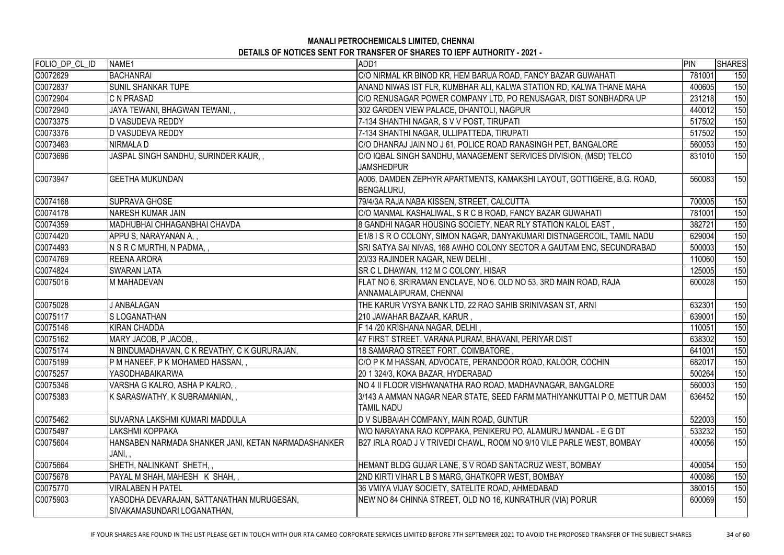| FOLIO_DP_CL_ID | NAME1                                                                    | ADD1                                                                                          | PIN    | <b>SHARES</b> |
|----------------|--------------------------------------------------------------------------|-----------------------------------------------------------------------------------------------|--------|---------------|
| C0072629       | <b>BACHANRAI</b>                                                         | C/O NIRMAL KR BINOD KR, HEM BARUA ROAD, FANCY BAZAR GUWAHATI                                  | 781001 | 150           |
| C0072837       | <b>SUNIL SHANKAR TUPE</b>                                                | ANAND NIWAS IST FLR, KUMBHAR ALI, KALWA STATION RD, KALWA THANE MAHA                          | 400605 | 150           |
| C0072904       | <b>C N PRASAD</b>                                                        | C/O RENUSAGAR POWER COMPANY LTD, PO RENUSAGAR, DIST SONBHADRA UP                              | 231218 | 150           |
| C0072940       | JAYA TEWANI, BHAGWAN TEWANI,,                                            | 302 GARDEN VIEW PALACE, DHANTOLI, NAGPUR                                                      | 440012 | 150           |
| C0073375       | <b>D VASUDEVA REDDY</b>                                                  | 7-134 SHANTHI NAGAR, S V V POST, TIRUPATI                                                     | 517502 | 150           |
| C0073376       | <b>D VASUDEVA REDDY</b>                                                  | 7-134 SHANTHI NAGAR, ULLIPATTEDA, TIRUPATI                                                    | 517502 | 150           |
| C0073463       | NIRMALA D                                                                | C/O DHANRAJ JAIN NO J 61, POLICE ROAD RANASINGH PET, BANGALORE                                | 560053 | 150           |
| C0073696       | JASPAL SINGH SANDHU, SURINDER KAUR,,                                     | C/O IQBAL SINGH SANDHU, MANAGEMENT SERVICES DIVISION, (MSD) TELCO<br><b>JAMSHEDPUR</b>        | 831010 | 150           |
| C0073947       | <b>GEETHA MUKUNDAN</b>                                                   | A006, DAMDEN ZEPHYR APARTMENTS, KAMAKSHI LAYOUT, GOTTIGERE, B.G. ROAD,<br>BENGALURU,          | 560083 | 150           |
| C0074168       | <b>SUPRAVA GHOSE</b>                                                     | 79/4/3A RAJA NABA KISSEN, STREET, CALCUTTA                                                    | 700005 | 150           |
| C0074178       | <b>NARESH KUMAR JAIN</b>                                                 | C/O MANMAL KASHALIWAL, S R C B ROAD, FANCY BAZAR GUWAHATI                                     | 781001 | 150           |
| C0074359       | MADHUBHAI CHHAGANBHAI CHAVDA                                             | 8 GANDHI NAGAR HOUSING SOCIETY, NEAR RLY STATION KALOL EAST,                                  | 382721 | 150           |
| C0074420       | APPU S, NARAYANAN A, ,                                                   | E1/8 I S R O COLONY, SIMON NAGAR, DANYAKUMARI DISTNAGERCOIL, TAMIL NADU                       | 629004 | 150           |
| C0074493       | N S R C MURTHI, N PADMA,,                                                | SRI SATYA SAI NIVAS, 168 AWHO COLONY SECTOR A GAUTAM ENC, SECUNDRABAD                         | 500003 | 150           |
| C0074769       | <b>REENA ARORA</b>                                                       | 20/33 RAJINDER NAGAR, NEW DELHI,                                                              | 110060 | 150           |
| C0074824       | <b>SWARAN LATA</b>                                                       | SR C L DHAWAN, 112 M C COLONY, HISAR                                                          | 125005 | 150           |
| C0075016       | M MAHADEVAN                                                              | FLAT NO 6, SRIRAMAN ENCLAVE, NO 6. OLD NO 53, 3RD MAIN ROAD, RAJA<br>ANNAMALAIPURAM, CHENNAI  | 600028 | 150           |
| C0075028       | <b>J ANBALAGAN</b>                                                       | THE KARUR VYSYA BANK LTD, 22 RAO SAHIB SRINIVASAN ST, ARNI                                    | 632301 | 150           |
| C0075117       | <b>SLOGANATHAN</b>                                                       | 210 JAWAHAR BAZAAR, KARUR,                                                                    | 639001 | 150           |
| C0075146       | <b>KIRAN CHADDA</b>                                                      | F 14 /20 KRISHANA NAGAR, DELHI,                                                               | 110051 | 150           |
| C0075162       | MARY JACOB, P JACOB, ,                                                   | 47 FIRST STREET, VARANA PURAM, BHAVANI, PERIYAR DIST                                          | 638302 | 150           |
| C0075174       | N BINDUMADHAVAN, C K REVATHY, C K GURURAJAN,                             | 18 SAMARAO STREET FORT, COIMBATORE                                                            | 641001 | 150           |
| C0075199       | <b>P M HANEEF, P K MOHAMED HASSAN,,</b>                                  | C/O P K M HASSAN, ADVOCATE, PERANDOOR ROAD, KALOOR, COCHIN                                    | 682017 | 150           |
| C0075257       | YASODHABAIKARWA                                                          | 20 1 324/3, KOKA BAZAR, HYDERABAD                                                             | 500264 | 150           |
| C0075346       | VARSHA G KALRO, ASHA P KALRO,,                                           | NO 4 II FLOOR VISHWANATHA RAO ROAD, MADHAVNAGAR, BANGALORE                                    | 560003 | 150           |
| C0075383       | K SARASWATHY, K SUBRAMANIAN, ,                                           | 3/143 A AMMAN NAGAR NEAR STATE, SEED FARM MATHIYANKUTTAI P O, METTUR DAM<br><b>TAMIL NADU</b> | 636452 | 150           |
| C0075462       | ISUVARNA LAKSHMI KUMARI MADDULA                                          | D V SUBBAIAH COMPANY, MAIN ROAD, GUNTUR                                                       | 522003 | 150           |
| C0075497       | <b>LAKSHMI KOPPAKA</b>                                                   | W/O NARAYANA RAO KOPPAKA, PENIKERU PO, ALAMURU MANDAL - E G DT                                | 533232 | 150           |
| C0075604       | HANSABEN NARMADA SHANKER JANI, KETAN NARMADASHANKER<br>JANI,,            | B27 IRLA ROAD J V TRIVEDI CHAWL, ROOM NO 9/10 VILE PARLE WEST, BOMBAY                         | 400056 | 150           |
| C0075664       | SHETH, NALINKANT SHETH, ,                                                | HEMANT BLDG GUJAR LANE, S V ROAD SANTACRUZ WEST, BOMBAY                                       | 400054 | 150           |
| C0075678       | PAYAL M SHAH, MAHESH K SHAH,,                                            | 2ND KIRTI VIHAR L B S MARG, GHATKOPR WEST, BOMBAY                                             | 400086 | 150           |
| C0075770       | <b>VIRALABEN H PATEL</b>                                                 | 36 VMIYA VIJAY SOCIETY, SATELITE ROAD, AHMEDABAD                                              | 380015 | 150           |
| C0075903       | YASODHA DEVARAJAN, SATTANATHAN MURUGESAN,<br>SIVAKAMASUNDARI LOGANATHAN, | NEW NO 84 CHINNA STREET, OLD NO 16, KUNRATHUR (VIA) PORUR                                     | 600069 | 150           |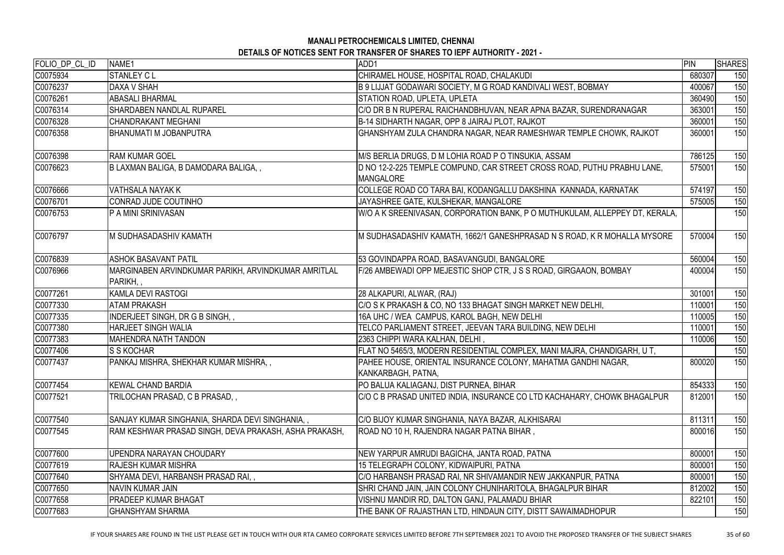| FOLIO_DP_CL_ID | NAME1                                                          | ADD1                                                                                        | PIN    | <b>SHARES</b> |
|----------------|----------------------------------------------------------------|---------------------------------------------------------------------------------------------|--------|---------------|
| C0075934       | <b>STANLEY CL</b>                                              | CHIRAMEL HOUSE, HOSPITAL ROAD, CHALAKUDI                                                    | 680307 | 150           |
| C0076237       | DAXA V SHAH                                                    | B 9 LIJJAT GODAWARI SOCIETY, M G ROAD KANDIVALI WEST, BOBMAY                                | 400067 | 150           |
| C0076261       | <b>ABASALI BHARMAL</b>                                         | STATION ROAD, UPLETA, UPLETA                                                                | 360490 | 150           |
| C0076314       | <b>SHARDABEN NANDLAL RUPAREL</b>                               | C/O DR B N RUPERAL RAICHANDBHUVAN, NEAR APNA BAZAR, SURENDRANAGAR                           | 363001 | 150           |
| C0076328       | <b>CHANDRAKANT MEGHANI</b>                                     | B-14 SIDHARTH NAGAR, OPP 8 JAIRAJ PLOT, RAJKOT                                              | 360001 | 150           |
| C0076358       | <b>BHANUMATI M JOBANPUTRA</b>                                  | GHANSHYAM ZULA CHANDRA NAGAR, NEAR RAMESHWAR TEMPLE CHOWK, RAJKOT                           | 360001 | 150           |
| C0076398       | <b>RAM KUMAR GOEL</b>                                          | M/S BERLIA DRUGS, D M LOHIA ROAD P O TINSUKIA, ASSAM                                        | 786125 | 150           |
| C0076623       | B LAXMAN BALIGA, B DAMODARA BALIGA,,                           | D NO 12-2-225 TEMPLE COMPUND, CAR STREET CROSS ROAD, PUTHU PRABHU LANE,<br><b>MANGALORE</b> | 575001 | 150           |
| C0076666       | <b>VATHSALA NAYAK K</b>                                        | COLLEGE ROAD CO TARA BAI, KODANGALLU DAKSHINA KANNADA, KARNATAK                             | 574197 | 150           |
| C0076701       | CONRAD JUDE COUTINHO                                           | JAYASHREE GATE, KULSHEKAR, MANGALORE                                                        | 575005 | 150           |
| C0076753       | <b>P A MINI SRINIVASAN</b>                                     | W/O A K SREENIVASAN, CORPORATION BANK, P O MUTHUKULAM, ALLEPPEY DT, KERALA,                 |        | 150           |
| C0076797       | M SUDHASADASHIV KAMATH                                         | M SUDHASADASHIV KAMATH, 1662/1 GANESHPRASAD N S ROAD, K R MOHALLA MYSORE                    | 570004 | 150           |
| C0076839       | <b>ASHOK BASAVANT PATIL</b>                                    | 53 GOVINDAPPA ROAD, BASAVANGUDI, BANGALORE                                                  | 560004 | 150           |
| C0076966       | MARGINABEN ARVINDKUMAR PARIKH, ARVINDKUMAR AMRITLAL<br>PARIKH, | F/26 AMBEWADI OPP MEJESTIC SHOP CTR, J S S ROAD, GIRGAAON, BOMBAY                           | 400004 | 150           |
| C0077261       | <b>KAMLA DEVI RASTOGI</b>                                      | 28 ALKAPURI, ALWAR, (RAJ)                                                                   | 301001 | 150           |
| C0077330       | <b>ATAM PRAKASH</b>                                            | C/O S K PRAKASH & CO, NO 133 BHAGAT SINGH MARKET NEW DELHI,                                 | 110001 | 150           |
| C0077335       | INDERJEET SINGH, DR G B SINGH, ,                               | 16A UHC / WEA CAMPUS, KAROL BAGH, NEW DELHI                                                 | 110005 | 150           |
| C0077380       | <b>HARJEET SINGH WALIA</b>                                     | TELCO PARLIAMENT STREET, JEEVAN TARA BUILDING, NEW DELHI                                    | 110001 | 150           |
| C0077383       | <b>MAHENDRA NATH TANDON</b>                                    | 2363 CHIPPI WARA KALHAN, DELHI,                                                             | 110006 | 150           |
| C0077406       | S S KOCHAR                                                     | FLAT NO 5465/3, MODERN RESIDENTIAL COMPLEX, MANI MAJRA, CHANDIGARH, U T,                    |        | 150           |
| C0077437       | PANKAJ MISHRA, SHEKHAR KUMAR MISHRA,,                          | PAHEE HOUSE, ORIENTAL INSURANCE COLONY, MAHATMA GANDHI NAGAR,<br>KANKARBAGH, PATNA,         | 800020 | 150           |
| C0077454       | <b>KEWAL CHAND BARDIA</b>                                      | PO BALUA KALIAGANJ, DIST PURNEA, BIHAR                                                      | 854333 | 150           |
| C0077521       | TRILOCHAN PRASAD, C B PRASAD,,                                 | C/O C B PRASAD UNITED INDIA, INSURANCE CO LTD KACHAHARY, CHOWK BHAGALPUR                    | 812001 | 150           |
| C0077540       | SANJAY KUMAR SINGHANIA, SHARDA DEVI SINGHANIA,,                | C/O BIJOY KUMAR SINGHANIA, NAYA BAZAR, ALKHISARAI                                           | 811311 | 150           |
| C0077545       | RAM KESHWAR PRASAD SINGH, DEVA PRAKASH, ASHA PRAKASH,          | ROAD NO 10 H, RAJENDRA NAGAR PATNA BIHAR,                                                   | 800016 | 150           |
| C0077600       | UPENDRA NARAYAN CHOUDARY                                       | NEW YARPUR AMRUDI BAGICHA, JANTA ROAD, PATNA                                                | 800001 | 150           |
| C0077619       | <b>RAJESH KUMAR MISHRA</b>                                     | 15 TELEGRAPH COLONY, KIDWAIPURI, PATNA                                                      | 800001 | 150           |
| C0077640       | SHYAMA DEVI, HARBANSH PRASAD RAI,,                             | C/O HARBANSH PRASAD RAI, NR SHIVAMANDIR NEW JAKKANPUR, PATNA                                | 800001 | 150           |
| C0077650       | <b>NAVIN KUMAR JAIN</b>                                        | SHRI CHAND JAIN, JAIN COLONY CHUNIHARITOLA, BHAGALPUR BIHAR                                 | 812002 | 150           |
| C0077658       | PRADEEP KUMAR BHAGAT                                           | VISHNU MANDIR RD, DALTON GANJ, PALAMADU BHIAR                                               | 822101 | 150           |
| C0077683       | <b>GHANSHYAM SHARMA</b>                                        | THE BANK OF RAJASTHAN LTD, HINDAUN CITY, DISTT SAWAIMADHOPUR                                |        | 150           |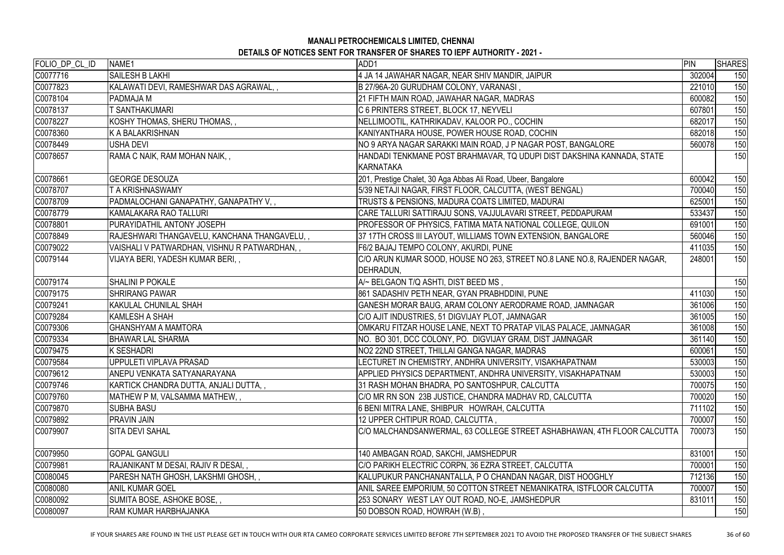| FOLIO DP CL ID | NAME1                                        | ADD1                                                                                   | PIN    | <b>SHARES</b> |
|----------------|----------------------------------------------|----------------------------------------------------------------------------------------|--------|---------------|
| C0077716       | <b>SAILESH B LAKHI</b>                       | 4 JA 14 JAWAHAR NAGAR, NEAR SHIV MANDIR, JAIPUR                                        | 302004 | 150           |
| C0077823       | KALAWATI DEVI, RAMESHWAR DAS AGRAWAL,        | B 27/96A-20 GURUDHAM COLONY, VARANASI,                                                 | 221010 | 150           |
| C0078104       | PADMAJA M                                    | 21 FIFTH MAIN ROAD, JAWAHAR NAGAR, MADRAS                                              | 600082 | 150           |
| C0078137       | <b>SANTHAKUMARI</b>                          | C 6 PRINTERS STREET, BLOCK 17, NEYVELI                                                 | 607801 | 150           |
| C0078227       | KOSHY THOMAS, SHERU THOMAS,,                 | NELLIMOOTIL, KATHRIKADAV, KALOOR PO., COCHIN                                           | 682017 | 150           |
| C0078360       | K A BALAKRISHNAN                             | KANIYANTHARA HOUSE, POWER HOUSE ROAD, COCHIN                                           | 682018 | 150           |
| C0078449       | USHA DEVI                                    | NO 9 ARYA NAGAR SARAKKI MAIN ROAD, J P NAGAR POST, BANGALORE                           | 560078 | 150           |
| C0078657       | RAMA C NAIK, RAM MOHAN NAIK,,                | HANDADI TENKMANE POST BRAHMAVAR, TQ UDUPI DIST DAKSHINA KANNADA, STATE<br>KARNATAKA    |        | 150           |
| C0078661       | <b>GEORGE DESOUZA</b>                        | 201, Prestige Chalet, 30 Aga Abbas Ali Road, Ubeer, Bangalore                          | 600042 | 150           |
| C0078707       | T A KRISHNASWAMY                             | 5/39 NETAJI NAGAR, FIRST FLOOR, CALCUTTA, (WEST BENGAL)                                | 700040 | 150           |
| C0078709       | PADMALOCHANI GANAPATHY, GANAPATHY V,,        | TRUSTS & PENSIONS, MADURA COATS LIMITED, MADURAI                                       | 625001 | 150           |
| C0078779       | KAMALAKARA RAO TALLURI                       | CARE TALLURI SATTIRAJU SONS, VAJJULAVARI STREET, PEDDAPURAM                            | 533437 | 150           |
| C0078801       | PURAYIDATHIL ANTONY JOSEPH                   | PROFESSOR OF PHYSICS, FATIMA MATA NATIONAL COLLEGE, QUILON                             | 691001 | 150           |
| C0078849       | RAJESHWARI THANGAVELU, KANCHANA THANGAVELU,, | 37 17TH CROSS III LAYOUT, WILLIAMS TOWN EXTENSION, BANGALORE                           | 560046 | 150           |
| C0079022       | VAISHALI V PATWARDHAN, VISHNU R PATWARDHAN,, | F6/2 BAJAJ TEMPO COLONY, AKURDI, PUNE                                                  | 411035 | 150           |
| C0079144       | VIJAYA BERI, YADESH KUMAR BERI,,             | C/O ARUN KUMAR SOOD, HOUSE NO 263, STREET NO.8 LANE NO.8, RAJENDER NAGAR,<br>DEHRADUN, | 248001 | 150           |
| C0079174       | <b>SHALINI P POKALE</b>                      | A/~ BELGAON T/Q ASHTI, DIST BEED MS,                                                   |        | 150           |
| C0079175       | <b>SHRIRANG PAWAR</b>                        | 861 SADASHIV PETH NEAR, GYAN PRABHDDINI, PUNE                                          | 411030 | 150           |
| C0079241       | <b>KAKULAL CHUNILAL SHAH</b>                 | GANESH MORAR BAUG, ARAM COLONY AERODRAME ROAD, JAMNAGAR                                | 361006 | 150           |
| C0079284       | <b>KAMLESH A SHAH</b>                        | C/O AJIT INDUSTRIES, 51 DIGVIJAY PLOT, JAMNAGAR                                        | 361005 | 150           |
| C0079306       | <b>GHANSHYAM A MAMTORA</b>                   | OMKARU FITZAR HOUSE LANE, NEXT TO PRATAP VILAS PALACE, JAMNAGAR                        | 361008 | 150           |
| C0079334       | <b>BHAWAR LAL SHARMA</b>                     | NO. BO 301, DCC COLONY, PO. DIGVIJAY GRAM, DIST JAMNAGAR                               | 361140 | 150           |
| C0079475       | <b>K SESHADRI</b>                            | NO2 22ND STREET, THILLAI GANGA NAGAR, MADRAS                                           | 600061 | 150           |
| C0079584       | UPPULETI VIPLAVA PRASAD                      | LECTURET IN CHEMISTRY, ANDHRA UNIVERSITY, VISAKHAPATNAM                                | 530003 | 150           |
| C0079612       | ANEPU VENKATA SATYANARAYANA                  | APPLIED PHYSICS DEPARTMENT, ANDHRA UNIVERSITY, VISAKHAPATNAM                           | 530003 | 150           |
| C0079746       | KARTICK CHANDRA DUTTA, ANJALI DUTTA,,        | 31 RASH MOHAN BHADRA, PO SANTOSHPUR, CALCUTTA                                          | 700075 | 150           |
| C0079760       | MATHEW P M, VALSAMMA MATHEW,,                | C/O MR RN SON 23B JUSTICE, CHANDRA MADHAV RD, CALCUTTA                                 | 700020 | 150           |
| C0079870       | <b>SUBHA BASU</b>                            | 6 BENI MITRA LANE, SHIBPUR HOWRAH, CALCUTTA                                            | 711102 | 150           |
| C0079892       | PRAVIN JAIN                                  | 12 UPPER CHTIPUR ROAD, CALCUTTA,                                                       | 700007 | 150           |
| C0079907       | <b>SITA DEVI SAHAL</b>                       | C/O MALCHANDSANWERMAL, 63 COLLEGE STREET ASHABHAWAN, 4TH FLOOR CALCUTTA                | 700073 | 150           |
| C0079950       | <b>GOPAL GANGULI</b>                         | 140 AMBAGAN ROAD, SAKCHI, JAMSHEDPUR                                                   | 831001 | 150           |
| C0079981       | RAJANIKANT M DESAI, RAJIV R DESAI,,          | C/O PARIKH ELECTRIC CORPN, 36 EZRA STREET, CALCUTTA                                    | 700001 | 150           |
| C0080045       | PARESH NATH GHOSH, LAKSHMI GHOSH,,           | KALUPUKUR PANCHANANTALLA, P O CHANDAN NAGAR, DIST HOOGHLY                              | 712136 | 150           |
| C0080080       | <b>ANIL KUMAR GOEL</b>                       | ANIL SAREE EMPORIUM, 50 COTTON STREET NEMANIKATRA, ISTFLOOR CALCUTTA                   | 700007 | 150           |
| C0080092       | SUMITA BOSE, ASHOKE BOSE,,                   | 253 SONARY WEST LAY OUT ROAD, NO-E, JAMSHEDPUR                                         | 831011 | 150           |
| C0080097       | <b>RAM KUMAR HARBHAJANKA</b>                 | 50 DOBSON ROAD, HOWRAH (W.B),                                                          |        | 150           |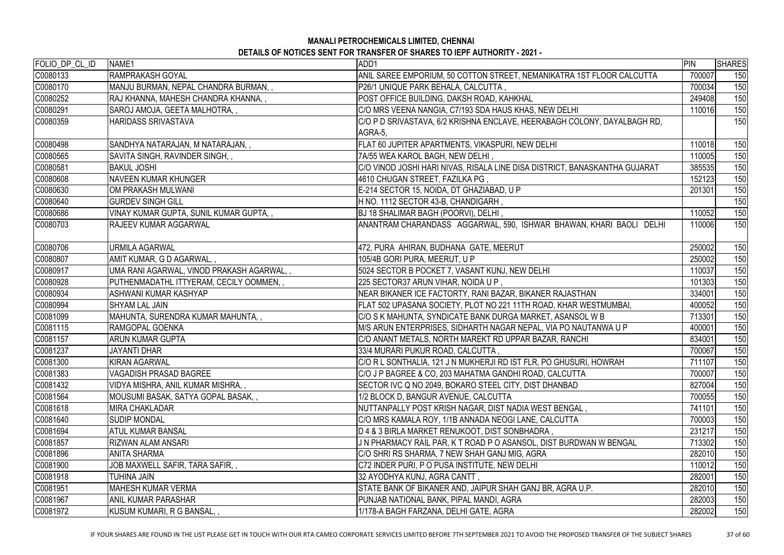# **MANALI PETROCHEMICALS LIMITED, CHENNAI**

**DETAILS OF NOTICES SENT FOR TRANSFER OF SHARES TO IEPF AUTHORITY - 2021 -** 

| FOLIO_DP_CL_ID | NAME1                                      | ADD1                                                                       | PIN    | <b>SHARES</b> |
|----------------|--------------------------------------------|----------------------------------------------------------------------------|--------|---------------|
| C0080133       | RAMPRAKASH GOYAL                           | ANIL SAREE EMPORIUM, 50 COTTON STREET, NEMANIKATRA 1ST FLOOR CALCUTTA      | 700007 | 150           |
| C0080170       | MANJU BURMAN, NEPAL CHANDRA BURMAN,,       | P26/1 UNIQUE PARK BEHALA, CALCUTTA,                                        | 700034 | 150           |
| C0080252       | RAJ KHANNA, MAHESH CHANDRA KHANNA,,        | POST OFFICE BUILDING, DAKSH ROAD, KAHKHAL                                  | 249408 | 150           |
| C0080291       | SAROJ AMOJA, GEETA MALHOTRA,,              | C/O MRS VEENA NANGIA, C7/193 SDA HAUS KHAS, NEW DELHI                      | 110016 | 150           |
| C0080359       | HARIDASS SRIVASTAVA                        | C/O P D SRIVASTAVA, 6/2 KRISHNA ENCLAVE, HEERABAGH COLONY, DAYALBAGH RD,   |        | 150           |
|                |                                            | AGRA-5,                                                                    |        |               |
| C0080498       | SANDHYA NATARAJAN, M NATARAJAN,,           | FLAT 60 JUPITER APARTMENTS, VIKASPURI, NEW DELHI                           | 110018 | 150           |
| C0080565       | SAVITA SINGH, RAVINDER SINGH,,             | 7A/55 WEA KAROL BAGH, NEW DELHI,                                           | 110005 | 150           |
| C0080581       | <b>BAKUL JOSHI</b>                         | C/O VINOD JOSHI HARI NIVAS, RISALA LINE DISA DISTRICT, BANASKANTHA GUJARAT | 385535 | 150           |
| C0080608       | <b>NAVEEN KUMAR KHUNGER</b>                | 4610 CHUGAN STREET, FAZILKA PG,                                            | 152123 | 150           |
| C0080630       | OM PRAKASH MULWANI                         | E-214 SECTOR 15, NOIDA, DT GHAZIABAD, U P                                  | 201301 | 150           |
| C0080640       | <b>GURDEV SINGH GILL</b>                   | H NO. 1112 SECTOR 43-B, CHANDIGARH,                                        |        | 150           |
| C0080686       | VINAY KUMAR GUPTA, SUNIL KUMAR GUPTA,,     | BJ 18 SHALIMAR BAGH (POORVI), DELHI,                                       | 110052 | 150           |
| C0080703       | <b>RAJEEV KUMAR AGGARWAL</b>               | ANANTRAM CHARANDASS AGGARWAL, 590, ISHWAR BHAWAN, KHARI BAOLI DELHI        | 110006 | 150           |
|                |                                            |                                                                            |        |               |
| C0080706       | URMILA AGARWAL                             | 472, PURA AHIRAN, BUDHANA GATE, MEERUT                                     | 250002 | 150           |
| C0080807       | AMIT KUMAR, G D AGARWAL,,                  | 105/4B GORI PURA, MEERUT, U P                                              | 250002 | 150           |
| C0080917       | UMA RANI AGARWAL, VINOD PRAKASH AGARWAL, , | 5024 SECTOR B POCKET 7, VASANT KUNJ, NEW DELHI                             | 110037 | 150           |
| C0080928       | PUTHENMADATHL ITTYERAM, CECILY OOMMEN,,    | 225 SECTOR37 ARUN VIHAR, NOIDA U P,                                        | 101303 | 150           |
| C0080934       | ASHWANI KUMAR KASHYAP                      | NEAR BIKANER ICE FACTORTY, RANI BAZAR, BIKANER RAJASTHAN                   | 334001 | 150           |
| C0080994       | <b>SHYAM LAL JAIN</b>                      | FLAT 502 UPASANA SOCIETY, PLOT NO 221 11TH ROAD, KHAR WESTMUMBAI,          | 400052 | 150           |
| C0081099       | MAHUNTA, SURENDRA KUMAR MAHUNTA,,          | C/O S K MAHUNTA, SYNDICATE BANK DURGA MARKET, ASANSOL W B                  | 713301 | 150           |
| C0081115       | RAMGOPAL GOENKA                            | M/S ARUN ENTERPRISES, SIDHARTH NAGAR NEPAL, VIA PO NAUTANWA U P            | 400001 | 150           |
| C0081157       | <b>ARUN KUMAR GUPTA</b>                    | C/O ANANT METALS, NORTH MAREKT RD UPPAR BAZAR, RANCHI                      | 834001 | 150           |
| C0081237       | <b>JAYANTI DHAR</b>                        | 33/4 MURARI PUKUR ROAD, CALCUTTA,                                          | 700067 | 150           |
| C0081300       | <b>KIRAN AGARWAL</b>                       | C/O R L SONTHALIA, 121 J N MUKHERJI RD IST FLR, PO GHUSURI, HOWRAH         | 711107 | 150           |
| C0081383       | <b>VAGADISH PRASAD BAGREE</b>              | C/O J P BAGREE & CO, 203 MAHATMA GANDHI ROAD, CALCUTTA                     | 700007 | 150           |
| C0081432       | VIDYA MISHRA, ANIL KUMAR MISHRA,,          | SECTOR IVC Q NO 2049, BOKARO STEEL CITY, DIST DHANBAD                      | 827004 | 150           |
| C0081564       | MOUSUMI BASAK, SATYA GOPAL BASAK,,         | 1/2 BLOCK D, BANGUR AVENUE, CALCUTTA                                       | 700055 | 150           |
| C0081618       | <b>MIRA CHAKLADAR</b>                      | NUTTANPALLY POST KRISH NAGAR, DIST NADIA WEST BENGAL ,                     | 741101 | 150           |
| C0081640       | <b>SUDIP MONDAL</b>                        | C/O MRS KAMALA ROY, 1/1B ANNADA NEOGI LANE, CALCUTTA                       | 700003 | 150           |
| C0081694       | <b>ATUL KUMAR BANSAL</b>                   | D 4 & 3 BIRLA MARKET RENUKOOT, DIST SONBHADRA,                             | 231217 | 150           |
| C0081857       | <b>RIZWAN ALAM ANSARI</b>                  | J N PHARMACY RAIL PAR, K T ROAD P O ASANSOL, DIST BURDWAN W BENGAL         | 713302 | 150           |
| C0081896       | <b>ANITA SHARMA</b>                        | C/O SHRI RS SHARMA, 7 NEW SHAH GANJ MIG, AGRA                              | 282010 | 150           |
| C0081900       | JOB MAXWELL SAFIR, TARA SAFIR, ,           | C72 INDER PURI, P O PUSA INSTITUTE, NEW DELHI                              | 110012 | 150           |
| C0081918       | TUHINA JAIN                                | 32 AYODHYA KUNJ, AGRA CANTT ,                                              | 282001 | 150           |
| C0081951       | <b>MAHESH KUMAR VERMA</b>                  | STATE BANK OF BIKANER AND, JAIPUR SHAH GANJ BR, AGRA U.P.                  | 282010 | 150           |
| C0081967       | <b>ANIL KUMAR PARASHAR</b>                 | PUNJAB NATIONAL BANK, PIPAL MANDI, AGRA                                    | 282003 | 150           |
| C0081972       | KUSUM KUMARI, R G BANSAL,,                 | 1/178-A BAGH FARZANA, DELHI GATE, AGRA                                     | 282002 | 150           |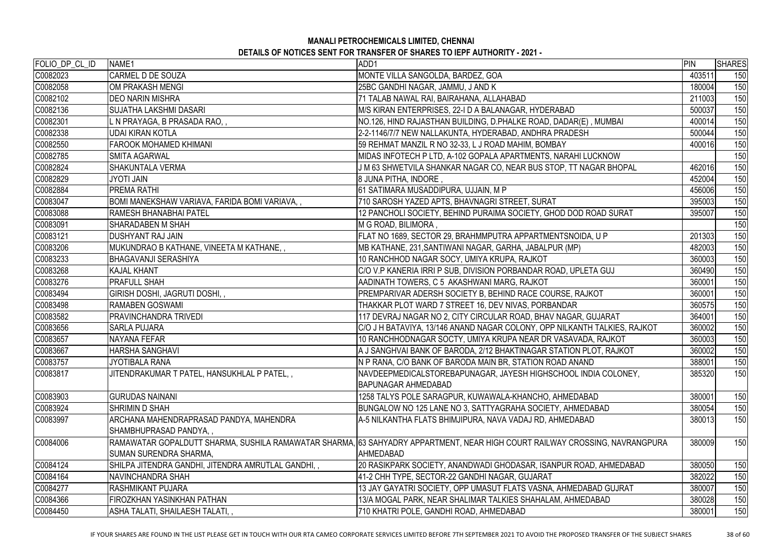| FOLIO_DP_CL_ID | NAME1                                              | ADD1                                                                                                                        | PIN    | <b>SHARES</b> |
|----------------|----------------------------------------------------|-----------------------------------------------------------------------------------------------------------------------------|--------|---------------|
| C0082023       | <b>CARMEL D DE SOUZA</b>                           | MONTE VILLA SANGOLDA, BARDEZ, GOA                                                                                           | 403511 | 150           |
| C0082058       | OM PRAKASH MENGI                                   | 25BC GANDHI NAGAR, JAMMU, J AND K                                                                                           | 180004 | 150           |
| C0082102       | <b>DEO NARIN MISHRA</b>                            | 71 TALAB NAWAL RAI, BAIRAHANA, ALLAHABAD                                                                                    | 211003 | 150           |
| C0082136       | <b>SUJATHA LAKSHMI DASARI</b>                      | M/S KIRAN ENTERPRISES, 22-I D A BALANAGAR, HYDERABAD                                                                        | 500037 | 150           |
| C0082301       | L N PRAYAGA, B PRASADA RAO, ,                      | NO.126, HIND RAJASTHAN BUILDING, D.PHALKE ROAD, DADAR(E), MUMBAI                                                            | 400014 | 150           |
| C0082338       | <b>UDAI KIRAN KOTLA</b>                            | 2-2-1146/7/7 NEW NALLAKUNTA, HYDERABAD, ANDHRA PRADESH                                                                      | 500044 | 150           |
| C0082550       | <b>FAROOK MOHAMED KHIMANI</b>                      | 59 REHMAT MANZIL R NO 32-33, L J ROAD MAHIM, BOMBAY                                                                         | 400016 | 150           |
| C0082785       | <b>SMITA AGARWAL</b>                               | MIDAS INFOTECH P LTD, A-102 GOPALA APARTMENTS, NARAHI LUCKNOW                                                               |        | 150           |
| C0082824       | <b>SHAKUNTALA VERMA</b>                            | J M 63 SHWETVILA SHANKAR NAGAR CO, NEAR BUS STOP, TT NAGAR BHOPAL                                                           | 462016 | 150           |
| C0082829       | <b>JYOTI JAIN</b>                                  | 8 JUNA PITHA, INDORE,                                                                                                       | 452004 | 150           |
| C0082884       | <b>PREMA RATHI</b>                                 | 61 SATIMARA MUSADDIPURA, UJJAIN, M P                                                                                        | 456006 | 150           |
| C0083047       | BOMI MANEKSHAW VARIAVA, FARIDA BOMI VARIAVA,,      | 710 SAROSH YAZED APTS, BHAVNAGRI STREET, SURAT                                                                              | 395003 | 150           |
| C0083088       | RAMESH BHANABHAI PATEL                             | 12 PANCHOLI SOCIETY, BEHIND PURAIMA SOCIETY, GHOD DOD ROAD SURAT                                                            | 395007 | 150           |
| C0083091       | <b>SHARADABEN M SHAH</b>                           | M G ROAD, BILIMORA,                                                                                                         |        | 150           |
| C0083121       | <b>DUSHYANT RAJ JAIN</b>                           | FLAT NO 1689, SECTOR 29, BRAHMMPUTRA APPARTMENTSNOIDA, U P                                                                  | 201303 | 150           |
| C0083206       | MUKUNDRAO B KATHANE, VINEETA M KATHANE, ,          | MB KATHANE, 231, SANTIWANI NAGAR, GARHA, JABALPUR (MP)                                                                      | 482003 | 150           |
| C0083233       | <b>BHAGAVANJI SERASHIYA</b>                        | 10 RANCHHOD NAGAR SOCY, UMIYA KRUPA, RAJKOT                                                                                 | 360003 | 150           |
| C0083268       | <b>KAJAL KHANT</b>                                 | C/O V.P KANERIA IRRI P SUB, DIVISION PORBANDAR ROAD, UPLETA GUJ                                                             | 360490 | 150           |
| C0083276       | <b>PRAFULL SHAH</b>                                | AADINATH TOWERS, C 5 AKASHWANI MARG, RAJKOT                                                                                 | 360001 | 150           |
| C0083494       | GIRISH DOSHI, JAGRUTI DOSHI,,                      | PREMPARIVAR ADERSH SOCIETY B, BEHIND RACE COURSE, RAJKOT                                                                    | 360001 | 150           |
| C0083498       | <b>RAMABEN GOSWAMI</b>                             | THAKKAR PLOT WARD 7 STREET 16, DEV NIVAS, PORBANDAR                                                                         | 360575 | 150           |
| C0083582       | <b>PRAVINCHANDRA TRIVEDI</b>                       | 117 DEVRAJ NAGAR NO 2, CITY CIRCULAR ROAD, BHAV NAGAR, GUJARAT                                                              | 364001 | 150           |
| C0083656       | <b>SARLA PUJARA</b>                                | C/O J H BATAVIYA, 13/146 ANAND NAGAR COLONY, OPP NILKANTH TALKIES, RAJKOT                                                   | 360002 | 150           |
| C0083657       | <b>NAYANA FEFAR</b>                                | 10 RANCHHODNAGAR SOCTY, UMIYA KRUPA NEAR DR VASAVADA, RAJKOT                                                                | 360003 | 150           |
| C0083667       | HARSHA SANGHAVI                                    | A J SANGHVAI BANK OF BARODA, 2/12 BHAKTINAGAR STATION PLOT, RAJKOT                                                          | 360002 | 150           |
| C0083757       | JYOTIBALA RANA                                     | N P RANA, C/O BANK OF BARODA MAIN BR, STATION ROAD ANAND                                                                    | 388001 | 150           |
| C0083817       | JITENDRAKUMAR T PATEL, HANSUKHLAL P PATEL,,        | NAVDEEPMEDICALSTOREBAPUNAGAR, JAYESH HIGHSCHOOL INDIA COLONEY,                                                              | 385320 | 150           |
|                |                                                    | <b>BAPUNAGAR AHMEDABAD</b>                                                                                                  |        |               |
| C0083903       | <b>GURUDAS NAINANI</b>                             | 1258 TALYS POLE SARAGPUR, KUWAWALA-KHANCHO, AHMEDABAD                                                                       | 380001 | 150           |
| C0083924       | <b>SHRIMIN D SHAH</b>                              | BUNGALOW NO 125 LANE NO 3, SATTYAGRAHA SOCIETY, AHMEDABAD                                                                   | 380054 | 150           |
| C0083997       | ARCHANA MAHENDRAPRASAD PANDYA, MAHENDRA            | A-5 NILKANTHA FLATS BHIMJIPURA, NAVA VADAJ RD, AHMEDABAD                                                                    | 380013 | 150           |
|                | SHAMBHUPRASAD PANDYA,,                             |                                                                                                                             |        |               |
| C0084006       |                                                    | RAMAWATAR GOPALDUTT SHARMA, SUSHILA RAMAWATAR SHARMA, 63 SAHYADRY APPARTMENT, NEAR HIGH COURT RAILWAY CROSSING, NAVRANGPURA | 380009 | 150           |
|                | <b>SUMAN SURENDRA SHARMA,</b>                      | AHMEDABAD                                                                                                                   |        |               |
| C0084124       | SHILPA JITENDRA GANDHI, JITENDRA AMRUTLAL GANDHI,, | 20 RASIKPARK SOCIETY, ANANDWADI GHODASAR, ISANPUR ROAD, AHMEDABAD                                                           | 380050 | 150           |
| C0084164       | NAVINCHANDRA SHAH                                  | 41-2 CHH TYPE, SECTOR-22 GANDHI NAGAR, GUJARAT                                                                              | 382022 | 150           |
| C0084277       | <b>RASHMIKANT PUJARA</b>                           | 13 JAY GAYATRI SOCIETY, OPP UMASUT FLATS VASNA, AHMEDABAD GUJRAT                                                            | 380007 | 150           |
| C0084366       | <b>FIROZKHAN YASINKHAN PATHAN</b>                  | 13/A MOGAL PARK, NEAR SHALIMAR TALKIES SHAHALAM, AHMEDABAD                                                                  | 380028 | 150           |
| C0084450       | ASHA TALATI, SHAILAESH TALATI,,                    | 710 KHATRI POLE, GANDHI ROAD, AHMEDABAD                                                                                     | 380001 | 150           |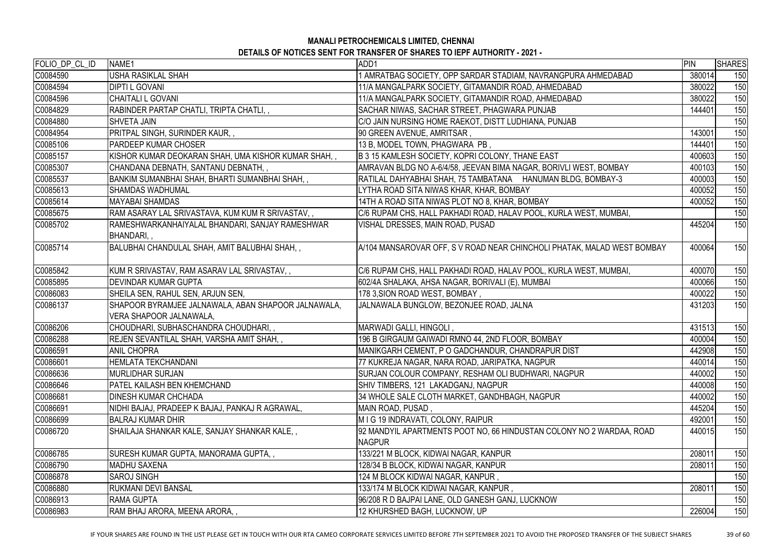| FOLIO_DP_CL_ID | NAME <sub>1</sub>                                             | ADD1                                                                                  | PIN    | SHARES |
|----------------|---------------------------------------------------------------|---------------------------------------------------------------------------------------|--------|--------|
| C0084590       | USHA RASIKLAL SHAH                                            | AMRATBAG SOCIETY, OPP SARDAR STADIAM, NAVRANGPURA AHMEDABAD                           | 380014 | 150    |
| C0084594       | <b>DIPTI L GOVANI</b>                                         | 11/A MANGALPARK SOCIETY, GITAMANDIR ROAD, AHMEDABAD                                   | 380022 | 150    |
| C0084596       | <b>CHAITALI L GOVANI</b>                                      | 11/A MANGALPARK SOCIETY, GITAMANDIR ROAD, AHMEDABAD                                   | 380022 | 150    |
| C0084829       | RABINDER PARTAP CHATLI, TRIPTA CHATLI,,                       | SACHAR NIWAS, SACHAR STREET, PHAGWARA PUNJAB                                          | 144401 | 150    |
| C0084880       | <b>ISHVETA JAIN</b>                                           | C/O JAIN NURSING HOME RAEKOT, DISTT LUDHIANA, PUNJAB                                  |        | 150    |
| C0084954       | <b>PRITPAL SINGH, SURINDER KAUR,,</b>                         | 90 GREEN AVENUE, AMRITSAR,                                                            | 143001 | 150    |
| C0085106       | <b>PARDEEP KUMAR CHOSER</b>                                   | 13 B, MODEL TOWN, PHAGWARA PB,                                                        | 144401 | 150    |
| C0085157       | KISHOR KUMAR DEOKARAN SHAH, UMA KISHOR KUMAR SHAH, ,          | B 3 15 KAMLESH SOCIETY, KOPRI COLONY, THANE EAST                                      | 400603 | 150    |
| C0085307       | CHANDANA DEBNATH, SANTANU DEBNATH,,                           | AMRAVAN BLDG NO A-6/4/58, JEEVAN BIMA NAGAR, BORIVLI WEST, BOMBAY                     | 400103 | 150    |
| C0085537       | BANKIM SUMANBHAI SHAH, BHARTI SUMANBHAI SHAH, ,               | RATILAL DAHYABHAI SHAH, 75 TAMBATANA HANUMAN BLDG, BOMBAY-3                           | 400003 | 150    |
| C0085613       | <b>SHAMDAS WADHUMAL</b>                                       | LYTHA ROAD SITA NIWAS KHAR, KHAR, BOMBAY                                              | 400052 | 150    |
| C0085614       | <b>IMAYABAI SHAMDAS</b>                                       | 14TH A ROAD SITA NIWAS PLOT NO 8, KHAR, BOMBAY                                        | 400052 | 150    |
| C0085675       | RAM ASARAY LAL SRIVASTAVA, KUM KUM R SRIVASTAV,,              | C/6 RUPAM CHS, HALL PAKHADI ROAD, HALAV POOL, KURLA WEST, MUMBAI,                     |        | 150    |
| C0085702       | RAMESHWARKANHAIYALAL BHANDARI, SANJAY RAMESHWAR<br>BHANDARI,, | VISHAL DRESSES, MAIN ROAD, PUSAD                                                      | 445204 | 150    |
| C0085714       | BALUBHAI CHANDULAL SHAH, AMIT BALUBHAI SHAH,,                 | A/104 MANSAROVAR OFF, S V ROAD NEAR CHINCHOLI PHATAK, MALAD WEST BOMBAY               | 400064 | 150    |
| C0085842       | KUM R SRIVASTAV, RAM ASARAV LAL SRIVASTAV,,                   | C/6 RUPAM CHS, HALL PAKHADI ROAD, HALAV POOL, KURLA WEST, MUMBAI,                     | 400070 | 150    |
| C0085895       | <b>DEVINDAR KUMAR GUPTA</b>                                   | 602/4A SHALAKA, AHSA NAGAR, BORIVALI (E), MUMBAI                                      | 400066 | 150    |
| C0086083       | SHEILA SEN, RAHUL SEN, ARJUN SEN,                             | 178 3, SION ROAD WEST, BOMBAY,                                                        | 400022 | 150    |
| C0086137       | SHAPOOR BYRAMJEE JALNAWALA, ABAN SHAPOOR JALNAWALA,           | JALNAWALA BUNGLOW, BEZONJEE ROAD, JALNA                                               | 431203 | 150    |
|                | VERA SHAPOOR JALNAWALA,                                       |                                                                                       |        |        |
| C0086206       | CHOUDHARI, SUBHASCHANDRA CHOUDHARI, ,                         | MARWADI GALLI, HINGOLI,                                                               | 431513 | 150    |
| C0086288       | REJEN SEVANTILAL SHAH, VARSHA AMIT SHAH,,                     | 196 B GIRGAUM GAIWADI RMNO 44, 2ND FLOOR, BOMBAY                                      | 400004 | 150    |
| C0086591       | <b>ANIL CHOPRA</b>                                            | MANIKGARH CEMENT, P O GADCHANDUR, CHANDRAPUR DIST                                     | 442908 | 150    |
| C0086601       | <b>IHEMLATA TEKCHANDANI</b>                                   | 77 KUKREJA NAGAR, NARA ROAD, JARIPATKA, NAGPUR                                        | 440014 | 150    |
| C0086636       | <b>IMURLIDHAR SURJAN</b>                                      | SURJAN COLOUR COMPANY, RESHAM OLI BUDHWARI, NAGPUR                                    | 440002 | 150    |
| C0086646       | <b>PATEL KAILASH BEN KHEMCHAND</b>                            | SHIV TIMBERS, 121 LAKADGANJ, NAGPUR                                                   | 440008 | 150    |
| C0086681       | <b>DINESH KUMAR CHCHADA</b>                                   | 34 WHOLE SALE CLOTH MARKET, GANDHBAGH, NAGPUR                                         | 440002 | 150    |
| C0086691       | NIDHI BAJAJ, PRADEEP K BAJAJ, PANKAJ R AGRAWAL,               | MAIN ROAD, PUSAD,                                                                     | 445204 | 150    |
| C0086699       | <b>BALRAJ KUMAR DHIR</b>                                      | M I G 19 INDRAVATI, COLONY, RAIPUR                                                    | 492001 | 150    |
| C0086720       | SHAILAJA SHANKAR KALE, SANJAY SHANKAR KALE, ,                 | 92 MANDYIL APARTMENTS POOT NO, 66 HINDUSTAN COLONY NO 2 WARDAA, ROAD<br><b>NAGPUR</b> | 440015 | 150    |
| C0086785       | SURESH KUMAR GUPTA, MANORAMA GUPTA, ,                         | 133/221 M BLOCK, KIDWAI NAGAR, KANPUR                                                 | 208011 | 150    |
| C0086790       | <b>IMADHU SAXENA</b>                                          | 128/34 B BLOCK, KIDWAI NAGAR, KANPUR                                                  | 20801  | 150    |
| C0086878       | ISAROJ SINGH                                                  | 124 M BLOCK KIDWAI NAGAR, KANPUR,                                                     |        | 150    |
| C0086880       | <b>RUKMANI DEVI BANSAL</b>                                    | 133/174 M BLOCK KIDWAI NAGAR, KANPUR,                                                 | 208011 | 150    |
| C0086913       | <b>RAMA GUPTA</b>                                             | 96/208 R D BAJPAI LANE, OLD GANESH GANJ, LUCKNOW                                      |        | 150    |
| C0086983       | RAM BHAJ ARORA, MEENA ARORA,,                                 | 12 KHURSHED BAGH, LUCKNOW, UP                                                         | 226004 | 150    |

IF YOUR SHARES ARE FOUND IN THE LIST PLEASE GET IN TOUCH WITH OUR RTA CAMEO CORPORATE SERVICES LIMITED BEFORE 7TH SEPTEMBER 2021 TO AVOID THE PROPOSED TRANSFER OF THE SUBJECT SHARES  $\,39$  of 60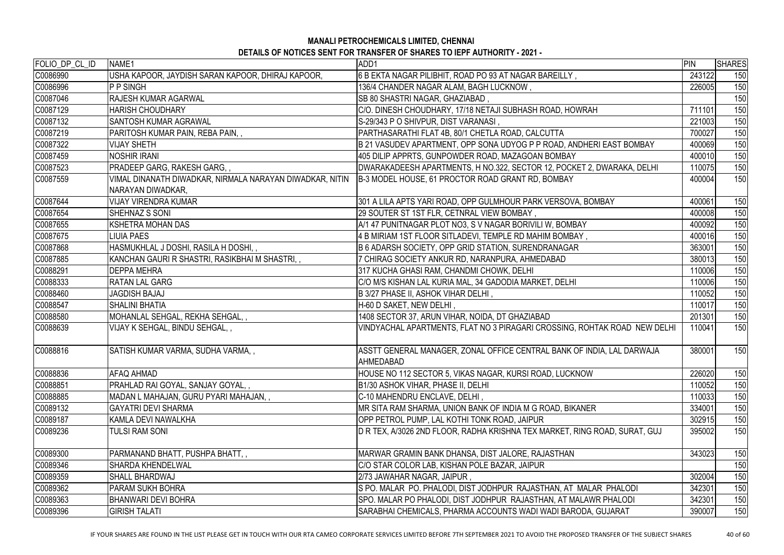| FOLIO_DP_CL_ID | NAME <sub>1</sub>                                                             | ADD1                                                                                       | <b>PIN</b> | <b>SHARES</b> |
|----------------|-------------------------------------------------------------------------------|--------------------------------------------------------------------------------------------|------------|---------------|
| C0086990       | USHA KAPOOR, JAYDISH SARAN KAPOOR, DHIRAJ KAPOOR,                             | 6 B EKTA NAGAR PILIBHIT, ROAD PO 93 AT NAGAR BAREILLY,                                     | 243122     | 150           |
| C0086996       | <b>P P SINGH</b>                                                              | 136/4 CHANDER NAGAR ALAM, BAGH LUCKNOW,                                                    | 226005     | 150           |
| C0087046       | <b>RAJESH KUMAR AGARWAL</b>                                                   | SB 80 SHASTRI NAGAR, GHAZIABAD,                                                            |            | 150           |
| C0087129       | <b>HARISH CHOUDHARY</b>                                                       | C/O. DINESH CHOUDHARY, 17/18 NETAJI SUBHASH ROAD, HOWRAH                                   | 711101     | 150           |
| C0087132       | <b>SANTOSH KUMAR AGRAWAL</b>                                                  | S-29/343 P O SHIVPUR, DIST VARANASI,                                                       | 221003     | 150           |
| C0087219       | PARITOSH KUMAR PAIN, REBA PAIN,,                                              | PARTHASARATHI FLAT 4B, 80/1 CHETLA ROAD, CALCUTTA                                          | 700027     | 150           |
| C0087322       | <b>VIJAY SHETH</b>                                                            | B 21 VASUDEV APARTMENT, OPP SONA UDYOG P P ROAD, ANDHERI EAST BOMBAY                       | 400069     | 150           |
| C0087459       | <b>NOSHIR IRANI</b>                                                           | 405 DILIP APPRTS, GUNPOWDER ROAD, MAZAGOAN BOMBAY                                          | 400010     | 150           |
| C0087523       | PRADEEP GARG, RAKESH GARG,,                                                   | DWARAKADEESH APARTMENTS, H NO.322, SECTOR 12, POCKET 2, DWARAKA, DELHI                     | 110075     | 150           |
| C0087559       | VIMAL DINANATH DIWADKAR, NIRMALA NARAYAN DIWADKAR, NITIN<br>NARAYAN DIWADKAR, | B-3 MODEL HOUSE, 61 PROCTOR ROAD GRANT RD, BOMBAY                                          | 400004     | 150           |
| C0087644       | <b>VIJAY VIRENDRA KUMAR</b>                                                   | 301 A LILA APTS YARI ROAD, OPP GULMHOUR PARK VERSOVA, BOMBAY                               | 400061     | 150           |
| C0087654       | SHEHNAZ S SONI                                                                | 29 SOUTER ST 1ST FLR, CETNRAL VIEW BOMBAY,                                                 | 400008     | 150           |
| C0087655       | <b>KSHETRA MOHAN DAS</b>                                                      | A/1 47 PUNITNAGAR PLOT NO3, S V NAGAR BORIVILI W, BOMBAY                                   | 400092     | 150           |
| C0087675       | <b>LIUIA PAES</b>                                                             | 4 B MIRIAM 1ST FLOOR SITLADEVI, TEMPLE RD MAHIM BOMBAY,                                    | 400016     | 150           |
| C0087868       | HASMUKHLAL J DOSHI, RASILA H DOSHI,,                                          | B 6 ADARSH SOCIETY, OPP GRID STATION, SURENDRANAGAR                                        | 363001     | 150           |
| C0087885       | KANCHAN GAURI R SHASTRI, RASIKBHAI M SHASTRI,                                 | 7 CHIRAG SOCIETY ANKUR RD, NARANPURA, AHMEDABAD                                            | 380013     | 150           |
| C0088291       | <b>DEPPA MEHRA</b>                                                            | 317 KUCHA GHASI RAM, CHANDMI CHOWK, DELHI                                                  | 110006     | 150           |
| C0088333       | <b>RATAN LAL GARG</b>                                                         | C/O M/S KISHAN LAL KURIA MAL, 34 GADODIA MARKET, DELHI                                     | 110006     | 150           |
| C0088460       | <b>JAGDISH BAJAJ</b>                                                          | B 3/27 PHASE II, ASHOK VIHAR DELHI,                                                        | 110052     | 150           |
| C0088547       | <b>SHALINI BHATIA</b>                                                         | H-60 D SAKET, NEW DELHI,                                                                   | 110017     | 150           |
| C0088580       | MOHANLAL SEHGAL, REKHA SEHGAL,,                                               | 1408 SECTOR 37, ARUN VIHAR, NOIDA, DT GHAZIABAD                                            | 201301     | 150           |
| C0088639       | VIJAY K SEHGAL, BINDU SEHGAL, ,                                               | VINDYACHAL APARTMENTS, FLAT NO 3 PIRAGARI CROSSING, ROHTAK ROAD NEW DELHI                  | 110041     | 150           |
| C0088816       | SATISH KUMAR VARMA, SUDHA VARMA,,                                             | ASSTT GENERAL MANAGER, ZONAL OFFICE CENTRAL BANK OF INDIA, LAL DARWAJA<br><b>AHMEDABAD</b> | 380001     | 150           |
| C0088836       | <b>AFAQ AHMAD</b>                                                             | HOUSE NO 112 SECTOR 5, VIKAS NAGAR, KURSI ROAD, LUCKNOW                                    | 226020     | 150           |
| C0088851       | PRAHLAD RAI GOYAL, SANJAY GOYAL,,                                             | B1/30 ASHOK VIHAR, PHASE II, DELHI                                                         | 110052     | 150           |
| C0088885       | MADAN L MAHAJAN, GURU PYARI MAHAJAN,,                                         | C-10 MAHENDRU ENCLAVE, DELHI,                                                              | 110033     | 150           |
| C0089132       | <b>GAYATRI DEVI SHARMA</b>                                                    | MR SITA RAM SHARMA, UNION BANK OF INDIA M G ROAD, BIKANER                                  | 334001     | 150           |
| C0089187       | KAMLA DEVI NAWALKHA                                                           | OPP PETROL PUMP, LAL KOTHI TONK ROAD, JAIPUR                                               | 302915     | 150           |
| C0089236       | <b>TULSI RAM SONI</b>                                                         | D R TEX, A/3026 2ND FLOOR, RADHA KRISHNA TEX MARKET, RING ROAD, SURAT, GUJ                 | 395002     | 150           |
| C0089300       | PARMANAND BHATT, PUSHPA BHATT,,                                               | MARWAR GRAMIN BANK DHANSA, DIST JALORE, RAJASTHAN                                          | 343023     | 150           |
| C0089346       | <b>SHARDA KHENDELWAL</b>                                                      | C/O STAR COLOR LAB, KISHAN POLE BAZAR, JAIPUR                                              |            | 150           |
| C0089359       | <b>SHALL BHARDWAJ</b>                                                         | 2/73 JAWAHAR NAGAR, JAIPUR,                                                                | 302004     | 150           |
| C0089362       | <b>PARAM SUKH BOHRA</b>                                                       | S PO. MALAR PO. PHALODI, DIST JODHPUR RAJASTHAN, AT MALAR PHALODI                          | 342301     | 150           |
| C0089363       | <b>BHANWARI DEVI BOHRA</b>                                                    | SPO. MALAR PO PHALODI, DIST JODHPUR RAJASTHAN, AT MALAWR PHALODI                           | 342301     | 150           |
| C0089396       | <b>GIRISH TALATI</b>                                                          | SARABHAI CHEMICALS, PHARMA ACCOUNTS WADI WADI BARODA, GUJARAT                              | 390007     | 150           |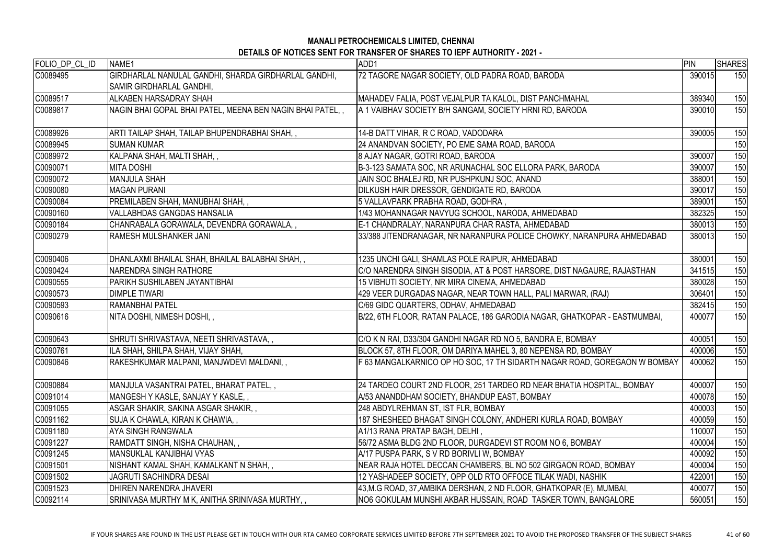| FOLIO_DP_CL_ID | NAME <sub>1</sub>                                         | ADD1                                                                      | PIN    | <b>SHARES</b> |
|----------------|-----------------------------------------------------------|---------------------------------------------------------------------------|--------|---------------|
| C0089495       | GIRDHARLAL NANULAL GANDHI, SHARDA GIRDHARLAL GANDHI,      | 72 TAGORE NAGAR SOCIETY, OLD PADRA ROAD, BARODA                           | 390015 | 150           |
|                | <b>SAMIR GIRDHARLAL GANDHI,</b>                           |                                                                           |        |               |
| C0089517       | ALKABEN HARSADRAY SHAH                                    | MAHADEV FALIA, POST VEJALPUR TA KALOL, DIST PANCHMAHAL                    | 389340 | 150           |
| C0089817       | NAGIN BHAI GOPAL BHAI PATEL, MEENA BEN NAGIN BHAI PATEL,, | A 1 VAIBHAV SOCIETY B/H SANGAM, SOCIETY HRNI RD, BARODA                   | 390010 | 150           |
|                |                                                           |                                                                           |        |               |
| C0089926       | ARTI TAILAP SHAH, TAILAP BHUPENDRABHAI SHAH, ,            | 14-B DATT VIHAR, R C ROAD, VADODARA                                       | 390005 | 150           |
| C0089945       | <b>ISUMAN KUMAR</b>                                       | 24 ANANDVAN SOCIETY, PO EME SAMA ROAD, BARODA                             |        | 150           |
| C0089972       | KALPANA SHAH, MALTI SHAH,,                                | 8 AJAY NAGAR, GOTRI ROAD, BARODA                                          | 390007 | 150           |
| C0090071       | <b>IMITA DOSHI</b>                                        | B-3-123 SAMATA SOC, NR ARUNACHAL SOC ELLORA PARK, BARODA                  | 390007 | 150           |
| C0090072       | <b>MANJULA SHAH</b>                                       | JAIN SOC BHALEJ RD, NR PUSHPKUNJ SOC, ANAND                               | 388001 | 150           |
| C0090080       | <b>MAGAN PURANI</b>                                       | DILKUSH HAIR DRESSOR, GENDIGATE RD, BARODA                                | 390017 | 150           |
| C0090084       | PREMILABEN SHAH, MANUBHAI SHAH,,                          | 5 VALLAVPARK PRABHA ROAD, GODHRA,                                         | 389001 | 150           |
| C0090160       | VALLABHDAS GANGDAS HANSALIA                               | 1/43 MOHANNAGAR NAVYUG SCHOOL, NARODA, AHMEDABAD                          | 382325 | 150           |
| C0090184       | CHANRABALA GORAWALA, DEVENDRA GORAWALA, ,                 | E-1 CHANDRALAY, NARANPURA CHAR RASTA, AHMEDABAD                           | 380013 | 150           |
| C0090279       | <b>RAMESH MULSHANKER JANI</b>                             | 33/388 JITENDRANAGAR, NR NARANPURA POLICE CHOWKY, NARANPURA AHMEDABAD     | 380013 | 150           |
|                |                                                           |                                                                           |        |               |
| C0090406       | DHANLAXMI BHAILAL SHAH, BHAILAL BALABHAI SHAH, ,          | 1235 UNCHI GALI, SHAMLAS POLE RAIPUR, AHMEDABAD                           | 380001 | 150           |
| C0090424       | <b>NARENDRA SINGH RATHORE</b>                             | C/O NARENDRA SINGH SISODIA, AT & POST HARSORE, DIST NAGAURE, RAJASTHAN    | 341515 | 150           |
| C0090555       | PARIKH SUSHILABEN JAYANTIBHAI                             | 15 VIBHUTI SOCIETY, NR MIRA CINEMA, AHMEDABAD                             | 380028 | 150           |
| C0090573       | <b>IDIMPLE TIWARI</b>                                     | 429 VEER DURGADAS NAGAR, NEAR TOWN HALL, PALI MARWAR, (RAJ)               | 306401 | 150           |
| C0090593       | <b>RAMANBHAI PATEL</b>                                    | C/69 GIDC QUARTERS, ODHAV, AHMEDABAD                                      | 382415 | 150           |
| C0090616       | NITA DOSHI, NIMESH DOSHI, ,                               | B/22, 6TH FLOOR, RATAN PALACE, 186 GARODIA NAGAR, GHATKOPAR - EASTMUMBAI, | 400077 | 150           |
| C0090643       | SHRUTI SHRIVASTAVA, NEETI SHRIVASTAVA, ,                  | C/O K N RAI, D33/304 GANDHI NAGAR RD NO 5, BANDRA E, BOMBAY               | 400051 | 150           |
| C0090761       | ILA SHAH, SHILPA SHAH, VIJAY SHAH,                        | BLOCK 57, 8TH FLOOR, OM DARIYA MAHEL 3, 80 NEPENSA RD, BOMBAY             | 400006 | 150           |
| C0090846       | RAKESHKUMAR MALPANI, MANJWDEVI MALDANI,,                  | F 63 MANGALKARNICO OP HO SOC, 17 TH SIDARTH NAGAR ROAD, GOREGAON W BOMBAY | 400062 | 150           |
|                |                                                           |                                                                           |        |               |
| C0090884       | MANJULA VASANTRAI PATEL, BHARAT PATEL, ,                  | 24 TARDEO COURT 2ND FLOOR, 251 TARDEO RD NEAR BHATIA HOSPITAL, BOMBAY     | 400007 | 150           |
| C0091014       | MANGESH Y KASLE, SANJAY Y KASLE, ,                        | A/53 ANANDDHAM SOCIETY, BHANDUP EAST, BOMBAY                              | 400078 | 150           |
| C0091055       | ASGAR SHAKIR, SAKINA ASGAR SHAKIR, ,                      | 248 ABDYLREHMAN ST, IST FLR, BOMBAY                                       | 400003 | 150           |
| C0091162       | SUJA K CHAWLA, KIRAN K CHAWIA, ,                          | 187 SHESHEED BHAGAT SINGH COLONY, ANDHERI KURLA ROAD, BOMBAY              | 400059 | 150           |
| C0091180       | <b>AYA SINGH RANGWALA</b>                                 | A1/13 RANA PRATAP BAGH, DELHI,                                            | 110007 | 150           |
| C0091227       | RAMDATT SINGH, NISHA CHAUHAN, ,                           | 56/72 ASMA BLDG 2ND FLOOR, DURGADEVI ST ROOM NO 6, BOMBAY                 | 400004 | 150           |
| C0091245       | MANSUKLAL KANJIBHAI VYAS                                  | A/17 PUSPA PARK, S V RD BORIVLI W, BOMBAY                                 | 400092 | 150           |
| C0091501       | NISHANT KAMAL SHAH, KAMALKANT N SHAH, ,                   | NEAR RAJA HOTEL DECCAN CHAMBERS, BL NO 502 GIRGAON ROAD, BOMBAY           | 400004 | 150           |
| C0091502       | <b>JAGRUTI SACHINDRA DESAI</b>                            | 12 YASHADEEP SOCIETY, OPP OLD RTO OFFOCE TILAK WADI, NASHIK               | 422001 | 150           |
| C0091523       | DHIREN NARENDRA JHAVERI                                   | 43, M.G ROAD, 37, AMBIKA DERSHAN, 2 ND FLOOR, GHATKOPAR (E), MUMBAI,      | 400077 | 150           |
| C0092114       | SRINIVASA MURTHY M K, ANITHA SRINIVASA MURTHY, ,          | NO6 GOKULAM MUNSHI AKBAR HUSSAIN, ROAD TASKER TOWN, BANGALORE             | 560051 | 150           |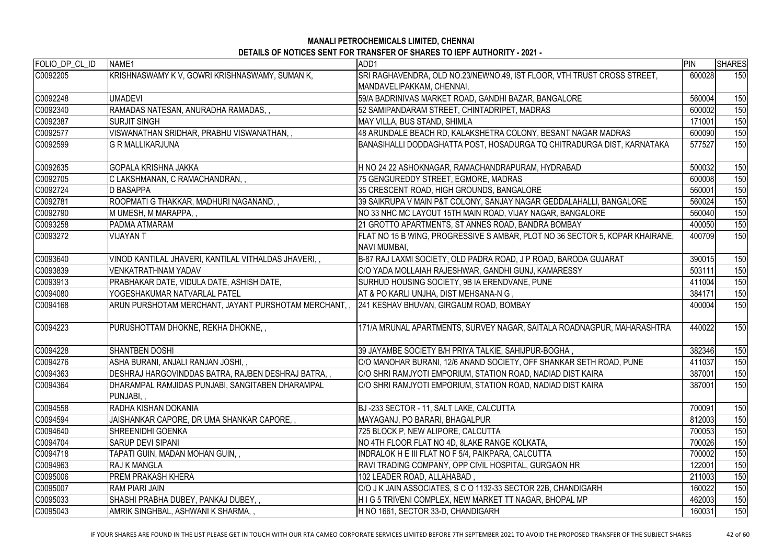| FOLIO_DP_CL_ID | NAME1                                                                                          | ADD1                                                                                                | PIN    | <b>SHARES</b> |
|----------------|------------------------------------------------------------------------------------------------|-----------------------------------------------------------------------------------------------------|--------|---------------|
| C0092205       | KRISHNASWAMY K V, GOWRI KRISHNASWAMY, SUMAN K,                                                 | SRI RAGHAVENDRA, OLD NO.23/NEWNO.49, IST FLOOR, VTH TRUST CROSS STREET,                             | 600028 | 150           |
|                |                                                                                                | MANDAVELIPAKKAM, CHENNAI,                                                                           |        |               |
| C0092248       | <b>UMADEVI</b>                                                                                 | 59/A BADRINIVAS MARKET ROAD, GANDHI BAZAR, BANGALORE                                                | 560004 | 150           |
| C0092340       | RAMADAS NATESAN, ANURADHA RAMADAS,,                                                            | 52 SAMIPANDARAM STREET, CHINTADRIPET, MADRAS                                                        | 600002 | 150           |
| C0092387       | <b>ISURJIT SINGH</b>                                                                           | MAY VILLA, BUS STAND, SHIMLA                                                                        | 171001 | 150           |
| C0092577       | VISWANATHAN SRIDHAR, PRABHU VISWANATHAN,,                                                      | 48 ARUNDALE BEACH RD, KALAKSHETRA COLONY, BESANT NAGAR MADRAS                                       | 600090 | 150           |
| C0092599       | <b>G R MALLIKARJUNA</b>                                                                        | BANASIHALLI DODDAGHATTA POST, HOSADURGA TQ CHITRADURGA DIST, KARNATAKA                              | 577527 | 150           |
| C0092635       | <b>GOPALA KRISHNA JAKKA</b>                                                                    | H NO 24 22 ASHOKNAGAR, RAMACHANDRAPURAM, HYDRABAD                                                   | 500032 | 150           |
| C0092705       | C LAKSHMANAN, C RAMACHANDRAN,,                                                                 | 75 GENGUREDDY STREET, EGMORE, MADRAS                                                                | 600008 | 150           |
| C0092724       | <b>ID BASAPPA</b>                                                                              | 35 CRESCENT ROAD, HIGH GROUNDS, BANGALORE                                                           | 560001 | 150           |
| C0092781       | ROOPMATI G THAKKAR, MADHURI NAGANAND, ,                                                        | 39 SAIKRUPA V MAIN P&T COLONY, SANJAY NAGAR GEDDALAHALLI, BANGALORE                                 | 560024 | 150           |
| C0092790       | M UMESH, M MARAPPA, ,                                                                          | NO 33 NHC MC LAYOUT 15TH MAIN ROAD, VIJAY NAGAR, BANGALORE                                          | 560040 | 150           |
| C0093258       | <b>PADMA ATMARAM</b>                                                                           | 21 GROTTO APARTMENTS, ST ANNES ROAD, BANDRA BOMBAY                                                  | 400050 | 150           |
| C0093272       | <b>VIJAYAN T</b>                                                                               | FLAT NO 15 B WING, PROGRESSIVE S AMBAR, PLOT NO 36 SECTOR 5, KOPAR KHAIRANE,<br><b>NAVI MUMBAI,</b> | 400709 | 150           |
| C0093640       | VINOD KANTILAL JHAVERI, KANTILAL VITHALDAS JHAVERI,,                                           | B-87 RAJ LAXMI SOCIETY, OLD PADRA ROAD, J P ROAD, BARODA GUJARAT                                    | 390015 | 150           |
| C0093839       | <b>VENKATRATHNAM YADAV</b>                                                                     | C/O YADA MOLLAIAH RAJESHWAR, GANDHI GUNJ, KAMARESSY                                                 | 503111 | 150           |
| C0093913       | PRABHAKAR DATE, VIDULA DATE, ASHISH DATE,                                                      | SURHUD HOUSING SOCIETY, 9B IA ERENDVANE, PUNE                                                       | 411004 | 150           |
| C0094080       | YOGESHAKUMAR NATVARLAL PATEL                                                                   | AT & PO KARLI UNJHA, DIST MEHSANA-N G,                                                              | 384171 | 150           |
| C0094168       | ARUN PURSHOTAM MERCHANT, JAYANT PURSHOTAM MERCHANT, ,  241 KESHAV BHUVAN, GIRGAUM ROAD, BOMBAY |                                                                                                     | 400004 | 150           |
| C0094223       | PURUSHOTTAM DHOKNE, REKHA DHOKNE,,                                                             | 171/A MRUNAL APARTMENTS, SURVEY NAGAR, SAITALA ROADNAGPUR, MAHARASHTRA                              | 440022 | 150           |
| C0094228       | <b>SHANTBEN DOSHI</b>                                                                          | 39 JAYAMBE SOCIETY B/H PRIYA TALKIE, SAHIJPUR-BOGHA                                                 | 382346 | 150           |
| C0094276       | ASHA BURANI, ANJALI RANJAN JOSHI, ,                                                            | C/O MANOHAR BURANI, 12/6 ANAND SOCIETY, OFF SHANKAR SETH ROAD, PUNE                                 | 411037 | 150           |
| C0094363       | DESHRAJ HARGOVINDDAS BATRA, RAJBEN DESHRAJ BATRA, ,                                            | C/O SHRI RAMJYOTI EMPORIUM, STATION ROAD, NADIAD DIST KAIRA                                         | 387001 | 150           |
| C0094364       | DHARAMPAL RAMJIDAS PUNJABI, SANGITABEN DHARAMPAL<br>PUNJABI,,                                  | C/O SHRI RAMJYOTI EMPORIUM, STATION ROAD, NADIAD DIST KAIRA                                         | 387001 | 150           |
| C0094558       | <b>IRADHA KISHAN DOKANIA</b>                                                                   | BJ-233 SECTOR - 11, SALT LAKE, CALCUTTA                                                             | 700091 | 150           |
| C0094594       | JAISHANKAR CAPORE, DR UMA SHANKAR CAPORE, ,                                                    | MAYAGANJ, PO BARARI, BHAGALPUR                                                                      | 812003 | 150           |
| C0094640       | <b>SHREENIDHI GOENKA</b>                                                                       | 725 BLOCK P, NEW ALIPORE, CALCUTTA                                                                  | 700053 | 150           |
| C0094704       | <b>SARUP DEVI SIPANI</b>                                                                       | NO 4TH FLOOR FLAT NO 4D, 8LAKE RANGE KOLKATA,                                                       | 700026 | 150           |
| C0094718       | TAPATI GUIN, MADAN MOHAN GUIN,,                                                                | INDRALOK H E III FLAT NO F 5/4, PAIKPARA, CALCUTTA                                                  | 700002 | 150           |
| C0094963       | <b>RAJ K MANGLA</b>                                                                            | RAVI TRADING COMPANY, OPP CIVIL HOSPITAL, GURGAON HR                                                | 122001 | 150           |
| C0095006       | <b>PREM PRAKASH KHERA</b>                                                                      | 102 LEADER ROAD, ALLAHABAD,                                                                         | 211003 | 150           |
| C0095007       | <b>RAM PIARI JAIN</b>                                                                          | C/O J K JAIN ASSOCIATES, S C O 1132-33 SECTOR 22B, CHANDIGARH                                       | 160022 | 150           |
| C0095033       | SHASHI PRABHA DUBEY, PANKAJ DUBEY,,                                                            | HIG 5 TRIVENI COMPLEX, NEW MARKET TT NAGAR, BHOPAL MP                                               | 462003 | 150           |
| C0095043       | AMRIK SINGHBAL, ASHWANI K SHARMA, ,                                                            | H NO 1661, SECTOR 33-D, CHANDIGARH                                                                  | 160031 | 150           |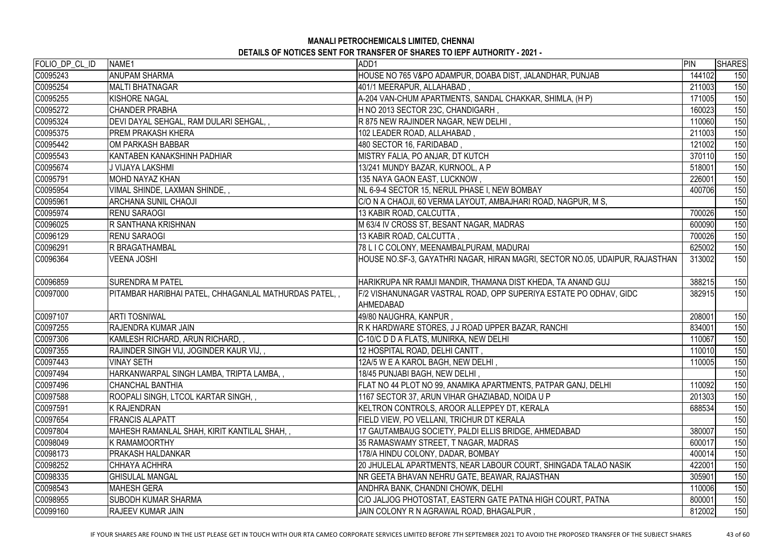| FOLIO_DP_CL_ID | NAME1                                                 | ADD1                                                                           | PIN    | <b>SHARES</b> |
|----------------|-------------------------------------------------------|--------------------------------------------------------------------------------|--------|---------------|
| C0095243       | <b>ANUPAM SHARMA</b>                                  | HOUSE NO 765 V&PO ADAMPUR, DOABA DIST, JALANDHAR, PUNJAB                       | 144102 | 150           |
| C0095254       | MALTI BHATNAGAR                                       | 401/1 MEERAPUR, ALLAHABAD,                                                     | 211003 | 150           |
| C0095255       | KISHORE NAGAL                                         | A-204 VAN-CHUM APARTMENTS, SANDAL CHAKKAR, SHIMLA, (H P)                       | 171005 | 150           |
| C0095272       | <b>CHANDER PRABHA</b>                                 | H NO 2013 SECTOR 23C, CHANDIGARH,                                              | 160023 | 150           |
| C0095324       | DEVI DAYAL SEHGAL, RAM DULARI SEHGAL, ,               | R 875 NEW RAJINDER NAGAR, NEW DELHI,                                           | 110060 | 150           |
| C0095375       | <b>PREM PRAKASH KHERA</b>                             | 102 LEADER ROAD, ALLAHABAD,                                                    | 211003 | 150           |
| C0095442       | OM PARKASH BABBAR                                     | 480 SECTOR 16, FARIDABAD,                                                      | 121002 | 150           |
| C0095543       | KANTABEN KANAKSHINH PADHIAR                           | MISTRY FALIA, PO ANJAR, DT KUTCH                                               | 370110 | 150           |
| C0095674       | J VIJAYA LAKSHMI                                      | 13/241 MUNDY BAZAR, KURNOOL, A P                                               | 518001 | 150           |
| C0095791       | MOHD NAYAZ KHAN                                       | 135 NAYA GAON EAST, LUCKNOW,                                                   | 226001 | 150           |
| C0095954       | VIMAL SHINDE, LAXMAN SHINDE,,                         | NL 6-9-4 SECTOR 15, NERUL PHASE I, NEW BOMBAY                                  | 400706 | 150           |
| C0095961       | <b>ARCHANA SUNIL CHAOJI</b>                           | C/O N A CHAOJI, 60 VERMA LAYOUT, AMBAJHARI ROAD, NAGPUR, M S,                  |        | 150           |
| C0095974       | <b>RENU SARAOGI</b>                                   | 13 KABIR ROAD, CALCUTTA,                                                       | 700026 | 150           |
| C0096025       | <b>R SANTHANA KRISHNAN</b>                            | M 63/4 IV CROSS ST, BESANT NAGAR, MADRAS                                       | 600090 | 150           |
| C0096129       | <b>RENU SARAOGI</b>                                   | 13 KABIR ROAD, CALCUTTA,                                                       | 700026 | 150           |
| C0096291       | <b>R BRAGATHAMBAL</b>                                 | 78 L I C COLONY, MEENAMBALPURAM, MADURAI                                       | 625002 | 150           |
| C0096364       | <b>VEENA JOSHI</b>                                    | HOUSE NO.SF-3, GAYATHRI NAGAR, HIRAN MAGRI, SECTOR NO.05, UDAIPUR, RAJASTHAN   | 313002 | 150           |
| C0096859       | <b>SURENDRA M PATEL</b>                               | HARIKRUPA NR RAMJI MANDIR, THAMANA DIST KHEDA, TA ANAND GUJ                    | 388215 | 150           |
| C0097000       | PITAMBAR HARIBHAI PATEL, CHHAGANLAL MATHURDAS PATEL,, | F/2 VISHANUNAGAR VASTRAL ROAD, OPP SUPERIYA ESTATE PO ODHAV, GIDC<br>AHMEDABAD | 382915 | 150           |
| C0097107       | <b>ARTI TOSNIWAL</b>                                  | 49/80 NAUGHRA, KANPUR,                                                         | 208001 | 150           |
| C0097255       | <b>RAJENDRA KUMAR JAIN</b>                            | R K HARDWARE STORES, J J ROAD UPPER BAZAR, RANCHI                              | 834001 | 150           |
| C0097306       | KAMLESH RICHARD, ARUN RICHARD,,                       | C-10/C D D A FLATS, MUNIRKA, NEW DELHI                                         | 110067 | 150           |
| C0097355       | RAJINDER SINGH VIJ, JOGINDER KAUR VIJ,,               | 12 HOSPITAL ROAD, DELHI CANTT,                                                 | 110010 | 150           |
| C0097443       | <b>VINAY SETH</b>                                     | 12A/5 W E A KAROL BAGH, NEW DELHI,                                             | 110005 | 150           |
| C0097494       | HARKANWARPAL SINGH LAMBA, TRIPTA LAMBA, ,             | 18/45 PUNJABI BAGH, NEW DELHI,                                                 |        | 150           |
| C0097496       | CHANCHAL BANTHIA                                      | FLAT NO 44 PLOT NO 99, ANAMIKA APARTMENTS, PATPAR GANJ, DELHI                  | 110092 | 150           |
| C0097588       | ROOPALI SINGH, LTCOL KARTAR SINGH, ,                  | 1167 SECTOR 37, ARUN VIHAR GHAZIABAD, NOIDA U P                                | 201303 | 150           |
| C0097591       | K RAJENDRAN                                           | KELTRON CONTROLS, AROOR ALLEPPEY DT, KERALA                                    | 688534 | 150           |
| C0097654       | <b>FRANCIS ALAPATT</b>                                | FIELD VIEW, PO VELLANI, TRICHUR DT KERALA                                      |        | 150           |
| C0097804       | MAHESH RAMANLAL SHAH, KIRIT KANTILAL SHAH, ,          | 17 GAUTAMBAUG SOCIETY, PALDI ELLIS BRIDGE, AHMEDABAD                           | 380007 | 150           |
| C0098049       | <b>K RAMAMOORTHY</b>                                  | 35 RAMASWAMY STREET, T NAGAR, MADRAS                                           | 600017 | 150           |
| C0098173       | PRAKASH HALDANKAR                                     | 178/A HINDU COLONY, DADAR, BOMBAY                                              | 400014 | 150           |
| C0098252       | ICHHAYA ACHHRA                                        | 20 JHULELAL APARTMENTS, NEAR LABOUR COURT, SHINGADA TALAO NASIK                | 422001 | 150           |
| C0098335       | <b>GHISULAL MANGAL</b>                                | NR GEETA BHAVAN NEHRU GATE, BEAWAR, RAJASTHAN                                  | 305901 | 150           |
| C0098543       | <b>IMAHESH GERA</b>                                   | ANDHRA BANK, CHANDNI CHOWK, DELHI                                              | 110006 | 150           |
| C0098955       | <b>SUBODH KUMAR SHARMA</b>                            | C/O JALJOG PHOTOSTAT, EASTERN GATE PATNA HIGH COURT, PATNA                     | 800001 | 150           |
| C0099160       | <b>RAJEEV KUMAR JAIN</b>                              | JAIN COLONY R N AGRAWAL ROAD, BHAGALPUR,                                       | 812002 | 150           |

IF YOUR SHARES ARE FOUND IN THE LIST PLEASE GET IN TOUCH WITH OUR RTA CAMEO CORPORATE SERVICES LIMITED BEFORE 7TH SEPTEMBER 2021 TO AVOID THE PROPOSED TRANSFER OF THE SUBJECT SHARES 43 of 60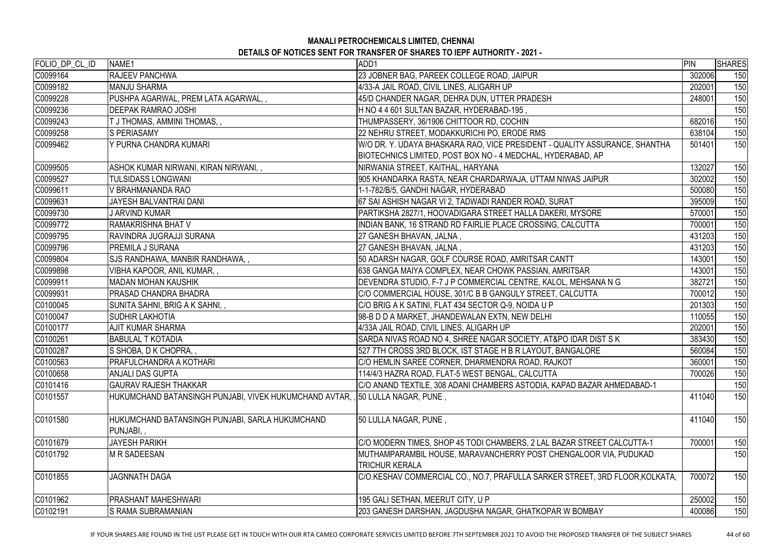| C0099164<br><b>RAJEEV PANCHWA</b><br>23 JOBNER BAG, PAREEK COLLEGE ROAD, JAIPUR<br>302006<br>C0099182<br>4/33-A JAIL ROAD, CIVIL LINES, ALIGARH UP<br><b>MANJU SHARMA</b><br>202001<br>C0099228<br>45/D CHANDER NAGAR, DEHRA DUN, UTTER PRADESH<br>PUSHPA AGARWAL, PREM LATA AGARWAL,,<br>248001<br>C0099236<br>H NO 4 4 601 SULTAN BAZAR, HYDERABAD-195,<br>DEEPAK RAMRAO JOSHI<br>C0099243<br>T J THOMAS, AMMINI THOMAS,,<br>THUMPASSERY, 36/1906 CHITTOOR RD, COCHIN<br>682016<br>C0099258<br>22 NEHRU STREET, MODAKKURICHI PO, ERODE RMS<br>638104<br><b>S PERIASAMY</b><br>C0099462<br>W/O DR. Y. UDAYA BHASKARA RAO, VICE PRESIDENT - QUALITY ASSURANCE, SHANTHA<br>Y PURNA CHANDRA KUMARI<br>501401<br>BIOTECHNICS LIMITED, POST BOX NO - 4 MEDCHAL, HYDERABAD, AP<br>C0099505<br>132027<br>ASHOK KUMAR NIRWANI, KIRAN NIRWANI,,<br>NIRWANIA STREET, KAITHAL, HARYANA<br>C0099527<br><b>TULSIDASS LONGWANI</b><br>905 KHANDARKA RASTA, NEAR CHARDARWAJA, UTTAM NIWAS JAIPUR<br>302002<br>C0099611<br>1-1-782/B/5, GANDHI NAGAR, HYDERABAD<br>V BRAHMANANDA RAO<br>500080<br>C0099631<br>JAYESH BALVANTRAI DANI<br>67 SAI ASHISH NAGAR VI 2, TADWADI RANDER ROAD, SURAT<br>395009<br>C0099730<br>PARTIKSHA 2827/1, HOOVADIGARA STREET HALLA DAKERI, MYSORE<br><b>J ARVIND KUMAR</b><br>570001<br>C0099772<br><b>RAMAKRISHNA BHAT V</b><br>INDIAN BANK, 16 STRAND RD FAIRLIE PLACE CROSSING, CALCUTTA<br>700001<br>C0099795<br>RAVINDRA JUGRAJJI SURANA<br>27 GANESH BHAVAN, JALNA,<br>431203<br>C0099796<br>27 GANESH BHAVAN, JALNA,<br><b>PREMILA J SURANA</b><br>431203<br>C0099804<br>SJS RANDHAWA, MANBIR RANDHAWA,,<br>50 ADARSH NAGAR, GOLF COURSE ROAD, AMRITSAR CANTT<br>143001<br>C0099898<br>VIBHA KAPOOR, ANIL KUMAR,,<br>638 GANGA MAIYA COMPLEX, NEAR CHOWK PASSIAN, AMRITSAR<br>143001<br>C0099911<br>382721<br><b>MADAN MOHAN KAUSHIK</b><br>DEVENDRA STUDIO, F-7 J P COMMERCIAL CENTRE, KALOL, MEHSANA N G<br>C0099931<br><b>PRASAD CHANDRA BHADRA</b><br>C/O COMMERCIAL HOUSE, 301/C B B GANGULY STREET, CALCUTTA<br>700012<br>C0100045<br>SUNITA SAHNI, BRIG A K SAHNI,,<br>C/O BRIG A K SATINI, FLAT 434 SECTOR Q-9, NOIDA U P<br>201303<br>C0100047<br><b>SUDHIR LAKHOTIA</b><br>98-B D D A MARKET, JHANDEWALAN EXTN, NEW DELHI<br>110055<br>C0100177<br>4/33A JAIL ROAD, CIVIL LINES, ALIGARH UP<br><b>AJIT KUMAR SHARMA</b><br>202001<br>C0100261<br><b>BABULAL T KOTADIA</b><br>SARDA NIVAS ROAD NO 4, SHREE NAGAR SOCIETY, AT&PO IDAR DIST S K<br>383430<br>C0100287<br>527 7TH CROSS 3RD BLOCK, IST STAGE H B R LAYOUT, BANGALORE<br>560084<br>S SHOBA, D K CHOPRA, ,<br>C0100563<br><b>PRAFULCHANDRA A KOTHARI</b><br>C/O HEMLIN SAREE CORNER, DHARMENDRA ROAD, RAJKOT<br>360001<br>C0100658<br>114/4/3 HAZRA ROAD, FLAT-5 WEST BENGAL, CALCUTTA<br><b>ANJALI DAS GUPTA</b><br>700026<br>C0101416<br><b>GAURAV RAJESH THAKKAR</b><br>C/O ANAND TEXTILE, 308 ADANI CHAMBERS ASTODIA, KAPAD BAZAR AHMEDABAD-1<br>C0101557<br>HUKUMCHAND BATANSINGH PUNJABI, VIVEK HUKUMCHAND AVTAR,<br>, 50 LULLA NAGAR, PUNE,<br>411040<br>C0101580<br>HUKUMCHAND BATANSINGH PUNJABI, SARLA HUKUMCHAND<br>50 LULLA NAGAR, PUNE,<br>411040<br>PUNJABI,<br>C0101679<br><b>JAYESH PARIKH</b><br>C/O MODERN TIMES, SHOP 45 TODI CHAMBERS, 2 LAL BAZAR STREET CALCUTTA-1<br>700001<br>C0101792<br>MUTHAMPARAMBIL HOUSE, MARAVANCHERRY POST CHENGALOOR VIA, PUDUKAD<br><b>M R SADEESAN</b><br><b>TRICHUR KERALA</b><br>C0101855<br>C/O.KESHAV COMMERCIAL CO., NO.7, PRAFULLA SARKER STREET, 3RD FLOOR, KOLKATA,<br>700072<br><b>JAGNNATH DAGA</b><br>C0101962<br><b>PRASHANT MAHESHWARI</b><br>195 GALI SETHAN, MEERUT CITY, U P<br>250002<br>C0102191<br><b>S RAMA SUBRAMANIAN</b><br>203 GANESH DARSHAN, JAGDUSHA NAGAR, GHATKOPAR W BOMBAY<br>400086 | FOLIO_DP_CL_ID | NAME1 | ADD1 | <b>PIN</b> | <b>SHARES</b> |
|------------------------------------------------------------------------------------------------------------------------------------------------------------------------------------------------------------------------------------------------------------------------------------------------------------------------------------------------------------------------------------------------------------------------------------------------------------------------------------------------------------------------------------------------------------------------------------------------------------------------------------------------------------------------------------------------------------------------------------------------------------------------------------------------------------------------------------------------------------------------------------------------------------------------------------------------------------------------------------------------------------------------------------------------------------------------------------------------------------------------------------------------------------------------------------------------------------------------------------------------------------------------------------------------------------------------------------------------------------------------------------------------------------------------------------------------------------------------------------------------------------------------------------------------------------------------------------------------------------------------------------------------------------------------------------------------------------------------------------------------------------------------------------------------------------------------------------------------------------------------------------------------------------------------------------------------------------------------------------------------------------------------------------------------------------------------------------------------------------------------------------------------------------------------------------------------------------------------------------------------------------------------------------------------------------------------------------------------------------------------------------------------------------------------------------------------------------------------------------------------------------------------------------------------------------------------------------------------------------------------------------------------------------------------------------------------------------------------------------------------------------------------------------------------------------------------------------------------------------------------------------------------------------------------------------------------------------------------------------------------------------------------------------------------------------------------------------------------------------------------------------------------------------------------------------------------------------------------------------------------------------------------------------------------------------------------------------------------------------------------------------------------------------------------------------------------------------------------------------------------------------------------------------------------------------------------------------------------------------------------------------------------------------------------------------------------------------------------------------------------------------------|----------------|-------|------|------------|---------------|
|                                                                                                                                                                                                                                                                                                                                                                                                                                                                                                                                                                                                                                                                                                                                                                                                                                                                                                                                                                                                                                                                                                                                                                                                                                                                                                                                                                                                                                                                                                                                                                                                                                                                                                                                                                                                                                                                                                                                                                                                                                                                                                                                                                                                                                                                                                                                                                                                                                                                                                                                                                                                                                                                                                                                                                                                                                                                                                                                                                                                                                                                                                                                                                                                                                                                                                                                                                                                                                                                                                                                                                                                                                                                                                                                                                  |                |       |      |            | 150           |
|                                                                                                                                                                                                                                                                                                                                                                                                                                                                                                                                                                                                                                                                                                                                                                                                                                                                                                                                                                                                                                                                                                                                                                                                                                                                                                                                                                                                                                                                                                                                                                                                                                                                                                                                                                                                                                                                                                                                                                                                                                                                                                                                                                                                                                                                                                                                                                                                                                                                                                                                                                                                                                                                                                                                                                                                                                                                                                                                                                                                                                                                                                                                                                                                                                                                                                                                                                                                                                                                                                                                                                                                                                                                                                                                                                  |                |       |      |            | 150           |
|                                                                                                                                                                                                                                                                                                                                                                                                                                                                                                                                                                                                                                                                                                                                                                                                                                                                                                                                                                                                                                                                                                                                                                                                                                                                                                                                                                                                                                                                                                                                                                                                                                                                                                                                                                                                                                                                                                                                                                                                                                                                                                                                                                                                                                                                                                                                                                                                                                                                                                                                                                                                                                                                                                                                                                                                                                                                                                                                                                                                                                                                                                                                                                                                                                                                                                                                                                                                                                                                                                                                                                                                                                                                                                                                                                  |                |       |      |            | 150           |
|                                                                                                                                                                                                                                                                                                                                                                                                                                                                                                                                                                                                                                                                                                                                                                                                                                                                                                                                                                                                                                                                                                                                                                                                                                                                                                                                                                                                                                                                                                                                                                                                                                                                                                                                                                                                                                                                                                                                                                                                                                                                                                                                                                                                                                                                                                                                                                                                                                                                                                                                                                                                                                                                                                                                                                                                                                                                                                                                                                                                                                                                                                                                                                                                                                                                                                                                                                                                                                                                                                                                                                                                                                                                                                                                                                  |                |       |      |            | 150           |
|                                                                                                                                                                                                                                                                                                                                                                                                                                                                                                                                                                                                                                                                                                                                                                                                                                                                                                                                                                                                                                                                                                                                                                                                                                                                                                                                                                                                                                                                                                                                                                                                                                                                                                                                                                                                                                                                                                                                                                                                                                                                                                                                                                                                                                                                                                                                                                                                                                                                                                                                                                                                                                                                                                                                                                                                                                                                                                                                                                                                                                                                                                                                                                                                                                                                                                                                                                                                                                                                                                                                                                                                                                                                                                                                                                  |                |       |      |            | 150           |
|                                                                                                                                                                                                                                                                                                                                                                                                                                                                                                                                                                                                                                                                                                                                                                                                                                                                                                                                                                                                                                                                                                                                                                                                                                                                                                                                                                                                                                                                                                                                                                                                                                                                                                                                                                                                                                                                                                                                                                                                                                                                                                                                                                                                                                                                                                                                                                                                                                                                                                                                                                                                                                                                                                                                                                                                                                                                                                                                                                                                                                                                                                                                                                                                                                                                                                                                                                                                                                                                                                                                                                                                                                                                                                                                                                  |                |       |      |            | 150           |
|                                                                                                                                                                                                                                                                                                                                                                                                                                                                                                                                                                                                                                                                                                                                                                                                                                                                                                                                                                                                                                                                                                                                                                                                                                                                                                                                                                                                                                                                                                                                                                                                                                                                                                                                                                                                                                                                                                                                                                                                                                                                                                                                                                                                                                                                                                                                                                                                                                                                                                                                                                                                                                                                                                                                                                                                                                                                                                                                                                                                                                                                                                                                                                                                                                                                                                                                                                                                                                                                                                                                                                                                                                                                                                                                                                  |                |       |      |            | 150           |
|                                                                                                                                                                                                                                                                                                                                                                                                                                                                                                                                                                                                                                                                                                                                                                                                                                                                                                                                                                                                                                                                                                                                                                                                                                                                                                                                                                                                                                                                                                                                                                                                                                                                                                                                                                                                                                                                                                                                                                                                                                                                                                                                                                                                                                                                                                                                                                                                                                                                                                                                                                                                                                                                                                                                                                                                                                                                                                                                                                                                                                                                                                                                                                                                                                                                                                                                                                                                                                                                                                                                                                                                                                                                                                                                                                  |                |       |      |            |               |
|                                                                                                                                                                                                                                                                                                                                                                                                                                                                                                                                                                                                                                                                                                                                                                                                                                                                                                                                                                                                                                                                                                                                                                                                                                                                                                                                                                                                                                                                                                                                                                                                                                                                                                                                                                                                                                                                                                                                                                                                                                                                                                                                                                                                                                                                                                                                                                                                                                                                                                                                                                                                                                                                                                                                                                                                                                                                                                                                                                                                                                                                                                                                                                                                                                                                                                                                                                                                                                                                                                                                                                                                                                                                                                                                                                  |                |       |      |            | 150           |
|                                                                                                                                                                                                                                                                                                                                                                                                                                                                                                                                                                                                                                                                                                                                                                                                                                                                                                                                                                                                                                                                                                                                                                                                                                                                                                                                                                                                                                                                                                                                                                                                                                                                                                                                                                                                                                                                                                                                                                                                                                                                                                                                                                                                                                                                                                                                                                                                                                                                                                                                                                                                                                                                                                                                                                                                                                                                                                                                                                                                                                                                                                                                                                                                                                                                                                                                                                                                                                                                                                                                                                                                                                                                                                                                                                  |                |       |      |            | 150           |
|                                                                                                                                                                                                                                                                                                                                                                                                                                                                                                                                                                                                                                                                                                                                                                                                                                                                                                                                                                                                                                                                                                                                                                                                                                                                                                                                                                                                                                                                                                                                                                                                                                                                                                                                                                                                                                                                                                                                                                                                                                                                                                                                                                                                                                                                                                                                                                                                                                                                                                                                                                                                                                                                                                                                                                                                                                                                                                                                                                                                                                                                                                                                                                                                                                                                                                                                                                                                                                                                                                                                                                                                                                                                                                                                                                  |                |       |      |            | 150           |
|                                                                                                                                                                                                                                                                                                                                                                                                                                                                                                                                                                                                                                                                                                                                                                                                                                                                                                                                                                                                                                                                                                                                                                                                                                                                                                                                                                                                                                                                                                                                                                                                                                                                                                                                                                                                                                                                                                                                                                                                                                                                                                                                                                                                                                                                                                                                                                                                                                                                                                                                                                                                                                                                                                                                                                                                                                                                                                                                                                                                                                                                                                                                                                                                                                                                                                                                                                                                                                                                                                                                                                                                                                                                                                                                                                  |                |       |      |            | 150           |
|                                                                                                                                                                                                                                                                                                                                                                                                                                                                                                                                                                                                                                                                                                                                                                                                                                                                                                                                                                                                                                                                                                                                                                                                                                                                                                                                                                                                                                                                                                                                                                                                                                                                                                                                                                                                                                                                                                                                                                                                                                                                                                                                                                                                                                                                                                                                                                                                                                                                                                                                                                                                                                                                                                                                                                                                                                                                                                                                                                                                                                                                                                                                                                                                                                                                                                                                                                                                                                                                                                                                                                                                                                                                                                                                                                  |                |       |      |            | 150           |
|                                                                                                                                                                                                                                                                                                                                                                                                                                                                                                                                                                                                                                                                                                                                                                                                                                                                                                                                                                                                                                                                                                                                                                                                                                                                                                                                                                                                                                                                                                                                                                                                                                                                                                                                                                                                                                                                                                                                                                                                                                                                                                                                                                                                                                                                                                                                                                                                                                                                                                                                                                                                                                                                                                                                                                                                                                                                                                                                                                                                                                                                                                                                                                                                                                                                                                                                                                                                                                                                                                                                                                                                                                                                                                                                                                  |                |       |      |            | 150           |
|                                                                                                                                                                                                                                                                                                                                                                                                                                                                                                                                                                                                                                                                                                                                                                                                                                                                                                                                                                                                                                                                                                                                                                                                                                                                                                                                                                                                                                                                                                                                                                                                                                                                                                                                                                                                                                                                                                                                                                                                                                                                                                                                                                                                                                                                                                                                                                                                                                                                                                                                                                                                                                                                                                                                                                                                                                                                                                                                                                                                                                                                                                                                                                                                                                                                                                                                                                                                                                                                                                                                                                                                                                                                                                                                                                  |                |       |      |            | 150           |
|                                                                                                                                                                                                                                                                                                                                                                                                                                                                                                                                                                                                                                                                                                                                                                                                                                                                                                                                                                                                                                                                                                                                                                                                                                                                                                                                                                                                                                                                                                                                                                                                                                                                                                                                                                                                                                                                                                                                                                                                                                                                                                                                                                                                                                                                                                                                                                                                                                                                                                                                                                                                                                                                                                                                                                                                                                                                                                                                                                                                                                                                                                                                                                                                                                                                                                                                                                                                                                                                                                                                                                                                                                                                                                                                                                  |                |       |      |            | 150           |
|                                                                                                                                                                                                                                                                                                                                                                                                                                                                                                                                                                                                                                                                                                                                                                                                                                                                                                                                                                                                                                                                                                                                                                                                                                                                                                                                                                                                                                                                                                                                                                                                                                                                                                                                                                                                                                                                                                                                                                                                                                                                                                                                                                                                                                                                                                                                                                                                                                                                                                                                                                                                                                                                                                                                                                                                                                                                                                                                                                                                                                                                                                                                                                                                                                                                                                                                                                                                                                                                                                                                                                                                                                                                                                                                                                  |                |       |      |            | 150           |
|                                                                                                                                                                                                                                                                                                                                                                                                                                                                                                                                                                                                                                                                                                                                                                                                                                                                                                                                                                                                                                                                                                                                                                                                                                                                                                                                                                                                                                                                                                                                                                                                                                                                                                                                                                                                                                                                                                                                                                                                                                                                                                                                                                                                                                                                                                                                                                                                                                                                                                                                                                                                                                                                                                                                                                                                                                                                                                                                                                                                                                                                                                                                                                                                                                                                                                                                                                                                                                                                                                                                                                                                                                                                                                                                                                  |                |       |      |            | 150           |
|                                                                                                                                                                                                                                                                                                                                                                                                                                                                                                                                                                                                                                                                                                                                                                                                                                                                                                                                                                                                                                                                                                                                                                                                                                                                                                                                                                                                                                                                                                                                                                                                                                                                                                                                                                                                                                                                                                                                                                                                                                                                                                                                                                                                                                                                                                                                                                                                                                                                                                                                                                                                                                                                                                                                                                                                                                                                                                                                                                                                                                                                                                                                                                                                                                                                                                                                                                                                                                                                                                                                                                                                                                                                                                                                                                  |                |       |      |            | 150           |
|                                                                                                                                                                                                                                                                                                                                                                                                                                                                                                                                                                                                                                                                                                                                                                                                                                                                                                                                                                                                                                                                                                                                                                                                                                                                                                                                                                                                                                                                                                                                                                                                                                                                                                                                                                                                                                                                                                                                                                                                                                                                                                                                                                                                                                                                                                                                                                                                                                                                                                                                                                                                                                                                                                                                                                                                                                                                                                                                                                                                                                                                                                                                                                                                                                                                                                                                                                                                                                                                                                                                                                                                                                                                                                                                                                  |                |       |      |            | 150           |
|                                                                                                                                                                                                                                                                                                                                                                                                                                                                                                                                                                                                                                                                                                                                                                                                                                                                                                                                                                                                                                                                                                                                                                                                                                                                                                                                                                                                                                                                                                                                                                                                                                                                                                                                                                                                                                                                                                                                                                                                                                                                                                                                                                                                                                                                                                                                                                                                                                                                                                                                                                                                                                                                                                                                                                                                                                                                                                                                                                                                                                                                                                                                                                                                                                                                                                                                                                                                                                                                                                                                                                                                                                                                                                                                                                  |                |       |      |            | 150           |
|                                                                                                                                                                                                                                                                                                                                                                                                                                                                                                                                                                                                                                                                                                                                                                                                                                                                                                                                                                                                                                                                                                                                                                                                                                                                                                                                                                                                                                                                                                                                                                                                                                                                                                                                                                                                                                                                                                                                                                                                                                                                                                                                                                                                                                                                                                                                                                                                                                                                                                                                                                                                                                                                                                                                                                                                                                                                                                                                                                                                                                                                                                                                                                                                                                                                                                                                                                                                                                                                                                                                                                                                                                                                                                                                                                  |                |       |      |            | 150           |
|                                                                                                                                                                                                                                                                                                                                                                                                                                                                                                                                                                                                                                                                                                                                                                                                                                                                                                                                                                                                                                                                                                                                                                                                                                                                                                                                                                                                                                                                                                                                                                                                                                                                                                                                                                                                                                                                                                                                                                                                                                                                                                                                                                                                                                                                                                                                                                                                                                                                                                                                                                                                                                                                                                                                                                                                                                                                                                                                                                                                                                                                                                                                                                                                                                                                                                                                                                                                                                                                                                                                                                                                                                                                                                                                                                  |                |       |      |            | 150           |
|                                                                                                                                                                                                                                                                                                                                                                                                                                                                                                                                                                                                                                                                                                                                                                                                                                                                                                                                                                                                                                                                                                                                                                                                                                                                                                                                                                                                                                                                                                                                                                                                                                                                                                                                                                                                                                                                                                                                                                                                                                                                                                                                                                                                                                                                                                                                                                                                                                                                                                                                                                                                                                                                                                                                                                                                                                                                                                                                                                                                                                                                                                                                                                                                                                                                                                                                                                                                                                                                                                                                                                                                                                                                                                                                                                  |                |       |      |            | 150           |
|                                                                                                                                                                                                                                                                                                                                                                                                                                                                                                                                                                                                                                                                                                                                                                                                                                                                                                                                                                                                                                                                                                                                                                                                                                                                                                                                                                                                                                                                                                                                                                                                                                                                                                                                                                                                                                                                                                                                                                                                                                                                                                                                                                                                                                                                                                                                                                                                                                                                                                                                                                                                                                                                                                                                                                                                                                                                                                                                                                                                                                                                                                                                                                                                                                                                                                                                                                                                                                                                                                                                                                                                                                                                                                                                                                  |                |       |      |            | 150           |
|                                                                                                                                                                                                                                                                                                                                                                                                                                                                                                                                                                                                                                                                                                                                                                                                                                                                                                                                                                                                                                                                                                                                                                                                                                                                                                                                                                                                                                                                                                                                                                                                                                                                                                                                                                                                                                                                                                                                                                                                                                                                                                                                                                                                                                                                                                                                                                                                                                                                                                                                                                                                                                                                                                                                                                                                                                                                                                                                                                                                                                                                                                                                                                                                                                                                                                                                                                                                                                                                                                                                                                                                                                                                                                                                                                  |                |       |      |            | 150           |
|                                                                                                                                                                                                                                                                                                                                                                                                                                                                                                                                                                                                                                                                                                                                                                                                                                                                                                                                                                                                                                                                                                                                                                                                                                                                                                                                                                                                                                                                                                                                                                                                                                                                                                                                                                                                                                                                                                                                                                                                                                                                                                                                                                                                                                                                                                                                                                                                                                                                                                                                                                                                                                                                                                                                                                                                                                                                                                                                                                                                                                                                                                                                                                                                                                                                                                                                                                                                                                                                                                                                                                                                                                                                                                                                                                  |                |       |      |            | 150           |
|                                                                                                                                                                                                                                                                                                                                                                                                                                                                                                                                                                                                                                                                                                                                                                                                                                                                                                                                                                                                                                                                                                                                                                                                                                                                                                                                                                                                                                                                                                                                                                                                                                                                                                                                                                                                                                                                                                                                                                                                                                                                                                                                                                                                                                                                                                                                                                                                                                                                                                                                                                                                                                                                                                                                                                                                                                                                                                                                                                                                                                                                                                                                                                                                                                                                                                                                                                                                                                                                                                                                                                                                                                                                                                                                                                  |                |       |      |            | 150           |
|                                                                                                                                                                                                                                                                                                                                                                                                                                                                                                                                                                                                                                                                                                                                                                                                                                                                                                                                                                                                                                                                                                                                                                                                                                                                                                                                                                                                                                                                                                                                                                                                                                                                                                                                                                                                                                                                                                                                                                                                                                                                                                                                                                                                                                                                                                                                                                                                                                                                                                                                                                                                                                                                                                                                                                                                                                                                                                                                                                                                                                                                                                                                                                                                                                                                                                                                                                                                                                                                                                                                                                                                                                                                                                                                                                  |                |       |      |            | 150           |
|                                                                                                                                                                                                                                                                                                                                                                                                                                                                                                                                                                                                                                                                                                                                                                                                                                                                                                                                                                                                                                                                                                                                                                                                                                                                                                                                                                                                                                                                                                                                                                                                                                                                                                                                                                                                                                                                                                                                                                                                                                                                                                                                                                                                                                                                                                                                                                                                                                                                                                                                                                                                                                                                                                                                                                                                                                                                                                                                                                                                                                                                                                                                                                                                                                                                                                                                                                                                                                                                                                                                                                                                                                                                                                                                                                  |                |       |      |            | 150           |
|                                                                                                                                                                                                                                                                                                                                                                                                                                                                                                                                                                                                                                                                                                                                                                                                                                                                                                                                                                                                                                                                                                                                                                                                                                                                                                                                                                                                                                                                                                                                                                                                                                                                                                                                                                                                                                                                                                                                                                                                                                                                                                                                                                                                                                                                                                                                                                                                                                                                                                                                                                                                                                                                                                                                                                                                                                                                                                                                                                                                                                                                                                                                                                                                                                                                                                                                                                                                                                                                                                                                                                                                                                                                                                                                                                  |                |       |      |            | 150           |
|                                                                                                                                                                                                                                                                                                                                                                                                                                                                                                                                                                                                                                                                                                                                                                                                                                                                                                                                                                                                                                                                                                                                                                                                                                                                                                                                                                                                                                                                                                                                                                                                                                                                                                                                                                                                                                                                                                                                                                                                                                                                                                                                                                                                                                                                                                                                                                                                                                                                                                                                                                                                                                                                                                                                                                                                                                                                                                                                                                                                                                                                                                                                                                                                                                                                                                                                                                                                                                                                                                                                                                                                                                                                                                                                                                  |                |       |      |            | 150           |
|                                                                                                                                                                                                                                                                                                                                                                                                                                                                                                                                                                                                                                                                                                                                                                                                                                                                                                                                                                                                                                                                                                                                                                                                                                                                                                                                                                                                                                                                                                                                                                                                                                                                                                                                                                                                                                                                                                                                                                                                                                                                                                                                                                                                                                                                                                                                                                                                                                                                                                                                                                                                                                                                                                                                                                                                                                                                                                                                                                                                                                                                                                                                                                                                                                                                                                                                                                                                                                                                                                                                                                                                                                                                                                                                                                  |                |       |      |            | 150           |
|                                                                                                                                                                                                                                                                                                                                                                                                                                                                                                                                                                                                                                                                                                                                                                                                                                                                                                                                                                                                                                                                                                                                                                                                                                                                                                                                                                                                                                                                                                                                                                                                                                                                                                                                                                                                                                                                                                                                                                                                                                                                                                                                                                                                                                                                                                                                                                                                                                                                                                                                                                                                                                                                                                                                                                                                                                                                                                                                                                                                                                                                                                                                                                                                                                                                                                                                                                                                                                                                                                                                                                                                                                                                                                                                                                  |                |       |      |            | 150           |
|                                                                                                                                                                                                                                                                                                                                                                                                                                                                                                                                                                                                                                                                                                                                                                                                                                                                                                                                                                                                                                                                                                                                                                                                                                                                                                                                                                                                                                                                                                                                                                                                                                                                                                                                                                                                                                                                                                                                                                                                                                                                                                                                                                                                                                                                                                                                                                                                                                                                                                                                                                                                                                                                                                                                                                                                                                                                                                                                                                                                                                                                                                                                                                                                                                                                                                                                                                                                                                                                                                                                                                                                                                                                                                                                                                  |                |       |      |            | 150           |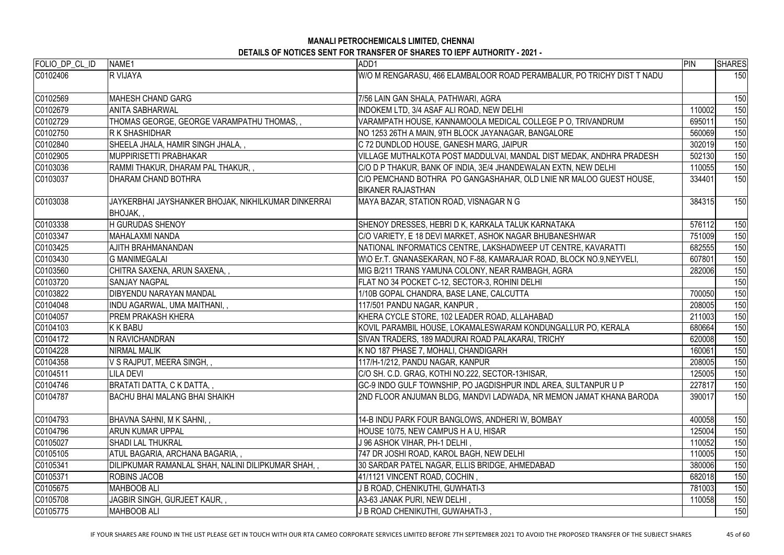| FOLIO_DP_CL_ID | NAME1                                                                  | ADD1                                                                                           | PIN    | <b>SHARES</b> |
|----------------|------------------------------------------------------------------------|------------------------------------------------------------------------------------------------|--------|---------------|
| C0102406       | <b>R VIJAYA</b>                                                        | W/O M RENGARASU, 466 ELAMBALOOR ROAD PERAMBALUR, PO TRICHY DIST T NADU                         |        | 150           |
| C0102569       | MAHESH CHAND GARG                                                      | 7/56 LAIN GAN SHALA, PATHWARI, AGRA                                                            |        | 150           |
| C0102679       | <b>ANITA SABHARWAL</b>                                                 | INDOKEM LTD, 3/4 ASAF ALI ROAD, NEW DELHI                                                      | 110002 | 150           |
| C0102729       | THOMAS GEORGE, GEORGE VARAMPATHU THOMAS,,                              | VARAMPATH HOUSE, KANNAMOOLA MEDICAL COLLEGE P O, TRIVANDRUM                                    | 695011 | 150           |
| C0102750       | <b>R K SHASHIDHAR</b>                                                  | NO 1253 26TH A MAIN, 9TH BLOCK JAYANAGAR, BANGALORE                                            | 560069 | 150           |
| C0102840       | SHEELA JHALA, HAMIR SINGH JHALA, ,                                     | C 72 DUNDLOD HOUSE, GANESH MARG, JAIPUR                                                        | 302019 | 150           |
| C0102905       | MUPPIRISETTI PRABHAKAR                                                 | VILLAGE MUTHALKOTA POST MADDULVAI, MANDAL DIST MEDAK, ANDHRA PRADESH                           | 502130 | 150           |
| C0103036       | RAMMI THAKUR, DHARAM PAL THAKUR, ,                                     | C/O D P THAKUR, BANK OF INDIA, 3E/4 JHANDEWALAN EXTN, NEW DELHI                                | 110055 | 150           |
| C0103037       | <b>DHARAM CHAND BOTHRA</b>                                             | C/O PEMCHAND BOTHRA PO GANGASHAHAR, OLD LNIE NR MALOO GUEST HOUSE,<br><b>BIKANER RAJASTHAN</b> | 334401 | 150           |
| C0103038       | JAYKERBHAI JAYSHANKER BHOJAK, NIKHILKUMAR DINKERRAI<br><b>BHOJAK,,</b> | MAYA BAZAR, STATION ROAD, VISNAGAR N G                                                         | 384315 | 150           |
| C0103338       | <b>H GURUDAS SHENOY</b>                                                | SHENOY DRESSES, HEBRI D K, KARKALA TALUK KARNATAKA                                             | 576112 | 150           |
| C0103347       | MAHALAXMI NANDA                                                        | C/O VARIETY, E 18 DEVI MARKET, ASHOK NAGAR BHUBANESHWAR                                        | 751009 | 150           |
| C0103425       | AJITH BRAHMANANDAN                                                     | NATIONAL INFORMATICS CENTRE, LAKSHADWEEP UT CENTRE, KAVARATTI                                  | 682555 | 150           |
| C0103430       | <b>G MANIMEGALAI</b>                                                   | W\O Er.T. GNANASEKARAN, NO F-88, KAMARAJAR ROAD, BLOCK NO.9,NEYVELI,                           | 607801 | 150           |
| C0103560       | CHITRA SAXENA, ARUN SAXENA,                                            | MIG B/211 TRANS YAMUNA COLONY, NEAR RAMBAGH, AGRA                                              | 282006 | 150           |
| C0103720       | <b>SANJAY NAGPAL</b>                                                   | FLAT NO 34 POCKET C-12, SECTOR-3, ROHINI DELHI                                                 |        | 150           |
| C0103822       | <b>DIBYENDU NARAYAN MANDAL</b>                                         | 1/10B GOPAL CHANDRA, BASE LANE, CALCUTTA                                                       | 700050 | 150           |
| C0104048       | INDU AGARWAL, UMA MAITHANI, ,                                          | 117/501 PANDU NAGAR, KANPUR,                                                                   | 208005 | 150           |
| C0104057       | <b>PREM PRAKASH KHERA</b>                                              | KHERA CYCLE STORE, 102 LEADER ROAD, ALLAHABAD                                                  | 211003 | 150           |
| C0104103       | K K BABU                                                               | KOVIL PARAMBIL HOUSE, LOKAMALESWARAM KONDUNGALLUR PO, KERALA                                   | 680664 | 150           |
| C0104172       | N RAVICHANDRAN                                                         | SIVAN TRADERS, 189 MADURAI ROAD PALAKARAI, TRICHY                                              | 620008 | 150           |
| C0104228       | <b>NIRMAL MALIK</b>                                                    | K NO 187 PHASE 7, MOHALI, CHANDIGARH                                                           | 160061 | 150           |
| C0104358       | V S RAJPUT, MEERA SINGH, ,                                             | 117/H-1/212, PANDU NAGAR, KANPUR                                                               | 208005 | 150           |
| C0104511       | LILA DEVI                                                              | C/O SH. C.D. GRAG, KOTHI NO.222, SECTOR-13HISAR,                                               | 125005 | 150           |
| C0104746       | BRATATI DATTA, C K DATTA, ,                                            | GC-9 INDO GULF TOWNSHIP, PO JAGDISHPUR INDL AREA, SULTANPUR U P                                | 227817 | 150           |
| C0104787       | <b>BACHU BHAI MALANG BHAI SHAIKH</b>                                   | 2ND FLOOR ANJUMAN BLDG, MANDVI LADWADA, NR MEMON JAMAT KHANA BARODA                            | 390017 | 150           |
| C0104793       | BHAVNA SAHNI, M K SAHNI, ,                                             | 14-B INDU PARK FOUR BANGLOWS, ANDHERI W, BOMBAY                                                | 400058 | 150           |
| C0104796       | <b>ARUN KUMAR UPPAL</b>                                                | HOUSE 10/75, NEW CAMPUS H A U, HISAR                                                           | 125004 | 150           |
| C0105027       | <b>SHADI LAL THUKRAL</b>                                               | J 96 ASHOK VIHAR, PH-1 DELHI ,                                                                 | 110052 | 150           |
| C0105105       | ATUL BAGARIA, ARCHANA BAGARIA, ,                                       | 747 DR JOSHI ROAD, KAROL BAGH, NEW DELHI                                                       | 110005 | 150           |
| C0105341       | DILIPKUMAR RAMANLAL SHAH, NALINI DILIPKUMAR SHAH, ,                    | 30 SARDAR PATEL NAGAR, ELLIS BRIDGE, AHMEDABAD                                                 | 380006 | 150           |
| C0105371       | <b>ROBINS JACOB</b>                                                    | 41/1121 VINCENT ROAD, COCHIN,                                                                  | 682018 | 150           |
| C0105675       | <b>MAHBOOB ALI</b>                                                     | J B ROAD, CHENIKUTHI, GUWHATI-3                                                                | 781003 | 150           |
| C0105708       | JAGBIR SINGH, GURJEET KAUR,,                                           | A3-63 JANAK PURI, NEW DELHI,                                                                   | 110058 | 150           |
| C0105775       | <b>MAHBOOB ALI</b>                                                     | J B ROAD CHENIKUTHI, GUWAHATI-3,                                                               |        | 150           |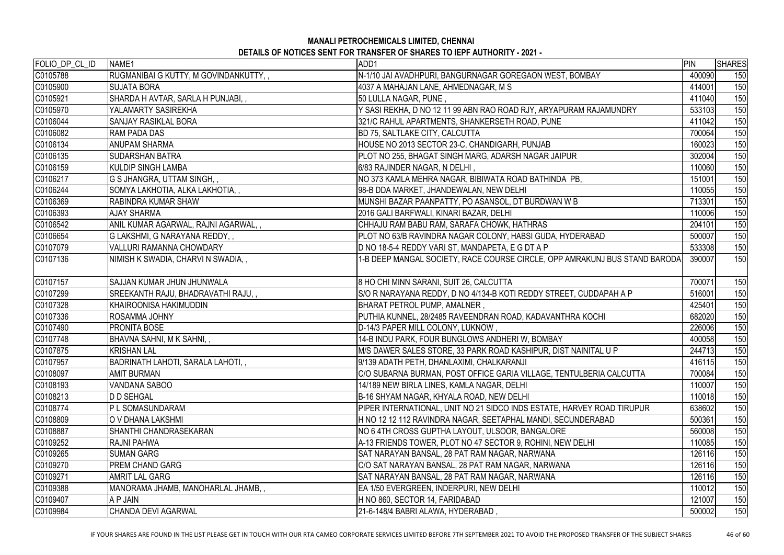| FOLIO_DP_CL_ID | NAME1                                 | ADD1                                                                       | PIN    | <b>SHARES</b> |
|----------------|---------------------------------------|----------------------------------------------------------------------------|--------|---------------|
| C0105788       | RUGMANIBAI G KUTTY, M GOVINDANKUTTY,, | N-1/10 JAI AVADHPURI, BANGURNAGAR GOREGAON WEST, BOMBAY                    | 400090 | 150           |
| C0105900       | <b>SUJATA BORA</b>                    | 4037 A MAHAJAN LANE, AHMEDNAGAR, M S                                       | 414001 | 150           |
| C0105921       | SHARDA H AVTAR, SARLA H PUNJABI,,     | 50 LULLA NAGAR, PUNE,                                                      | 411040 | 150           |
| C0105970       | YALAMARTY SASIREKHA                   | Y SASI REKHA, D NO 12 11 99 ABN RAO ROAD RJY, ARYAPURAM RAJAMUNDRY         | 533103 | 150           |
| C0106044       | <b>SANJAY RASIKLAL BORA</b>           | 321/C RAHUL APARTMENTS, SHANKERSETH ROAD, PUNE                             | 411042 | 150           |
| C0106082       | <b>RAM PADA DAS</b>                   | <b>BD 75, SALTLAKE CITY, CALCUTTA</b>                                      | 700064 | 150           |
| C0106134       | <b>ANUPAM SHARMA</b>                  | HOUSE NO 2013 SECTOR 23-C, CHANDIGARH, PUNJAB                              | 160023 | 150           |
| C0106135       | <b>SUDARSHAN BATRA</b>                | PLOT NO 255, BHAGAT SINGH MARG, ADARSH NAGAR JAIPUR                        | 302004 | 150           |
| C0106159       | <b>KULDIP SINGH LAMBA</b>             | 6/83 RAJINDER NAGAR, N DELHI,                                              | 110060 | 150           |
| C0106217       | G S JHANGRA, UTTAM SINGH,,            | NO 373 KAMLA MEHRA NAGAR, BIBIWATA ROAD BATHINDA PB,                       | 151001 | 150           |
| C0106244       | SOMYA LAKHOTIA, ALKA LAKHOTIA,,       | 98-B DDA MARKET, JHANDEWALAN, NEW DELHI                                    | 110055 | 150           |
| C0106369       | <b>RABINDRA KUMAR SHAW</b>            | MUNSHI BAZAR PAANPATTY, PO ASANSOL, DT BURDWAN W B                         | 713301 | 150           |
| C0106393       | <b>AJAY SHARMA</b>                    | 2016 GALI BARFWALI, KINARI BAZAR, DELHI                                    | 110006 | 150           |
| C0106542       | ANIL KUMAR AGARWAL, RAJNI AGARWAL,,   | CHHAJU RAM BABU RAM, SARAFA CHOWK, HATHRAS                                 | 204101 | 150           |
| C0106654       | G LAKSHMI, G NARAYANA REDDY,,         | PLOT NO 63/B RAVINDRA NAGAR COLONY, HABSI GUDA, HYDERABAD                  | 500007 | 150           |
| C0107079       | <b>VALLURI RAMANNA CHOWDARY</b>       | D NO 18-5-4 REDDY VARI ST, MANDAPETA, E G DT A P                           | 533308 | 150           |
| C0107136       | NIMISH K SWADIA, CHARVI N SWADIA,,    | 1-B DEEP MANGAL SOCIETY, RACE COURSE CIRCLE, OPP AMRAKUNJ BUS STAND BARODA | 390007 | 150           |
| C0107157       | <b>SAJJAN KUMAR JHUN JHUNWALA</b>     | 8 HO CHI MINN SARANI, SUIT 26, CALCUTTA                                    | 700071 | 150           |
| C0107299       | SREEKANTH RAJU, BHADRAVATHI RAJU,,    | S/O R NARAYANA REDDY, D NO 4/134-B KOTI REDDY STREET, CUDDAPAH A P         | 516001 | 150           |
| C0107328       | KHAIROONISA HAKIMUDDIN                | BHARAT PETROL PUMP, AMALNER,                                               | 425401 | 150           |
| C0107336       | <b>ROSAMMA JOHNY</b>                  | PUTHIA KUNNEL, 28/2485 RAVEENDRAN ROAD, KADAVANTHRA KOCHI                  | 682020 | 150           |
| C0107490       | <b>PRONITA BOSE</b>                   | D-14/3 PAPER MILL COLONY, LUKNOW,                                          | 226006 | 150           |
| C0107748       | BHAVNA SAHNI, M K SAHNI,,             | 14-B INDU PARK, FOUR BUNGLOWS ANDHERI W, BOMBAY                            | 400058 | 150           |
| C0107875       | <b>KRISHAN LAL</b>                    | M/S DAWER SALES STORE, 33 PARK ROAD KASHIPUR, DIST NAINITAL U P            | 244713 | 150           |
| C0107957       | BADRINATH LAHOTI, SARALA LAHOTI,,     | 9/139 ADATH PETH, DHANLAXIMI, CHALKARANJI                                  | 416115 | 150           |
| C0108097       | <b>AMIT BURMAN</b>                    | C/O SUBARNA BURMAN, POST OFFICE GARIA VILLAGE, TENTULBERIA CALCUTTA        | 700084 | 150           |
| C0108193       | <b>VANDANA SABOO</b>                  | 14/189 NEW BIRLA LINES, KAMLA NAGAR, DELHI                                 | 110007 | 150           |
| C0108213       | <b>D D SEHGAL</b>                     | B-16 SHYAM NAGAR, KHYALA ROAD, NEW DELHI                                   | 110018 | 150           |
| C0108774       | P L SOMASUNDARAM                      | PIPER INTERNATIONAL, UNIT NO 21 SIDCO INDS ESTATE, HARVEY ROAD TIRUPUR     | 638602 | 150           |
| C0108809       | O V DHANA LAKSHMI                     | H NO 12 12 112 RAVINDRA NAGAR, SEETAPHAL MANDI, SECUNDERABAD               | 500361 | 150           |
| C0108887       | <b>SHANTHI CHANDRASEKARAN</b>         | NO 6 4TH CROSS GUPTHA LAYOUT, ULSOOR, BANGALORE                            | 560008 | 150           |
| C0109252       | <b>RAJNI PAHWA</b>                    | A-13 FRIENDS TOWER, PLOT NO 47 SECTOR 9, ROHINI, NEW DELHI                 | 110085 | 150           |
| C0109265       | <b>SUMAN GARG</b>                     | SAT NARAYAN BANSAL, 28 PAT RAM NAGAR, NARWANA                              | 126116 | 150           |
| C0109270       | <b>PREM CHAND GARG</b>                | C/O SAT NARAYAN BANSAL, 28 PAT RAM NAGAR, NARWANA                          | 126116 | 150           |
| C0109271       | <b>AMRIT LAL GARG</b>                 | SAT NARAYAN BANSAL, 28 PAT RAM NAGAR, NARWANA                              | 126116 | 150           |
| C0109388       | MANORAMA JHAMB, MANOHARLAL JHAMB,,    | EA 1/50 EVERGREEN, INDERPURI, NEW DELHI                                    | 110012 | 150           |
| C0109407       | A P JAIN                              | H NO 860, SECTOR 14, FARIDABAD                                             | 121007 | 150           |
| C0109984       | CHANDA DEVI AGARWAL                   | 21-6-148/4 BABRI ALAWA, HYDERABAD,                                         | 500002 | 150           |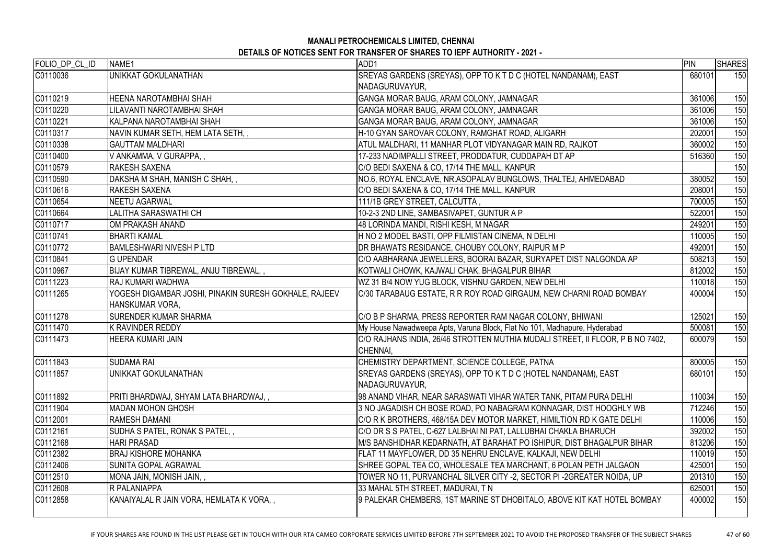| SREYAS GARDENS (SREYAS), OPP TO K T D C (HOTEL NANDANAM), EAST<br>C0110036<br>UNIKKAT GOKULANATHAN<br>NADAGURUVAYUR,<br>C0110219<br>HEENA NAROTAMBHAI SHAH<br>GANGA MORAR BAUG, ARAM COLONY, JAMNAGAR<br>C0110220<br>GANGA MORAR BAUG, ARAM COLONY, JAMNAGAR<br>LILAVANTI NAROTAMBHAI SHAH<br>KALPANA NAROTAMBHAI SHAH<br>GANGA MORAR BAUG, ARAM COLONY, JAMNAGAR<br>H-10 GYAN SAROVAR COLONY, RAMGHAT ROAD, ALIGARH<br> NAVIN KUMAR SETH, HEM LATA SETH, ,<br>ATUL MALDHARI, 11 MANHAR PLOT VIDYANAGAR MAIN RD, RAJKOT<br><b>GAUTTAM MALDHARI</b><br>V ANKAMMA, V GURAPPA,,<br>17-233 NADIMPALLI STREET, PRODDATUR, CUDDAPAH DT AP<br><b>RAKESH SAXENA</b><br>C/O BEDI SAXENA & CO, 17/14 THE MALL, KANPUR<br>DAKSHA M SHAH, MANISH C SHAH,,<br>NO.6, ROYAL ENCLAVE, NR.ASOPALAV BUNGLOWS, THALTEJ, AHMEDABAD<br><b>RAKESH SAXENA</b><br>C/O BEDI SAXENA & CO, 17/14 THE MALL, KANPUR<br>NEETU AGARWAL<br>111/1B GREY STREET, CALCUTTA,<br>10-2-3 2ND LINE, SAMBASIVAPET, GUNTUR A P<br>LALITHA SARASWATHI CH<br>48 LORINDA MANDI, RISHI KESH, M NAGAR<br>IOM PRAKASH ANAND<br>H NO 2 MODEL BASTI, OPP FILMISTAN CINEMA, N DELHI<br>IBHARTI KAMAL<br><b>BAMLESHWARI NIVESH P LTD</b><br>DR BHAWATS RESIDANCE, CHOUBY COLONY, RAIPUR M P |        | <b>SHARES</b> |
|------------------------------------------------------------------------------------------------------------------------------------------------------------------------------------------------------------------------------------------------------------------------------------------------------------------------------------------------------------------------------------------------------------------------------------------------------------------------------------------------------------------------------------------------------------------------------------------------------------------------------------------------------------------------------------------------------------------------------------------------------------------------------------------------------------------------------------------------------------------------------------------------------------------------------------------------------------------------------------------------------------------------------------------------------------------------------------------------------------------------------------------------------------------------------------------------------------------------------------------|--------|---------------|
|                                                                                                                                                                                                                                                                                                                                                                                                                                                                                                                                                                                                                                                                                                                                                                                                                                                                                                                                                                                                                                                                                                                                                                                                                                          | 680101 | 150           |
|                                                                                                                                                                                                                                                                                                                                                                                                                                                                                                                                                                                                                                                                                                                                                                                                                                                                                                                                                                                                                                                                                                                                                                                                                                          |        |               |
|                                                                                                                                                                                                                                                                                                                                                                                                                                                                                                                                                                                                                                                                                                                                                                                                                                                                                                                                                                                                                                                                                                                                                                                                                                          | 361006 | 150           |
| C0110221<br>C0110317<br>C0110338<br>C0110400<br>C0110579<br>C0110590<br>C0110616<br>C0110654<br>C0110664<br>C0110717<br>C0110741<br>CO110772                                                                                                                                                                                                                                                                                                                                                                                                                                                                                                                                                                                                                                                                                                                                                                                                                                                                                                                                                                                                                                                                                             | 361006 | 150           |
|                                                                                                                                                                                                                                                                                                                                                                                                                                                                                                                                                                                                                                                                                                                                                                                                                                                                                                                                                                                                                                                                                                                                                                                                                                          | 361006 | 150           |
|                                                                                                                                                                                                                                                                                                                                                                                                                                                                                                                                                                                                                                                                                                                                                                                                                                                                                                                                                                                                                                                                                                                                                                                                                                          | 202001 | 150           |
|                                                                                                                                                                                                                                                                                                                                                                                                                                                                                                                                                                                                                                                                                                                                                                                                                                                                                                                                                                                                                                                                                                                                                                                                                                          | 360002 | 150           |
|                                                                                                                                                                                                                                                                                                                                                                                                                                                                                                                                                                                                                                                                                                                                                                                                                                                                                                                                                                                                                                                                                                                                                                                                                                          | 516360 | 150           |
|                                                                                                                                                                                                                                                                                                                                                                                                                                                                                                                                                                                                                                                                                                                                                                                                                                                                                                                                                                                                                                                                                                                                                                                                                                          |        | 150           |
|                                                                                                                                                                                                                                                                                                                                                                                                                                                                                                                                                                                                                                                                                                                                                                                                                                                                                                                                                                                                                                                                                                                                                                                                                                          | 380052 | 150           |
|                                                                                                                                                                                                                                                                                                                                                                                                                                                                                                                                                                                                                                                                                                                                                                                                                                                                                                                                                                                                                                                                                                                                                                                                                                          | 208001 | 150           |
|                                                                                                                                                                                                                                                                                                                                                                                                                                                                                                                                                                                                                                                                                                                                                                                                                                                                                                                                                                                                                                                                                                                                                                                                                                          | 700005 | 150           |
|                                                                                                                                                                                                                                                                                                                                                                                                                                                                                                                                                                                                                                                                                                                                                                                                                                                                                                                                                                                                                                                                                                                                                                                                                                          | 522001 | 150           |
|                                                                                                                                                                                                                                                                                                                                                                                                                                                                                                                                                                                                                                                                                                                                                                                                                                                                                                                                                                                                                                                                                                                                                                                                                                          | 249201 | 150           |
|                                                                                                                                                                                                                                                                                                                                                                                                                                                                                                                                                                                                                                                                                                                                                                                                                                                                                                                                                                                                                                                                                                                                                                                                                                          | 110005 | 150           |
|                                                                                                                                                                                                                                                                                                                                                                                                                                                                                                                                                                                                                                                                                                                                                                                                                                                                                                                                                                                                                                                                                                                                                                                                                                          | 492001 | 150           |
| C0110841<br>C/O AABHARANA JEWELLERS, BOORAI BAZAR, SURYAPET DIST NALGONDA AP<br><b>IG UPENDAR</b>                                                                                                                                                                                                                                                                                                                                                                                                                                                                                                                                                                                                                                                                                                                                                                                                                                                                                                                                                                                                                                                                                                                                        | 508213 | 150           |
| C0110967<br>KOTWALI CHOWK, KAJWALI CHAK, BHAGALPUR BIHAR<br>BIJAY KUMAR TIBREWAL, ANJU TIBREWAL, ,                                                                                                                                                                                                                                                                                                                                                                                                                                                                                                                                                                                                                                                                                                                                                                                                                                                                                                                                                                                                                                                                                                                                       | 812002 | 150           |
| C0111223<br>WZ 31 B/4 NOW YUG BLOCK, VISHNU GARDEN, NEW DELHI<br><b>RAJ KUMARI WADHWA</b>                                                                                                                                                                                                                                                                                                                                                                                                                                                                                                                                                                                                                                                                                                                                                                                                                                                                                                                                                                                                                                                                                                                                                | 110018 | 150           |
| C0111265<br>YOGESH DIGAMBAR JOSHI, PINAKIN SURESH GOKHALE, RAJEEV<br>C/30 TARABAUG ESTATE, R R ROY ROAD GIRGAUM, NEW CHARNI ROAD BOMBAY<br>HANSKUMAR VORA,                                                                                                                                                                                                                                                                                                                                                                                                                                                                                                                                                                                                                                                                                                                                                                                                                                                                                                                                                                                                                                                                               | 400004 | 150           |
| C0111278<br><b>SURENDER KUMAR SHARMA</b><br>C/O B P SHARMA, PRESS REPORTER RAM NAGAR COLONY, BHIWANI                                                                                                                                                                                                                                                                                                                                                                                                                                                                                                                                                                                                                                                                                                                                                                                                                                                                                                                                                                                                                                                                                                                                     | 125021 | 150           |
| C0111470<br>My House Nawadweepa Apts, Varuna Block, Flat No 101, Madhapure, Hyderabad<br>K RAVINDER REDDY                                                                                                                                                                                                                                                                                                                                                                                                                                                                                                                                                                                                                                                                                                                                                                                                                                                                                                                                                                                                                                                                                                                                | 500081 | 150           |
| C/O RAJHANS INDIA, 26/46 STROTTEN MUTHIA MUDALI STREET, II FLOOR, P B NO 7402,<br>C0111473<br><b>HEERA KUMARI JAIN</b><br>CHENNAI,                                                                                                                                                                                                                                                                                                                                                                                                                                                                                                                                                                                                                                                                                                                                                                                                                                                                                                                                                                                                                                                                                                       | 600079 | 150           |
| C0111843<br>CHEMISTRY DEPARTMENT, SCIENCE COLLEGE, PATNA<br><b>SUDAMA RAI</b>                                                                                                                                                                                                                                                                                                                                                                                                                                                                                                                                                                                                                                                                                                                                                                                                                                                                                                                                                                                                                                                                                                                                                            | 800005 | 150           |
| C0111857<br>SREYAS GARDENS (SREYAS), OPP TO K T D C (HOTEL NANDANAM), EAST<br>UNIKKAT GOKULANATHAN<br>NADAGURUVAYUR,                                                                                                                                                                                                                                                                                                                                                                                                                                                                                                                                                                                                                                                                                                                                                                                                                                                                                                                                                                                                                                                                                                                     | 680101 | 150           |
| C0111892<br> PRITI BHARDWAJ, SHYAM LATA BHARDWAJ, ,<br>98 ANAND VIHAR, NEAR SARASWATI VIHAR WATER TANK, PITAM PURA DELHI                                                                                                                                                                                                                                                                                                                                                                                                                                                                                                                                                                                                                                                                                                                                                                                                                                                                                                                                                                                                                                                                                                                 | 110034 | 150           |
| C0111904<br><b>MADAN MOHON GHOSH</b><br>3 NO JAGADISH CH BOSE ROAD, PO NABAGRAM KONNAGAR, DIST HOOGHLY WB                                                                                                                                                                                                                                                                                                                                                                                                                                                                                                                                                                                                                                                                                                                                                                                                                                                                                                                                                                                                                                                                                                                                | 712246 | 150           |
| C0112001<br><b>RAMESH DAMANI</b><br>C/O R K BROTHERS, 468/15A DEV MOTOR MARKET, HIMILTION RD K GATE DELHI                                                                                                                                                                                                                                                                                                                                                                                                                                                                                                                                                                                                                                                                                                                                                                                                                                                                                                                                                                                                                                                                                                                                | 110006 | 150           |
| C0112161<br>SUDHA S PATEL, RONAK S PATEL,,<br>C/O DR S S PATEL, C-627 LALBHAI NI PAT, LALLUBHAI CHAKLA BHARUCH                                                                                                                                                                                                                                                                                                                                                                                                                                                                                                                                                                                                                                                                                                                                                                                                                                                                                                                                                                                                                                                                                                                           | 392002 | 150           |
| C0112168<br><b>HARI PRASAD</b><br>M/S BANSHIDHAR KEDARNATH, AT BARAHAT PO ISHIPUR, DIST BHAGALPUR BIHAR                                                                                                                                                                                                                                                                                                                                                                                                                                                                                                                                                                                                                                                                                                                                                                                                                                                                                                                                                                                                                                                                                                                                  | 813206 | 150           |
| <b>BRAJ KISHORE MOHANKA</b><br>C0112382<br>FLAT 11 MAYFLOWER, DD 35 NEHRU ENCLAVE, KALKAJI, NEW DELHI                                                                                                                                                                                                                                                                                                                                                                                                                                                                                                                                                                                                                                                                                                                                                                                                                                                                                                                                                                                                                                                                                                                                    | 110019 | 150           |
| C0112406<br>SUNITA GOPAL AGRAWAL<br>SHREE GOPAL TEA CO, WHOLESALE TEA MARCHANT, 6 POLAN PETH JALGAON                                                                                                                                                                                                                                                                                                                                                                                                                                                                                                                                                                                                                                                                                                                                                                                                                                                                                                                                                                                                                                                                                                                                     | 425001 | 150           |
| C0112510<br>MONA JAIN, MONISH JAIN, ,<br>TOWER NO 11, PURVANCHAL SILVER CITY -2, SECTOR PI -2GREATER NOIDA, UP                                                                                                                                                                                                                                                                                                                                                                                                                                                                                                                                                                                                                                                                                                                                                                                                                                                                                                                                                                                                                                                                                                                           | 201310 | 150           |
| C0112608<br><b>R PALANIAPPA</b><br>33 MAHAL 5TH STREET, MADURAI, TN                                                                                                                                                                                                                                                                                                                                                                                                                                                                                                                                                                                                                                                                                                                                                                                                                                                                                                                                                                                                                                                                                                                                                                      | 625001 | 150           |
| C0112858<br>KANAIYALAL R JAIN VORA, HEMLATA K VORA, ,<br>9 PALEKAR CHEMBERS, 1ST MARINE ST DHOBITALO, ABOVE KIT KAT HOTEL BOMBAY                                                                                                                                                                                                                                                                                                                                                                                                                                                                                                                                                                                                                                                                                                                                                                                                                                                                                                                                                                                                                                                                                                         | 400002 | 150           |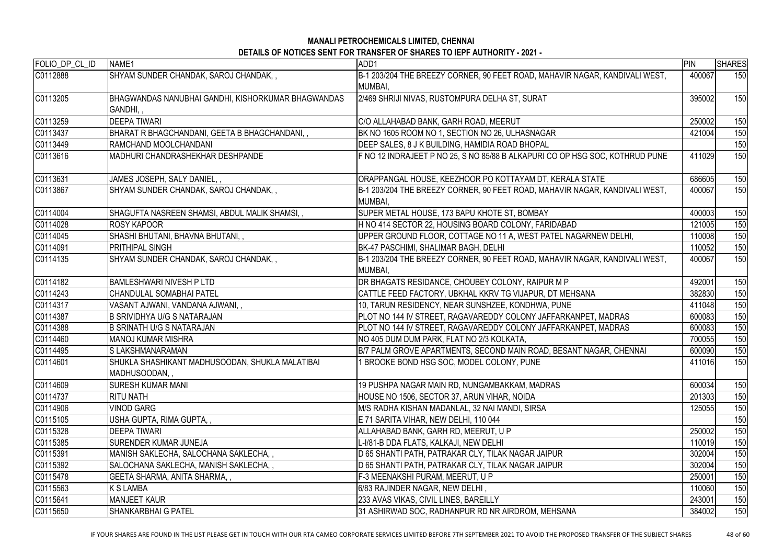| FOLIO_DP_CL_ID | NAME1                                              | ADD1                                                                                          | PIN    | <b>SHARES</b> |
|----------------|----------------------------------------------------|-----------------------------------------------------------------------------------------------|--------|---------------|
| C0112888       | SHYAM SUNDER CHANDAK, SAROJ CHANDAK,,              | B-1 203/204 THE BREEZY CORNER, 90 FEET ROAD, MAHAVIR NAGAR, KANDIVALI WEST,                   | 400067 | 150           |
|                |                                                    | MUMBAI,                                                                                       |        |               |
| C0113205       | BHAGWANDAS NANUBHAI GANDHI, KISHORKUMAR BHAGWANDAS | 2/469 SHRIJI NIVAS, RUSTOMPURA DELHA ST, SURAT                                                | 395002 | 150           |
|                | GANDHI,,                                           |                                                                                               |        |               |
| C0113259       | <b>DEEPA TIWARI</b>                                | C/O ALLAHABAD BANK, GARH ROAD, MEERUT                                                         | 250002 | 150           |
| C0113437       | BHARAT R BHAGCHANDANI, GEETA B BHAGCHANDANI, ,     | BK NO 1605 ROOM NO 1, SECTION NO 26, ULHASNAGAR                                               | 421004 | 150           |
| C0113449       | RAMCHAND MOOLCHANDANI                              | DEEP SALES, 8 J K BUILDING, HAMIDIA ROAD BHOPAL                                               |        | 150           |
| C0113616       | MADHURI CHANDRASHEKHAR DESHPANDE                   | F NO 12 INDRAJEET P NO 25, S NO 85/88 B ALKAPURI CO OP HSG SOC, KOTHRUD PUNE                  | 411029 | 150           |
| C0113631       | JAMES JOSEPH, SALY DANIEL,,                        | ORAPPANGAL HOUSE, KEEZHOOR PO KOTTAYAM DT, KERALA STATE                                       | 686605 | 150           |
| C0113867       | SHYAM SUNDER CHANDAK, SAROJ CHANDAK,,              | B-1 203/204 THE BREEZY CORNER, 90 FEET ROAD, MAHAVIR NAGAR, KANDIVALI WEST,                   | 400067 | 150           |
|                |                                                    | MUMBAI,                                                                                       |        |               |
| C0114004       | SHAGUFTA NASREEN SHAMSI, ABDUL MALIK SHAMSI,,      | SUPER METAL HOUSE, 173 BAPU KHOTE ST, BOMBAY                                                  | 400003 | 150           |
| C0114028       | <b>ROSY KAPOOR</b>                                 | H NO 414 SECTOR 22, HOUSING BOARD COLONY, FARIDABAD                                           | 121005 | 150           |
| C0114045       | SHASHI BHUTANI, BHAVNA BHUTANI, ,                  | UPPER GROUND FLOOR, COTTAGE NO 11 A, WEST PATEL NAGARNEW DELHI,                               | 110008 | 150           |
| C0114091       | <b>PRITHIPAL SINGH</b>                             | BK-47 PASCHIMI, SHALIMAR BAGH, DELHI                                                          | 110052 | 150           |
| C0114135       | SHYAM SUNDER CHANDAK, SAROJ CHANDAK,,              | B-1 203/204 THE BREEZY CORNER, 90 FEET ROAD, MAHAVIR NAGAR, KANDIVALI WEST,<br><b>MUMBAI.</b> | 400067 | 150           |
| C0114182       | <b>BAMLESHWARI NIVESH P LTD</b>                    | DR BHAGATS RESIDANCE, CHOUBEY COLONY, RAIPUR M P                                              | 492001 | 150           |
| C0114243       | CHANDULAL SOMABHAI PATEL                           | CATTLE FEED FACTORY, UBKHAL KKRV TG VIJAPUR, DT MEHSANA                                       | 382830 | 150           |
| C0114317       | VASANT AJWANI, VANDANA AJWANI,                     | 10, TARUN RESIDENCY, NEAR SUNSHZEE, KONDHWA, PUNE                                             | 411048 | 150           |
| C0114387       | <b>B SRIVIDHYA U/G S NATARAJAN</b>                 | PLOT NO 144 IV STREET, RAGAVAREDDY COLONY JAFFARKANPET, MADRAS                                | 600083 | 150           |
| C0114388       | <b>B SRINATH U/G S NATARAJAN</b>                   | PLOT NO 144 IV STREET, RAGAVAREDDY COLONY JAFFARKANPET, MADRAS                                | 600083 | 150           |
| C0114460       | <b>MANOJ KUMAR MISHRA</b>                          | INO 405 DUM DUM PARK, FLAT NO 2/3 KOLKATA,                                                    | 700055 | 150           |
| C0114495       | S LAKSHMANARAMAN                                   | B/7 PALM GROVE APARTMENTS, SECOND MAIN ROAD, BESANT NAGAR, CHENNAI                            | 600090 | 150           |
| C0114601       | SHUKLA SHASHIKANT MADHUSOODAN, SHUKLA MALATIBAI    | 1 BROOKE BOND HSG SOC, MODEL COLONY, PUNE                                                     | 411016 | 150           |
|                | MADHUSOODAN,,                                      |                                                                                               |        |               |
| C0114609       | <b>SURESH KUMAR MANI</b>                           | 19 PUSHPA NAGAR MAIN RD, NUNGAMBAKKAM, MADRAS                                                 | 600034 | 150           |
| C0114737       | <b>RITU NATH</b>                                   | HOUSE NO 1506, SECTOR 37, ARUN VIHAR, NOIDA                                                   | 201303 | 150           |
| C0114906       | <b>VINOD GARG</b>                                  | M/S RADHA KISHAN MADANLAL, 32 NAI MANDI, SIRSA                                                | 125055 | 150           |
| C0115105       | USHA GUPTA, RIMA GUPTA,,                           | E 71 SARITA VIHAR, NEW DELHI, 110 044                                                         |        | 150           |
| C0115328       | <b>DEEPA TIWARI</b>                                | ALLAHABAD BANK, GARH RD, MEERUT, U P                                                          | 250002 | 150           |
| C0115385       | SURENDER KUMAR JUNEJA                              | L-I/81-B DDA FLATS, KALKAJI, NEW DELHI                                                        | 110019 | 150           |
| C0115391       | MANISH SAKLECHA, SALOCHANA SAKLECHA,,              | D 65 SHANTI PATH, PATRAKAR CLY, TILAK NAGAR JAIPUR                                            | 302004 | 150           |
| C0115392       | SALOCHANA SAKLECHA, MANISH SAKLECHA,,              | D 65 SHANTI PATH, PATRAKAR CLY, TILAK NAGAR JAIPUR                                            | 302004 | 150           |
| C0115478       | GEETA SHARMA, ANITA SHARMA,,                       | F-3 MEENAKSHI PURAM, MEERUT, U P                                                              | 250001 | 150           |
| C0115563       | <b>K S LAMBA</b>                                   | 6/83 RAJINDER NAGAR, NEW DELHI,                                                               | 110060 | 150           |
| C0115641       | <b>MANJEET KAUR</b>                                | 233 AVAS VIKAS, CIVIL LINES, BAREILLY                                                         | 243001 | 150           |
| C0115650       | SHANKARBHAI G PATEL                                | 31 ASHIRWAD SOC, RADHANPUR RD NR AIRDROM, MEHSANA                                             | 384002 | 150           |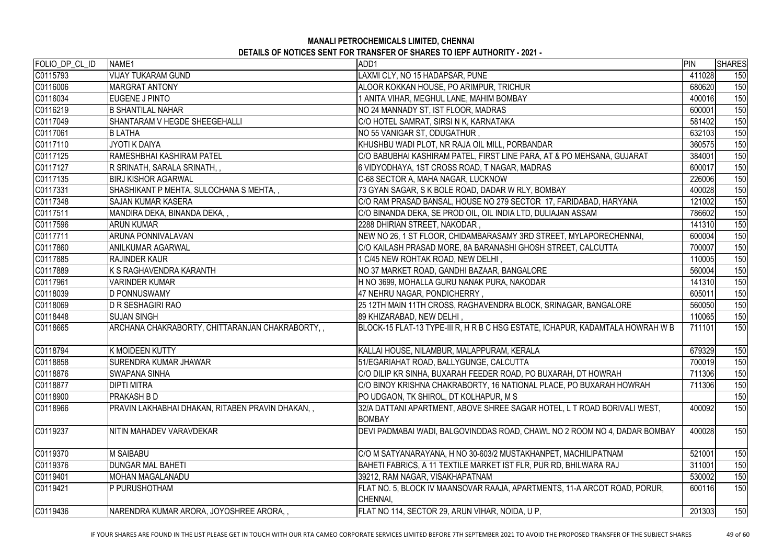| FOLIO_DP_CL_ID<br>ADD1<br>NAME1                                                                                                                            | PIN    | <b>SHARES</b> |
|------------------------------------------------------------------------------------------------------------------------------------------------------------|--------|---------------|
| C0115793<br>VIJAY TUKARAM GUND<br>LAXMI CLY, NO 15 HADAPSAR, PUNE                                                                                          | 411028 | 150           |
| C0116006<br>ALOOR KOKKAN HOUSE, PO ARIMPUR, TRICHUR<br><b>MARGRAT ANTONY</b>                                                                               | 680620 | 150           |
| C0116034<br>EUGENE J PINTO<br>ANITA VIHAR, MEGHUL LANE, MAHIM BOMBAY                                                                                       | 400016 | 150           |
| C0116219<br><b>B SHANTILAL NAHAR</b><br>NO 24 MANNADY ST, IST FLOOR, MADRAS                                                                                | 600001 | 150           |
| C0117049<br><b>SHANTARAM V HEGDE SHEEGEHALLI</b><br>C/O HOTEL SAMRAT, SIRSI N K, KARNATAKA                                                                 | 581402 | 150           |
| NO 55 VANIGAR ST, ODUGATHUR,<br>C0117061<br><b>BLATHA</b>                                                                                                  | 632103 | 150           |
| C0117110<br>KHUSHBU WADI PLOT, NR RAJA OIL MILL, PORBANDAR<br>IJYOTI K DAIYA                                                                               | 360575 | 150           |
| C0117125<br>C/O BABUBHAI KASHIRAM PATEL, FIRST LINE PARA, AT & PO MEHSANA, GUJARAT<br>RAMESHBHAI KASHIRAM PATEL                                            | 384001 | 150           |
| C0117127<br>6 VIDYODHAYA, 1ST CROSS ROAD, T NAGAR, MADRAS<br>R SRINATH, SARALA SRINATH, ,                                                                  | 600017 | 150           |
| C0117135<br><b>BIRJ KISHOR AGARWAL</b><br>C-68 SECTOR A, MAHA NAGAR, LUCKNOW                                                                               | 226006 | 150           |
| C0117331<br>SHASHIKANT P MEHTA, SULOCHANA S MEHTA,,<br>73 GYAN SAGAR, S K BOLE ROAD, DADAR W RLY, BOMBAY                                                   | 400028 | 150           |
| C0117348<br>C/O RAM PRASAD BANSAL, HOUSE NO 279 SECTOR 17, FARIDABAD, HARYANA<br><b>SAJAN KUMAR KASERA</b>                                                 | 121002 | 150           |
| C0117511<br>MANDIRA DEKA, BINANDA DEKA, ,<br>C/O BINANDA DEKA, SE PROD OIL, OIL INDIA LTD, DULIAJAN ASSAM                                                  | 786602 | 150           |
| 2288 DHIRIAN STREET, NAKODAR,<br>C0117596<br><b>ARUN KUMAR</b>                                                                                             | 141310 | 150           |
| <b>ARUNA PONNIVALAVAN</b><br>NEW NO 26, 1 ST FLOOR, CHIDAMBARASAMY 3RD STREET, MYLAPORECHENNAI,<br>C0117711                                                | 600004 | 150           |
| C0117860<br>C/O KAILASH PRASAD MORE, 8A BARANASHI GHOSH STREET, CALCUTTA<br><b>ANILKUMAR AGARWAL</b>                                                       | 700007 | 150           |
| C0117885<br>1 C/45 NEW ROHTAK ROAD, NEW DELHI,<br><b>RAJINDER KAUR</b>                                                                                     | 110005 | 150           |
| C0117889<br>K S RAGHAVENDRA KARANTH<br>NO 37 MARKET ROAD, GANDHI BAZAAR, BANGALORE                                                                         | 560004 | 150           |
| C0117961<br>H NO 3699, MOHALLA GURU NANAK PURA, NAKODAR<br><b>VARINDER KUMAR</b>                                                                           | 141310 | 150           |
| C0118039<br><b>D PONNUSWAMY</b><br>47 NEHRU NAGAR, PONDICHERRY,                                                                                            | 605011 | 150           |
| C0118069<br>25 12TH MAIN 11TH CROSS, RAGHAVENDRA BLOCK, SRINAGAR, BANGALORE<br><b>D R SESHAGIRI RAO</b>                                                    | 560050 | 150           |
| C0118448<br><b>SUJAN SINGH</b><br>89 KHIZARABAD, NEW DELHI,                                                                                                | 110065 | 150           |
| C0118665<br>ARCHANA CHAKRABORTY, CHITTARANJAN CHAKRABORTY,,<br>BLOCK-15 FLAT-13 TYPE-III R, H R B C HSG ESTATE, ICHAPUR, KADAMTALA HOWRAH W B              | 711101 | 150           |
| C0118794<br>K MOIDEEN KUTTY<br>KALLAI HOUSE, NILAMBUR, MALAPPURAM, KERALA                                                                                  | 679329 | 150           |
| 51/EGARIAHAT ROAD, BALLYGUNGE, CALCUTTA<br>C0118858<br><b>SURENDRA KUMAR JHAWAR</b>                                                                        | 700019 | 150           |
| C0118876<br>C/O DILIP KR SINHA, BUXARAH FEEDER ROAD, PO BUXARAH, DT HOWRAH<br><b>ISWAPANA SINHA</b>                                                        | 711306 | 150           |
| C0118877<br><b>DIPTI MITRA</b><br>C/O BINOY KRISHNA CHAKRABORTY, 16 NATIONAL PLACE, PO BUXARAH HOWRAH                                                      | 711306 | 150           |
| C0118900<br><b>PRAKASH B D</b><br>PO UDGAON, TK SHIROL, DT KOLHAPUR, M S                                                                                   |        | 150           |
| C0118966<br>PRAVIN LAKHABHAI DHAKAN, RITABEN PRAVIN DHAKAN, ,<br>32/A DATTANI APARTMENT, ABOVE SHREE SAGAR HOTEL, L T ROAD BORIVALI WEST,<br><b>BOMBAY</b> | 400092 | 150           |
| C0119237<br>DEVI PADMABAI WADI, BALGOVINDDAS ROAD, CHAWL NO 2 ROOM NO 4, DADAR BOMBAY<br>NITIN MAHADEV VARAVDEKAR                                          | 400028 | 150           |
| C0119370<br><b>M SAIBABU</b><br>C/O M SATYANARAYANA, H NO 30-603/2 MUSTAKHANPET, MACHILIPATNAM                                                             | 521001 | 150           |
| C0119376<br><b>DUNGAR MAL BAHETI</b><br>BAHETI FABRICS, A 11 TEXTILE MARKET IST FLR, PUR RD, BHILWARA RAJ                                                  | 311001 | 150           |
| C0119401<br>MOHAN MAGALANADU<br>39212, RAM NAGAR, VISAKHAPATNAM                                                                                            | 530002 | 150           |
| FLAT NO. 5, BLOCK IV MAANSOVAR RAAJA, APARTMENTS, 11-A ARCOT ROAD, PORUR,<br>C0119421<br>IP PURUSHOTHAM<br>CHENNAI,                                        | 600116 | 150           |
| C0119436<br>NARENDRA KUMAR ARORA, JOYOSHREE ARORA, ,<br>FLAT NO 114, SECTOR 29, ARUN VIHAR, NOIDA, U P,                                                    | 201303 | 150           |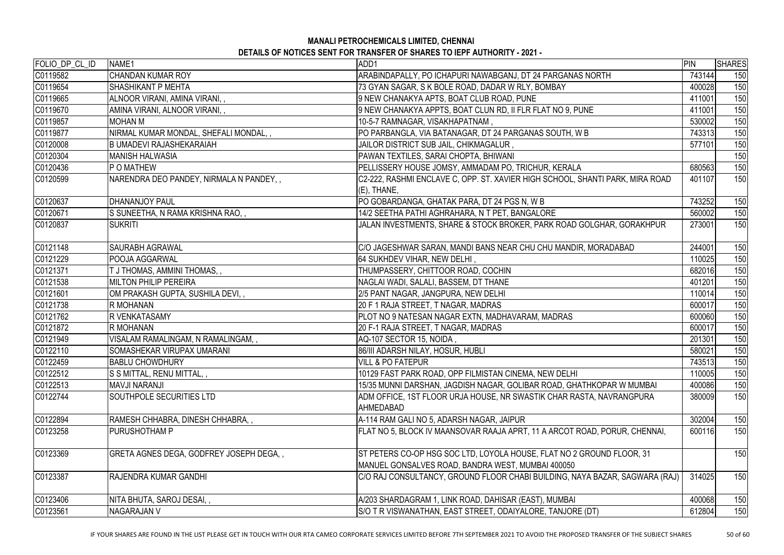| <b>CHANDAN KUMAR ROY</b><br>743144<br>150<br>ARABINDAPALLY, PO ICHAPURI NAWABGANJ, DT 24 PARGANAS NORTH<br><b>SHASHIKANT P MEHTA</b><br>73 GYAN SAGAR, S K BOLE ROAD, DADAR W RLY, BOMBAY<br>400028<br>150<br>9 NEW CHANAKYA APTS, BOAT CLUB ROAD, PUNE<br>ALNOOR VIRANI, AMINA VIRANI,,<br>411001<br>150<br>AMINA VIRANI, ALNOOR VIRANI, ,<br>9 NEW CHANAKYA APPTS, BOAT CLUN RD, II FLR FLAT NO 9, PUNE<br>411001<br>150<br>C0119857<br>150<br><b>MOHAN M</b><br>10-5-7 RAMNAGAR, VISAKHAPATNAM,<br>530002<br>150<br>NIRMAL KUMAR MONDAL, SHEFALI MONDAL,,<br>PO PARBANGLA, VIA BATANAGAR, DT 24 PARGANAS SOUTH, W B<br>743313<br>150<br>B UMADEVI RAJASHEKARAIAH<br>JAILOR DISTRICT SUB JAIL, CHIKMAGALUR,<br>577101<br>150<br><b>MANISH HALWASIA</b><br>PAWAN TEXTILES, SARAI CHOPTA, BHIWANI<br>680563<br>P O MATHEW<br>PELLISSERY HOUSE JOMSY, AMMADAM PO, TRICHUR, KERALA<br>150<br>NARENDRA DEO PANDEY, NIRMALA N PANDEY,,<br>C2-222, RASHMI ENCLAVE C, OPP. ST. XAVIER HIGH SCHOOL, SHANTI PARK, MIRA ROAD<br>401107<br>150<br>$(E)$ , THANE,<br><b>DHANANJOY PAUL</b><br>PO GOBARDANGA, GHATAK PARA, DT 24 PGS N, W B<br>743252<br>150<br>S SUNEETHA, N RAMA KRISHNA RAO,,<br>14/2 SEETHA PATHI AGHRAHARA, N T PET, BANGALORE<br>560002<br>150<br><b>SUKRITI</b><br>JALAN INVESTMENTS, SHARE & STOCK BROKER, PARK ROAD GOLGHAR, GORAKHPUR<br>150<br>273001<br>244001<br>150<br><b>SAURABH AGRAWAL</b><br>C/O JAGESHWAR SARAN, MANDI BANS NEAR CHU CHU MANDIR, MORADABAD<br>150<br>POOJA AGGARWAL<br>64 SUKHDEV VIHAR, NEW DELHI,<br>110025<br>THUMPASSERY, CHITTOOR ROAD, COCHIN<br>682016<br>150<br>T J THOMAS, AMMINI THOMAS, ,<br><b>MILTON PHILIP PEREIRA</b><br>NAGLAI WADI, SALALI, BASSEM, DT THANE<br>401201<br>150<br>2/5 PANT NAGAR, JANGPURA, NEW DELHI<br>150<br>OM PRAKASH GUPTA, SUSHILA DEVI,,<br>110014<br>20 F 1 RAJA STREET, T NAGAR, MADRAS<br>R MOHANAN<br>150<br>600017<br>R VENKATASAMY<br>PLOT NO 9 NATESAN NAGAR EXTN, MADHAVARAM, MADRAS<br>150<br>600060<br><b>R MOHANAN</b><br>20 F-1 RAJA STREET, T NAGAR, MADRAS<br>150<br>600017<br>VISALAM RAMALINGAM, N RAMALINGAM, ,<br>AQ-107 SECTOR 15, NOIDA,<br>150<br>201301<br>580021<br>150<br>SOMASHEKAR VIRUPAX UMARANI<br>86/III ADARSH NILAY, HOSUR, HUBLI<br><b>BABLU CHOWDHURY</b><br><b>VILL &amp; PO FATEPUR</b><br>743513<br>150<br>S S MITTAL, RENU MITTAL,,<br>10129 FAST PARK ROAD, OPP FILMISTAN CINEMA, NEW DELHI<br>110005<br>150<br>15/35 MUNNI DARSHAN, JAGDISH NAGAR, GOLIBAR ROAD, GHATHKOPAR W MUMBAI<br>400086<br><b>MAVJI NARANJI</b><br>150<br>SOUTHPOLE SECURITIES LTD<br>380009<br>ADM OFFICE, 1ST FLOOR URJA HOUSE, NR SWASTIK CHAR RASTA, NAVRANGPURA<br>150<br><b>AHMEDABAD</b><br>RAMESH CHHABRA, DINESH CHHABRA,,<br>302004<br>A-114 RAM GALI NO 5, ADARSH NAGAR, JAIPUR<br>150<br><b>PURUSHOTHAM P</b><br>FLAT NO 5, BLOCK IV MAANSOVAR RAAJA APRT, 11 A ARCOT ROAD, PORUR, CHENNAI,<br>600116<br>150<br>GRETA AGNES DEGA, GODFREY JOSEPH DEGA,,<br>ST PETERS CO-OP HSG SOC LTD, LOYOLA HOUSE, FLAT NO 2 GROUND FLOOR, 31<br>150<br>MANUEL GONSALVES ROAD, BANDRA WEST, MUMBAI 400050<br><b>RAJENDRA KUMAR GANDHI</b><br>C/O RAJ CONSULTANCY, GROUND FLOOR CHABI BUILDING, NAYA BAZAR, SAGWARA (RAJ)<br>314025<br>150<br>400068<br>NITA BHUTA, SAROJ DESAI,,<br>A/203 SHARDAGRAM 1, LINK ROAD, DAHISAR (EAST), MUMBAI<br>150<br>S/O T R VISWANATHAN, EAST STREET, ODAIYALORE, TANJORE (DT)<br><b>NAGARAJAN V</b><br>612804<br>150 | FOLIO_DP_CL_ID | NAME1 | ADD1 | PIN | <b>SHARES</b> |
|----------------------------------------------------------------------------------------------------------------------------------------------------------------------------------------------------------------------------------------------------------------------------------------------------------------------------------------------------------------------------------------------------------------------------------------------------------------------------------------------------------------------------------------------------------------------------------------------------------------------------------------------------------------------------------------------------------------------------------------------------------------------------------------------------------------------------------------------------------------------------------------------------------------------------------------------------------------------------------------------------------------------------------------------------------------------------------------------------------------------------------------------------------------------------------------------------------------------------------------------------------------------------------------------------------------------------------------------------------------------------------------------------------------------------------------------------------------------------------------------------------------------------------------------------------------------------------------------------------------------------------------------------------------------------------------------------------------------------------------------------------------------------------------------------------------------------------------------------------------------------------------------------------------------------------------------------------------------------------------------------------------------------------------------------------------------------------------------------------------------------------------------------------------------------------------------------------------------------------------------------------------------------------------------------------------------------------------------------------------------------------------------------------------------------------------------------------------------------------------------------------------------------------------------------------------------------------------------------------------------------------------------------------------------------------------------------------------------------------------------------------------------------------------------------------------------------------------------------------------------------------------------------------------------------------------------------------------------------------------------------------------------------------------------------------------------------------------------------------------------------------------------------------------------------------------------------------------------------------------------------------------------------------------------------------------------------------------------------------------------------------------------------------------------------------------------------|----------------|-------|------|-----|---------------|
|                                                                                                                                                                                                                                                                                                                                                                                                                                                                                                                                                                                                                                                                                                                                                                                                                                                                                                                                                                                                                                                                                                                                                                                                                                                                                                                                                                                                                                                                                                                                                                                                                                                                                                                                                                                                                                                                                                                                                                                                                                                                                                                                                                                                                                                                                                                                                                                                                                                                                                                                                                                                                                                                                                                                                                                                                                                                                                                                                                                                                                                                                                                                                                                                                                                                                                                                                                                                                                                    | C0119582       |       |      |     |               |
|                                                                                                                                                                                                                                                                                                                                                                                                                                                                                                                                                                                                                                                                                                                                                                                                                                                                                                                                                                                                                                                                                                                                                                                                                                                                                                                                                                                                                                                                                                                                                                                                                                                                                                                                                                                                                                                                                                                                                                                                                                                                                                                                                                                                                                                                                                                                                                                                                                                                                                                                                                                                                                                                                                                                                                                                                                                                                                                                                                                                                                                                                                                                                                                                                                                                                                                                                                                                                                                    | C0119654       |       |      |     |               |
|                                                                                                                                                                                                                                                                                                                                                                                                                                                                                                                                                                                                                                                                                                                                                                                                                                                                                                                                                                                                                                                                                                                                                                                                                                                                                                                                                                                                                                                                                                                                                                                                                                                                                                                                                                                                                                                                                                                                                                                                                                                                                                                                                                                                                                                                                                                                                                                                                                                                                                                                                                                                                                                                                                                                                                                                                                                                                                                                                                                                                                                                                                                                                                                                                                                                                                                                                                                                                                                    | C0119665       |       |      |     |               |
|                                                                                                                                                                                                                                                                                                                                                                                                                                                                                                                                                                                                                                                                                                                                                                                                                                                                                                                                                                                                                                                                                                                                                                                                                                                                                                                                                                                                                                                                                                                                                                                                                                                                                                                                                                                                                                                                                                                                                                                                                                                                                                                                                                                                                                                                                                                                                                                                                                                                                                                                                                                                                                                                                                                                                                                                                                                                                                                                                                                                                                                                                                                                                                                                                                                                                                                                                                                                                                                    | C0119670       |       |      |     |               |
|                                                                                                                                                                                                                                                                                                                                                                                                                                                                                                                                                                                                                                                                                                                                                                                                                                                                                                                                                                                                                                                                                                                                                                                                                                                                                                                                                                                                                                                                                                                                                                                                                                                                                                                                                                                                                                                                                                                                                                                                                                                                                                                                                                                                                                                                                                                                                                                                                                                                                                                                                                                                                                                                                                                                                                                                                                                                                                                                                                                                                                                                                                                                                                                                                                                                                                                                                                                                                                                    |                |       |      |     |               |
|                                                                                                                                                                                                                                                                                                                                                                                                                                                                                                                                                                                                                                                                                                                                                                                                                                                                                                                                                                                                                                                                                                                                                                                                                                                                                                                                                                                                                                                                                                                                                                                                                                                                                                                                                                                                                                                                                                                                                                                                                                                                                                                                                                                                                                                                                                                                                                                                                                                                                                                                                                                                                                                                                                                                                                                                                                                                                                                                                                                                                                                                                                                                                                                                                                                                                                                                                                                                                                                    | C0119877       |       |      |     |               |
|                                                                                                                                                                                                                                                                                                                                                                                                                                                                                                                                                                                                                                                                                                                                                                                                                                                                                                                                                                                                                                                                                                                                                                                                                                                                                                                                                                                                                                                                                                                                                                                                                                                                                                                                                                                                                                                                                                                                                                                                                                                                                                                                                                                                                                                                                                                                                                                                                                                                                                                                                                                                                                                                                                                                                                                                                                                                                                                                                                                                                                                                                                                                                                                                                                                                                                                                                                                                                                                    | C0120008       |       |      |     |               |
|                                                                                                                                                                                                                                                                                                                                                                                                                                                                                                                                                                                                                                                                                                                                                                                                                                                                                                                                                                                                                                                                                                                                                                                                                                                                                                                                                                                                                                                                                                                                                                                                                                                                                                                                                                                                                                                                                                                                                                                                                                                                                                                                                                                                                                                                                                                                                                                                                                                                                                                                                                                                                                                                                                                                                                                                                                                                                                                                                                                                                                                                                                                                                                                                                                                                                                                                                                                                                                                    | C0120304       |       |      |     |               |
|                                                                                                                                                                                                                                                                                                                                                                                                                                                                                                                                                                                                                                                                                                                                                                                                                                                                                                                                                                                                                                                                                                                                                                                                                                                                                                                                                                                                                                                                                                                                                                                                                                                                                                                                                                                                                                                                                                                                                                                                                                                                                                                                                                                                                                                                                                                                                                                                                                                                                                                                                                                                                                                                                                                                                                                                                                                                                                                                                                                                                                                                                                                                                                                                                                                                                                                                                                                                                                                    | C0120436       |       |      |     |               |
|                                                                                                                                                                                                                                                                                                                                                                                                                                                                                                                                                                                                                                                                                                                                                                                                                                                                                                                                                                                                                                                                                                                                                                                                                                                                                                                                                                                                                                                                                                                                                                                                                                                                                                                                                                                                                                                                                                                                                                                                                                                                                                                                                                                                                                                                                                                                                                                                                                                                                                                                                                                                                                                                                                                                                                                                                                                                                                                                                                                                                                                                                                                                                                                                                                                                                                                                                                                                                                                    | C0120599       |       |      |     |               |
|                                                                                                                                                                                                                                                                                                                                                                                                                                                                                                                                                                                                                                                                                                                                                                                                                                                                                                                                                                                                                                                                                                                                                                                                                                                                                                                                                                                                                                                                                                                                                                                                                                                                                                                                                                                                                                                                                                                                                                                                                                                                                                                                                                                                                                                                                                                                                                                                                                                                                                                                                                                                                                                                                                                                                                                                                                                                                                                                                                                                                                                                                                                                                                                                                                                                                                                                                                                                                                                    | C0120637       |       |      |     |               |
|                                                                                                                                                                                                                                                                                                                                                                                                                                                                                                                                                                                                                                                                                                                                                                                                                                                                                                                                                                                                                                                                                                                                                                                                                                                                                                                                                                                                                                                                                                                                                                                                                                                                                                                                                                                                                                                                                                                                                                                                                                                                                                                                                                                                                                                                                                                                                                                                                                                                                                                                                                                                                                                                                                                                                                                                                                                                                                                                                                                                                                                                                                                                                                                                                                                                                                                                                                                                                                                    | C0120671       |       |      |     |               |
|                                                                                                                                                                                                                                                                                                                                                                                                                                                                                                                                                                                                                                                                                                                                                                                                                                                                                                                                                                                                                                                                                                                                                                                                                                                                                                                                                                                                                                                                                                                                                                                                                                                                                                                                                                                                                                                                                                                                                                                                                                                                                                                                                                                                                                                                                                                                                                                                                                                                                                                                                                                                                                                                                                                                                                                                                                                                                                                                                                                                                                                                                                                                                                                                                                                                                                                                                                                                                                                    | C0120837       |       |      |     |               |
|                                                                                                                                                                                                                                                                                                                                                                                                                                                                                                                                                                                                                                                                                                                                                                                                                                                                                                                                                                                                                                                                                                                                                                                                                                                                                                                                                                                                                                                                                                                                                                                                                                                                                                                                                                                                                                                                                                                                                                                                                                                                                                                                                                                                                                                                                                                                                                                                                                                                                                                                                                                                                                                                                                                                                                                                                                                                                                                                                                                                                                                                                                                                                                                                                                                                                                                                                                                                                                                    | C0121148       |       |      |     |               |
|                                                                                                                                                                                                                                                                                                                                                                                                                                                                                                                                                                                                                                                                                                                                                                                                                                                                                                                                                                                                                                                                                                                                                                                                                                                                                                                                                                                                                                                                                                                                                                                                                                                                                                                                                                                                                                                                                                                                                                                                                                                                                                                                                                                                                                                                                                                                                                                                                                                                                                                                                                                                                                                                                                                                                                                                                                                                                                                                                                                                                                                                                                                                                                                                                                                                                                                                                                                                                                                    | C0121229       |       |      |     |               |
|                                                                                                                                                                                                                                                                                                                                                                                                                                                                                                                                                                                                                                                                                                                                                                                                                                                                                                                                                                                                                                                                                                                                                                                                                                                                                                                                                                                                                                                                                                                                                                                                                                                                                                                                                                                                                                                                                                                                                                                                                                                                                                                                                                                                                                                                                                                                                                                                                                                                                                                                                                                                                                                                                                                                                                                                                                                                                                                                                                                                                                                                                                                                                                                                                                                                                                                                                                                                                                                    | C0121371       |       |      |     |               |
|                                                                                                                                                                                                                                                                                                                                                                                                                                                                                                                                                                                                                                                                                                                                                                                                                                                                                                                                                                                                                                                                                                                                                                                                                                                                                                                                                                                                                                                                                                                                                                                                                                                                                                                                                                                                                                                                                                                                                                                                                                                                                                                                                                                                                                                                                                                                                                                                                                                                                                                                                                                                                                                                                                                                                                                                                                                                                                                                                                                                                                                                                                                                                                                                                                                                                                                                                                                                                                                    | C0121538       |       |      |     |               |
|                                                                                                                                                                                                                                                                                                                                                                                                                                                                                                                                                                                                                                                                                                                                                                                                                                                                                                                                                                                                                                                                                                                                                                                                                                                                                                                                                                                                                                                                                                                                                                                                                                                                                                                                                                                                                                                                                                                                                                                                                                                                                                                                                                                                                                                                                                                                                                                                                                                                                                                                                                                                                                                                                                                                                                                                                                                                                                                                                                                                                                                                                                                                                                                                                                                                                                                                                                                                                                                    | C0121601       |       |      |     |               |
|                                                                                                                                                                                                                                                                                                                                                                                                                                                                                                                                                                                                                                                                                                                                                                                                                                                                                                                                                                                                                                                                                                                                                                                                                                                                                                                                                                                                                                                                                                                                                                                                                                                                                                                                                                                                                                                                                                                                                                                                                                                                                                                                                                                                                                                                                                                                                                                                                                                                                                                                                                                                                                                                                                                                                                                                                                                                                                                                                                                                                                                                                                                                                                                                                                                                                                                                                                                                                                                    | C0121738       |       |      |     |               |
|                                                                                                                                                                                                                                                                                                                                                                                                                                                                                                                                                                                                                                                                                                                                                                                                                                                                                                                                                                                                                                                                                                                                                                                                                                                                                                                                                                                                                                                                                                                                                                                                                                                                                                                                                                                                                                                                                                                                                                                                                                                                                                                                                                                                                                                                                                                                                                                                                                                                                                                                                                                                                                                                                                                                                                                                                                                                                                                                                                                                                                                                                                                                                                                                                                                                                                                                                                                                                                                    | C0121762       |       |      |     |               |
|                                                                                                                                                                                                                                                                                                                                                                                                                                                                                                                                                                                                                                                                                                                                                                                                                                                                                                                                                                                                                                                                                                                                                                                                                                                                                                                                                                                                                                                                                                                                                                                                                                                                                                                                                                                                                                                                                                                                                                                                                                                                                                                                                                                                                                                                                                                                                                                                                                                                                                                                                                                                                                                                                                                                                                                                                                                                                                                                                                                                                                                                                                                                                                                                                                                                                                                                                                                                                                                    | C0121872       |       |      |     |               |
|                                                                                                                                                                                                                                                                                                                                                                                                                                                                                                                                                                                                                                                                                                                                                                                                                                                                                                                                                                                                                                                                                                                                                                                                                                                                                                                                                                                                                                                                                                                                                                                                                                                                                                                                                                                                                                                                                                                                                                                                                                                                                                                                                                                                                                                                                                                                                                                                                                                                                                                                                                                                                                                                                                                                                                                                                                                                                                                                                                                                                                                                                                                                                                                                                                                                                                                                                                                                                                                    | C0121949       |       |      |     |               |
|                                                                                                                                                                                                                                                                                                                                                                                                                                                                                                                                                                                                                                                                                                                                                                                                                                                                                                                                                                                                                                                                                                                                                                                                                                                                                                                                                                                                                                                                                                                                                                                                                                                                                                                                                                                                                                                                                                                                                                                                                                                                                                                                                                                                                                                                                                                                                                                                                                                                                                                                                                                                                                                                                                                                                                                                                                                                                                                                                                                                                                                                                                                                                                                                                                                                                                                                                                                                                                                    | C0122110       |       |      |     |               |
|                                                                                                                                                                                                                                                                                                                                                                                                                                                                                                                                                                                                                                                                                                                                                                                                                                                                                                                                                                                                                                                                                                                                                                                                                                                                                                                                                                                                                                                                                                                                                                                                                                                                                                                                                                                                                                                                                                                                                                                                                                                                                                                                                                                                                                                                                                                                                                                                                                                                                                                                                                                                                                                                                                                                                                                                                                                                                                                                                                                                                                                                                                                                                                                                                                                                                                                                                                                                                                                    | C0122459       |       |      |     |               |
|                                                                                                                                                                                                                                                                                                                                                                                                                                                                                                                                                                                                                                                                                                                                                                                                                                                                                                                                                                                                                                                                                                                                                                                                                                                                                                                                                                                                                                                                                                                                                                                                                                                                                                                                                                                                                                                                                                                                                                                                                                                                                                                                                                                                                                                                                                                                                                                                                                                                                                                                                                                                                                                                                                                                                                                                                                                                                                                                                                                                                                                                                                                                                                                                                                                                                                                                                                                                                                                    | C0122512       |       |      |     |               |
|                                                                                                                                                                                                                                                                                                                                                                                                                                                                                                                                                                                                                                                                                                                                                                                                                                                                                                                                                                                                                                                                                                                                                                                                                                                                                                                                                                                                                                                                                                                                                                                                                                                                                                                                                                                                                                                                                                                                                                                                                                                                                                                                                                                                                                                                                                                                                                                                                                                                                                                                                                                                                                                                                                                                                                                                                                                                                                                                                                                                                                                                                                                                                                                                                                                                                                                                                                                                                                                    | C0122513       |       |      |     |               |
|                                                                                                                                                                                                                                                                                                                                                                                                                                                                                                                                                                                                                                                                                                                                                                                                                                                                                                                                                                                                                                                                                                                                                                                                                                                                                                                                                                                                                                                                                                                                                                                                                                                                                                                                                                                                                                                                                                                                                                                                                                                                                                                                                                                                                                                                                                                                                                                                                                                                                                                                                                                                                                                                                                                                                                                                                                                                                                                                                                                                                                                                                                                                                                                                                                                                                                                                                                                                                                                    | C0122744       |       |      |     |               |
|                                                                                                                                                                                                                                                                                                                                                                                                                                                                                                                                                                                                                                                                                                                                                                                                                                                                                                                                                                                                                                                                                                                                                                                                                                                                                                                                                                                                                                                                                                                                                                                                                                                                                                                                                                                                                                                                                                                                                                                                                                                                                                                                                                                                                                                                                                                                                                                                                                                                                                                                                                                                                                                                                                                                                                                                                                                                                                                                                                                                                                                                                                                                                                                                                                                                                                                                                                                                                                                    | C0122894       |       |      |     |               |
|                                                                                                                                                                                                                                                                                                                                                                                                                                                                                                                                                                                                                                                                                                                                                                                                                                                                                                                                                                                                                                                                                                                                                                                                                                                                                                                                                                                                                                                                                                                                                                                                                                                                                                                                                                                                                                                                                                                                                                                                                                                                                                                                                                                                                                                                                                                                                                                                                                                                                                                                                                                                                                                                                                                                                                                                                                                                                                                                                                                                                                                                                                                                                                                                                                                                                                                                                                                                                                                    | C0123258       |       |      |     |               |
|                                                                                                                                                                                                                                                                                                                                                                                                                                                                                                                                                                                                                                                                                                                                                                                                                                                                                                                                                                                                                                                                                                                                                                                                                                                                                                                                                                                                                                                                                                                                                                                                                                                                                                                                                                                                                                                                                                                                                                                                                                                                                                                                                                                                                                                                                                                                                                                                                                                                                                                                                                                                                                                                                                                                                                                                                                                                                                                                                                                                                                                                                                                                                                                                                                                                                                                                                                                                                                                    | C0123369       |       |      |     |               |
|                                                                                                                                                                                                                                                                                                                                                                                                                                                                                                                                                                                                                                                                                                                                                                                                                                                                                                                                                                                                                                                                                                                                                                                                                                                                                                                                                                                                                                                                                                                                                                                                                                                                                                                                                                                                                                                                                                                                                                                                                                                                                                                                                                                                                                                                                                                                                                                                                                                                                                                                                                                                                                                                                                                                                                                                                                                                                                                                                                                                                                                                                                                                                                                                                                                                                                                                                                                                                                                    | C0123387       |       |      |     |               |
|                                                                                                                                                                                                                                                                                                                                                                                                                                                                                                                                                                                                                                                                                                                                                                                                                                                                                                                                                                                                                                                                                                                                                                                                                                                                                                                                                                                                                                                                                                                                                                                                                                                                                                                                                                                                                                                                                                                                                                                                                                                                                                                                                                                                                                                                                                                                                                                                                                                                                                                                                                                                                                                                                                                                                                                                                                                                                                                                                                                                                                                                                                                                                                                                                                                                                                                                                                                                                                                    | C0123406       |       |      |     |               |
|                                                                                                                                                                                                                                                                                                                                                                                                                                                                                                                                                                                                                                                                                                                                                                                                                                                                                                                                                                                                                                                                                                                                                                                                                                                                                                                                                                                                                                                                                                                                                                                                                                                                                                                                                                                                                                                                                                                                                                                                                                                                                                                                                                                                                                                                                                                                                                                                                                                                                                                                                                                                                                                                                                                                                                                                                                                                                                                                                                                                                                                                                                                                                                                                                                                                                                                                                                                                                                                    | C0123561       |       |      |     |               |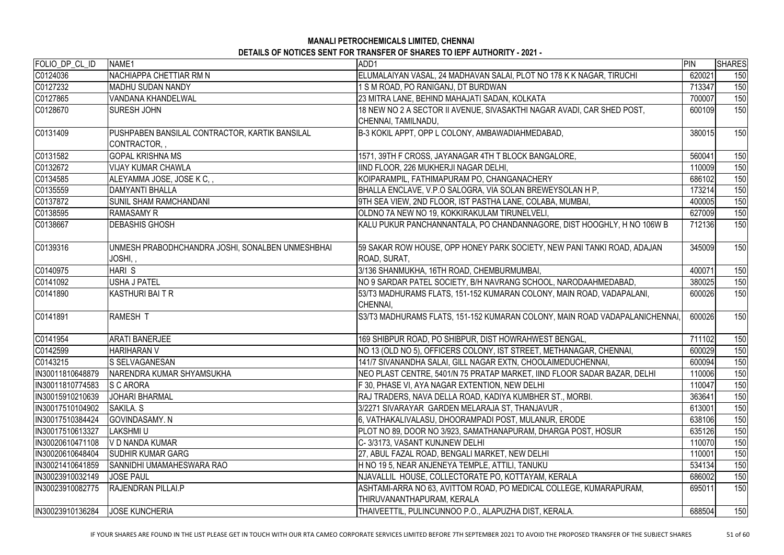| FOLIO_DP_CL_ID    | NAME <sub>1</sub>                                | ADD1                                                                        | <b>PIN</b> | <b>SHARES</b> |
|-------------------|--------------------------------------------------|-----------------------------------------------------------------------------|------------|---------------|
| C0124036          | <b>NACHIAPPA CHETTIAR RM N</b>                   | ELUMALAIYAN VASAL, 24 MADHAVAN SALAI, PLOT NO 178 K K NAGAR, TIRUCHI        | 620021     | 150           |
| C0127232          | <b>MADHU SUDAN NANDY</b>                         | 1 S M ROAD, PO RANIGANJ, DT BURDWAN                                         | 713347     | 150           |
| C0127865          | lVANDANA KHANDELWAL                              | 23 MITRA LANE, BEHIND MAHAJATI SADAN, KOLKATA                               | 700007     | 150           |
| C0128670          | <b>SURESH JOHN</b>                               | 18 NEW NO 2 A SECTOR II AVENUE, SIVASAKTHI NAGAR AVADI, CAR SHED POST,      | 600109     | 150           |
|                   |                                                  | CHENNAI, TAMILNADU,                                                         |            |               |
| C0131409          | PUSHPABEN BANSILAL CONTRACTOR, KARTIK BANSILAL   | B-3 KOKIL APPT, OPP L COLONY, AMBAWADIAHMEDABAD,                            | 380015     | 150           |
|                   | CONTRACTOR,,                                     |                                                                             |            |               |
| C0131582          | <b>GOPAL KRISHNA MS</b>                          | 1571, 39TH F CROSS, JAYANAGAR 4TH T BLOCK BANGALORE,                        | 560041     | 150           |
| C0132672          | <b>VIJAY KUMAR CHAWLA</b>                        | IIND FLOOR, 226 MUKHERJI NAGAR DELHI,                                       | 110009     | 150           |
| C0134585          | ALEYAMMA JOSE, JOSE K C,,                        | KOIPARAMPIL, FATHIMAPURAM PO, CHANGANACHERY                                 | 686102     | 150           |
| C0135559          | DAMYANTI BHALLA                                  | BHALLA ENCLAVE, V.P.O SALOGRA, VIA SOLAN BREWEYSOLAN H P,                   | 173214     | 150           |
| C0137872          | SUNIL SHAM RAMCHANDANI                           | 9TH SEA VIEW, 2ND FLOOR, IST PASTHA LANE, COLABA, MUMBAI,                   | 400005     | 150           |
| C0138595          | <b>RAMASAMY R</b>                                | OLDNO 7A NEW NO 19, KOKKIRAKULAM TIRUNELVELI,                               | 627009     | 150           |
| C0138667          | IDEBASHIS GHOSH                                  | KALU PUKUR PANCHANNANTALA, PO CHANDANNAGORE, DIST HOOGHLY, H NO 106W B      | 712136     | 150           |
|                   |                                                  |                                                                             |            |               |
| C0139316          | UNMESH PRABODHCHANDRA JOSHI, SONALBEN UNMESHBHAI | 59 SAKAR ROW HOUSE, OPP HONEY PARK SOCIETY, NEW PANI TANKI ROAD, ADAJAN     | 345009     | 150           |
|                   | JOSHI,,                                          | ROAD, SURAT,                                                                |            |               |
| C0140975          | HARI S                                           | 3/136 SHANMUKHA, 16TH ROAD, CHEMBURMUMBAI,                                  | 400071     | 150           |
| C0141092          | <b>USHA J PATEL</b>                              | NO 9 SARDAR PATEL SOCIETY, B/H NAVRANG SCHOOL, NARODAAHMEDABAD,             | 380025     | 150           |
| C0141890          | <b>KASTHURI BAIT R</b>                           | 53/T3 MADHURAMS FLATS, 151-152 KUMARAN COLONY, MAIN ROAD, VADAPALANI,       | 600026     | 150           |
|                   |                                                  | CHENNAI,                                                                    |            |               |
| C0141891          | <b>RAMESH T</b>                                  | S3/T3 MADHURAMS FLATS, 151-152 KUMARAN COLONY, MAIN ROAD VADAPALANICHENNAI, | 600026     | 150           |
|                   |                                                  |                                                                             |            |               |
| C0141954          | <b>ARATI BANERJEE</b>                            | 169 SHIBPUR ROAD, PO SHIBPUR, DIST HOWRAHWEST BENGAL,                       | 711102     | 150           |
| C0142599          | <b>HARIHARAN V</b>                               | NO 13 (OLD NO 5), OFFICERS COLONY, IST STREET, METHANAGAR, CHENNAI,         | 600029     | 150           |
| C0143215          | <b>IS SELVAGANESAN</b>                           | 141/7 SIVANANDHA SALAI, GILL NAGAR EXTN, CHOOLAIMEDUCHENNAI,                | 600094     | 150           |
| IN30011810648879  | NARENDRA KUMAR SHYAMSUKHA                        | NEO PLAST CENTRE, 5401/N 75 PRATAP MARKET, IIND FLOOR SADAR BAZAR, DELHI    | 110006     | 150           |
| IN30011810774583  | <b>S C ARORA</b>                                 | F 30, PHASE VI, AYA NAGAR EXTENTION, NEW DELHI                              | 110047     | 150           |
| IN30015910210639  | <b>JOHARI BHARMAL</b>                            | RAJ TRADERS, NAVA DELLA ROAD, KADIYA KUMBHER ST., MORBI.                    | 363641     | 150           |
| IN30017510104902  | <b>SAKILA. S</b>                                 | 3/2271 SIVARAYAR GARDEN MELARAJA ST, THANJAVUR,                             | 613001     | 150           |
| IIN30017510384424 | <b>GOVINDASAMY.N</b>                             | 6, VATHAKALIVALASU, DHOORAMPADI POST, MULANUR, ERODE                        | 638106     | 150           |
| IN30017510613327  | LAKSHMI U                                        | PLOT NO 89, DOOR NO 3/923, SAMATHANAPURAM, DHARGA POST, HOSUR               | 635126     | 150           |
| IIN30020610471108 | <b>V D NANDA KUMAR</b>                           | IC- 3/3173. VASANT KUNJNEW DELHI                                            | 110070     | 150           |
| IN30020610648404  | <b>ISUDHIR KUMAR GARG</b>                        | 27, ABUL FAZAL ROAD, BENGALI MARKET, NEW DELHI                              | 110001     | 150           |
| IN30021410641859  | ISANNIDHI UMAMAHESWARA RAO                       | H NO 195, NEAR ANJENEYA TEMPLE, ATTILI, TANUKU                              | 534134     | 150           |
| IN30023910032149  | <b>JOSE PAUL</b>                                 | NJAVALLIL HOUSE, COLLECTORATE PO, KOTTAYAM, KERALA                          | 686002     | 150           |
| IIN30023910082775 | <b>RAJENDRAN PILLAI.P</b>                        | ASHTAMI-ARRA NO 63, AVITTOM ROAD, PO MEDICAL COLLEGE, KUMARAPURAM,          | 695011     | 150           |
|                   |                                                  | THIRUVANANTHAPURAM, KERALA                                                  |            |               |
| IN30023910136284  | <b>JOSE KUNCHERIA</b>                            | THAIVEETTIL, PULINCUNNOO P.O., ALAPUZHA DIST, KERALA.                       | 688504     | 150           |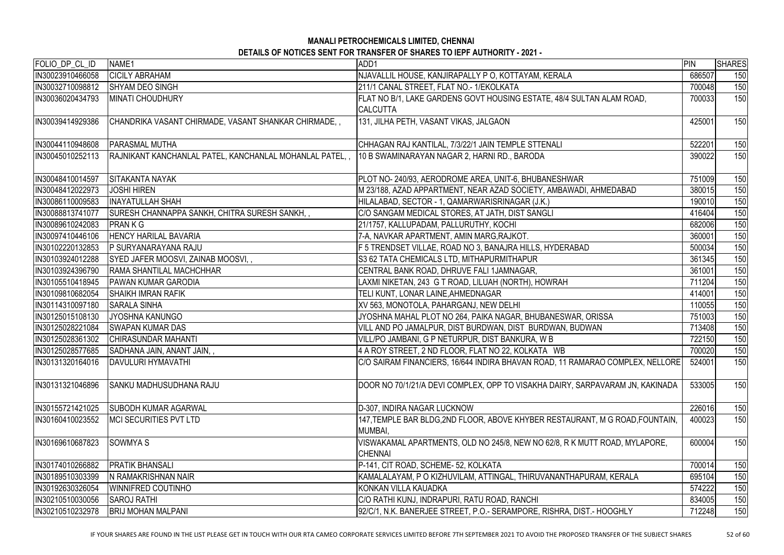| FOLIO_DP_CL_ID   | NAME1                                                                                                | ADD1                                                                                         | PIN    | <b>SHARES</b> |
|------------------|------------------------------------------------------------------------------------------------------|----------------------------------------------------------------------------------------------|--------|---------------|
| IN30023910466058 | <b>CICILY ABRAHAM</b>                                                                                | NJAVALLIL HOUSE, KANJIRAPALLY P O, KOTTAYAM, KERALA                                          | 686507 | 150           |
| IN30032710098812 | <b>SHYAM DEO SINGH</b>                                                                               | 211/1 CANAL STREET, FLAT NO.- 1/EKOLKATA                                                     | 700048 | 150           |
| IN30036020434793 | <b>MINATI CHOUDHURY</b>                                                                              | FLAT NO B/1, LAKE GARDENS GOVT HOUSING ESTATE, 48/4 SULTAN ALAM ROAD,<br><b>CALCUTTA</b>     | 700033 | 150           |
| IN30039414929386 | CHANDRIKA VASANT CHIRMADE, VASANT SHANKAR CHIRMADE,,                                                 | 131, JILHA PETH, VASANT VIKAS, JALGAON                                                       | 425001 | 150           |
| IN30044110948608 | <b>PARASMAL MUTHA</b>                                                                                | CHHAGAN RAJ KANTILAL, 7/3/22/1 JAIN TEMPLE STTENALI                                          | 522201 | 150           |
| IN30045010252113 | RAJNIKANT KANCHANLAL PATEL, KANCHANLAL MOHANLAL PATEL,, 10 B SWAMINARAYAN NAGAR 2, HARNI RD., BARODA |                                                                                              | 390022 | 150           |
| IN30048410014597 | <b>SITAKANTA NAYAK</b>                                                                               | PLOT NO- 240/93, AERODROME AREA, UNIT-6, BHUBANESHWAR                                        | 751009 | 150           |
| IN30048412022973 | <b>JOSHI HIREN</b>                                                                                   | M 23/188, AZAD APPARTMENT, NEAR AZAD SOCIETY, AMBAWADI, AHMEDABAD                            | 380015 | 150           |
| IN30086110009583 | <b>INAYATULLAH SHAH</b>                                                                              | HILALABAD, SECTOR - 1, QAMARWARISRINAGAR (J.K.)                                              | 190010 | 150           |
| IN30088813741077 | SURESH CHANNAPPA SANKH, CHITRA SURESH SANKH,                                                         | C/O SANGAM MEDICAL STORES, AT JATH, DIST SANGLI                                              | 416404 | 150           |
| IN30089610242083 | <b>PRANKG</b>                                                                                        | 21/1757, KALLUPADAM, PALLURUTHY, KOCHI                                                       | 682006 | 150           |
| IN30097410446106 | <b>HENCY HARILAL BAVARIA</b>                                                                         | 7-A, NAVKAR APARTMENT, AMIN MARG, RAJKOT.                                                    | 360001 | 150           |
| IN30102220132853 | <b>P SURYANARAYANA RAJU</b>                                                                          | F 5 TRENDSET VILLAE, ROAD NO 3, BANAJRA HILLS, HYDERABAD                                     | 500034 | 150           |
| IN30103924012288 | SYED JAFER MOOSVI, ZAINAB MOOSVI,,                                                                   | S3 62 TATA CHEMICALS LTD, MITHAPURMITHAPUR                                                   | 361345 | 150           |
| IN30103924396790 | <b>RAMA SHANTILAL MACHCHHAR</b>                                                                      | CENTRAL BANK ROAD, DHRUVE FALI 1JAMNAGAR,                                                    | 361001 | 150           |
| IN30105510418945 | <b>PAWAN KUMAR GARODIA</b>                                                                           | LAXMI NIKETAN, 243 G T ROAD, LILUAH (NORTH), HOWRAH                                          | 711204 | 150           |
| IN30109810682054 | <b>SHAIKH IMRAN RAFIK</b>                                                                            | TELI KUNT, LONAR LAINE, AHMEDNAGAR                                                           | 414001 | 150           |
| IN30114310097180 | <b>SARALA SINHA</b>                                                                                  | XV 563, MONOTOLA, PAHARGANJ, NEW DELHI                                                       | 110055 | 150           |
| IN30125015108130 | JYOSHNA KANUNGO                                                                                      | JYOSHNA MAHAL PLOT NO 264, PAIKA NAGAR, BHUBANESWAR, ORISSA                                  | 751003 | 150           |
| IN30125028221084 | <b>SWAPAN KUMAR DAS</b>                                                                              | VILL AND PO JAMALPUR, DIST BURDWAN, DIST BURDWAN, BUDWAN                                     | 713408 | 150           |
| IN30125028361302 | <b>CHIRASUNDAR MAHANTI</b>                                                                           | VILL/PO JAMBANI, G P NETURPUR, DIST BANKURA, W B                                             | 722150 | 150           |
| IN30125028577685 | SADHANA JAIN, ANANT JAIN,,                                                                           | 4 A ROY STREET, 2 ND FLOOR, FLAT NO 22, KOLKATA WB                                           | 700020 | 150           |
| IN30131320164016 | DAVULURI HYMAVATHI                                                                                   | C/O SAIRAM FINANCIERS, 16/644 INDIRA BHAVAN ROAD, 11 RAMARAO COMPLEX, NELLORE                | 524001 | 150           |
| IN30131321046896 | <b>SANKU MADHUSUDHANA RAJU</b>                                                                       | DOOR NO 70/1/21/A DEVI COMPLEX, OPP TO VISAKHA DAIRY, SARPAVARAM JN, KAKINADA                | 533005 | 150           |
| IN30155721421025 | ISUBODH KUMAR AGARWAL                                                                                | D-307, INDIRA NAGAR LUCKNOW                                                                  | 226016 | 150           |
| IN30160410023552 | IMCI SECURITIES PVT LTD                                                                              | 147, TEMPLE BAR BLDG, 2ND FLOOR, ABOVE KHYBER RESTAURANT, M G ROAD, FOUNTAIN,<br> MUMBAI,    | 400023 | 150           |
| IN30169610687823 | <b>SOWMYAS</b>                                                                                       | VISWAKAMAL APARTMENTS, OLD NO 245/8, NEW NO 62/8, R K MUTT ROAD, MYLAPORE,<br><b>CHENNAI</b> | 600004 | 150           |
| IN30174010266882 | IPRATIK BHANSALI                                                                                     | P-141, CIT ROAD, SCHEME- 52, KOLKATA                                                         | 700014 | 150           |
| IN30189510303399 | N RAMAKRISHNAN NAIR                                                                                  | KAMALALAYAM, PO KIZHUVILAM, ATTINGAL, THIRUVANANTHAPURAM, KERALA                             | 695104 | 150           |
| IN30192630326054 | <b>WINNIFRED COUTINHO</b>                                                                            | KONKAN VILLA KAUADKA                                                                         | 574222 | 150           |
| IN30210510030056 | <b>SAROJ RATHI</b>                                                                                   | C/O RATHI KUNJ, INDRAPURI, RATU ROAD, RANCHI                                                 | 834005 | 150           |
| IN30210510232978 | <b>BRIJ MOHAN MALPANI</b>                                                                            | 92/C/1, N.K. BANERJEE STREET, P.O.- SERAMPORE, RISHRA, DIST.- HOOGHLY                        | 712248 | 150           |

IF YOUR SHARES ARE FOUND IN THE LIST PLEASE GET IN TOUCH WITH OUR RTA CAMEO CORPORATE SERVICES LIMITED BEFORE 7TH SEPTEMBER 2021 TO AVOID THE PROPOSED TRANSFER OF THE SUBJECT SHARES 52 of 60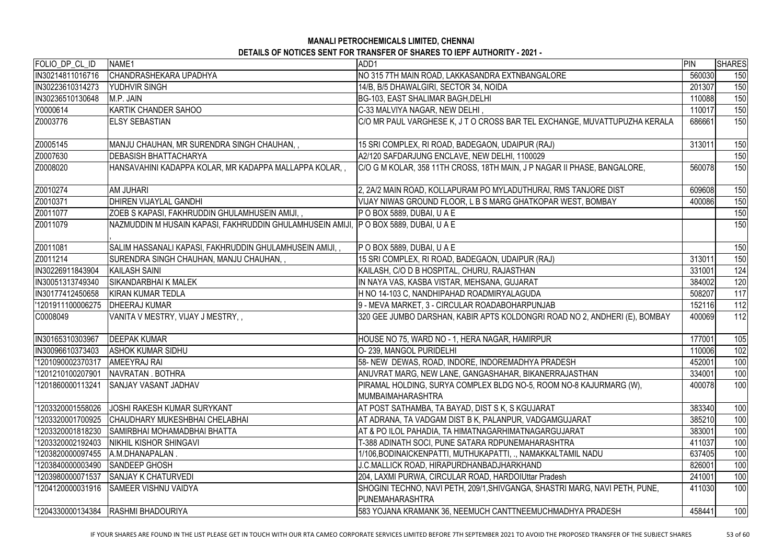| FOLIO_DP_CL_ID     | NAME1                                                                                 | ADD1                                                                                            | PIN    | <b>SHARES</b> |
|--------------------|---------------------------------------------------------------------------------------|-------------------------------------------------------------------------------------------------|--------|---------------|
| IN30214811016716   | CHANDRASHEKARA UPADHYA                                                                | NO 315 7TH MAIN ROAD, LAKKASANDRA EXTNBANGALORE                                                 | 560030 | 150           |
| IN30223610314273   | <b>YUDHVIR SINGH</b>                                                                  | 14/B, B/5 DHAWALGIRI, SECTOR 34, NOIDA                                                          | 201307 | 150           |
| IN30236510130648   | M.P. JAIN                                                                             | BG-103, EAST SHALIMAR BAGH, DELHI                                                               | 110088 | 150           |
| Y0000614           | KARTIK CHANDER SAHOO                                                                  | C-33 MALVIYA NAGAR, NEW DELHI,                                                                  | 110017 | 150           |
| Z0003776           | <b>ELSY SEBASTIAN</b>                                                                 | C/O MR PAUL VARGHESE K, J T O CROSS BAR TEL EXCHANGE, MUVATTUPUZHA KERALA                       | 686661 | 150           |
| Z0005145           | MANJU CHAUHAN, MR SURENDRA SINGH CHAUHAN, ,                                           | 15 SRI COMPLEX, RI ROAD, BADEGAON, UDAIPUR (RAJ)                                                | 313011 | 150           |
| Z0007630           | <b>IDEBASISH BHATTACHARYA</b>                                                         | A2/120 SAFDARJUNG ENCLAVE, NEW DELHI, 1100029                                                   |        | 150           |
| Z0008020           | HANSAVAHINI KADAPPA KOLAR, MR KADAPPA MALLAPPA KOLAR, ,                               | C/O G M KOLAR, 358 11TH CROSS, 18TH MAIN, J P NAGAR II PHASE, BANGALORE,                        | 560078 | 150           |
| Z0010274           | <b>AM JUHARI</b>                                                                      | 2, 2A/2 MAIN ROAD, KOLLAPURAM PO MYLADUTHURAI, RMS TANJORE DIST                                 | 609608 | 150           |
| Z0010371           | <b>DHIREN VIJAYLAL GANDHI</b>                                                         | VIJAY NIWAS GROUND FLOOR, L B S MARG GHATKOPAR WEST, BOMBAY                                     | 400086 | 150           |
| Z0011077           | ZOEB S KAPASI, FAKHRUDDIN GHULAMHUSEIN AMIJI, ,                                       | P O BOX 5889, DUBAI, U A E                                                                      |        | 150           |
| Z0011079           | NAZMUDDIN M HUSAIN KAPASI, FAKHRUDDIN GHULAMHUSEIN AMIJI,  P O BOX 5889, DUBAI, U A E |                                                                                                 |        | 150           |
| Z0011081           | SALIM HASSANALI KAPASI, FAKHRUDDIN GHULAMHUSEIN AMIJI, ,                              | $P$ O BOX 5889, DUBAI, U A E                                                                    |        | 150           |
| Z0011214           | SURENDRA SINGH CHAUHAN, MANJU CHAUHAN,,                                               | 15 SRI COMPLEX, RI ROAD, BADEGAON, UDAIPUR (RAJ)                                                | 313011 | 150           |
| IN30226911843904   | <b>KAILASH SAINI</b>                                                                  | KAILASH, C/O D B HOSPITAL, CHURU, RAJASTHAN                                                     | 331001 | 124           |
| IN30051313749340   | <b>SIKANDARBHAI K MALEK</b>                                                           | IN NAYA VAS, KASBA VISTAR, MEHSANA, GUJARAT                                                     | 384002 | 120           |
| IN30177412450658   | <b>KIRAN KUMAR TEDLA</b>                                                              | H NO 14-103 C, NANDHIPAHAD ROADMIRYALAGUDA                                                      | 508207 | 117           |
| '1201911100006275  | <b>DHEERAJ KUMAR</b>                                                                  | 9 - MEVA MARKET, 3 - CIRCULAR ROADABOHARPUNJAB                                                  | 152116 | 112           |
| C0008049           | VANITA V MESTRY, VIJAY J MESTRY,,                                                     | 320 GEE JUMBO DARSHAN, KABIR APTS KOLDONGRI ROAD NO 2, ANDHERI (E), BOMBAY                      | 400069 | 112           |
| IN30165310303967   | <b>DEEPAK KUMAR</b>                                                                   | HOUSE NO 75, WARD NO - 1, HERA NAGAR, HAMIRPUR                                                  | 177001 | 105           |
| IN30096610373403   | <b>ASHOK KUMAR SIDHU</b>                                                              | O-239, MANGOL PURIDELHI                                                                         | 110006 | 102           |
| '1201090002370317  | AMEEYRAJ RAI                                                                          | 58- NEW DEWAS, ROAD, INDORE, INDOREMADHYA PRADESH                                               | 452001 | 100           |
| '1201210100207901  | NAVRATAN . BOTHRA                                                                     | ANUVRAT MARG, NEW LANE, GANGASHAHAR, BIKANERRAJASTHAN                                           | 334001 | 100           |
| l'1201860000113241 | <b>SANJAY VASANT JADHAV</b>                                                           | PIRAMAL HOLDING, SURYA COMPLEX BLDG NO-5, ROOM NO-8 KAJURMARG (W),<br><b>MUMBAIMAHARASHTRA</b>  | 400078 | 100           |
| '1203320001558026  | <b>IJOSHI RAKESH KUMAR SURYKANT</b>                                                   | AT POST SATHAMBA, TA BAYAD, DIST S K, S KGUJARAT                                                | 383340 | 100           |
| 1203320001700925   | <b>CHAUDHARY MUKESHBHAI CHELABHAI</b>                                                 | AT ADRANA, TA VADGAM DIST B K, PALANPUR, VADGAMGUJARAT                                          | 385210 | 100           |
| 1203320001818230   | SAMIRBHAI MOHAMADBHAI BHATTA                                                          | AT & PO ILOL PAHADIA, TA HIMATNAGARHIMATNAGARGUJARAT                                            | 383001 | 100           |
| '1203320002192403  | <b>INIKHIL KISHOR SHINGAVI</b>                                                        | T-388 ADINATH SOCI, PUNE SATARA RDPUNEMAHARASHTRA                                               | 411037 | 100           |
| '1203820000097455  | A.M.DHANAPALAN.                                                                       | 1/106, BODINAICKENPATTI, MUTHUKAPATTI, ., NAMAKKALTAMIL NADU                                    | 637405 | 100           |
| '1203840000003490  | <b>SANDEEP GHOSH</b>                                                                  | J.C.MALLICK ROAD, HIRAPURDHANBADJHARKHAND                                                       | 826001 | 100           |
| l'1203980000071537 | <b>SANJAY K CHATURVEDI</b>                                                            | 204, LAXMI PURWA, CIRCULAR ROAD, HARDOIUttar Pradesh                                            | 241001 | 100           |
| l'1204120000031916 | <b>SAMEER VISHNU VAIDYA</b>                                                           | SHOGINI TECHNO, NAVI PETH, 209/1, SHIVGANGA, SHASTRI MARG, NAVI PETH, PUNE,<br>IPUNEMAHARASHTRA | 411030 | 100           |
| '1204330000134384  |                                                                                       |                                                                                                 |        |               |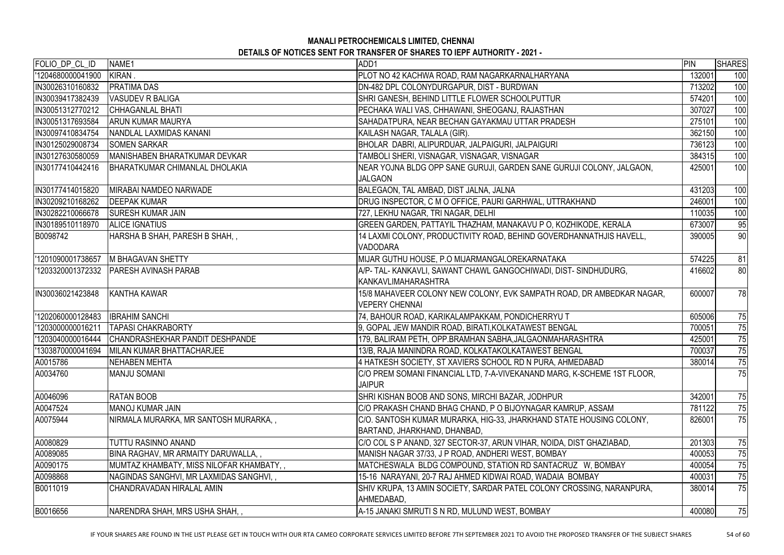| FOLIO_DP_CL_ID    | NAME1                                        | ADD1                                                                    | PIN    | <b>SHARES</b> |
|-------------------|----------------------------------------------|-------------------------------------------------------------------------|--------|---------------|
| '1204680000041900 | KIRAN.                                       | PLOT NO 42 KACHWA ROAD, RAM NAGARKARNALHARYANA                          | 132001 | 100           |
| IN30026310160832  | <b>PRATIMA DAS</b>                           | DN-482 DPL COLONYDURGAPUR, DIST - BURDWAN                               | 713202 | 100           |
| IN30039417382439  | VASUDEV R BALIGA                             | SHRI GANESH, BEHIND LITTLE FLOWER SCHOOLPUTTUR                          | 574201 | 100           |
| IN30051312770212  | <b>CHHAGANLAL BHATI</b>                      | PECHAKA WALI VAS, CHHAWANI, SHEOGANJ, RAJASTHAN                         | 307027 | 100           |
| IN30051317693584  | <b>ARUN KUMAR MAURYA</b>                     | SAHADATPURA, NEAR BECHAN GAYAKMAU UTTAR PRADESH                         | 275101 | 100           |
| IN30097410834754  | NANDLAL LAXMIDAS KANANI                      | KAILASH NAGAR, TALALA (GIR).                                            | 362150 | 100           |
| IN30125029008734  | <b>SOMEN SARKAR</b>                          | BHOLAR DABRI, ALIPURDUAR, JALPAIGURI, JALPAIGURI                        | 736123 | 100           |
| IN30127630580059  | <b>MANISHABEN BHARATKUMAR DEVKAR</b>         | TAMBOLI SHERI, VISNAGAR, VISNAGAR, VISNAGAR                             | 384315 | 100           |
| IN30177410442416  | <b>BHARATKUMAR CHIMANLAL DHOLAKIA</b>        | NEAR YOJNA BLDG OPP SANE GURUJI, GARDEN SANE GURUJI COLONY, JALGAON,    | 425001 | 100           |
|                   |                                              | <b>JALGAON</b>                                                          |        |               |
| IN30177414015820  | <b>MIRABAI NAMDEO NARWADE</b>                | BALEGAON, TAL AMBAD, DIST JALNA, JALNA                                  | 431203 | 100           |
| IN30209210168262  | <b>DEEPAK KUMAR</b>                          | DRUG INSPECTOR, C M O OFFICE, PAURI GARHWAL, UTTRAKHAND                 | 246001 | 100           |
| IN30282210066678  | <b>ISURESH KUMAR JAIN</b>                    | 727, LEKHU NAGAR, TRI NAGAR, DELHI                                      | 110035 | 100           |
| IN30189510118970  | <b>ALICE IGNATIUS</b>                        | GREEN GARDEN, PATTAYIL THAZHAM, MANAKAVU P O, KOZHIKODE, KERALA         | 673007 | 95            |
| B0098742          | HARSHA B SHAH, PARESH B SHAH,,               | 14 LAXMI COLONY, PRODUCTIVITY ROAD, BEHIND GOVERDHANNATHJIS HAVELL,     | 390005 | 90            |
|                   |                                              | <b>VADODARA</b>                                                         |        |               |
| '1201090001738657 | <b>M BHAGAVAN SHETTY</b>                     | MIJAR GUTHU HOUSE, P.O MIJARMANGALOREKARNATAKA                          | 574225 | 81            |
| '1203320001372332 | <b>PARESH AVINASH PARAB</b>                  | A/P- TAL- KANKAVLI, SAWANT CHAWL GANGOCHIWADI, DIST- SINDHUDURG,        | 416602 | 80            |
|                   |                                              | <b>KANKAVLIMAHARASHTRA</b>                                              |        |               |
| IN30036021423848  | KANTHA KAWAR                                 | 15/8 MAHAVEER COLONY NEW COLONY, EVK SAMPATH ROAD, DR AMBEDKAR NAGAR,   | 600007 | 78            |
|                   |                                              | <b>VEPERY CHENNAI</b>                                                   |        |               |
| 1202060000128483  | <b>IBRAHIM SANCHI</b>                        | 74, BAHOUR ROAD, KARIKALAMPAKKAM, PONDICHERRYU T                        | 605006 | 75            |
| '1203000000016211 | <b>TAPASI CHAKRABORTY</b>                    | 9, GOPAL JEW MANDIR ROAD, BIRATI, KOLKATAWEST BENGAL                    | 700051 | 75            |
| '1203040000016444 | CHANDRASHEKHAR PANDIT DESHPANDE              | 179, BALIRAM PETH, OPP.BRAMHAN SABHA, JALGAONMAHARASHTRA                | 425001 | 75            |
|                   | 1303870000041694   MILAN KUMAR BHATTACHARJEE | 13/B, RAJA MANINDRA ROAD, KOLKATAKOLKATAWEST BENGAL                     | 700037 | 75            |
| A0015786          | <b>INEHABEN MEHTA</b>                        | 4 HATKESH SOCIETY, ST XAVIERS SCHOOL RD N PURA, AHMEDABAD               | 380014 | 75            |
| A0034760          | <b>MANJU SOMANI</b>                          | C/O PREM SOMANI FINANCIAL LTD, 7-A-VIVEKANAND MARG, K-SCHEME 1ST FLOOR, |        | 75            |
|                   |                                              | <b>JAIPUR</b>                                                           |        |               |
| A0046096          | <b>RATAN BOOB</b>                            | SHRI KISHAN BOOB AND SONS, MIRCHI BAZAR, JODHPUR                        | 342001 | 75            |
| A0047524          | IMANOJ KUMAR JAIN                            | C/O PRAKASH CHAND BHAG CHAND, P O BIJOYNAGAR KAMRUP, ASSAM              | 781122 | 75            |
| A0075944          | NIRMALA MURARKA, MR SANTOSH MURARKA, ,       | C/O. SANTOSH KUMAR MURARKA, HIG-33, JHARKHAND STATE HOUSING COLONY,     | 826001 | 75            |
|                   |                                              | BARTAND, JHARKHAND, DHANBAD,                                            |        |               |
| A0080829          | TUTTU RASINNO ANAND                          | C/O COL S P ANAND, 327 SECTOR-37, ARUN VIHAR, NOIDA, DIST GHAZIABAD,    | 201303 | 75            |
| A0089085          | BINA RAGHAV, MR ARMAITY DARUWALLA,,          | MANISH NAGAR 37/33, J P ROAD, ANDHERI WEST, BOMBAY                      | 400053 | 75            |
| A0090175          | MUMTAZ KHAMBATY, MISS NILOFAR KHAMBATY, ,    | MATCHESWALA BLDG COMPOUND, STATION RD SANTACRUZ W, BOMBAY               | 400054 | 75            |
| A0098868          | NAGINDAS SANGHVI, MR LAXMIDAS SANGHVI,,      | 15-16 NARAYANI, 20-7 RAJ AHMED KIDWAI ROAD, WADAIA BOMBAY               | 400031 | 75            |
| B0011019          | CHANDRAVADAN HIRALAL AMIN                    | SHIV KRUPA, 13 AMIN SOCIETY, SARDAR PATEL COLONY CROSSING, NARANPURA,   | 380014 | 75            |
|                   |                                              | AHMEDABAD,                                                              |        |               |
| B0016656          | INARENDRA SHAH, MRS USHA SHAH, ,             | A-15 JANAKI SMRUTI S N RD, MULUND WEST, BOMBAY                          | 400080 | 75            |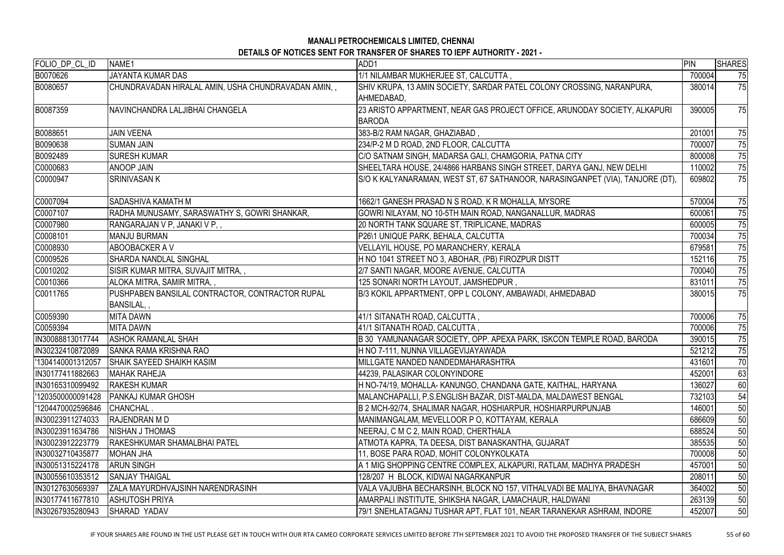| FOLIO_DP_CL_ID    | NAME <sub>1</sub>                                             | ADD1                                                                                       | PIN    | <b>SHARES</b> |
|-------------------|---------------------------------------------------------------|--------------------------------------------------------------------------------------------|--------|---------------|
| B0070626          | <b>JAYANTA KUMAR DAS</b>                                      | 1/1 NILAMBAR MUKHERJEE ST, CALCUTTA,                                                       | 700004 | 75            |
| B0080657          | CHUNDRAVADAN HIRALAL AMIN, USHA CHUNDRAVADAN AMIN, ,          | SHIV KRUPA, 13 AMIN SOCIETY, SARDAR PATEL COLONY CROSSING, NARANPURA,<br>AHMEDABAD,        | 380014 | 75            |
| B0087359          | NAVINCHANDRA LALJIBHAI CHANGELA                               | 23 ARISTO APPARTMENT, NEAR GAS PROJECT OFFICE, ARUNODAY SOCIETY, ALKAPURI<br><b>BARODA</b> | 390005 | 75            |
| B0088651          | <b>JAIN VEENA</b>                                             | 383-B/2 RAM NAGAR, GHAZIABAD,                                                              | 201001 | 75            |
| B0090638          | <b>SUMAN JAIN</b>                                             | 234/P-2 M D ROAD, 2ND FLOOR, CALCUTTA                                                      | 700007 | 75            |
| B0092489          | <b>ISURESH KUMAR</b>                                          | C/O SATNAM SINGH, MADARSA GALI, CHAMGORIA, PATNA CITY                                      | 800008 | 75            |
| C0000683          | <b>ANOOP JAIN</b>                                             | SHEELTARA HOUSE, 24/4866 HARBANS SINGH STREET, DARYA GANJ, NEW DELHI                       | 110002 | 75            |
| C0000947          | SRINIVASAN K                                                  | S/O K KALYANARAMAN, WEST ST, 67 SATHANOOR, NARASINGANPET (VIA), TANJORE (DT),              | 609802 | 75            |
| C0007094          | SADASHIVA KAMATH M                                            | 1662/1 GANESH PRASAD N S ROAD, K R MOHALLA, MYSORE                                         | 570004 | 75            |
| C0007107          | RADHA MUNUSAMY, SARASWATHY S, GOWRI SHANKAR,                  | GOWRI NILAYAM, NO 10-5TH MAIN ROAD, NANGANALLUR, MADRAS                                    | 600061 | 75            |
| C0007980          | RANGARAJAN V P, JANAKI V P,,                                  | 20 NORTH TANK SQUARE ST, TRIPLICANE, MADRAS                                                | 600005 | 75            |
| C0008101          | MANJU BURMAN                                                  | P26\1 UNIQUE PARK, BEHALA, CALCUTTA                                                        | 700034 | 75            |
| C0008930          | <b>ABOOBACKER A V</b>                                         | VELLAYIL HOUSE, PO MARANCHERY, KERALA                                                      | 679581 | 75            |
| C0009526          | <b>SHARDA NANDLAL SINGHAL</b>                                 | H NO 1041 STREET NO 3, ABOHAR, (PB) FIROZPUR DISTT                                         | 152116 | 75            |
| C0010202          | SISIR KUMAR MITRA, SUVAJIT MITRA, ,                           | 2/7 SANTI NAGAR, MOORE AVENUE, CALCUTTA                                                    | 700040 | 75            |
| C0010366          | ALOKA MITRA, SAMIR MITRA,,                                    | 125 SONARI NORTH LAYOUT, JAMSHEDPUR,                                                       | 831011 | 75            |
| C0011765          | PUSHPABEN BANSILAL CONTRACTOR, CONTRACTOR RUPAL<br>BANSILAL,, | B/3 KOKIL APPARTMENT, OPP L COLONY, AMBAWADI, AHMEDABAD                                    | 380015 | 75            |
| C0059390          | <b>MITA DAWN</b>                                              | 41/1 SITANATH ROAD, CALCUTTA,                                                              | 700006 | 75            |
| C0059394          | <b>MITA DAWN</b>                                              | 41/1 SITANATH ROAD, CALCUTTA,                                                              | 700006 | 75            |
| IN30088813017744  | <b>ASHOK RAMANLAL SHAH</b>                                    | B 30 YAMUNANAGAR SOCIETY, OPP. APEXA PARK, ISKCON TEMPLE ROAD, BARODA                      | 390015 | 75            |
| IN30232410872089  | SANKA RAMA KRISHNA RAO                                        | H NO 7-111, NUNNA VILLAGEVIJAYAWADA                                                        | 521212 | 75            |
| '1304140001312057 | <b>SHAIK SAYEED SHAIKH KASIM</b>                              | MILLGATE NANDED NANDEDMAHARASHTRA                                                          | 431601 | 70            |
| IN30177411882663  | <b>MAHAK RAHEJA</b>                                           | 144239, PALASIKAR COLONYINDORE                                                             | 452001 | 63            |
| IN30165310099492  | <b>IRAKESH KUMAR</b>                                          | H NO-74/19, MOHALLA- KANUNGO, CHANDANA GATE, KAITHAL, HARYANA                              | 136027 | 60            |
| '1203500000091428 | <b>PANKAJ KUMAR GHOSH</b>                                     | MALANCHAPALLI, P.S.ENGLISH BAZAR, DIST-MALDA, MALDAWEST BENGAL                             | 732103 | 54            |
| '1204470002596846 | <b>CHANCHAL.</b>                                              | B 2 MCH-92/74, SHALIMAR NAGAR, HOSHIARPUR, HOSHIARPURPUNJAB                                | 146001 | 50            |
| IN30023911274033  | <b>RAJENDRAN MD</b>                                           | MANIMANGALAM, MEVELLOOR P O, KOTTAYAM, KERALA                                              | 686609 | 50            |
| IN30023911634786  | <b>NISHAN J THOMAS</b>                                        | NEERAJ, C M C 2, MAIN ROAD, CHERTHALA                                                      | 688524 | 50            |
| IN30023912223779  | <b>RAKESHKUMAR SHAMALBHAI PATEL</b>                           | ATMOTA KAPRA, TA DEESA, DIST BANASKANTHA, GUJARAT                                          | 385535 | 50            |
| IN30032710435877  | <b>IMOHAN JHA</b>                                             | 11, BOSE PARA ROAD, MOHIT COLONYKOLKATA                                                    | 700008 | 50            |
| IIN30051315224178 | <b>ARUN SINGH</b>                                             | A 1 MIG SHOPPING CENTRE COMPLEX, ALKAPURI, RATLAM, MADHYA PRADESH                          | 457001 | 50            |
| IN30055610353512  | <b>SANJAY THAIGAL</b>                                         | 128/207 H BLOCK, KIDWAI NAGARKANPUR                                                        | 208011 | 50            |
| IN30127630569397  | <b>ZALA MAYURDHVAJSINH NARENDRASINH</b>                       | VALA VAJUBHA BECHARSINH, BLOCK NO 157, VITHALVADI BE MALIYA, BHAVNAGAR                     | 364002 | 50            |
| IIN30177411677810 | <b>ASHUTOSH PRIYA</b>                                         | AMARPALI INSTITUTE, SHIKSHA NAGAR, LAMACHAUR, HALDWANI                                     | 263139 | 50            |
| IIN30267935280943 | <b>SHARAD YADAV</b>                                           | 79/1 SNEHLATAGANJ TUSHAR APT, FLAT 101, NEAR TARANEKAR ASHRAM, INDORE                      | 452007 | 50            |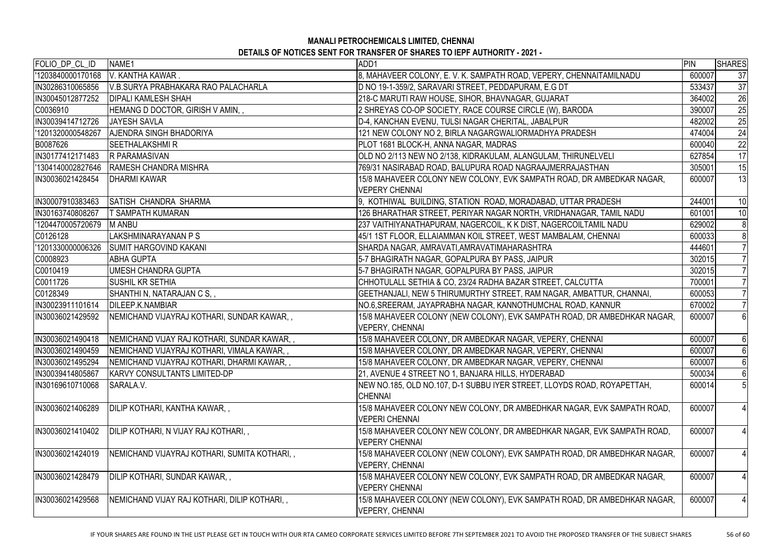| FOLIO_DP_CL_ID<br>'1203840000170168<br>8, MAHAVEER COLONY, E. V. K. SAMPATH ROAD, VEPERY, CHENNAITAMILNADU<br>V. KANTHA KAWAR.<br>D NO 19-1-359/2, SARAVARI STREET, PEDDAPURAM, E.G DT<br>IN30286310065856<br>V.B.SURYA PRABHAKARA RAO PALACHARLA | 600007           | 37              |
|---------------------------------------------------------------------------------------------------------------------------------------------------------------------------------------------------------------------------------------------------|------------------|-----------------|
|                                                                                                                                                                                                                                                   |                  |                 |
|                                                                                                                                                                                                                                                   | 533437           | 37              |
| 218-C MARUTI RAW HOUSE, SIHOR, BHAVNAGAR, GUJARAT<br>IN30045012877252<br><b>DIPALI KAMLESH SHAH</b>                                                                                                                                               | 364002           | 26              |
| 2 SHREYAS CO-OP SOCIETY, RACE COURSE CIRCLE (W), BARODA<br>C0036910<br>HEMANG D DOCTOR, GIRISH V AMIN,,                                                                                                                                           | 390007           | 25              |
| IN30039414712726<br><b>JAYESH SAVLA</b><br>D-4, KANCHAN EVENU, TULSI NAGAR CHERITAL, JABALPUR                                                                                                                                                     | 482002           | 25              |
| '1201320000548267<br><b>AJENDRA SINGH BHADORIYA</b><br>121 NEW COLONY NO 2, BIRLA NAGARGWALIORMADHYA PRADESH                                                                                                                                      | 474004           | 24              |
| B0087626<br>PLOT 1681 BLOCK-H, ANNA NAGAR, MADRAS<br><b>SEETHALAKSHMIR</b>                                                                                                                                                                        | 600040           | 22              |
| IN30177412171483<br><b>R PARAMASIVAN</b><br>OLD NO 2/113 NEW NO 2/138, KIDRAKULAM, ALANGULAM, THIRUNELVELI                                                                                                                                        | 627854           | 17              |
| 1304140002827646<br>769/31 NASIRABAD ROAD, BALUPURA ROAD NAGRAAJMERRAJASTHAN<br><b>RAMESH CHANDRA MISHRA</b>                                                                                                                                      | 305001           | 15              |
| IN30036021428454<br>15/8 MAHAVEER COLONY NEW COLONY, EVK SAMPATH ROAD, DR AMBEDKAR NAGAR,<br><b>DHARMI KAWAR</b>                                                                                                                                  | 600007           | 13              |
| <b>VEPERY CHENNAI</b>                                                                                                                                                                                                                             |                  |                 |
| IN30007910383463<br><b>SATISH CHANDRA SHARMA</b><br>9, KOTHIWAL BUILDING, STATION ROAD, MORADABAD, UTTAR PRADESH                                                                                                                                  | 244001           | 10              |
| 126 BHARATHAR STREET, PERIYAR NAGAR NORTH, VRIDHANAGAR, TAMIL NADU<br>IN30163740808267<br>T SAMPATH KUMARAN                                                                                                                                       | 601001           | 10              |
| <b>M ANBU</b><br>237 VAITHIYANATHAPURAM, NAGERCOIL, K K DIST, NAGERCOILTAMIL NADU<br>1204470005720679                                                                                                                                             | 629002           | 8               |
| LAKSHMINARAYANAN P S<br>45/1 1ST FLOOR, ELLAIAMMAN KOIL STREET, WEST MAMBALAM, CHENNAI<br>C0126128                                                                                                                                                | 600033           | 8               |
| '1201330000006326<br><b>SUMIT HARGOVIND KAKANI</b><br>SHARDA NAGAR, AMRAVATI,AMRAVATIMAHARASHTRA<br>C0008923                                                                                                                                      | 444601           |                 |
| 5-7 BHAGIRATH NAGAR, GOPALPURA BY PASS, JAIPUR<br><b>ABHA GUPTA</b><br>C0010419<br><b>UMESH CHANDRA GUPTA</b><br>5-7 BHAGIRATH NAGAR, GOPALPURA BY PASS, JAIPUR                                                                                   | 302015<br>302015 | $\overline{7}$  |
| C0011726<br><b>SUSHIL KR SETHIA</b>                                                                                                                                                                                                               | 700001           | $\overline{7}$  |
| CHHOTULALL SETHIA & CO, 23/24 RADHA BAZAR STREET, CALCUTTA<br>C0128349                                                                                                                                                                            | 600053           |                 |
| SHANTHI N, NATARAJAN C S,,<br>GEETHANJALI, NEW 5 THIRUMURTHY STREET, RAM NAGAR, AMBATTUR, CHANNAI,<br>DILEEP.K.NAMBIAR                                                                                                                            |                  | $\overline{7}$  |
| IN30023911101614<br>NO.6, SREERAM, JAYAPRABHA NAGAR, KANNOTHUMCHAL ROAD, KANNUR<br>NEMICHAND VIJAYRAJ KOTHARI, SUNDAR KAWAR,,                                                                                                                     | 670002<br>600007 |                 |
| 15/8 MAHAVEER COLONY (NEW COLONY), EVK SAMPATH ROAD, DR AMBEDHKAR NAGAR,<br>IN30036021429592<br><b>VEPERY, CHENNAI</b>                                                                                                                            |                  |                 |
| NEMICHAND VIJAY RAJ KOTHARI, SUNDAR KAWAR,,<br>15/8 MAHAVEER COLONY, DR AMBEDKAR NAGAR, VEPERY, CHENNAI<br>IN30036021490418                                                                                                                       | 600007           | $6\phantom{1}6$ |
| NEMICHAND VIJAYRAJ KOTHARI, VIMALA KAWAR,<br>IN30036021490459<br>15/8 MAHAVEER COLONY, DR AMBEDKAR NAGAR, VEPERY, CHENNAI                                                                                                                         | 600007           | 6               |
| IN30036021495294<br>NEMICHAND VIJAYRAJ KOTHARI, DHARMI KAWAR,,<br>15/8 MAHAVEER COLONY, DR AMBEDKAR NAGAR, VEPERY, CHENNAI                                                                                                                        | 600007           | 6               |
| <b>KARVY CONSULTANTS LIMITED-DP</b><br>21, AVENUE 4 STREET NO 1, BANJARA HILLS, HYDERABAD<br>IN30039414805867                                                                                                                                     | 500034           | 6               |
| NEW NO.185, OLD NO.107, D-1 SUBBU IYER STREET, LLOYDS ROAD, ROYAPETTAH,<br>IN30169610710068<br>SARALA.V.<br><b>CHENNAI</b>                                                                                                                        | 600014           | 5               |
| DILIP KOTHARI, KANTHA KAWAR, ,<br>15/8 MAHAVEER COLONY NEW COLONY, DR AMBEDHKAR NAGAR, EVK SAMPATH ROAD,<br>IN30036021406289<br><b>VEPERI CHENNAI</b>                                                                                             | 600007           |                 |
| DILIP KOTHARI, N VIJAY RAJ KOTHARI,,<br>15/8 MAHAVEER COLONY NEW COLONY, DR AMBEDHKAR NAGAR, EVK SAMPATH ROAD,<br>IN30036021410402<br><b>VEPERY CHENNAI</b>                                                                                       | 600007           |                 |
| NEMICHAND VIJAYRAJ KOTHARI, SUMITA KOTHARI,,<br>IN30036021424019<br>15/8 MAHAVEER COLONY (NEW COLONY), EVK SAMPATH ROAD, DR AMBEDHKAR NAGAR,<br><b>VEPERY, CHENNAI</b>                                                                            | 600007           |                 |
| IN30036021428479<br> DILIP KOTHARI, SUNDAR KAWAR, ,<br>15/8 MAHAVEER COLONY NEW COLONY, EVK SAMPATH ROAD, DR AMBEDKAR NAGAR,<br><b>VEPERY CHENNAI</b>                                                                                             | 600007           |                 |
| NEMICHAND VIJAY RAJ KOTHARI, DILIP KOTHARI,,<br>IN30036021429568<br>15/8 MAHAVEER COLONY (NEW COLONY), EVK SAMPATH ROAD, DR AMBEDHKAR NAGAR,<br><b>VEPERY, CHENNAI</b>                                                                            | 600007           |                 |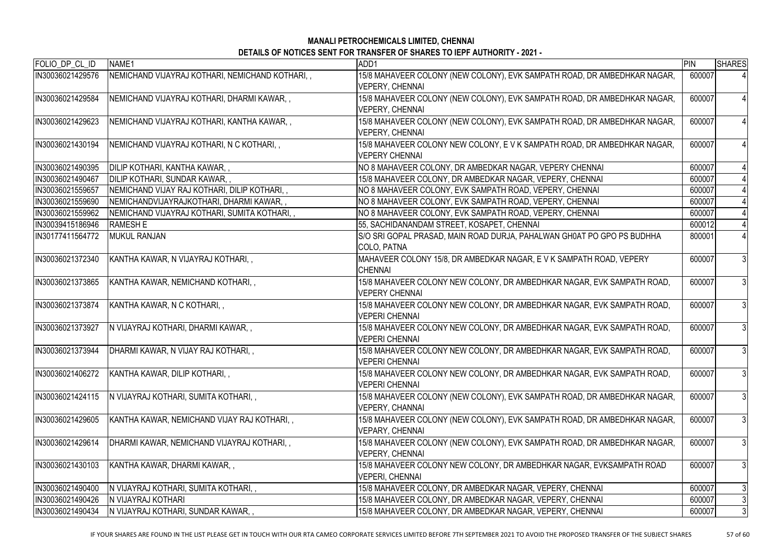| FOLIO_DP_CL_ID   | NAME1                                           | ADD <sub>1</sub>                                                                                   | PIN    | <b>SHARES</b>  |
|------------------|-------------------------------------------------|----------------------------------------------------------------------------------------------------|--------|----------------|
| IN30036021429576 | NEMICHAND VIJAYRAJ KOTHARI, NEMICHAND KOTHARI,, | 15/8 MAHAVEER COLONY (NEW COLONY), EVK SAMPATH ROAD, DR AMBEDHKAR NAGAR,<br><b>VEPERY, CHENNAI</b> | 600007 |                |
| IN30036021429584 | NEMICHAND VIJAYRAJ KOTHARI, DHARMI KAWAR,,      | 15/8 MAHAVEER COLONY (NEW COLONY), EVK SAMPATH ROAD, DR AMBEDHKAR NAGAR,<br><b>VEPERY, CHENNAI</b> | 600007 | $\overline{4}$ |
| IN30036021429623 | NEMICHAND VIJAYRAJ KOTHARI, KANTHA KAWAR,,      | 15/8 MAHAVEER COLONY (NEW COLONY), EVK SAMPATH ROAD, DR AMBEDHKAR NAGAR,<br><b>VEPERY, CHENNAI</b> | 600007 | $\overline{4}$ |
| IN30036021430194 | NEMICHAND VIJAYRAJ KOTHARI, N C KOTHARI, ,      | 15/8 MAHAVEER COLONY NEW COLONY, E V K SAMPATH ROAD, DR AMBEDHKAR NAGAR,<br><b>VEPERY CHENNAI</b>  | 600007 | $\overline{4}$ |
| IN30036021490395 | DILIP KOTHARI, KANTHA KAWAR, ,                  | NO 8 MAHAVEER COLONY, DR AMBEDKAR NAGAR, VEPERY CHENNAI                                            | 600007 |                |
| IN30036021490467 | DILIP KOTHARI, SUNDAR KAWAR,,                   | 15/8 MAHAVEER COLONY, DR AMBEDKAR NAGAR, VEPERY, CHENNAI                                           | 600007 |                |
| IN30036021559657 | NEMICHAND VIJAY RAJ KOTHARI, DILIP KOTHARI, ,   | NO 8 MAHAVEER COLONY, EVK SAMPATH ROAD, VEPERY, CHENNAI                                            | 600007 |                |
| IN30036021559690 | NEMICHANDVIJAYRAJKOTHARI, DHARMI KAWAR,,        | NO 8 MAHAVEER COLONY, EVK SAMPATH ROAD, VEPERY, CHENNAI                                            | 600007 |                |
| IN30036021559962 | NEMICHAND VIJAYRAJ KOTHARI, SUMITA KOTHARI, ,   | NO 8 MAHAVEER COLONY, EVK SAMPATH ROAD, VEPERY, CHENNAI                                            | 600007 |                |
| IN30039415186946 | <b>RAMESH E</b>                                 | 55, SACHIDANANDAM STREET, KOSAPET, CHENNAI                                                         | 600012 |                |
| IN30177411564772 | <b>MUKUL RANJAN</b>                             | S/O SRI GOPAL PRASAD, MAIN ROAD DURJA, PAHALWAN GH0AT PO GPO PS BUDHHA<br>COLO, PATNA              | 800001 |                |
| IN30036021372340 | KANTHA KAWAR, N VIJAYRAJ KOTHARI, ,             | MAHAVEER COLONY 15/8, DR AMBEDKAR NAGAR, E V K SAMPATH ROAD, VEPERY<br><b>CHENNAI</b>              | 600007 | $\mathfrak{Z}$ |
| IN30036021373865 | KANTHA KAWAR, NEMICHAND KOTHARI, ,              | 15/8 MAHAVEER COLONY NEW COLONY, DR AMBEDHKAR NAGAR, EVK SAMPATH ROAD,<br><b>VEPERY CHENNAI</b>    | 600007 | 3              |
| IN30036021373874 | KANTHA KAWAR, N C KOTHARI, ,                    | 15/8 MAHAVEER COLONY NEW COLONY, DR AMBEDHKAR NAGAR, EVK SAMPATH ROAD,<br><b>VEPERI CHENNAI</b>    | 600007 | $\mathbf{3}$   |
| IN30036021373927 | N VIJAYRAJ KOTHARI, DHARMI KAWAR,,              | 15/8 MAHAVEER COLONY NEW COLONY, DR AMBEDHKAR NAGAR, EVK SAMPATH ROAD,<br>IVEPERI CHENNAI          | 600007 | $\mathbf{3}$   |
| IN30036021373944 | DHARMI KAWAR, N VIJAY RAJ KOTHARI,,             | 15/8 MAHAVEER COLONY NEW COLONY, DR AMBEDHKAR NAGAR, EVK SAMPATH ROAD,<br><b>VEPERI CHENNAI</b>    | 600007 | 3              |
| IN30036021406272 | KANTHA KAWAR, DILIP KOTHARI,,                   | 15/8 MAHAVEER COLONY NEW COLONY, DR AMBEDHKAR NAGAR, EVK SAMPATH ROAD,<br><b>VEPERI CHENNAI</b>    | 600007 | $\mathfrak{Z}$ |
| IN30036021424115 | N VIJAYRAJ KOTHARI, SUMITA KOTHARI,,            | 15/8 MAHAVEER COLONY (NEW COLONY), EVK SAMPATH ROAD, DR AMBEDHKAR NAGAR,<br><b>VEPERY, CHANNAI</b> | 600007 | $\mathfrak{Z}$ |
| IN30036021429605 | KANTHA KAWAR, NEMICHAND VIJAY RAJ KOTHARI,,     | 15/8 MAHAVEER COLONY (NEW COLONY), EVK SAMPATH ROAD, DR AMBEDHKAR NAGAR,<br><b>VEPARY, CHENNAI</b> | 600007 | 3              |
| IN30036021429614 | DHARMI KAWAR, NEMICHAND VIJAYRAJ KOTHARI,,      | 15/8 MAHAVEER COLONY (NEW COLONY), EVK SAMPATH ROAD, DR AMBEDHKAR NAGAR,<br><b>VEPERY, CHENNAI</b> | 600007 | 3              |
| IN30036021430103 | KANTHA KAWAR, DHARMI KAWAR,,                    | 15/8 MAHAVEER COLONY NEW COLONY, DR AMBEDHKAR NAGAR, EVKSAMPATH ROAD<br><b>VEPERI, CHENNAI</b>     | 600007 | 3              |
| IN30036021490400 | N VIJAYRAJ KOTHARI, SUMITA KOTHARI,,            | 15/8 MAHAVEER COLONY, DR AMBEDKAR NAGAR, VEPERY, CHENNAI                                           | 600007 | 3              |
| IN30036021490426 | N VIJAYRAJ KOTHARI                              | 15/8 MAHAVEER COLONY, DR AMBEDKAR NAGAR, VEPERY, CHENNAI                                           | 600007 | 3              |
| IN30036021490434 | IN VIJAYRAJ KOTHARI, SUNDAR KAWAR, ,            | 15/8 MAHAVEER COLONY, DR AMBEDKAR NAGAR, VEPERY, CHENNAI                                           | 600007 | 3              |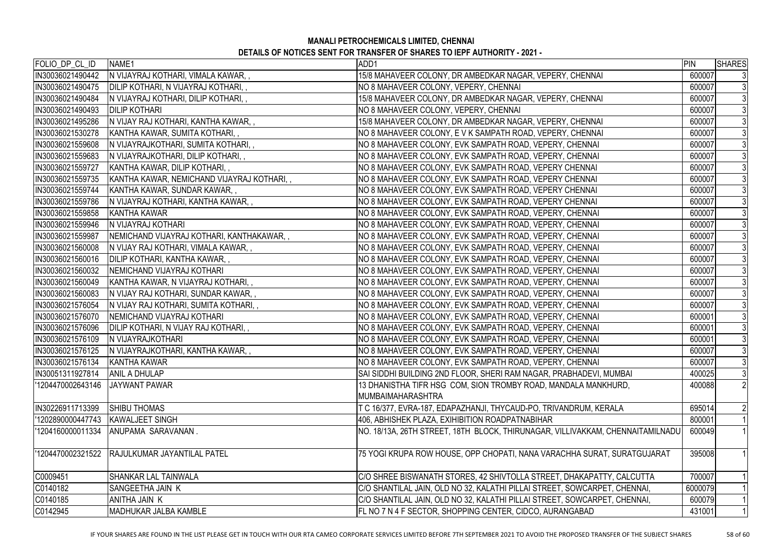| FOLIO_DP_CL_ID    | NAME1                                              | ADD1                                                                            | PIN     | <b>SHARES</b>  |
|-------------------|----------------------------------------------------|---------------------------------------------------------------------------------|---------|----------------|
| IN30036021490442  | IN VIJAYRAJ KOTHARI, VIMALA KAWAR,,                | 15/8 MAHAVEER COLONY, DR AMBEDKAR NAGAR, VEPERY, CHENNAI                        | 600007  | 3              |
| IN30036021490475  | DILIP KOTHARI, N VIJAYRAJ KOTHARI,,                | NO 8 MAHAVEER COLONY, VEPERY, CHENNAI                                           | 600007  |                |
| IN30036021490484  | IN VIJAYRAJ KOTHARI, DILIP KOTHARI,,               | 15/8 MAHAVEER COLONY, DR AMBEDKAR NAGAR, VEPERY, CHENNAI                        | 600007  | 3              |
| IN30036021490493  | <b>DILIP KOTHARI</b>                               | NO 8 MAHAVEER COLONY, VEPERY, CHENNAI                                           | 600007  | 3              |
| IN30036021495286  | IN VIJAY RAJ KOTHARI, KANTHA KAWAR,,               | 15/8 MAHAVEER COLONY, DR AMBEDKAR NAGAR, VEPERY, CHENNAI                        | 600007  | 3              |
| IN30036021530278  | KANTHA KAWAR, SUMITA KOTHARI,,                     | NO 8 MAHAVEER COLONY, E V K SAMPATH ROAD, VEPERY, CHENNAI                       | 600007  | 3              |
| IN30036021559608  | IN VIJAYRAJKOTHARI, SUMITA KOTHARI,,               | NO 8 MAHAVEER COLONY, EVK SAMPATH ROAD, VEPERY, CHENNAI                         | 600007  | 3              |
| IN30036021559683  | IN VIJAYRAJKOTHARI, DILIP KOTHARI,,                | NO 8 MAHAVEER COLONY, EVK SAMPATH ROAD, VEPERY, CHENNAI                         | 600007  | 3              |
| IN30036021559727  | KANTHA KAWAR, DILIP KOTHARI,,                      | NO 8 MAHAVEER COLONY, EVK SAMPATH ROAD, VEPERY CHENNAI                          | 600007  |                |
| IN30036021559735  | KANTHA KAWAR, NEMICHAND VIJAYRAJ KOTHARI,,         | NO 8 MAHAVEER COLONY, EVK SAMPATH ROAD, VEPERY CHENNAI                          | 600007  | $\mathfrak{Z}$ |
| IN30036021559744  | KANTHA KAWAR, SUNDAR KAWAR,,                       | NO 8 MAHAVEER COLONY, EVK SAMPATH ROAD, VEPERY CHENNAI                          | 600007  | 3              |
| IN30036021559786  | IN VIJAYRAJ KOTHARI, KANTHA KAWAR,,                | NO 8 MAHAVEER COLONY, EVK SAMPATH ROAD, VEPERY CHENNAI                          | 600007  | 3              |
| IN30036021559858  | KANTHA KAWAR                                       | NO 8 MAHAVEER COLONY, EVK SAMPATH ROAD, VEPERY, CHENNAI                         | 600007  | 3              |
| IN30036021559946  | IN VIJAYRAJ KOTHARI                                | NO 8 MAHAVEER COLONY, EVK SAMPATH ROAD, VEPERY, CHENNAI                         | 600007  | 3              |
| IN30036021559987  | NEMICHAND VIJAYRAJ KOTHARI, KANTHAKAWAR,,          | NO 8 MAHAVEER COLONY, EVK SAMPATH ROAD, VEPERY, CHENNAI                         | 600007  | 3              |
| IN30036021560008  | IN VIJAY RAJ KOTHARI, VIMALA KAWAR,,               | NO 8 MAHAVEER COLONY, EVK SAMPATH ROAD, VEPERY, CHENNAI                         | 600007  | 3              |
| IN30036021560016  | DILIP KOTHARI, KANTHA KAWAR,,                      | NO 8 MAHAVEER COLONY, EVK SAMPATH ROAD, VEPERY, CHENNAI                         | 600007  | $\mathfrak{Z}$ |
| IN30036021560032  | <b>INEMICHAND VIJAYRAJ KOTHARI</b>                 | NO 8 MAHAVEER COLONY, EVK SAMPATH ROAD, VEPERY, CHENNAI                         | 600007  | 3              |
| IN30036021560049  | KANTHA KAWAR, N VIJAYRAJ KOTHARI,,                 | NO 8 MAHAVEER COLONY, EVK SAMPATH ROAD, VEPERY, CHENNAI                         | 600007  | 3              |
| IN30036021560083  | IN VIJAY RAJ KOTHARI, SUNDAR KAWAR,,               | NO 8 MAHAVEER COLONY, EVK SAMPATH ROAD, VEPERY, CHENNAI                         | 600007  | $\mathfrak{Z}$ |
| IN30036021576054  | IN VIJAY RAJ KOTHARI, SUMITA KOTHARI,,             | NO 8 MAHAVEER COLONY, EVK SAMPATH ROAD, VEPERY, CHENNAI                         | 600007  | 3              |
| IN30036021576070  | <b>NEMICHAND VIJAYRAJ KOTHARI</b>                  | NO 8 MAHAVEER COLONY, EVK SAMPATH ROAD, VEPERY, CHENNAI                         | 600001  | $\mathfrak{Z}$ |
| IN30036021576096  | DILIP KOTHARI, N VIJAY RAJ KOTHARI,,               | NO 8 MAHAVEER COLONY, EVK SAMPATH ROAD, VEPERY, CHENNAI                         | 600001  | 3              |
| IIN30036021576109 | <b>N VIJAYRAJKOTHARI</b>                           | NO 8 MAHAVEER COLONY, EVK SAMPATH ROAD, VEPERY, CHENNAI                         | 600001  |                |
|                   | IN30036021576125  N VIJAYRAJKOTHARI, KANTHA KAWAR, | NO 8 MAHAVEER COLONY, EVK SAMPATH ROAD, VEPERY, CHENNAI                         | 600007  | $\mathbf{3}$   |
| IN30036021576134  | KANTHA KAWAR                                       | NO 8 MAHAVEER COLONY, EVK SAMPATH ROAD, VEPERY, CHENNAI                         | 600007  | 3              |
| IN30051311927814  | <b>ANIL A DHULAP</b>                               | SAI SIDDHI BUILDING 2ND FLOOR, SHERI RAM NAGAR, PRABHADEVI, MUMBAI              | 400025  | $\mathfrak{Z}$ |
| '1204470002643146 | <b>JAYWANT PAWAR</b>                               | 13 DHANISTHA TIFR HSG COM, SION TROMBY ROAD, MANDALA MANKHURD,                  | 400088  | $\overline{2}$ |
|                   |                                                    | <b>MUMBAIMAHARASHTRA</b>                                                        |         |                |
| IN30226911713399  | <b>SHIBU THOMAS</b>                                | T C 16/377, EVRA-187, EDAPAZHANJI, THYCAUD-PO, TRIVANDRUM, KERALA               | 695014  | $\overline{2}$ |
| '1202890000447743 | <b>KAWALJEET SINGH</b>                             | 406, ABHISHEK PLAZA, EXIHIBITION ROADPATNABIHAR                                 | 800001  |                |
| '1204160000011334 | ANUPAMA SARAVANAN.                                 | NO. 18/13A, 26TH STREET, 18TH  BLOCK, THIRUNAGAR, VILLIVAKKAM, CHENNAITAMILNADU | 600049  |                |
|                   | '1204470002321522 RAJULKUMAR JAYANTILAL PATEL      | 75 YOGI KRUPA ROW HOUSE, OPP CHOPATI, NANA VARACHHA SURAT, SURATGUJARAT         | 395008  |                |
| C0009451          | ISHANKAR LAL TAINWALA                              | C/O SHREE BISWANATH STORES, 42 SHIVTOLLA STREET, DHAKAPATTY, CALCUTTA           | 700007  |                |
| C0140182          | ISANGEETHA JAIN K                                  | C/O SHANTILAL JAIN, OLD NO 32, KALATHI PILLAI STREET, SOWCARPET, CHENNAI,       | 6000079 |                |
| C0140185          | anitha Jain K                                      | C/O SHANTILAL JAIN, OLD NO 32, KALATHI PILLAI STREET, SOWCARPET, CHENNAI,       | 600079  |                |
| C0142945          | IMADHUKAR JALBA KAMBLE                             | FL NO 7 N 4 F SECTOR, SHOPPING CENTER, CIDCO, AURANGABAD                        | 431001  |                |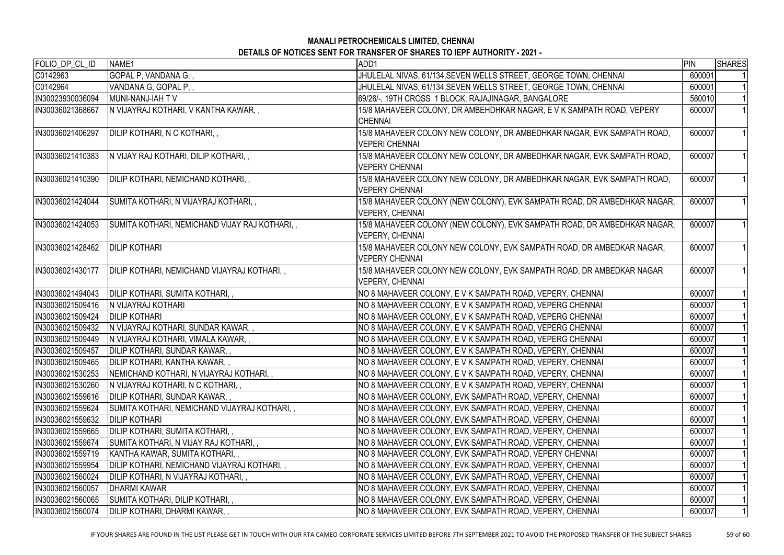| FOLIO_DP_CL_ID   | NAME1                                             | ADD1                                                                     | PIN    | SHARES |
|------------------|---------------------------------------------------|--------------------------------------------------------------------------|--------|--------|
| C0142963         | GOPAL P, VANDANA G, ,                             | JHULELAL NIVAS, 61/134, SEVEN WELLS STREET, GEORGE TOWN, CHENNAI         | 600001 |        |
| C0142964         | VANDANA G, GOPAL P,,                              | JHULELAL NIVAS, 61/134, SEVEN WELLS STREET, GEORGE TOWN, CHENNAI         | 600001 |        |
| IN30023930036094 | <b>IMUNI-NANJ-IAH T V</b>                         | 69/26/-, 19TH CROSS 1 BLOCK, RAJAJINAGAR, BANGALORE                      | 560010 |        |
| IN30036021368667 | IN VIJAYRAJ KOTHARI, V KANTHA KAWAR,,             | 15/8 MAHAVEER COLONY, DR AMBEHDHKAR NAGAR, E V K SAMPATH ROAD, VEPERY    | 600007 |        |
|                  |                                                   | <b>CHENNAI</b>                                                           |        |        |
| IN30036021406297 | DILIP KOTHARI, N C KOTHARI,,                      | 15/8 MAHAVEER COLONY NEW COLONY, DR AMBEDHKAR NAGAR, EVK SAMPATH ROAD,   | 600007 |        |
|                  |                                                   | <b>VEPERI CHENNAI</b>                                                    |        |        |
| IN30036021410383 | IN VIJAY RAJ KOTHARI, DILIP KOTHARI,,             | 15/8 MAHAVEER COLONY NEW COLONY, DR AMBEDHKAR NAGAR, EVK SAMPATH ROAD,   | 600007 |        |
|                  |                                                   | <b>VEPERY CHENNAI</b>                                                    |        |        |
| IN30036021410390 | DILIP KOTHARI, NEMICHAND KOTHARI,,                | 15/8 MAHAVEER COLONY NEW COLONY, DR AMBEDHKAR NAGAR, EVK SAMPATH ROAD,   | 600007 |        |
|                  |                                                   | <b>VEPERY CHENNAI</b>                                                    |        |        |
| IN30036021424044 | SUMITA KOTHARI, N VIJAYRAJ KOTHARI, ,             | 15/8 MAHAVEER COLONY (NEW COLONY), EVK SAMPATH ROAD, DR AMBEDHKAR NAGAR, | 600007 |        |
|                  |                                                   | <b>VEPERY, CHENNAI</b>                                                   |        |        |
| IN30036021424053 | SUMITA KOTHARI, NEMICHAND VIJAY RAJ KOTHARI,,     | 15/8 MAHAVEER COLONY (NEW COLONY), EVK SAMPATH ROAD, DR AMBEDHKAR NAGAR, | 600007 |        |
|                  |                                                   | VEPERY, CHENNAI                                                          |        |        |
| IN30036021428462 | <b>DILIP KOTHARI</b>                              | 15/8 MAHAVEER COLONY NEW COLONY, EVK SAMPATH ROAD, DR AMBEDKAR NAGAR,    | 600007 |        |
|                  |                                                   | <b>VEPERY CHENNAI</b>                                                    |        |        |
| IN30036021430177 | DILIP KOTHARI, NEMICHAND VIJAYRAJ KOTHARI,,       | 15/8 MAHAVEER COLONY NEW COLONY, EVK SAMPATH ROAD, DR AMBEDKAR NAGAR     | 600007 |        |
|                  |                                                   | <b>VEPERY, CHENNAI</b>                                                   |        |        |
| IN30036021494043 | DILIP KOTHARI, SUMITA KOTHARI,,                   | NO 8 MAHAVEER COLONY, E V K SAMPATH ROAD, VEPERY, CHENNAI                | 600007 |        |
| IN30036021509416 | <b>N VIJAYRAJ KOTHARI</b>                         | NO 8 MAHAVEER COLONY, E V K SAMPATH ROAD, VEPERG CHENNAI                 | 600007 |        |
| IN30036021509424 | <b>DILIP KOTHARI</b>                              | NO 8 MAHAVEER COLONY, E V K SAMPATH ROAD, VEPERG CHENNAI                 | 600007 |        |
| IN30036021509432 | IN VIJAYRAJ KOTHARI, SUNDAR KAWAR,,               | NO 8 MAHAVEER COLONY, E V K SAMPATH ROAD, VEPERG CHENNAI                 | 600007 |        |
| IN30036021509449 | IN VIJAYRAJ KOTHARI, VIMALA KAWAR,,               | NO 8 MAHAVEER COLONY, E V K SAMPATH ROAD, VEPERG CHENNAI                 | 600007 |        |
| IN30036021509457 | DILIP KOTHARI, SUNDAR KAWAR,,                     | NO 8 MAHAVEER COLONY, E V K SAMPATH ROAD, VEPERY, CHENNAI                | 600007 |        |
| IN30036021509465 | DILIP KOTHARI, KANTHA KAWAR,,                     | NO 8 MAHAVEER COLONY, E V K SAMPATH ROAD, VEPERY, CHENNAI                | 600007 |        |
| IN30036021530253 | NEMICHAND KOTHARI, N VIJAYRAJ KOTHARI,,           | NO 8 MAHAVEER COLONY, E V K SAMPATH ROAD, VEPERY, CHENNAI                | 600007 |        |
| IN30036021530260 | IN VIJAYRAJ KOTHARI, N C KOTHARI, ,               | NO 8 MAHAVEER COLONY, E V K SAMPATH ROAD, VEPERY, CHENNAI                | 600007 |        |
| IN30036021559616 | DILIP KOTHARI, SUNDAR KAWAR,,                     | NO 8 MAHAVEER COLONY, EVK SAMPATH ROAD, VEPERY, CHENNAI                  | 600007 |        |
| IN30036021559624 | SUMITA KOTHARI, NEMICHAND VIJAYRAJ KOTHARI,,      | NO 8 MAHAVEER COLONY, EVK SAMPATH ROAD, VEPERY, CHENNAI                  | 600007 |        |
| IN30036021559632 | <b>DILIP KOTHARI</b>                              | NO 8 MAHAVEER COLONY, EVK SAMPATH ROAD, VEPERY, CHENNAI                  | 600007 |        |
| IN30036021559665 | <b>JDILIP KOTHARI, SUMITA KOTHARI,,</b>           | NO 8 MAHAVEER COLONY, EVK SAMPATH ROAD, VEPERY, CHENNAI                  | 600007 |        |
| IN30036021559674 | SUMITA KOTHARI, N VIJAY RAJ KOTHARI,,             | NO 8 MAHAVEER COLONY, EVK SAMPATH ROAD, VEPERY, CHENNAI                  | 600007 |        |
| IN30036021559719 | KANTHA KAWAR, SUMITA KOTHARI,,                    | NO 8 MAHAVEER COLONY, EVK SAMPATH ROAD, VEPERY CHENNAI                   | 600007 |        |
| IN30036021559954 | <b>DILIP KOTHARI, NEMICHAND VIJAYRAJ KOTHARI,</b> | NO 8 MAHAVEER COLONY, EVK SAMPATH ROAD, VEPERY, CHENNAI                  | 600007 |        |
| IN30036021560024 | DILIP KOTHARI, N VIJAYRAJ KOTHARI,                | NO 8 MAHAVEER COLONY, EVK SAMPATH ROAD, VEPERY, CHENNAI                  | 600007 |        |
| IN30036021560057 | <b>DHARMI KAWAR</b>                               | NO 8 MAHAVEER COLONY, EVK SAMPATH ROAD, VEPERY, CHENNAI                  | 600007 |        |
| IN30036021560065 | SUMITA KOTHARI, DILIP KOTHARI,,                   | NO 8 MAHAVEER COLONY, EVK SAMPATH ROAD, VEPERY, CHENNAI                  | 600007 |        |
| IN30036021560074 | DILIP KOTHARI, DHARMI KAWAR,                      | NO 8 MAHAVEER COLONY, EVK SAMPATH ROAD, VEPERY, CHENNAI                  | 600007 |        |